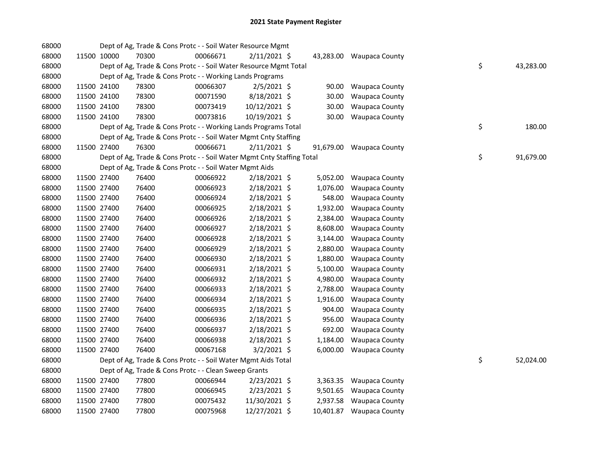| 68000 |             | Dept of Ag, Trade & Cons Protc - - Soil Water Resource Mgmt            |          |                |          |                          |    |           |
|-------|-------------|------------------------------------------------------------------------|----------|----------------|----------|--------------------------|----|-----------|
| 68000 | 11500 10000 | 70300                                                                  | 00066671 | $2/11/2021$ \$ |          | 43,283.00 Waupaca County |    |           |
| 68000 |             | Dept of Ag, Trade & Cons Protc - - Soil Water Resource Mgmt Total      |          |                |          |                          | \$ | 43,283.00 |
| 68000 |             | Dept of Ag, Trade & Cons Protc - - Working Lands Programs              |          |                |          |                          |    |           |
| 68000 | 11500 24100 | 78300                                                                  | 00066307 | $2/5/2021$ \$  | 90.00    | Waupaca County           |    |           |
| 68000 | 11500 24100 | 78300                                                                  | 00071590 | 8/18/2021 \$   | 30.00    | <b>Waupaca County</b>    |    |           |
| 68000 | 11500 24100 | 78300                                                                  | 00073419 | 10/12/2021 \$  | 30.00    | <b>Waupaca County</b>    |    |           |
| 68000 | 11500 24100 | 78300                                                                  | 00073816 | 10/19/2021 \$  | 30.00    | <b>Waupaca County</b>    |    |           |
| 68000 |             | Dept of Ag, Trade & Cons Protc - - Working Lands Programs Total        |          |                |          |                          | \$ | 180.00    |
| 68000 |             | Dept of Ag, Trade & Cons Protc - - Soil Water Mgmt Cnty Staffing       |          |                |          |                          |    |           |
| 68000 | 11500 27400 | 76300                                                                  | 00066671 | $2/11/2021$ \$ |          | 91,679.00 Waupaca County |    |           |
| 68000 |             | Dept of Ag, Trade & Cons Protc - - Soil Water Mgmt Cnty Staffing Total |          |                |          |                          | \$ | 91,679.00 |
| 68000 |             | Dept of Ag, Trade & Cons Protc - - Soil Water Mgmt Aids                |          |                |          |                          |    |           |
| 68000 | 11500 27400 | 76400                                                                  | 00066922 | $2/18/2021$ \$ |          | 5,052.00 Waupaca County  |    |           |
| 68000 | 11500 27400 | 76400                                                                  | 00066923 | $2/18/2021$ \$ | 1,076.00 | <b>Waupaca County</b>    |    |           |
| 68000 | 11500 27400 | 76400                                                                  | 00066924 | 2/18/2021 \$   | 548.00   | <b>Waupaca County</b>    |    |           |
| 68000 | 11500 27400 | 76400                                                                  | 00066925 | 2/18/2021 \$   | 1,932.00 | <b>Waupaca County</b>    |    |           |
| 68000 | 11500 27400 | 76400                                                                  | 00066926 | $2/18/2021$ \$ | 2,384.00 | <b>Waupaca County</b>    |    |           |
| 68000 | 11500 27400 | 76400                                                                  | 00066927 | $2/18/2021$ \$ | 8,608.00 | Waupaca County           |    |           |
| 68000 | 11500 27400 | 76400                                                                  | 00066928 | 2/18/2021 \$   | 3,144.00 | <b>Waupaca County</b>    |    |           |
| 68000 | 11500 27400 | 76400                                                                  | 00066929 | 2/18/2021 \$   | 2,880.00 | Waupaca County           |    |           |
| 68000 | 11500 27400 | 76400                                                                  | 00066930 | 2/18/2021 \$   | 1,880.00 | Waupaca County           |    |           |
| 68000 | 11500 27400 | 76400                                                                  | 00066931 | 2/18/2021 \$   | 5,100.00 | Waupaca County           |    |           |
| 68000 | 11500 27400 | 76400                                                                  | 00066932 | 2/18/2021 \$   | 4,980.00 | Waupaca County           |    |           |
| 68000 | 11500 27400 | 76400                                                                  | 00066933 | 2/18/2021 \$   | 2,788.00 | Waupaca County           |    |           |
| 68000 | 11500 27400 | 76400                                                                  | 00066934 | $2/18/2021$ \$ | 1,916.00 | Waupaca County           |    |           |
| 68000 | 11500 27400 | 76400                                                                  | 00066935 | 2/18/2021 \$   | 904.00   | <b>Waupaca County</b>    |    |           |
| 68000 | 11500 27400 | 76400                                                                  | 00066936 | 2/18/2021 \$   | 956.00   | <b>Waupaca County</b>    |    |           |
| 68000 | 11500 27400 | 76400                                                                  | 00066937 | 2/18/2021 \$   | 692.00   | <b>Waupaca County</b>    |    |           |
| 68000 | 11500 27400 | 76400                                                                  | 00066938 | $2/18/2021$ \$ | 1,184.00 | <b>Waupaca County</b>    |    |           |
| 68000 | 11500 27400 | 76400                                                                  | 00067168 | $3/2/2021$ \$  |          | 6,000.00 Waupaca County  |    |           |
| 68000 |             | Dept of Ag, Trade & Cons Protc - - Soil Water Mgmt Aids Total          |          |                |          |                          | \$ | 52,024.00 |
| 68000 |             | Dept of Ag, Trade & Cons Protc - - Clean Sweep Grants                  |          |                |          |                          |    |           |
| 68000 | 11500 27400 | 77800                                                                  | 00066944 | 2/23/2021 \$   |          | 3,363.35 Waupaca County  |    |           |
| 68000 | 11500 27400 | 77800                                                                  | 00066945 | 2/23/2021 \$   | 9,501.65 | <b>Waupaca County</b>    |    |           |
| 68000 | 11500 27400 | 77800                                                                  | 00075432 | 11/30/2021 \$  | 2,937.58 | Waupaca County           |    |           |
| 68000 | 11500 27400 | 77800                                                                  | 00075968 | 12/27/2021 \$  |          | 10,401.87 Waupaca County |    |           |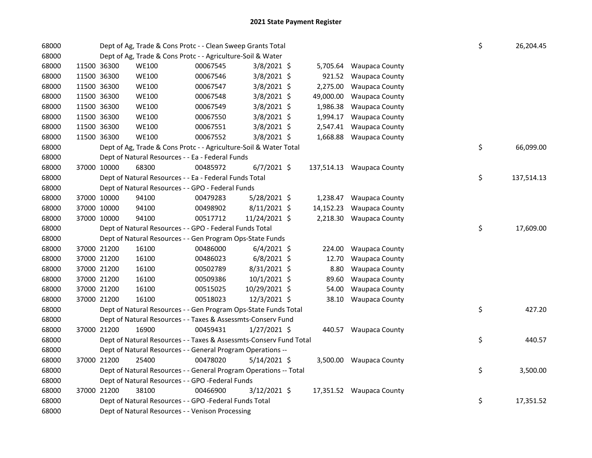| 68000 |             |                                                             | Dept of Ag, Trade & Cons Protc - - Clean Sweep Grants Total                                                |          |                |  |           |                           |  |    | 26,204.45  |  |  |
|-------|-------------|-------------------------------------------------------------|------------------------------------------------------------------------------------------------------------|----------|----------------|--|-----------|---------------------------|--|----|------------|--|--|
| 68000 |             | Dept of Ag, Trade & Cons Protc - - Agriculture-Soil & Water |                                                                                                            |          |                |  |           |                           |  |    |            |  |  |
| 68000 | 11500 36300 |                                                             | <b>WE100</b>                                                                                               | 00067545 | $3/8/2021$ \$  |  |           | 5,705.64 Waupaca County   |  |    |            |  |  |
| 68000 |             | 11500 36300                                                 | <b>WE100</b>                                                                                               | 00067546 | 3/8/2021 \$    |  | 921.52    | <b>Waupaca County</b>     |  |    |            |  |  |
| 68000 |             | 11500 36300                                                 | <b>WE100</b>                                                                                               | 00067547 | 3/8/2021 \$    |  | 2,275.00  | <b>Waupaca County</b>     |  |    |            |  |  |
| 68000 |             | 11500 36300                                                 | <b>WE100</b>                                                                                               | 00067548 | 3/8/2021 \$    |  | 49,000.00 | <b>Waupaca County</b>     |  |    |            |  |  |
| 68000 |             | 11500 36300                                                 | <b>WE100</b>                                                                                               | 00067549 | 3/8/2021 \$    |  | 1,986.38  | <b>Waupaca County</b>     |  |    |            |  |  |
| 68000 |             | 11500 36300                                                 | <b>WE100</b>                                                                                               | 00067550 | 3/8/2021 \$    |  | 1,994.17  | <b>Waupaca County</b>     |  |    |            |  |  |
| 68000 |             | 11500 36300                                                 | <b>WE100</b>                                                                                               | 00067551 | 3/8/2021 \$    |  | 2,547.41  | <b>Waupaca County</b>     |  |    |            |  |  |
| 68000 |             | 11500 36300                                                 | <b>WE100</b>                                                                                               | 00067552 | 3/8/2021 \$    |  |           | 1,668.88 Waupaca County   |  |    |            |  |  |
| 68000 |             |                                                             | Dept of Ag, Trade & Cons Protc - - Agriculture-Soil & Water Total                                          |          |                |  |           |                           |  | \$ | 66,099.00  |  |  |
| 68000 |             |                                                             | Dept of Natural Resources - - Ea - Federal Funds                                                           |          |                |  |           |                           |  |    |            |  |  |
| 68000 |             | 37000 10000                                                 | 68300                                                                                                      | 00485972 | $6/7/2021$ \$  |  |           | 137,514.13 Waupaca County |  |    |            |  |  |
| 68000 |             |                                                             | Dept of Natural Resources - - Ea - Federal Funds Total                                                     |          |                |  |           |                           |  | \$ | 137,514.13 |  |  |
| 68000 |             |                                                             | Dept of Natural Resources - - GPO - Federal Funds                                                          |          |                |  |           |                           |  |    |            |  |  |
| 68000 |             | 37000 10000                                                 | 94100                                                                                                      | 00479283 | 5/28/2021 \$   |  |           | 1,238.47 Waupaca County   |  |    |            |  |  |
| 68000 |             | 37000 10000                                                 | 94100                                                                                                      | 00498902 | $8/11/2021$ \$ |  | 14,152.23 | <b>Waupaca County</b>     |  |    |            |  |  |
| 68000 |             | 37000 10000                                                 | 94100                                                                                                      | 00517712 | 11/24/2021 \$  |  |           | 2,218.30 Waupaca County   |  |    |            |  |  |
| 68000 |             |                                                             | Dept of Natural Resources - - GPO - Federal Funds Total                                                    |          |                |  |           |                           |  | \$ | 17,609.00  |  |  |
| 68000 |             |                                                             | Dept of Natural Resources - - Gen Program Ops-State Funds                                                  |          |                |  |           |                           |  |    |            |  |  |
| 68000 |             | 37000 21200                                                 | 16100                                                                                                      | 00486000 | $6/4/2021$ \$  |  | 224.00    | <b>Waupaca County</b>     |  |    |            |  |  |
| 68000 |             | 37000 21200                                                 | 16100                                                                                                      | 00486023 | $6/8/2021$ \$  |  | 12.70     | <b>Waupaca County</b>     |  |    |            |  |  |
| 68000 |             | 37000 21200                                                 | 16100                                                                                                      | 00502789 | 8/31/2021 \$   |  | 8.80      | <b>Waupaca County</b>     |  |    |            |  |  |
| 68000 |             | 37000 21200                                                 | 16100                                                                                                      | 00509386 | 10/1/2021 \$   |  | 89.60     | <b>Waupaca County</b>     |  |    |            |  |  |
| 68000 |             | 37000 21200                                                 | 16100                                                                                                      | 00515025 | 10/29/2021 \$  |  | 54.00     | <b>Waupaca County</b>     |  |    |            |  |  |
| 68000 |             | 37000 21200                                                 | 16100                                                                                                      | 00518023 | 12/3/2021 \$   |  | 38.10     | <b>Waupaca County</b>     |  |    |            |  |  |
| 68000 |             |                                                             | Dept of Natural Resources - - Gen Program Ops-State Funds Total                                            |          |                |  |           |                           |  | \$ | 427.20     |  |  |
| 68000 |             |                                                             | Dept of Natural Resources - - Taxes & Assessmts-Conserv Fund                                               |          |                |  |           |                           |  |    |            |  |  |
| 68000 |             | 37000 21200                                                 | 16900                                                                                                      | 00459431 | $1/27/2021$ \$ |  |           | 440.57 Waupaca County     |  |    |            |  |  |
| 68000 |             |                                                             | Dept of Natural Resources - - Taxes & Assessmts-Conserv Fund Total                                         |          |                |  |           |                           |  | \$ | 440.57     |  |  |
| 68000 |             |                                                             | Dept of Natural Resources - - General Program Operations --                                                |          |                |  |           |                           |  |    |            |  |  |
| 68000 |             | 37000 21200                                                 | 25400                                                                                                      | 00478020 | $5/14/2021$ \$ |  |           | 3,500.00 Waupaca County   |  |    |            |  |  |
| 68000 |             |                                                             | Dept of Natural Resources - - General Program Operations -- Total                                          |          |                |  |           |                           |  | \$ | 3,500.00   |  |  |
| 68000 |             |                                                             | Dept of Natural Resources - - GPO -Federal Funds                                                           |          |                |  |           |                           |  |    |            |  |  |
| 68000 |             | 37000 21200                                                 | 38100                                                                                                      | 00466900 | 3/12/2021 \$   |  |           | 17,351.52 Waupaca County  |  |    |            |  |  |
| 68000 |             |                                                             |                                                                                                            |          |                |  |           |                           |  | \$ | 17,351.52  |  |  |
| 68000 |             |                                                             | Dept of Natural Resources - - GPO -Federal Funds Total<br>Dept of Natural Resources - - Venison Processing |          |                |  |           |                           |  |    |            |  |  |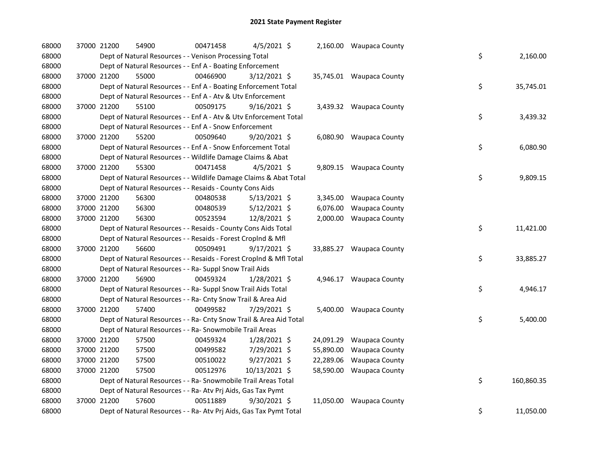| 68000 |             | 37000 21200 | 54900                                                              | 00471458 | 4/5/2021 \$    |          | 2,160.00 Waupaca County  |    |            |
|-------|-------------|-------------|--------------------------------------------------------------------|----------|----------------|----------|--------------------------|----|------------|
| 68000 |             |             | Dept of Natural Resources - - Venison Processing Total             |          |                |          |                          | \$ | 2,160.00   |
| 68000 |             |             | Dept of Natural Resources - - Enf A - Boating Enforcement          |          |                |          |                          |    |            |
| 68000 |             | 37000 21200 | 55000                                                              | 00466900 | $3/12/2021$ \$ |          | 35,745.01 Waupaca County |    |            |
| 68000 |             |             | Dept of Natural Resources - - Enf A - Boating Enforcement Total    |          |                |          |                          | \$ | 35,745.01  |
| 68000 |             |             | Dept of Natural Resources - - Enf A - Atv & Utv Enforcement        |          |                |          |                          |    |            |
| 68000 |             | 37000 21200 | 55100                                                              | 00509175 | $9/16/2021$ \$ |          | 3,439.32 Waupaca County  |    |            |
| 68000 |             |             | Dept of Natural Resources - - Enf A - Atv & Utv Enforcement Total  |          |                |          |                          | \$ | 3,439.32   |
| 68000 |             |             | Dept of Natural Resources - - Enf A - Snow Enforcement             |          |                |          |                          |    |            |
| 68000 |             | 37000 21200 | 55200                                                              | 00509640 | 9/20/2021 \$   |          | 6,080.90 Waupaca County  |    |            |
| 68000 |             |             | Dept of Natural Resources - - Enf A - Snow Enforcement Total       |          |                |          |                          | \$ | 6,080.90   |
| 68000 |             |             | Dept of Natural Resources - - Wildlife Damage Claims & Abat        |          |                |          |                          |    |            |
| 68000 |             | 37000 21200 | 55300                                                              | 00471458 | $4/5/2021$ \$  |          | 9,809.15 Waupaca County  |    |            |
| 68000 |             |             | Dept of Natural Resources - - Wildlife Damage Claims & Abat Total  |          |                |          |                          | \$ | 9,809.15   |
| 68000 |             |             | Dept of Natural Resources - - Resaids - County Cons Aids           |          |                |          |                          |    |            |
| 68000 |             | 37000 21200 | 56300                                                              | 00480538 | $5/13/2021$ \$ |          | 3,345.00 Waupaca County  |    |            |
| 68000 |             | 37000 21200 | 56300                                                              | 00480539 | $5/12/2021$ \$ | 6,076.00 | <b>Waupaca County</b>    |    |            |
| 68000 | 37000 21200 |             | 56300                                                              | 00523594 | 12/8/2021 \$   |          | 2,000.00 Waupaca County  |    |            |
| 68000 |             |             | Dept of Natural Resources - - Resaids - County Cons Aids Total     |          |                |          |                          | \$ | 11,421.00  |
| 68000 |             |             | Dept of Natural Resources - - Resaids - Forest Croplnd & Mfl       |          |                |          |                          |    |            |
| 68000 |             | 37000 21200 | 56600                                                              | 00509491 | $9/17/2021$ \$ |          | 33,885.27 Waupaca County |    |            |
| 68000 |             |             | Dept of Natural Resources - - Resaids - Forest CropInd & Mfl Total |          |                |          |                          | \$ | 33,885.27  |
| 68000 |             |             | Dept of Natural Resources - - Ra- Suppl Snow Trail Aids            |          |                |          |                          |    |            |
| 68000 |             | 37000 21200 | 56900                                                              | 00459324 | 1/28/2021 \$   |          | 4,946.17 Waupaca County  |    |            |
| 68000 |             |             | Dept of Natural Resources - - Ra- Suppl Snow Trail Aids Total      |          |                |          |                          | \$ | 4,946.17   |
| 68000 |             |             | Dept of Natural Resources - - Ra- Cnty Snow Trail & Area Aid       |          |                |          |                          |    |            |
| 68000 |             | 37000 21200 | 57400                                                              | 00499582 | 7/29/2021 \$   |          | 5,400.00 Waupaca County  |    |            |
| 68000 |             |             | Dept of Natural Resources - - Ra- Cnty Snow Trail & Area Aid Total |          |                |          |                          | \$ | 5,400.00   |
| 68000 |             |             | Dept of Natural Resources - - Ra- Snowmobile Trail Areas           |          |                |          |                          |    |            |
| 68000 |             | 37000 21200 | 57500                                                              | 00459324 | 1/28/2021 \$   |          | 24,091.29 Waupaca County |    |            |
| 68000 |             | 37000 21200 | 57500                                                              | 00499582 | 7/29/2021 \$   |          | 55,890.00 Waupaca County |    |            |
| 68000 | 37000 21200 |             | 57500                                                              | 00510022 | $9/27/2021$ \$ |          | 22,289.06 Waupaca County |    |            |
| 68000 | 37000 21200 |             | 57500                                                              | 00512976 | 10/13/2021 \$  |          | 58,590.00 Waupaca County |    |            |
| 68000 |             |             | Dept of Natural Resources - - Ra- Snowmobile Trail Areas Total     |          |                |          |                          | \$ | 160,860.35 |
| 68000 |             |             | Dept of Natural Resources - - Ra- Atv Prj Aids, Gas Tax Pymt       |          |                |          |                          |    |            |
| 68000 |             | 37000 21200 | 57600                                                              | 00511889 | 9/30/2021 \$   |          | 11,050.00 Waupaca County |    |            |
| 68000 |             |             | Dept of Natural Resources - - Ra- Atv Prj Aids, Gas Tax Pymt Total |          |                |          |                          | \$ | 11,050.00  |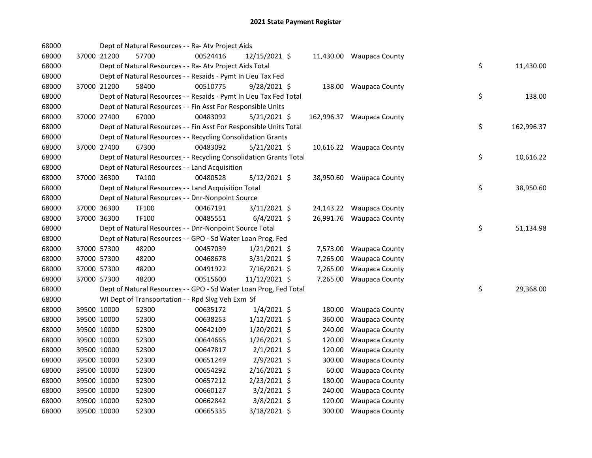| 68000 |             | Dept of Natural Resources - - Ra- Atv Project Aids                 |          |                |          |                           |    |            |
|-------|-------------|--------------------------------------------------------------------|----------|----------------|----------|---------------------------|----|------------|
| 68000 | 37000 21200 | 57700                                                              | 00524416 | 12/15/2021 \$  |          | 11,430.00 Waupaca County  |    |            |
| 68000 |             | Dept of Natural Resources - - Ra- Atv Project Aids Total           |          |                |          |                           | \$ | 11,430.00  |
| 68000 |             | Dept of Natural Resources - - Resaids - Pymt In Lieu Tax Fed       |          |                |          |                           |    |            |
| 68000 | 37000 21200 | 58400                                                              | 00510775 | $9/28/2021$ \$ |          | 138.00 Waupaca County     |    |            |
| 68000 |             | Dept of Natural Resources - - Resaids - Pymt In Lieu Tax Fed Total |          |                |          |                           | \$ | 138.00     |
| 68000 |             | Dept of Natural Resources - - Fin Asst For Responsible Units       |          |                |          |                           |    |            |
| 68000 | 37000 27400 | 67000                                                              | 00483092 | $5/21/2021$ \$ |          | 162,996.37 Waupaca County |    |            |
| 68000 |             | Dept of Natural Resources - - Fin Asst For Responsible Units Total |          |                |          |                           | \$ | 162,996.37 |
| 68000 |             | Dept of Natural Resources - - Recycling Consolidation Grants       |          |                |          |                           |    |            |
| 68000 | 37000 27400 | 67300                                                              | 00483092 | $5/21/2021$ \$ |          | 10,616.22 Waupaca County  |    |            |
| 68000 |             | Dept of Natural Resources - - Recycling Consolidation Grants Total |          |                |          |                           | \$ | 10,616.22  |
| 68000 |             | Dept of Natural Resources - - Land Acquisition                     |          |                |          |                           |    |            |
| 68000 | 37000 36300 | <b>TA100</b>                                                       | 00480528 | 5/12/2021 \$   |          | 38,950.60 Waupaca County  |    |            |
| 68000 |             | Dept of Natural Resources - - Land Acquisition Total               |          |                |          |                           | \$ | 38,950.60  |
| 68000 |             | Dept of Natural Resources - - Dnr-Nonpoint Source                  |          |                |          |                           |    |            |
| 68000 | 37000 36300 | TF100                                                              | 00467191 | 3/11/2021 \$   |          | 24,143.22 Waupaca County  |    |            |
| 68000 | 37000 36300 | <b>TF100</b>                                                       | 00485551 | $6/4/2021$ \$  |          | 26,991.76 Waupaca County  |    |            |
| 68000 |             | Dept of Natural Resources - - Dnr-Nonpoint Source Total            |          |                |          |                           | \$ | 51,134.98  |
| 68000 |             | Dept of Natural Resources - - GPO - Sd Water Loan Prog, Fed        |          |                |          |                           |    |            |
| 68000 | 37000 57300 | 48200                                                              | 00457039 | $1/21/2021$ \$ |          | 7,573.00 Waupaca County   |    |            |
| 68000 | 37000 57300 | 48200                                                              | 00468678 | $3/31/2021$ \$ | 7,265.00 | <b>Waupaca County</b>     |    |            |
| 68000 | 37000 57300 | 48200                                                              | 00491922 | 7/16/2021 \$   | 7,265.00 | <b>Waupaca County</b>     |    |            |
| 68000 | 37000 57300 | 48200                                                              | 00515600 | 11/12/2021 \$  |          | 7,265.00 Waupaca County   |    |            |
| 68000 |             | Dept of Natural Resources - - GPO - Sd Water Loan Prog, Fed Total  |          |                |          |                           | \$ | 29,368.00  |
| 68000 |             | WI Dept of Transportation - - Rpd Slvg Veh Exm Sf                  |          |                |          |                           |    |            |
| 68000 | 39500 10000 | 52300                                                              | 00635172 | $1/4/2021$ \$  | 180.00   | <b>Waupaca County</b>     |    |            |
| 68000 | 39500 10000 | 52300                                                              | 00638253 | $1/12/2021$ \$ | 360.00   | <b>Waupaca County</b>     |    |            |
| 68000 | 39500 10000 | 52300                                                              | 00642109 | 1/20/2021 \$   | 240.00   | <b>Waupaca County</b>     |    |            |
| 68000 | 39500 10000 | 52300                                                              | 00644665 | 1/26/2021 \$   | 120.00   | <b>Waupaca County</b>     |    |            |
| 68000 | 39500 10000 | 52300                                                              | 00647817 | $2/1/2021$ \$  | 120.00   | <b>Waupaca County</b>     |    |            |
| 68000 | 39500 10000 | 52300                                                              | 00651249 | 2/9/2021 \$    | 300.00   | Waupaca County            |    |            |
| 68000 | 39500 10000 | 52300                                                              | 00654292 | $2/16/2021$ \$ | 60.00    | <b>Waupaca County</b>     |    |            |
| 68000 | 39500 10000 | 52300                                                              | 00657212 | 2/23/2021 \$   | 180.00   | <b>Waupaca County</b>     |    |            |
| 68000 | 39500 10000 | 52300                                                              | 00660127 | $3/2/2021$ \$  | 240.00   | Waupaca County            |    |            |
| 68000 | 39500 10000 | 52300                                                              | 00662842 | 3/8/2021 \$    | 120.00   | <b>Waupaca County</b>     |    |            |
| 68000 | 39500 10000 | 52300                                                              | 00665335 | 3/18/2021 \$   | 300.00   | <b>Waupaca County</b>     |    |            |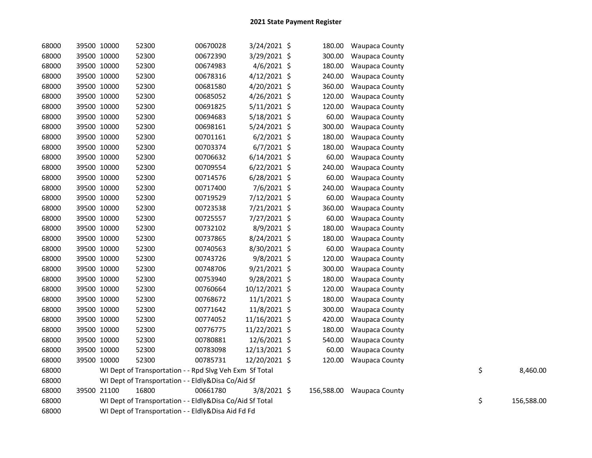| 68000 | 39500 10000 | 52300                                                    | 00670028 | $3/24/2021$ \$ | 180.00     | <b>Waupaca County</b> |    |            |
|-------|-------------|----------------------------------------------------------|----------|----------------|------------|-----------------------|----|------------|
| 68000 | 39500 10000 | 52300                                                    | 00672390 | 3/29/2021 \$   | 300.00     | <b>Waupaca County</b> |    |            |
| 68000 | 39500 10000 | 52300                                                    | 00674983 | $4/6/2021$ \$  | 180.00     | Waupaca County        |    |            |
| 68000 | 39500 10000 | 52300                                                    | 00678316 | 4/12/2021 \$   | 240.00     | Waupaca County        |    |            |
| 68000 | 39500 10000 | 52300                                                    | 00681580 | 4/20/2021 \$   | 360.00     | Waupaca County        |    |            |
| 68000 | 39500 10000 | 52300                                                    | 00685052 | 4/26/2021 \$   | 120.00     | Waupaca County        |    |            |
| 68000 | 39500 10000 | 52300                                                    | 00691825 | $5/11/2021$ \$ | 120.00     | Waupaca County        |    |            |
| 68000 | 39500 10000 | 52300                                                    | 00694683 | $5/18/2021$ \$ | 60.00      | Waupaca County        |    |            |
| 68000 | 39500 10000 | 52300                                                    | 00698161 | $5/24/2021$ \$ | 300.00     | <b>Waupaca County</b> |    |            |
| 68000 | 39500 10000 | 52300                                                    | 00701161 | $6/2/2021$ \$  | 180.00     | <b>Waupaca County</b> |    |            |
| 68000 | 39500 10000 | 52300                                                    | 00703374 | $6/7/2021$ \$  | 180.00     | Waupaca County        |    |            |
| 68000 | 39500 10000 | 52300                                                    | 00706632 | $6/14/2021$ \$ | 60.00      | <b>Waupaca County</b> |    |            |
| 68000 | 39500 10000 | 52300                                                    | 00709554 | $6/22/2021$ \$ | 240.00     | <b>Waupaca County</b> |    |            |
| 68000 | 39500 10000 | 52300                                                    | 00714576 | 6/28/2021 \$   | 60.00      | <b>Waupaca County</b> |    |            |
| 68000 | 39500 10000 | 52300                                                    | 00717400 | 7/6/2021 \$    | 240.00     | <b>Waupaca County</b> |    |            |
| 68000 | 39500 10000 | 52300                                                    | 00719529 | 7/12/2021 \$   | 60.00      | <b>Waupaca County</b> |    |            |
| 68000 | 39500 10000 | 52300                                                    | 00723538 | 7/21/2021 \$   | 360.00     | <b>Waupaca County</b> |    |            |
| 68000 | 39500 10000 | 52300                                                    | 00725557 | 7/27/2021 \$   | 60.00      | <b>Waupaca County</b> |    |            |
| 68000 | 39500 10000 | 52300                                                    | 00732102 | 8/9/2021 \$    | 180.00     | Waupaca County        |    |            |
| 68000 | 39500 10000 | 52300                                                    | 00737865 | 8/24/2021 \$   | 180.00     | <b>Waupaca County</b> |    |            |
| 68000 | 39500 10000 | 52300                                                    | 00740563 | 8/30/2021 \$   | 60.00      | <b>Waupaca County</b> |    |            |
| 68000 | 39500 10000 | 52300                                                    | 00743726 | 9/8/2021 \$    | 120.00     | <b>Waupaca County</b> |    |            |
| 68000 | 39500 10000 | 52300                                                    | 00748706 | $9/21/2021$ \$ | 300.00     | <b>Waupaca County</b> |    |            |
| 68000 | 39500 10000 | 52300                                                    | 00753940 | 9/28/2021 \$   | 180.00     | Waupaca County        |    |            |
| 68000 | 39500 10000 | 52300                                                    | 00760664 | 10/12/2021 \$  | 120.00     | Waupaca County        |    |            |
| 68000 | 39500 10000 | 52300                                                    | 00768672 | 11/1/2021 \$   | 180.00     | <b>Waupaca County</b> |    |            |
| 68000 | 39500 10000 | 52300                                                    | 00771642 | 11/8/2021 \$   | 300.00     | <b>Waupaca County</b> |    |            |
| 68000 | 39500 10000 | 52300                                                    | 00774052 | 11/16/2021 \$  | 420.00     | <b>Waupaca County</b> |    |            |
| 68000 | 39500 10000 | 52300                                                    | 00776775 | 11/22/2021 \$  | 180.00     | <b>Waupaca County</b> |    |            |
| 68000 | 39500 10000 | 52300                                                    | 00780881 | 12/6/2021 \$   | 540.00     | <b>Waupaca County</b> |    |            |
| 68000 | 39500 10000 | 52300                                                    | 00783098 | 12/13/2021 \$  | 60.00      | <b>Waupaca County</b> |    |            |
| 68000 | 39500 10000 | 52300                                                    | 00785731 | 12/20/2021 \$  | 120.00     | <b>Waupaca County</b> |    |            |
| 68000 |             | WI Dept of Transportation - - Rpd Slvg Veh Exm Sf Total  |          |                |            |                       | \$ | 8,460.00   |
| 68000 |             | WI Dept of Transportation - - Eldly&Disa Co/Aid Sf       |          |                |            |                       |    |            |
| 68000 | 39500 21100 | 16800                                                    | 00661780 | $3/8/2021$ \$  | 156,588.00 | Waupaca County        |    |            |
| 68000 |             | WI Dept of Transportation - - Eldly&Disa Co/Aid Sf Total |          |                |            |                       | \$ | 156,588.00 |
| 68000 |             | WI Dept of Transportation - - Eldly&Disa Aid Fd Fd       |          |                |            |                       |    |            |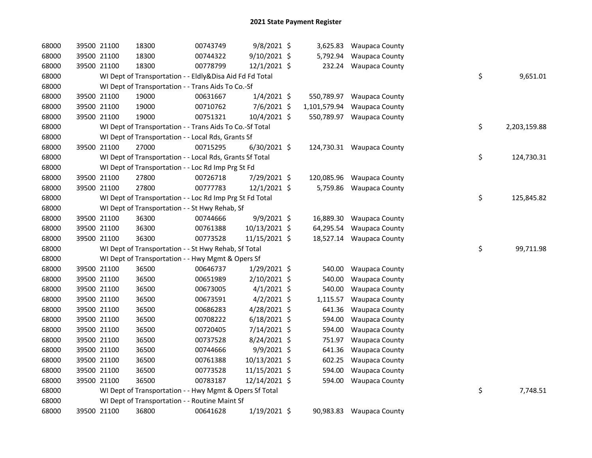| 68000 | 39500 21100 | 18300                                                    | 00743749 | 9/8/2021 \$    |              | 3,625.83 Waupaca County   |    |              |
|-------|-------------|----------------------------------------------------------|----------|----------------|--------------|---------------------------|----|--------------|
| 68000 | 39500 21100 | 18300                                                    | 00744322 | 9/10/2021 \$   |              | 5,792.94 Waupaca County   |    |              |
| 68000 | 39500 21100 | 18300                                                    | 00778799 | $12/1/2021$ \$ |              | 232.24 Waupaca County     |    |              |
| 68000 |             | WI Dept of Transportation - - Eldly&Disa Aid Fd Fd Total |          |                |              |                           | \$ | 9,651.01     |
| 68000 |             | WI Dept of Transportation - - Trans Aids To Co.-Sf       |          |                |              |                           |    |              |
| 68000 | 39500 21100 | 19000                                                    | 00631667 | $1/4/2021$ \$  | 550,789.97   | <b>Waupaca County</b>     |    |              |
| 68000 | 39500 21100 | 19000                                                    | 00710762 | 7/6/2021 \$    | 1,101,579.94 | <b>Waupaca County</b>     |    |              |
| 68000 | 39500 21100 | 19000                                                    | 00751321 | 10/4/2021 \$   | 550,789.97   | <b>Waupaca County</b>     |    |              |
| 68000 |             | WI Dept of Transportation - - Trans Aids To Co.-Sf Total |          |                |              |                           | \$ | 2,203,159.88 |
| 68000 |             | WI Dept of Transportation - - Local Rds, Grants Sf       |          |                |              |                           |    |              |
| 68000 | 39500 21100 | 27000                                                    | 00715295 | $6/30/2021$ \$ |              | 124,730.31 Waupaca County |    |              |
| 68000 |             | WI Dept of Transportation - - Local Rds, Grants Sf Total |          |                |              |                           | \$ | 124,730.31   |
| 68000 |             | WI Dept of Transportation - - Loc Rd Imp Prg St Fd       |          |                |              |                           |    |              |
| 68000 | 39500 21100 | 27800                                                    | 00726718 | 7/29/2021 \$   | 120,085.96   | <b>Waupaca County</b>     |    |              |
| 68000 | 39500 21100 | 27800                                                    | 00777783 | 12/1/2021 \$   | 5,759.86     | <b>Waupaca County</b>     |    |              |
| 68000 |             | WI Dept of Transportation - - Loc Rd Imp Prg St Fd Total |          |                |              |                           | \$ | 125,845.82   |
| 68000 |             | WI Dept of Transportation - - St Hwy Rehab, Sf           |          |                |              |                           |    |              |
| 68000 | 39500 21100 | 36300                                                    | 00744666 | $9/9/2021$ \$  | 16,889.30    | <b>Waupaca County</b>     |    |              |
| 68000 | 39500 21100 | 36300                                                    | 00761388 | 10/13/2021 \$  | 64,295.54    | <b>Waupaca County</b>     |    |              |
| 68000 | 39500 21100 | 36300                                                    | 00773528 | 11/15/2021 \$  |              | 18,527.14 Waupaca County  |    |              |
| 68000 |             | WI Dept of Transportation - - St Hwy Rehab, Sf Total     |          |                |              |                           | \$ | 99,711.98    |
| 68000 |             | WI Dept of Transportation - - Hwy Mgmt & Opers Sf        |          |                |              |                           |    |              |
| 68000 | 39500 21100 | 36500                                                    | 00646737 | 1/29/2021 \$   | 540.00       | <b>Waupaca County</b>     |    |              |
| 68000 | 39500 21100 | 36500                                                    | 00651989 | 2/10/2021 \$   | 540.00       | <b>Waupaca County</b>     |    |              |
| 68000 | 39500 21100 | 36500                                                    | 00673005 | $4/1/2021$ \$  | 540.00       | Waupaca County            |    |              |
| 68000 | 39500 21100 | 36500                                                    | 00673591 | $4/2/2021$ \$  | 1,115.57     | <b>Waupaca County</b>     |    |              |
| 68000 | 39500 21100 | 36500                                                    | 00686283 | 4/28/2021 \$   | 641.36       | <b>Waupaca County</b>     |    |              |
| 68000 | 39500 21100 | 36500                                                    | 00708222 | $6/18/2021$ \$ | 594.00       | <b>Waupaca County</b>     |    |              |
| 68000 | 39500 21100 | 36500                                                    | 00720405 | 7/14/2021 \$   | 594.00       | <b>Waupaca County</b>     |    |              |
| 68000 | 39500 21100 | 36500                                                    | 00737528 | 8/24/2021 \$   | 751.97       | <b>Waupaca County</b>     |    |              |
| 68000 | 39500 21100 | 36500                                                    | 00744666 | 9/9/2021 \$    | 641.36       | <b>Waupaca County</b>     |    |              |
| 68000 | 39500 21100 | 36500                                                    | 00761388 | 10/13/2021 \$  | 602.25       | Waupaca County            |    |              |
| 68000 | 39500 21100 | 36500                                                    | 00773528 | 11/15/2021 \$  | 594.00       | <b>Waupaca County</b>     |    |              |
| 68000 | 39500 21100 | 36500                                                    | 00783187 | 12/14/2021 \$  | 594.00       | <b>Waupaca County</b>     |    |              |
| 68000 |             | WI Dept of Transportation - - Hwy Mgmt & Opers Sf Total  |          |                |              |                           | \$ | 7,748.51     |
| 68000 |             | WI Dept of Transportation - - Routine Maint Sf           |          |                |              |                           |    |              |
| 68000 | 39500 21100 | 36800                                                    | 00641628 | $1/19/2021$ \$ | 90,983.83    | Waupaca County            |    |              |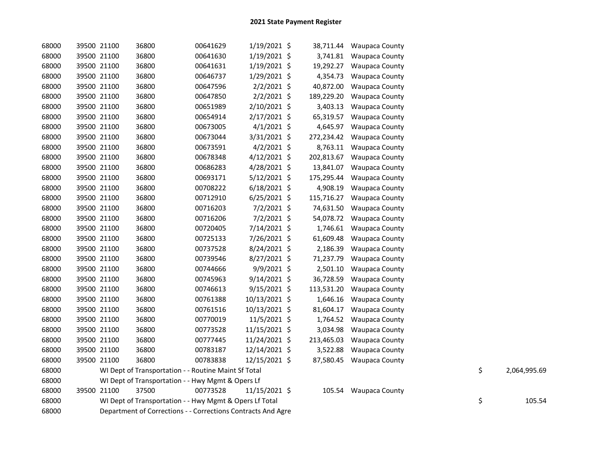| 68000 | 39500 21100 | 36800                                                        | 00641629 | $1/19/2021$ \$ |            | 38,711.44 Waupaca County |    |              |
|-------|-------------|--------------------------------------------------------------|----------|----------------|------------|--------------------------|----|--------------|
| 68000 | 39500 21100 | 36800                                                        | 00641630 | 1/19/2021 \$   | 3,741.81   | <b>Waupaca County</b>    |    |              |
| 68000 | 39500 21100 | 36800                                                        | 00641631 | 1/19/2021 \$   | 19,292.27  | <b>Waupaca County</b>    |    |              |
| 68000 | 39500 21100 | 36800                                                        | 00646737 | 1/29/2021 \$   | 4,354.73   | <b>Waupaca County</b>    |    |              |
| 68000 | 39500 21100 | 36800                                                        | 00647596 | $2/2/2021$ \$  | 40,872.00  | Waupaca County           |    |              |
| 68000 | 39500 21100 | 36800                                                        | 00647850 | $2/2/2021$ \$  | 189,229.20 | <b>Waupaca County</b>    |    |              |
| 68000 | 39500 21100 | 36800                                                        | 00651989 | 2/10/2021 \$   | 3,403.13   | <b>Waupaca County</b>    |    |              |
| 68000 | 39500 21100 | 36800                                                        | 00654914 | $2/17/2021$ \$ | 65,319.57  | <b>Waupaca County</b>    |    |              |
| 68000 | 39500 21100 | 36800                                                        | 00673005 | $4/1/2021$ \$  | 4,645.97   | <b>Waupaca County</b>    |    |              |
| 68000 | 39500 21100 | 36800                                                        | 00673044 | 3/31/2021 \$   | 272,234.42 | <b>Waupaca County</b>    |    |              |
| 68000 | 39500 21100 | 36800                                                        | 00673591 | $4/2/2021$ \$  | 8,763.11   | <b>Waupaca County</b>    |    |              |
| 68000 | 39500 21100 | 36800                                                        | 00678348 | $4/12/2021$ \$ | 202,813.67 | <b>Waupaca County</b>    |    |              |
| 68000 | 39500 21100 | 36800                                                        | 00686283 | 4/28/2021 \$   | 13,841.07  | Waupaca County           |    |              |
| 68000 | 39500 21100 | 36800                                                        | 00693171 | 5/12/2021 \$   | 175,295.44 | <b>Waupaca County</b>    |    |              |
| 68000 | 39500 21100 | 36800                                                        | 00708222 | $6/18/2021$ \$ | 4,908.19   | <b>Waupaca County</b>    |    |              |
| 68000 | 39500 21100 | 36800                                                        | 00712910 | $6/25/2021$ \$ | 115,716.27 | <b>Waupaca County</b>    |    |              |
| 68000 | 39500 21100 | 36800                                                        | 00716203 | $7/2/2021$ \$  | 74,631.50  | <b>Waupaca County</b>    |    |              |
| 68000 | 39500 21100 | 36800                                                        | 00716206 | $7/2/2021$ \$  | 54,078.72  | <b>Waupaca County</b>    |    |              |
| 68000 | 39500 21100 | 36800                                                        | 00720405 | 7/14/2021 \$   | 1,746.61   | <b>Waupaca County</b>    |    |              |
| 68000 | 39500 21100 | 36800                                                        | 00725133 | 7/26/2021 \$   | 61,609.48  | <b>Waupaca County</b>    |    |              |
| 68000 | 39500 21100 | 36800                                                        | 00737528 | 8/24/2021 \$   | 2,186.39   | <b>Waupaca County</b>    |    |              |
| 68000 | 39500 21100 | 36800                                                        | 00739546 | 8/27/2021 \$   | 71,237.79  | <b>Waupaca County</b>    |    |              |
| 68000 | 39500 21100 | 36800                                                        | 00744666 | 9/9/2021 \$    | 2,501.10   | <b>Waupaca County</b>    |    |              |
| 68000 | 39500 21100 | 36800                                                        | 00745963 | 9/14/2021 \$   | 36,728.59  | <b>Waupaca County</b>    |    |              |
| 68000 | 39500 21100 | 36800                                                        | 00746613 | $9/15/2021$ \$ | 113,531.20 | <b>Waupaca County</b>    |    |              |
| 68000 | 39500 21100 | 36800                                                        | 00761388 | 10/13/2021 \$  | 1,646.16   | Waupaca County           |    |              |
| 68000 | 39500 21100 | 36800                                                        | 00761516 | 10/13/2021 \$  | 81,604.17  | <b>Waupaca County</b>    |    |              |
| 68000 | 39500 21100 | 36800                                                        | 00770019 | $11/5/2021$ \$ | 1,764.52   | <b>Waupaca County</b>    |    |              |
| 68000 | 39500 21100 | 36800                                                        | 00773528 | 11/15/2021 \$  | 3,034.98   | <b>Waupaca County</b>    |    |              |
| 68000 | 39500 21100 | 36800                                                        | 00777445 | 11/24/2021 \$  | 213,465.03 | <b>Waupaca County</b>    |    |              |
| 68000 | 39500 21100 | 36800                                                        | 00783187 | 12/14/2021 \$  | 3,522.88   | <b>Waupaca County</b>    |    |              |
| 68000 | 39500 21100 | 36800                                                        | 00783838 | 12/15/2021 \$  | 87,580.45  | <b>Waupaca County</b>    |    |              |
| 68000 |             | WI Dept of Transportation - - Routine Maint Sf Total         |          |                |            |                          | \$ | 2,064,995.69 |
| 68000 |             | WI Dept of Transportation - - Hwy Mgmt & Opers Lf            |          |                |            |                          |    |              |
| 68000 | 39500 21100 | 37500                                                        | 00773528 | 11/15/2021 \$  |            | 105.54 Waupaca County    |    |              |
| 68000 |             | WI Dept of Transportation - - Hwy Mgmt & Opers Lf Total      |          |                |            |                          | \$ | 105.54       |
| 68000 |             | Department of Corrections - - Corrections Contracts And Agre |          |                |            |                          |    |              |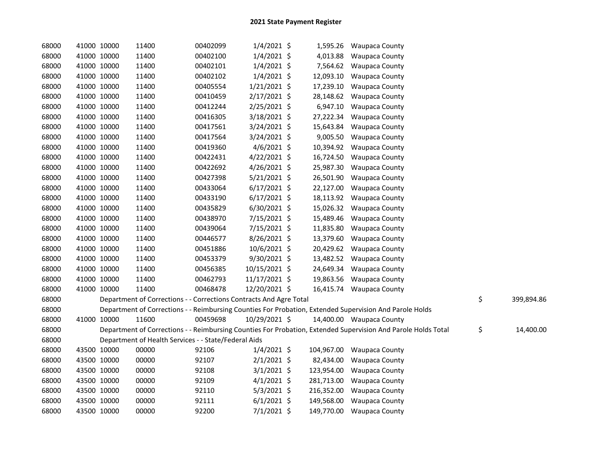| 68000 | 41000 10000 |             | 11400                                                              | 00402099 | $1/4/2021$ \$  |            | 1,595.26 Waupaca County                                                                                       |                  |
|-------|-------------|-------------|--------------------------------------------------------------------|----------|----------------|------------|---------------------------------------------------------------------------------------------------------------|------------------|
| 68000 |             | 41000 10000 | 11400                                                              | 00402100 | $1/4/2021$ \$  | 4,013.88   | <b>Waupaca County</b>                                                                                         |                  |
| 68000 |             | 41000 10000 | 11400                                                              | 00402101 | $1/4/2021$ \$  | 7,564.62   | <b>Waupaca County</b>                                                                                         |                  |
| 68000 | 41000 10000 |             | 11400                                                              | 00402102 | $1/4/2021$ \$  | 12,093.10  | <b>Waupaca County</b>                                                                                         |                  |
| 68000 | 41000 10000 |             | 11400                                                              | 00405554 | $1/21/2021$ \$ | 17,239.10  | Waupaca County                                                                                                |                  |
| 68000 | 41000 10000 |             | 11400                                                              | 00410459 | $2/17/2021$ \$ | 28,148.62  | <b>Waupaca County</b>                                                                                         |                  |
| 68000 | 41000 10000 |             | 11400                                                              | 00412244 | $2/25/2021$ \$ | 6,947.10   | <b>Waupaca County</b>                                                                                         |                  |
| 68000 |             | 41000 10000 | 11400                                                              | 00416305 | $3/18/2021$ \$ | 27,222.34  | <b>Waupaca County</b>                                                                                         |                  |
| 68000 | 41000 10000 |             | 11400                                                              | 00417561 | 3/24/2021 \$   | 15,643.84  | <b>Waupaca County</b>                                                                                         |                  |
| 68000 |             | 41000 10000 | 11400                                                              | 00417564 | 3/24/2021 \$   | 9,005.50   | <b>Waupaca County</b>                                                                                         |                  |
| 68000 |             | 41000 10000 | 11400                                                              | 00419360 | $4/6/2021$ \$  |            | 10,394.92 Waupaca County                                                                                      |                  |
| 68000 |             | 41000 10000 | 11400                                                              | 00422431 | $4/22/2021$ \$ | 16,724.50  | <b>Waupaca County</b>                                                                                         |                  |
| 68000 |             | 41000 10000 | 11400                                                              | 00422692 | 4/26/2021 \$   | 25,987.30  | Waupaca County                                                                                                |                  |
| 68000 |             | 41000 10000 | 11400                                                              | 00427398 | $5/21/2021$ \$ | 26,501.90  | <b>Waupaca County</b>                                                                                         |                  |
| 68000 |             | 41000 10000 | 11400                                                              | 00433064 | $6/17/2021$ \$ | 22,127.00  | <b>Waupaca County</b>                                                                                         |                  |
| 68000 |             | 41000 10000 | 11400                                                              | 00433190 | $6/17/2021$ \$ | 18,113.92  | <b>Waupaca County</b>                                                                                         |                  |
| 68000 |             | 41000 10000 | 11400                                                              | 00435829 | $6/30/2021$ \$ | 15,026.32  | <b>Waupaca County</b>                                                                                         |                  |
| 68000 |             | 41000 10000 | 11400                                                              | 00438970 | 7/15/2021 \$   | 15,489.46  | <b>Waupaca County</b>                                                                                         |                  |
| 68000 |             | 41000 10000 | 11400                                                              | 00439064 | 7/15/2021 \$   | 11,835.80  | <b>Waupaca County</b>                                                                                         |                  |
| 68000 |             | 41000 10000 | 11400                                                              | 00446577 | 8/26/2021 \$   | 13,379.60  | <b>Waupaca County</b>                                                                                         |                  |
| 68000 |             | 41000 10000 | 11400                                                              | 00451886 | 10/6/2021 \$   | 20,429.62  | <b>Waupaca County</b>                                                                                         |                  |
| 68000 |             | 41000 10000 | 11400                                                              | 00453379 | 9/30/2021 \$   |            | 13,482.52 Waupaca County                                                                                      |                  |
| 68000 |             | 41000 10000 | 11400                                                              | 00456385 | 10/15/2021 \$  |            | 24,649.34 Waupaca County                                                                                      |                  |
| 68000 |             | 41000 10000 | 11400                                                              | 00462793 | 11/17/2021 \$  |            | 19,863.56 Waupaca County                                                                                      |                  |
| 68000 | 41000 10000 |             | 11400                                                              | 00468478 | 12/20/2021 \$  |            | 16,415.74 Waupaca County                                                                                      |                  |
| 68000 |             |             | Department of Corrections - - Corrections Contracts And Agre Total |          |                |            |                                                                                                               | \$<br>399,894.86 |
| 68000 |             |             |                                                                    |          |                |            | Department of Corrections - - Reimbursing Counties For Probation, Extended Supervision And Parole Holds       |                  |
| 68000 |             | 41000 10000 | 11600                                                              | 00459698 | 10/29/2021 \$  |            | 14,400.00 Waupaca County                                                                                      |                  |
| 68000 |             |             |                                                                    |          |                |            | Department of Corrections - - Reimbursing Counties For Probation, Extended Supervision And Parole Holds Total | \$<br>14,400.00  |
| 68000 |             |             | Department of Health Services - - State/Federal Aids               |          |                |            |                                                                                                               |                  |
| 68000 |             | 43500 10000 | 00000                                                              | 92106    | $1/4/2021$ \$  | 104,967.00 | <b>Waupaca County</b>                                                                                         |                  |
| 68000 |             | 43500 10000 | 00000                                                              | 92107    | $2/1/2021$ \$  | 82,434.00  | <b>Waupaca County</b>                                                                                         |                  |
| 68000 |             | 43500 10000 | 00000                                                              | 92108    | $3/1/2021$ \$  |            | 123,954.00 Waupaca County                                                                                     |                  |
| 68000 | 43500 10000 |             | 00000                                                              | 92109    | $4/1/2021$ \$  |            | 281,713.00 Waupaca County                                                                                     |                  |
| 68000 | 43500 10000 |             | 00000                                                              | 92110    | $5/3/2021$ \$  | 216,352.00 | <b>Waupaca County</b>                                                                                         |                  |
| 68000 | 43500 10000 |             | 00000                                                              | 92111    | $6/1/2021$ \$  | 149,568.00 | <b>Waupaca County</b>                                                                                         |                  |
| 68000 | 43500 10000 |             | 00000                                                              | 92200    | $7/1/2021$ \$  |            | 149,770.00 Waupaca County                                                                                     |                  |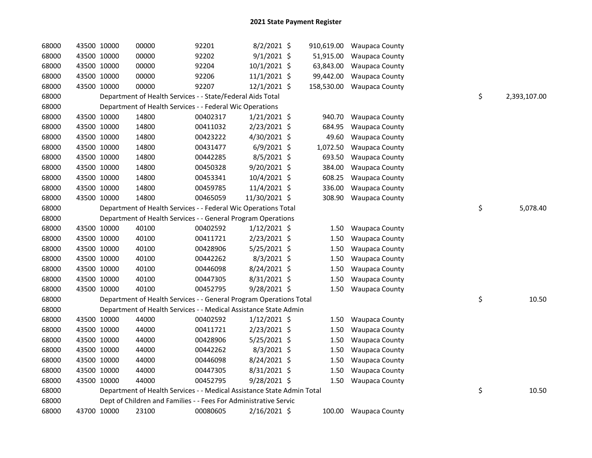| 68000 | 43500 10000 | 00000                                                                  | 92201    | $8/2/2021$ \$  |            | 910,619.00 Waupaca County |                    |
|-------|-------------|------------------------------------------------------------------------|----------|----------------|------------|---------------------------|--------------------|
| 68000 | 43500 10000 | 00000                                                                  | 92202    | $9/1/2021$ \$  | 51,915.00  | <b>Waupaca County</b>     |                    |
| 68000 | 43500 10000 | 00000                                                                  | 92204    | 10/1/2021 \$   | 63,843.00  | <b>Waupaca County</b>     |                    |
| 68000 | 43500 10000 | 00000                                                                  | 92206    | $11/1/2021$ \$ | 99,442.00  | <b>Waupaca County</b>     |                    |
| 68000 | 43500 10000 | 00000                                                                  | 92207    | $12/1/2021$ \$ | 158,530.00 | <b>Waupaca County</b>     |                    |
| 68000 |             | Department of Health Services - - State/Federal Aids Total             |          |                |            |                           | \$<br>2,393,107.00 |
| 68000 |             | Department of Health Services - - Federal Wic Operations               |          |                |            |                           |                    |
| 68000 | 43500 10000 | 14800                                                                  | 00402317 | $1/21/2021$ \$ | 940.70     | Waupaca County            |                    |
| 68000 | 43500 10000 | 14800                                                                  | 00411032 | 2/23/2021 \$   | 684.95     | <b>Waupaca County</b>     |                    |
| 68000 | 43500 10000 | 14800                                                                  | 00423222 | 4/30/2021 \$   | 49.60      | Waupaca County            |                    |
| 68000 | 43500 10000 | 14800                                                                  | 00431477 | $6/9/2021$ \$  | 1,072.50   | Waupaca County            |                    |
| 68000 | 43500 10000 | 14800                                                                  | 00442285 | $8/5/2021$ \$  | 693.50     | Waupaca County            |                    |
| 68000 | 43500 10000 | 14800                                                                  | 00450328 | 9/20/2021 \$   | 384.00     | Waupaca County            |                    |
| 68000 | 43500 10000 | 14800                                                                  | 00453341 | 10/4/2021 \$   | 608.25     | Waupaca County            |                    |
| 68000 | 43500 10000 | 14800                                                                  | 00459785 | 11/4/2021 \$   | 336.00     | Waupaca County            |                    |
| 68000 | 43500 10000 | 14800                                                                  | 00465059 | 11/30/2021 \$  | 308.90     | <b>Waupaca County</b>     |                    |
| 68000 |             | Department of Health Services - - Federal Wic Operations Total         |          |                |            |                           | \$<br>5,078.40     |
| 68000 |             | Department of Health Services - - General Program Operations           |          |                |            |                           |                    |
| 68000 | 43500 10000 | 40100                                                                  | 00402592 | $1/12/2021$ \$ | 1.50       | <b>Waupaca County</b>     |                    |
| 68000 | 43500 10000 | 40100                                                                  | 00411721 | 2/23/2021 \$   | 1.50       | <b>Waupaca County</b>     |                    |
| 68000 | 43500 10000 | 40100                                                                  | 00428906 | $5/25/2021$ \$ | 1.50       | <b>Waupaca County</b>     |                    |
| 68000 | 43500 10000 | 40100                                                                  | 00442262 | $8/3/2021$ \$  | 1.50       | Waupaca County            |                    |
| 68000 | 43500 10000 | 40100                                                                  | 00446098 | 8/24/2021 \$   | 1.50       | <b>Waupaca County</b>     |                    |
| 68000 | 43500 10000 | 40100                                                                  | 00447305 | 8/31/2021 \$   | 1.50       | <b>Waupaca County</b>     |                    |
| 68000 | 43500 10000 | 40100                                                                  | 00452795 | 9/28/2021 \$   | 1.50       | <b>Waupaca County</b>     |                    |
| 68000 |             | Department of Health Services - - General Program Operations Total     |          |                |            |                           | \$<br>10.50        |
| 68000 |             | Department of Health Services - - Medical Assistance State Admin       |          |                |            |                           |                    |
| 68000 | 43500 10000 | 44000                                                                  | 00402592 | $1/12/2021$ \$ | 1.50       | <b>Waupaca County</b>     |                    |
| 68000 | 43500 10000 | 44000                                                                  | 00411721 | 2/23/2021 \$   | 1.50       | <b>Waupaca County</b>     |                    |
| 68000 | 43500 10000 | 44000                                                                  | 00428906 | 5/25/2021 \$   | 1.50       | <b>Waupaca County</b>     |                    |
| 68000 | 43500 10000 | 44000                                                                  | 00442262 | $8/3/2021$ \$  | 1.50       | <b>Waupaca County</b>     |                    |
| 68000 | 43500 10000 | 44000                                                                  | 00446098 | 8/24/2021 \$   | 1.50       | Waupaca County            |                    |
| 68000 | 43500 10000 | 44000                                                                  | 00447305 | 8/31/2021 \$   | 1.50       | <b>Waupaca County</b>     |                    |
| 68000 | 43500 10000 | 44000                                                                  | 00452795 | 9/28/2021 \$   | 1.50       | <b>Waupaca County</b>     |                    |
| 68000 |             | Department of Health Services - - Medical Assistance State Admin Total |          |                |            |                           | \$<br>10.50        |
| 68000 |             | Dept of Children and Families - - Fees For Administrative Servic       |          |                |            |                           |                    |
| 68000 | 43700 10000 | 23100                                                                  | 00080605 | 2/16/2021 \$   |            | 100.00 Waupaca County     |                    |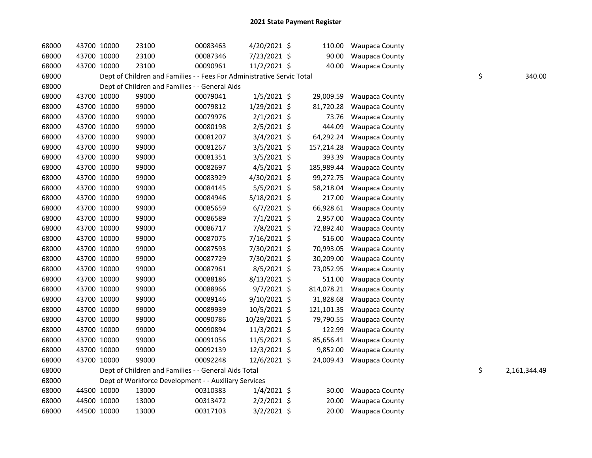| 68000 | 43700 10000 | 23100                                                                  | 00083463 | 4/20/2021 \$   | 110.00     | <b>Waupaca County</b> |    |              |
|-------|-------------|------------------------------------------------------------------------|----------|----------------|------------|-----------------------|----|--------------|
| 68000 | 43700 10000 | 23100                                                                  | 00087346 | 7/23/2021 \$   | 90.00      | <b>Waupaca County</b> |    |              |
| 68000 | 43700 10000 | 23100                                                                  | 00090961 | 11/2/2021 \$   | 40.00      | <b>Waupaca County</b> |    |              |
| 68000 |             | Dept of Children and Families - - Fees For Administrative Servic Total |          |                |            |                       | \$ | 340.00       |
| 68000 |             | Dept of Children and Families - - General Aids                         |          |                |            |                       |    |              |
| 68000 | 43700 10000 | 99000                                                                  | 00079041 | $1/5/2021$ \$  | 29,009.59  | Waupaca County        |    |              |
| 68000 | 43700 10000 | 99000                                                                  | 00079812 | 1/29/2021 \$   | 81,720.28  | Waupaca County        |    |              |
| 68000 | 43700 10000 | 99000                                                                  | 00079976 | $2/1/2021$ \$  | 73.76      | Waupaca County        |    |              |
| 68000 | 43700 10000 | 99000                                                                  | 00080198 | $2/5/2021$ \$  | 444.09     | Waupaca County        |    |              |
| 68000 | 43700 10000 | 99000                                                                  | 00081207 | $3/4/2021$ \$  | 64,292.24  | Waupaca County        |    |              |
| 68000 | 43700 10000 | 99000                                                                  | 00081267 | $3/5/2021$ \$  | 157,214.28 | Waupaca County        |    |              |
| 68000 | 43700 10000 | 99000                                                                  | 00081351 | $3/5/2021$ \$  | 393.39     | Waupaca County        |    |              |
| 68000 | 43700 10000 | 99000                                                                  | 00082697 | $4/5/2021$ \$  | 185,989.44 | Waupaca County        |    |              |
| 68000 | 43700 10000 | 99000                                                                  | 00083929 | 4/30/2021 \$   | 99,272.75  | Waupaca County        |    |              |
| 68000 | 43700 10000 | 99000                                                                  | 00084145 | 5/5/2021 \$    | 58,218.04  | Waupaca County        |    |              |
| 68000 | 43700 10000 | 99000                                                                  | 00084946 | 5/18/2021 \$   | 217.00     | Waupaca County        |    |              |
| 68000 | 43700 10000 | 99000                                                                  | 00085659 | $6/7/2021$ \$  | 66,928.61  | <b>Waupaca County</b> |    |              |
| 68000 | 43700 10000 | 99000                                                                  | 00086589 | $7/1/2021$ \$  | 2,957.00   | <b>Waupaca County</b> |    |              |
| 68000 | 43700 10000 | 99000                                                                  | 00086717 | 7/8/2021 \$    | 72,892.40  | Waupaca County        |    |              |
| 68000 | 43700 10000 | 99000                                                                  | 00087075 | 7/16/2021 \$   | 516.00     | Waupaca County        |    |              |
| 68000 | 43700 10000 | 99000                                                                  | 00087593 | 7/30/2021 \$   | 70,993.05  | Waupaca County        |    |              |
| 68000 | 43700 10000 | 99000                                                                  | 00087729 | 7/30/2021 \$   | 30,209.00  | Waupaca County        |    |              |
| 68000 | 43700 10000 | 99000                                                                  | 00087961 | 8/5/2021 \$    | 73,052.95  | Waupaca County        |    |              |
| 68000 | 43700 10000 | 99000                                                                  | 00088186 | 8/13/2021 \$   | 511.00     | <b>Waupaca County</b> |    |              |
| 68000 | 43700 10000 | 99000                                                                  | 00088966 | $9/7/2021$ \$  | 814,078.21 | <b>Waupaca County</b> |    |              |
| 68000 | 43700 10000 | 99000                                                                  | 00089146 | $9/10/2021$ \$ | 31,828.68  | Waupaca County        |    |              |
| 68000 | 43700 10000 | 99000                                                                  | 00089939 | 10/5/2021 \$   | 121,101.35 | <b>Waupaca County</b> |    |              |
| 68000 | 43700 10000 | 99000                                                                  | 00090786 | 10/29/2021 \$  | 79,790.55  | <b>Waupaca County</b> |    |              |
| 68000 | 43700 10000 | 99000                                                                  | 00090894 | $11/3/2021$ \$ | 122.99     | Waupaca County        |    |              |
| 68000 | 43700 10000 | 99000                                                                  | 00091056 | 11/5/2021 \$   | 85,656.41  | <b>Waupaca County</b> |    |              |
| 68000 | 43700 10000 | 99000                                                                  | 00092139 | 12/3/2021 \$   | 9,852.00   | <b>Waupaca County</b> |    |              |
| 68000 | 43700 10000 | 99000                                                                  | 00092248 | 12/6/2021 \$   | 24,009.43  | <b>Waupaca County</b> |    |              |
| 68000 |             | Dept of Children and Families - - General Aids Total                   |          |                |            |                       | \$ | 2,161,344.49 |
| 68000 |             | Dept of Workforce Development - - Auxiliary Services                   |          |                |            |                       |    |              |
| 68000 | 44500 10000 | 13000                                                                  | 00310383 | $1/4/2021$ \$  | 30.00      | <b>Waupaca County</b> |    |              |
| 68000 | 44500 10000 | 13000                                                                  | 00313472 | $2/2/2021$ \$  | 20.00      | <b>Waupaca County</b> |    |              |
| 68000 | 44500 10000 | 13000                                                                  | 00317103 | $3/2/2021$ \$  | 20.00      | <b>Waupaca County</b> |    |              |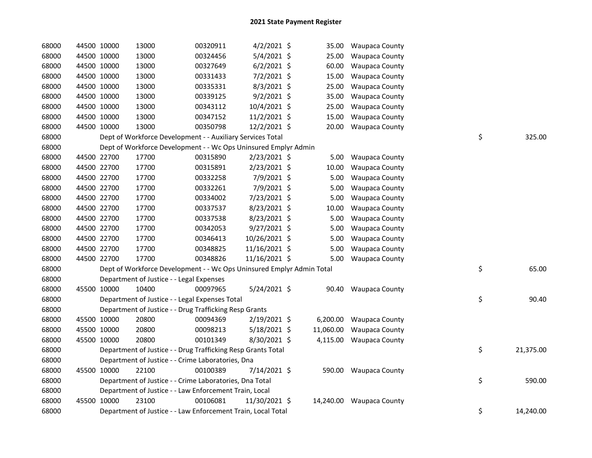| 68000 | 44500 10000 | 13000                                                                 | 00320911 | $4/2/2021$ \$  | 35.00     | <b>Waupaca County</b>    |    |           |
|-------|-------------|-----------------------------------------------------------------------|----------|----------------|-----------|--------------------------|----|-----------|
| 68000 | 44500 10000 | 13000                                                                 | 00324456 | 5/4/2021 \$    | 25.00     | <b>Waupaca County</b>    |    |           |
| 68000 | 44500 10000 | 13000                                                                 | 00327649 | $6/2/2021$ \$  | 60.00     | <b>Waupaca County</b>    |    |           |
| 68000 | 44500 10000 | 13000                                                                 | 00331433 | $7/2/2021$ \$  | 15.00     | <b>Waupaca County</b>    |    |           |
| 68000 | 44500 10000 | 13000                                                                 | 00335331 | 8/3/2021 \$    | 25.00     | Waupaca County           |    |           |
| 68000 | 44500 10000 | 13000                                                                 | 00339125 | $9/2/2021$ \$  | 35.00     | <b>Waupaca County</b>    |    |           |
| 68000 | 44500 10000 | 13000                                                                 | 00343112 | 10/4/2021 \$   | 25.00     | Waupaca County           |    |           |
| 68000 | 44500 10000 | 13000                                                                 | 00347152 | 11/2/2021 \$   | 15.00     | Waupaca County           |    |           |
| 68000 | 44500 10000 | 13000                                                                 | 00350798 | 12/2/2021 \$   | 20.00     | <b>Waupaca County</b>    |    |           |
| 68000 |             | Dept of Workforce Development - - Auxiliary Services Total            |          |                |           |                          | \$ | 325.00    |
| 68000 |             | Dept of Workforce Development - - Wc Ops Uninsured Emplyr Admin       |          |                |           |                          |    |           |
| 68000 | 44500 22700 | 17700                                                                 | 00315890 | 2/23/2021 \$   | 5.00      | <b>Waupaca County</b>    |    |           |
| 68000 | 44500 22700 | 17700                                                                 | 00315891 | 2/23/2021 \$   | 10.00     | Waupaca County           |    |           |
| 68000 | 44500 22700 | 17700                                                                 | 00332258 | 7/9/2021 \$    | 5.00      | <b>Waupaca County</b>    |    |           |
| 68000 | 44500 22700 | 17700                                                                 | 00332261 | 7/9/2021 \$    | 5.00      | <b>Waupaca County</b>    |    |           |
| 68000 | 44500 22700 | 17700                                                                 | 00334002 | 7/23/2021 \$   | 5.00      | <b>Waupaca County</b>    |    |           |
| 68000 | 44500 22700 | 17700                                                                 | 00337537 | 8/23/2021 \$   | 10.00     | <b>Waupaca County</b>    |    |           |
| 68000 | 44500 22700 | 17700                                                                 | 00337538 | 8/23/2021 \$   | 5.00      | <b>Waupaca County</b>    |    |           |
| 68000 | 44500 22700 | 17700                                                                 | 00342053 | 9/27/2021 \$   | 5.00      | <b>Waupaca County</b>    |    |           |
| 68000 | 44500 22700 | 17700                                                                 | 00346413 | 10/26/2021 \$  | 5.00      | <b>Waupaca County</b>    |    |           |
| 68000 | 44500 22700 | 17700                                                                 | 00348825 | 11/16/2021 \$  | 5.00      | <b>Waupaca County</b>    |    |           |
| 68000 | 44500 22700 | 17700                                                                 | 00348826 | 11/16/2021 \$  | 5.00      | <b>Waupaca County</b>    |    |           |
| 68000 |             | Dept of Workforce Development - - Wc Ops Uninsured Emplyr Admin Total |          |                |           |                          | \$ | 65.00     |
| 68000 |             | Department of Justice - - Legal Expenses                              |          |                |           |                          |    |           |
| 68000 | 45500 10000 | 10400                                                                 | 00097965 | 5/24/2021 \$   | 90.40     | <b>Waupaca County</b>    |    |           |
| 68000 |             | Department of Justice - - Legal Expenses Total                        |          |                |           |                          | \$ | 90.40     |
| 68000 |             | Department of Justice - - Drug Trafficking Resp Grants                |          |                |           |                          |    |           |
| 68000 | 45500 10000 | 20800                                                                 | 00094369 | 2/19/2021 \$   | 6,200.00  | <b>Waupaca County</b>    |    |           |
| 68000 | 45500 10000 | 20800                                                                 | 00098213 | $5/18/2021$ \$ | 11,060.00 | <b>Waupaca County</b>    |    |           |
| 68000 | 45500 10000 | 20800                                                                 | 00101349 | $8/30/2021$ \$ | 4,115.00  | <b>Waupaca County</b>    |    |           |
| 68000 |             | Department of Justice - - Drug Trafficking Resp Grants Total          |          |                |           |                          | \$ | 21,375.00 |
| 68000 |             | Department of Justice - - Crime Laboratories, Dna                     |          |                |           |                          |    |           |
| 68000 | 45500 10000 | 22100                                                                 | 00100389 | 7/14/2021 \$   |           | 590.00 Waupaca County    |    |           |
| 68000 |             | Department of Justice - - Crime Laboratories, Dna Total               |          |                |           |                          | \$ | 590.00    |
| 68000 |             | Department of Justice - - Law Enforcement Train, Local                |          |                |           |                          |    |           |
| 68000 | 45500 10000 | 23100                                                                 | 00106081 | 11/30/2021 \$  |           | 14,240.00 Waupaca County |    |           |
| 68000 |             | Department of Justice - - Law Enforcement Train, Local Total          |          |                |           |                          | \$ | 14,240.00 |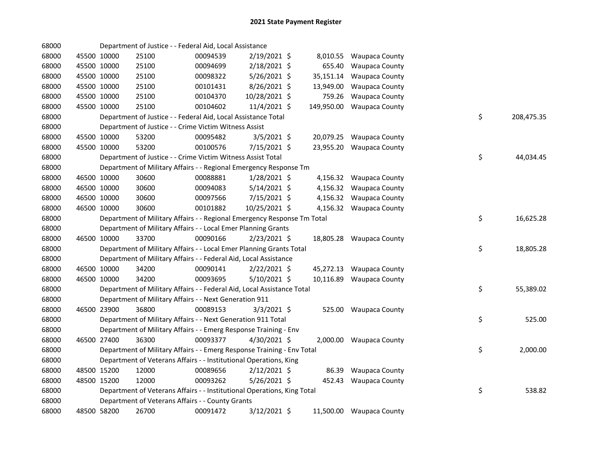| 68000 |             | Department of Justice - - Federal Aid, Local Assistance                 |          |                |            |                          |    |            |
|-------|-------------|-------------------------------------------------------------------------|----------|----------------|------------|--------------------------|----|------------|
| 68000 | 45500 10000 | 25100                                                                   | 00094539 | 2/19/2021 \$   | 8,010.55   | <b>Waupaca County</b>    |    |            |
| 68000 | 45500 10000 | 25100                                                                   | 00094699 | 2/18/2021 \$   | 655.40     | <b>Waupaca County</b>    |    |            |
| 68000 | 45500 10000 | 25100                                                                   | 00098322 | 5/26/2021 \$   | 35,151.14  | <b>Waupaca County</b>    |    |            |
| 68000 | 45500 10000 | 25100                                                                   | 00101431 | 8/26/2021 \$   | 13,949.00  | <b>Waupaca County</b>    |    |            |
| 68000 | 45500 10000 | 25100                                                                   | 00104370 | 10/28/2021 \$  | 759.26     | <b>Waupaca County</b>    |    |            |
| 68000 | 45500 10000 | 25100                                                                   | 00104602 | 11/4/2021 \$   | 149,950.00 | <b>Waupaca County</b>    |    |            |
| 68000 |             | Department of Justice - - Federal Aid, Local Assistance Total           |          |                |            |                          | \$ | 208,475.35 |
| 68000 |             | Department of Justice - - Crime Victim Witness Assist                   |          |                |            |                          |    |            |
| 68000 | 45500 10000 | 53200                                                                   | 00095482 | $3/5/2021$ \$  |            | 20,079.25 Waupaca County |    |            |
| 68000 | 45500 10000 | 53200                                                                   | 00100576 | $7/15/2021$ \$ |            | 23,955.20 Waupaca County |    |            |
| 68000 |             | Department of Justice - - Crime Victim Witness Assist Total             |          |                |            |                          | \$ | 44,034.45  |
| 68000 |             | Department of Military Affairs - - Regional Emergency Response Tm       |          |                |            |                          |    |            |
| 68000 | 46500 10000 | 30600                                                                   | 00088881 | 1/28/2021 \$   |            | 4,156.32 Waupaca County  |    |            |
| 68000 | 46500 10000 | 30600                                                                   | 00094083 | $5/14/2021$ \$ |            | 4,156.32 Waupaca County  |    |            |
| 68000 | 46500 10000 | 30600                                                                   | 00097566 | 7/15/2021 \$   |            | 4,156.32 Waupaca County  |    |            |
| 68000 | 46500 10000 | 30600                                                                   | 00101882 | 10/25/2021 \$  |            | 4,156.32 Waupaca County  |    |            |
| 68000 |             | Department of Military Affairs - - Regional Emergency Response Tm Total |          |                |            |                          | \$ | 16,625.28  |
| 68000 |             | Department of Military Affairs - - Local Emer Planning Grants           |          |                |            |                          |    |            |
| 68000 | 46500 10000 | 33700                                                                   | 00090166 | $2/23/2021$ \$ |            | 18,805.28 Waupaca County |    |            |
| 68000 |             | Department of Military Affairs - - Local Emer Planning Grants Total     |          |                |            |                          | \$ | 18,805.28  |
| 68000 |             | Department of Military Affairs - - Federal Aid, Local Assistance        |          |                |            |                          |    |            |
| 68000 | 46500 10000 | 34200                                                                   | 00090141 | $2/22/2021$ \$ |            | 45,272.13 Waupaca County |    |            |
| 68000 | 46500 10000 | 34200                                                                   | 00093695 | 5/10/2021 \$   | 10,116.89  | <b>Waupaca County</b>    |    |            |
| 68000 |             | Department of Military Affairs - - Federal Aid, Local Assistance Total  |          |                |            |                          | \$ | 55,389.02  |
| 68000 |             | Department of Military Affairs - - Next Generation 911                  |          |                |            |                          |    |            |
| 68000 | 46500 23900 | 36800                                                                   | 00089153 | $3/3/2021$ \$  |            | 525.00 Waupaca County    |    |            |
| 68000 |             | Department of Military Affairs - - Next Generation 911 Total            |          |                |            |                          | \$ | 525.00     |
| 68000 |             | Department of Military Affairs - - Emerg Response Training - Env        |          |                |            |                          |    |            |
| 68000 | 46500 27400 | 36300                                                                   | 00093377 | $4/30/2021$ \$ |            | 2,000.00 Waupaca County  |    |            |
| 68000 |             | Department of Military Affairs - - Emerg Response Training - Env Total  |          |                |            |                          | \$ | 2,000.00   |
| 68000 |             | Department of Veterans Affairs - - Institutional Operations, King       |          |                |            |                          |    |            |
| 68000 | 48500 15200 | 12000                                                                   | 00089656 | $2/12/2021$ \$ | 86.39      | <b>Waupaca County</b>    |    |            |
| 68000 | 48500 15200 | 12000                                                                   | 00093262 | $5/26/2021$ \$ | 452.43     | <b>Waupaca County</b>    |    |            |
| 68000 |             | Department of Veterans Affairs - - Institutional Operations, King Total |          |                |            |                          | \$ | 538.82     |
| 68000 |             | Department of Veterans Affairs - - County Grants                        |          |                |            |                          |    |            |
| 68000 | 48500 58200 | 26700                                                                   | 00091472 | 3/12/2021 \$   |            | 11,500.00 Waupaca County |    |            |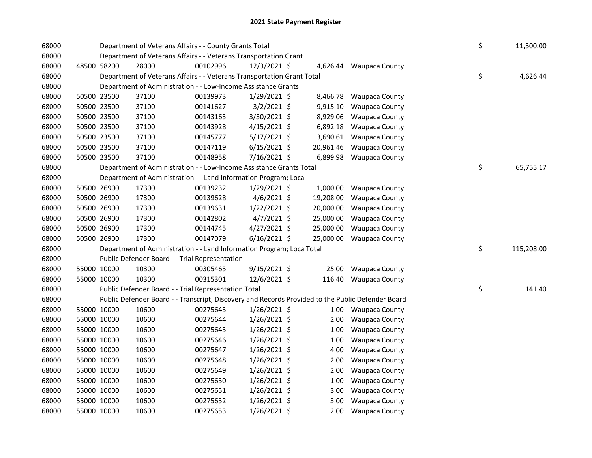| 68000 |             |             | Department of Veterans Affairs - - County Grants Total                                            |          |                |           |                         | \$ | 11,500.00  |
|-------|-------------|-------------|---------------------------------------------------------------------------------------------------|----------|----------------|-----------|-------------------------|----|------------|
| 68000 |             |             | Department of Veterans Affairs - - Veterans Transportation Grant                                  |          |                |           |                         |    |            |
| 68000 | 48500 58200 |             | 28000                                                                                             | 00102996 | $12/3/2021$ \$ |           | 4,626.44 Waupaca County |    |            |
| 68000 |             |             | Department of Veterans Affairs - - Veterans Transportation Grant Total                            |          |                |           |                         | \$ | 4,626.44   |
| 68000 |             |             | Department of Administration - - Low-Income Assistance Grants                                     |          |                |           |                         |    |            |
| 68000 |             | 50500 23500 | 37100                                                                                             | 00139973 | 1/29/2021 \$   | 8,466.78  | <b>Waupaca County</b>   |    |            |
| 68000 |             | 50500 23500 | 37100                                                                                             | 00141627 | $3/2/2021$ \$  | 9,915.10  | <b>Waupaca County</b>   |    |            |
| 68000 |             | 50500 23500 | 37100                                                                                             | 00143163 | 3/30/2021 \$   | 8,929.06  | <b>Waupaca County</b>   |    |            |
| 68000 | 50500 23500 |             | 37100                                                                                             | 00143928 | $4/15/2021$ \$ | 6,892.18  | <b>Waupaca County</b>   |    |            |
| 68000 | 50500 23500 |             | 37100                                                                                             | 00145777 | $5/17/2021$ \$ | 3,690.61  | <b>Waupaca County</b>   |    |            |
| 68000 | 50500 23500 |             | 37100                                                                                             | 00147119 | $6/15/2021$ \$ | 20,961.46 | <b>Waupaca County</b>   |    |            |
| 68000 | 50500 23500 |             | 37100                                                                                             | 00148958 | 7/16/2021 \$   |           | 6,899.98 Waupaca County |    |            |
| 68000 |             |             | Department of Administration - - Low-Income Assistance Grants Total                               |          |                |           |                         | \$ | 65,755.17  |
| 68000 |             |             | Department of Administration - - Land Information Program; Loca                                   |          |                |           |                         |    |            |
| 68000 |             | 50500 26900 | 17300                                                                                             | 00139232 | 1/29/2021 \$   | 1,000.00  | <b>Waupaca County</b>   |    |            |
| 68000 |             | 50500 26900 | 17300                                                                                             | 00139628 | $4/6/2021$ \$  | 19,208.00 | <b>Waupaca County</b>   |    |            |
| 68000 | 50500 26900 |             | 17300                                                                                             | 00139631 | $1/22/2021$ \$ | 20,000.00 | <b>Waupaca County</b>   |    |            |
| 68000 | 50500 26900 |             | 17300                                                                                             | 00142802 | 4/7/2021 \$    | 25,000.00 | <b>Waupaca County</b>   |    |            |
| 68000 | 50500 26900 |             | 17300                                                                                             | 00144745 | $4/27/2021$ \$ | 25,000.00 | <b>Waupaca County</b>   |    |            |
|       |             |             |                                                                                                   |          |                |           |                         |    |            |
| 68000 | 50500 26900 |             | 17300                                                                                             | 00147079 | $6/16/2021$ \$ | 25,000.00 | <b>Waupaca County</b>   |    |            |
| 68000 |             |             | Department of Administration - - Land Information Program; Loca Total                             |          |                |           |                         | \$ | 115,208.00 |
| 68000 |             |             | Public Defender Board - - Trial Representation                                                    |          |                |           |                         |    |            |
| 68000 | 55000 10000 |             | 10300                                                                                             | 00305465 | $9/15/2021$ \$ | 25.00     | <b>Waupaca County</b>   |    |            |
| 68000 | 55000 10000 |             | 10300                                                                                             | 00315301 | 12/6/2021 \$   | 116.40    | <b>Waupaca County</b>   |    |            |
| 68000 |             |             | Public Defender Board - - Trial Representation Total                                              |          |                |           |                         | \$ | 141.40     |
| 68000 |             |             | Public Defender Board - - Transcript, Discovery and Records Provided to the Public Defender Board |          |                |           |                         |    |            |
| 68000 |             | 55000 10000 | 10600                                                                                             | 00275643 | $1/26/2021$ \$ |           | 1.00 Waupaca County     |    |            |
| 68000 |             | 55000 10000 | 10600                                                                                             | 00275644 | $1/26/2021$ \$ | 2.00      | <b>Waupaca County</b>   |    |            |
| 68000 | 55000 10000 |             | 10600                                                                                             | 00275645 | $1/26/2021$ \$ | 1.00      | <b>Waupaca County</b>   |    |            |
| 68000 | 55000 10000 |             | 10600                                                                                             | 00275646 | $1/26/2021$ \$ | 1.00      | <b>Waupaca County</b>   |    |            |
| 68000 | 55000 10000 |             | 10600                                                                                             | 00275647 | $1/26/2021$ \$ | 4.00      | <b>Waupaca County</b>   |    |            |
| 68000 | 55000 10000 |             | 10600                                                                                             | 00275648 | $1/26/2021$ \$ | 2.00      | Waupaca County          |    |            |
| 68000 | 55000 10000 |             | 10600                                                                                             | 00275649 | $1/26/2021$ \$ | 2.00      | <b>Waupaca County</b>   |    |            |
| 68000 | 55000 10000 |             | 10600                                                                                             | 00275650 | $1/26/2021$ \$ | 1.00      | <b>Waupaca County</b>   |    |            |
| 68000 | 55000 10000 |             | 10600                                                                                             | 00275651 | $1/26/2021$ \$ | 3.00      | <b>Waupaca County</b>   |    |            |
| 68000 |             | 55000 10000 | 10600                                                                                             | 00275652 | $1/26/2021$ \$ | 3.00      | <b>Waupaca County</b>   |    |            |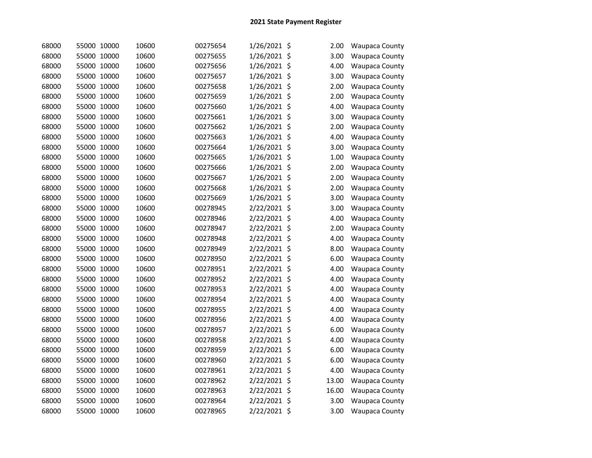| 68000 | 55000 10000 | 10600 | 00275654 | 1/26/2021 \$ | 2.00  | Waupaca County        |
|-------|-------------|-------|----------|--------------|-------|-----------------------|
| 68000 | 55000 10000 | 10600 | 00275655 | 1/26/2021 \$ | 3.00  | <b>Waupaca County</b> |
| 68000 | 55000 10000 | 10600 | 00275656 | 1/26/2021 \$ | 4.00  | <b>Waupaca County</b> |
| 68000 | 55000 10000 | 10600 | 00275657 | 1/26/2021 \$ | 3.00  | <b>Waupaca County</b> |
| 68000 | 55000 10000 | 10600 | 00275658 | 1/26/2021 \$ | 2.00  | <b>Waupaca County</b> |
| 68000 | 55000 10000 | 10600 | 00275659 | 1/26/2021 \$ | 2.00  | <b>Waupaca County</b> |
| 68000 | 55000 10000 | 10600 | 00275660 | 1/26/2021 \$ | 4.00  | <b>Waupaca County</b> |
| 68000 | 55000 10000 | 10600 | 00275661 | 1/26/2021 \$ | 3.00  | <b>Waupaca County</b> |
| 68000 | 55000 10000 | 10600 | 00275662 | 1/26/2021 \$ | 2.00  | <b>Waupaca County</b> |
| 68000 | 55000 10000 | 10600 | 00275663 | 1/26/2021 \$ | 4.00  | <b>Waupaca County</b> |
| 68000 | 55000 10000 | 10600 | 00275664 | 1/26/2021 \$ | 3.00  | <b>Waupaca County</b> |
| 68000 | 55000 10000 | 10600 | 00275665 | 1/26/2021 \$ | 1.00  | <b>Waupaca County</b> |
| 68000 | 55000 10000 | 10600 | 00275666 | 1/26/2021 \$ | 2.00  | <b>Waupaca County</b> |
| 68000 | 55000 10000 | 10600 | 00275667 | 1/26/2021 \$ | 2.00  | <b>Waupaca County</b> |
| 68000 | 55000 10000 | 10600 | 00275668 | 1/26/2021 \$ | 2.00  | <b>Waupaca County</b> |
| 68000 | 55000 10000 | 10600 | 00275669 | 1/26/2021 \$ | 3.00  | <b>Waupaca County</b> |
| 68000 | 55000 10000 | 10600 | 00278945 | 2/22/2021 \$ | 3.00  | <b>Waupaca County</b> |
| 68000 | 55000 10000 | 10600 | 00278946 | 2/22/2021 \$ | 4.00  | <b>Waupaca County</b> |
| 68000 | 55000 10000 | 10600 | 00278947 | 2/22/2021 \$ | 2.00  | <b>Waupaca County</b> |
| 68000 | 55000 10000 | 10600 | 00278948 | 2/22/2021 \$ | 4.00  | <b>Waupaca County</b> |
| 68000 | 55000 10000 | 10600 | 00278949 | 2/22/2021 \$ | 8.00  | <b>Waupaca County</b> |
| 68000 | 55000 10000 | 10600 | 00278950 | 2/22/2021 \$ | 6.00  | <b>Waupaca County</b> |
| 68000 | 55000 10000 | 10600 | 00278951 | 2/22/2021 \$ | 4.00  | <b>Waupaca County</b> |
| 68000 | 55000 10000 | 10600 | 00278952 | 2/22/2021 \$ | 4.00  | <b>Waupaca County</b> |
| 68000 | 55000 10000 | 10600 | 00278953 | 2/22/2021 \$ | 4.00  | <b>Waupaca County</b> |
| 68000 | 55000 10000 | 10600 | 00278954 | 2/22/2021 \$ | 4.00  | <b>Waupaca County</b> |
| 68000 | 55000 10000 | 10600 | 00278955 | 2/22/2021 \$ | 4.00  | <b>Waupaca County</b> |
| 68000 | 55000 10000 | 10600 | 00278956 | 2/22/2021 \$ | 4.00  | <b>Waupaca County</b> |
| 68000 | 55000 10000 | 10600 | 00278957 | 2/22/2021 \$ | 6.00  | <b>Waupaca County</b> |
| 68000 | 55000 10000 | 10600 | 00278958 | 2/22/2021 \$ | 4.00  | <b>Waupaca County</b> |
| 68000 | 55000 10000 | 10600 | 00278959 | 2/22/2021 \$ | 6.00  | <b>Waupaca County</b> |
| 68000 | 55000 10000 | 10600 | 00278960 | 2/22/2021 \$ | 6.00  | <b>Waupaca County</b> |
| 68000 | 55000 10000 | 10600 | 00278961 | 2/22/2021 \$ | 4.00  | <b>Waupaca County</b> |
| 68000 | 55000 10000 | 10600 | 00278962 | 2/22/2021 \$ | 13.00 | <b>Waupaca County</b> |
| 68000 | 55000 10000 | 10600 | 00278963 | 2/22/2021 \$ | 16.00 | Waupaca County        |
| 68000 | 55000 10000 | 10600 | 00278964 | 2/22/2021 \$ | 3.00  | <b>Waupaca County</b> |
| 68000 | 55000 10000 | 10600 | 00278965 | 2/22/2021 \$ | 3.00  | <b>Waupaca County</b> |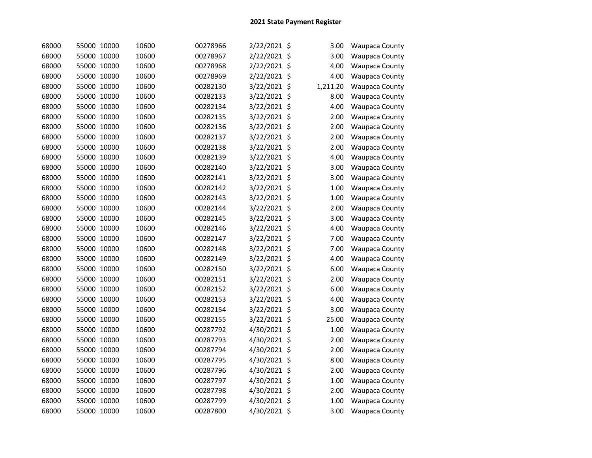| 68000 | 55000 10000 | 10600 | 00278966 | 2/22/2021 \$ | 3.00     | Waupaca County        |
|-------|-------------|-------|----------|--------------|----------|-----------------------|
| 68000 | 55000 10000 | 10600 | 00278967 | 2/22/2021 \$ | 3.00     | Waupaca County        |
| 68000 | 55000 10000 | 10600 | 00278968 | 2/22/2021 \$ | 4.00     | <b>Waupaca County</b> |
| 68000 | 55000 10000 | 10600 | 00278969 | 2/22/2021 \$ | 4.00     | Waupaca County        |
| 68000 | 55000 10000 | 10600 | 00282130 | 3/22/2021 \$ | 1,211.20 | Waupaca County        |
| 68000 | 55000 10000 | 10600 | 00282133 | 3/22/2021 \$ | 8.00     | <b>Waupaca County</b> |
| 68000 | 55000 10000 | 10600 | 00282134 | 3/22/2021 \$ | 4.00     | <b>Waupaca County</b> |
| 68000 | 55000 10000 | 10600 | 00282135 | 3/22/2021 \$ | 2.00     | <b>Waupaca County</b> |
| 68000 | 55000 10000 | 10600 | 00282136 | 3/22/2021 \$ | 2.00     | <b>Waupaca County</b> |
| 68000 | 55000 10000 | 10600 | 00282137 | 3/22/2021 \$ | 2.00     | <b>Waupaca County</b> |
| 68000 | 55000 10000 | 10600 | 00282138 | 3/22/2021 \$ | 2.00     | <b>Waupaca County</b> |
| 68000 | 55000 10000 | 10600 | 00282139 | 3/22/2021 \$ | 4.00     | <b>Waupaca County</b> |
| 68000 | 55000 10000 | 10600 | 00282140 | 3/22/2021 \$ | 3.00     | <b>Waupaca County</b> |
| 68000 | 55000 10000 | 10600 | 00282141 | 3/22/2021 \$ | 3.00     | <b>Waupaca County</b> |
| 68000 | 55000 10000 | 10600 | 00282142 | 3/22/2021 \$ | 1.00     | <b>Waupaca County</b> |
| 68000 | 55000 10000 | 10600 | 00282143 | 3/22/2021 \$ | 1.00     | <b>Waupaca County</b> |
| 68000 | 55000 10000 | 10600 | 00282144 | 3/22/2021 \$ | 2.00     | <b>Waupaca County</b> |
| 68000 | 55000 10000 | 10600 | 00282145 | 3/22/2021 \$ | 3.00     | <b>Waupaca County</b> |
| 68000 | 55000 10000 | 10600 | 00282146 | 3/22/2021 \$ | 4.00     | <b>Waupaca County</b> |
| 68000 | 55000 10000 | 10600 | 00282147 | 3/22/2021 \$ | 7.00     | <b>Waupaca County</b> |
| 68000 | 55000 10000 | 10600 | 00282148 | 3/22/2021 \$ | 7.00     | <b>Waupaca County</b> |
| 68000 | 55000 10000 | 10600 | 00282149 | 3/22/2021 \$ | 4.00     | <b>Waupaca County</b> |
| 68000 | 55000 10000 | 10600 | 00282150 | 3/22/2021 \$ | 6.00     | <b>Waupaca County</b> |
| 68000 | 55000 10000 | 10600 | 00282151 | 3/22/2021 \$ | 2.00     | <b>Waupaca County</b> |
| 68000 | 55000 10000 | 10600 | 00282152 | 3/22/2021 \$ | 6.00     | <b>Waupaca County</b> |
| 68000 | 55000 10000 | 10600 | 00282153 | 3/22/2021 \$ | 4.00     | <b>Waupaca County</b> |
| 68000 | 55000 10000 | 10600 | 00282154 | 3/22/2021 \$ | 3.00     | <b>Waupaca County</b> |
| 68000 | 55000 10000 | 10600 | 00282155 | 3/22/2021 \$ | 25.00    | <b>Waupaca County</b> |
| 68000 | 55000 10000 | 10600 | 00287792 | 4/30/2021 \$ | 1.00     | <b>Waupaca County</b> |
| 68000 | 55000 10000 | 10600 | 00287793 | 4/30/2021 \$ | 2.00     | <b>Waupaca County</b> |
| 68000 | 55000 10000 | 10600 | 00287794 | 4/30/2021 \$ | 2.00     | Waupaca County        |
| 68000 | 55000 10000 | 10600 | 00287795 | 4/30/2021 \$ | 8.00     | <b>Waupaca County</b> |
| 68000 | 55000 10000 | 10600 | 00287796 | 4/30/2021 \$ | 2.00     | <b>Waupaca County</b> |
| 68000 | 55000 10000 | 10600 | 00287797 | 4/30/2021 \$ | 1.00     | <b>Waupaca County</b> |
| 68000 | 55000 10000 | 10600 | 00287798 | 4/30/2021 \$ | 2.00     | <b>Waupaca County</b> |
| 68000 | 55000 10000 | 10600 | 00287799 | 4/30/2021 \$ | 1.00     | <b>Waupaca County</b> |
| 68000 | 55000 10000 | 10600 | 00287800 | 4/30/2021 \$ | 3.00     | <b>Waupaca County</b> |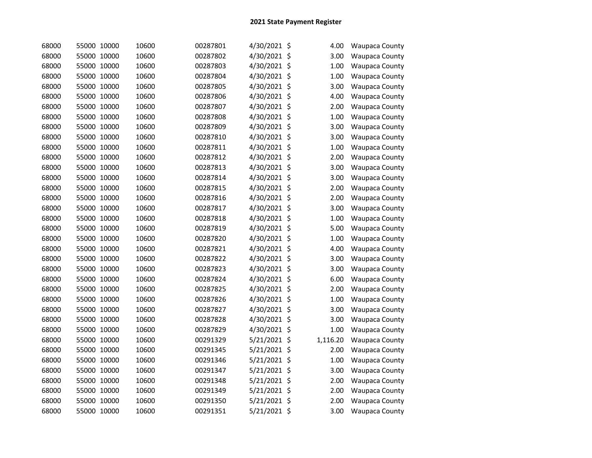| 68000 | 55000 10000 | 10600 | 00287801 | 4/30/2021 \$   | 4.00     | Waupaca County        |
|-------|-------------|-------|----------|----------------|----------|-----------------------|
| 68000 | 55000 10000 | 10600 | 00287802 | 4/30/2021 \$   | 3.00     | Waupaca County        |
| 68000 | 55000 10000 | 10600 | 00287803 | 4/30/2021 \$   | 1.00     | <b>Waupaca County</b> |
| 68000 | 55000 10000 | 10600 | 00287804 | 4/30/2021 \$   | 1.00     | Waupaca County        |
| 68000 | 55000 10000 | 10600 | 00287805 | 4/30/2021 \$   | 3.00     | Waupaca County        |
| 68000 | 55000 10000 | 10600 | 00287806 | 4/30/2021 \$   | 4.00     | <b>Waupaca County</b> |
| 68000 | 55000 10000 | 10600 | 00287807 | 4/30/2021 \$   | 2.00     | <b>Waupaca County</b> |
| 68000 | 55000 10000 | 10600 | 00287808 | 4/30/2021 \$   | 1.00     | <b>Waupaca County</b> |
| 68000 | 55000 10000 | 10600 | 00287809 | 4/30/2021 \$   | 3.00     | <b>Waupaca County</b> |
| 68000 | 55000 10000 | 10600 | 00287810 | 4/30/2021 \$   | 3.00     | <b>Waupaca County</b> |
| 68000 | 55000 10000 | 10600 | 00287811 | 4/30/2021 \$   | 1.00     | <b>Waupaca County</b> |
| 68000 | 55000 10000 | 10600 | 00287812 | 4/30/2021 \$   | 2.00     | <b>Waupaca County</b> |
| 68000 | 55000 10000 | 10600 | 00287813 | 4/30/2021 \$   | 3.00     | <b>Waupaca County</b> |
| 68000 | 55000 10000 | 10600 | 00287814 | 4/30/2021 \$   | 3.00     | <b>Waupaca County</b> |
| 68000 | 55000 10000 | 10600 | 00287815 | 4/30/2021 \$   | 2.00     | <b>Waupaca County</b> |
| 68000 | 55000 10000 | 10600 | 00287816 | 4/30/2021 \$   | 2.00     | <b>Waupaca County</b> |
| 68000 | 55000 10000 | 10600 | 00287817 | 4/30/2021 \$   | 3.00     | <b>Waupaca County</b> |
| 68000 | 55000 10000 | 10600 | 00287818 | 4/30/2021 \$   | 1.00     | <b>Waupaca County</b> |
| 68000 | 55000 10000 | 10600 | 00287819 | 4/30/2021 \$   | 5.00     | <b>Waupaca County</b> |
| 68000 | 55000 10000 | 10600 | 00287820 | 4/30/2021 \$   | 1.00     | Waupaca County        |
| 68000 | 55000 10000 | 10600 | 00287821 | 4/30/2021 \$   | 4.00     | <b>Waupaca County</b> |
| 68000 | 55000 10000 | 10600 | 00287822 | 4/30/2021 \$   | 3.00     | Waupaca County        |
| 68000 | 55000 10000 | 10600 | 00287823 | 4/30/2021 \$   | 3.00     | Waupaca County        |
| 68000 | 55000 10000 | 10600 | 00287824 | 4/30/2021 \$   | 6.00     | Waupaca County        |
| 68000 | 55000 10000 | 10600 | 00287825 | 4/30/2021 \$   | 2.00     | Waupaca County        |
| 68000 | 55000 10000 | 10600 | 00287826 | 4/30/2021 \$   | 1.00     | <b>Waupaca County</b> |
| 68000 | 55000 10000 | 10600 | 00287827 | 4/30/2021 \$   | 3.00     | <b>Waupaca County</b> |
| 68000 | 55000 10000 | 10600 | 00287828 | 4/30/2021 \$   | 3.00     | <b>Waupaca County</b> |
| 68000 | 55000 10000 | 10600 | 00287829 | 4/30/2021 \$   | 1.00     | <b>Waupaca County</b> |
| 68000 | 55000 10000 | 10600 | 00291329 | 5/21/2021 \$   | 1,116.20 | <b>Waupaca County</b> |
| 68000 | 55000 10000 | 10600 | 00291345 | 5/21/2021 \$   | 2.00     | Waupaca County        |
| 68000 | 55000 10000 | 10600 | 00291346 | 5/21/2021 \$   | 1.00     | <b>Waupaca County</b> |
| 68000 | 55000 10000 | 10600 | 00291347 | $5/21/2021$ \$ | 3.00     | Waupaca County        |
| 68000 | 55000 10000 | 10600 | 00291348 | 5/21/2021 \$   | 2.00     | <b>Waupaca County</b> |
| 68000 | 55000 10000 | 10600 | 00291349 | 5/21/2021 \$   | 2.00     | Waupaca County        |
| 68000 | 55000 10000 | 10600 | 00291350 | 5/21/2021 \$   | 2.00     | <b>Waupaca County</b> |
| 68000 | 55000 10000 | 10600 | 00291351 | 5/21/2021 \$   | 3.00     | <b>Waupaca County</b> |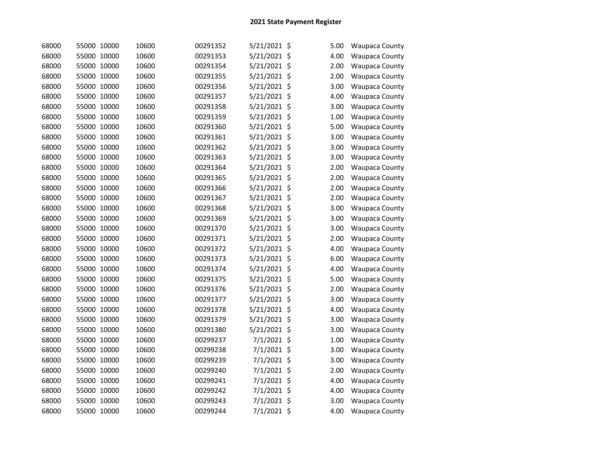| 68000 | 55000 10000 | 10600 | 00291352 | 5/21/2021 \$  | 5.00 | Waupaca County        |
|-------|-------------|-------|----------|---------------|------|-----------------------|
| 68000 | 55000 10000 | 10600 | 00291353 | 5/21/2021 \$  | 4.00 | Waupaca County        |
| 68000 | 55000 10000 | 10600 | 00291354 | 5/21/2021 \$  | 2.00 | <b>Waupaca County</b> |
| 68000 | 55000 10000 | 10600 | 00291355 | 5/21/2021 \$  | 2.00 | Waupaca County        |
| 68000 | 55000 10000 | 10600 | 00291356 | 5/21/2021 \$  | 3.00 | Waupaca County        |
| 68000 | 55000 10000 | 10600 | 00291357 | 5/21/2021 \$  | 4.00 | <b>Waupaca County</b> |
| 68000 | 55000 10000 | 10600 | 00291358 | 5/21/2021 \$  | 3.00 | Waupaca County        |
| 68000 | 55000 10000 | 10600 | 00291359 | 5/21/2021 \$  | 1.00 | <b>Waupaca County</b> |
| 68000 | 55000 10000 | 10600 | 00291360 | 5/21/2021 \$  | 5.00 | <b>Waupaca County</b> |
| 68000 | 55000 10000 | 10600 | 00291361 | 5/21/2021 \$  | 3.00 | <b>Waupaca County</b> |
| 68000 | 55000 10000 | 10600 | 00291362 | 5/21/2021 \$  | 3.00 | Waupaca County        |
| 68000 | 55000 10000 | 10600 | 00291363 | 5/21/2021 \$  | 3.00 | <b>Waupaca County</b> |
| 68000 | 55000 10000 | 10600 | 00291364 | 5/21/2021 \$  | 2.00 | <b>Waupaca County</b> |
| 68000 | 55000 10000 | 10600 | 00291365 | 5/21/2021 \$  | 2.00 | <b>Waupaca County</b> |
| 68000 | 55000 10000 | 10600 | 00291366 | 5/21/2021 \$  | 2.00 | Waupaca County        |
| 68000 | 55000 10000 | 10600 | 00291367 | 5/21/2021 \$  | 2.00 | <b>Waupaca County</b> |
| 68000 | 55000 10000 | 10600 | 00291368 | 5/21/2021 \$  | 3.00 | <b>Waupaca County</b> |
| 68000 | 55000 10000 | 10600 | 00291369 | 5/21/2021 \$  | 3.00 | <b>Waupaca County</b> |
| 68000 | 55000 10000 | 10600 | 00291370 | 5/21/2021 \$  | 3.00 | <b>Waupaca County</b> |
| 68000 | 55000 10000 | 10600 | 00291371 | 5/21/2021 \$  | 2.00 | Waupaca County        |
| 68000 | 55000 10000 | 10600 | 00291372 | 5/21/2021 \$  | 4.00 | <b>Waupaca County</b> |
| 68000 | 55000 10000 | 10600 | 00291373 | 5/21/2021 \$  | 6.00 | <b>Waupaca County</b> |
| 68000 | 55000 10000 | 10600 | 00291374 | 5/21/2021 \$  | 4.00 | Waupaca County        |
| 68000 | 55000 10000 | 10600 | 00291375 | 5/21/2021 \$  | 5.00 | Waupaca County        |
| 68000 | 55000 10000 | 10600 | 00291376 | 5/21/2021 \$  | 2.00 | <b>Waupaca County</b> |
| 68000 | 55000 10000 | 10600 | 00291377 | 5/21/2021 \$  | 3.00 | <b>Waupaca County</b> |
| 68000 | 55000 10000 | 10600 | 00291378 | 5/21/2021 \$  | 4.00 | Waupaca County        |
| 68000 | 55000 10000 | 10600 | 00291379 | 5/21/2021 \$  | 3.00 | <b>Waupaca County</b> |
| 68000 | 55000 10000 | 10600 | 00291380 | 5/21/2021 \$  | 3.00 | <b>Waupaca County</b> |
| 68000 | 55000 10000 | 10600 | 00299237 | 7/1/2021 \$   | 1.00 | <b>Waupaca County</b> |
| 68000 | 55000 10000 | 10600 | 00299238 | 7/1/2021 \$   | 3.00 | Waupaca County        |
| 68000 | 55000 10000 | 10600 | 00299239 | 7/1/2021 \$   | 3.00 | <b>Waupaca County</b> |
| 68000 | 55000 10000 | 10600 | 00299240 | $7/1/2021$ \$ | 2.00 | <b>Waupaca County</b> |
| 68000 | 55000 10000 | 10600 | 00299241 | 7/1/2021 \$   | 4.00 | Waupaca County        |
| 68000 | 55000 10000 | 10600 | 00299242 | 7/1/2021 \$   | 4.00 | Waupaca County        |
| 68000 | 55000 10000 | 10600 | 00299243 | 7/1/2021 \$   | 3.00 | <b>Waupaca County</b> |
| 68000 | 55000 10000 | 10600 | 00299244 | 7/1/2021 \$   | 4.00 | <b>Waupaca County</b> |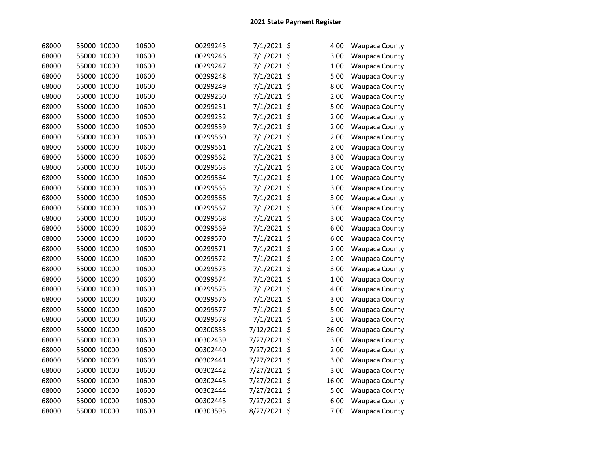| 68000 | 55000 10000 | 10600 | 00299245 | 7/1/2021 \$   | 4.00  | Waupaca County        |
|-------|-------------|-------|----------|---------------|-------|-----------------------|
| 68000 | 55000 10000 | 10600 | 00299246 | 7/1/2021 \$   | 3.00  | <b>Waupaca County</b> |
| 68000 | 55000 10000 | 10600 | 00299247 | 7/1/2021 \$   | 1.00  | <b>Waupaca County</b> |
| 68000 | 55000 10000 | 10600 | 00299248 | $7/1/2021$ \$ | 5.00  | <b>Waupaca County</b> |
| 68000 | 55000 10000 | 10600 | 00299249 | 7/1/2021 \$   | 8.00  | <b>Waupaca County</b> |
| 68000 | 55000 10000 | 10600 | 00299250 | 7/1/2021 \$   | 2.00  | <b>Waupaca County</b> |
| 68000 | 55000 10000 | 10600 | 00299251 | $7/1/2021$ \$ | 5.00  | <b>Waupaca County</b> |
| 68000 | 55000 10000 | 10600 | 00299252 | $7/1/2021$ \$ | 2.00  | <b>Waupaca County</b> |
| 68000 | 55000 10000 | 10600 | 00299559 | 7/1/2021 \$   | 2.00  | <b>Waupaca County</b> |
| 68000 | 55000 10000 | 10600 | 00299560 | $7/1/2021$ \$ | 2.00  | <b>Waupaca County</b> |
| 68000 | 55000 10000 | 10600 | 00299561 | $7/1/2021$ \$ | 2.00  | <b>Waupaca County</b> |
| 68000 | 55000 10000 | 10600 | 00299562 | 7/1/2021 \$   | 3.00  | <b>Waupaca County</b> |
| 68000 | 55000 10000 | 10600 | 00299563 | $7/1/2021$ \$ | 2.00  | <b>Waupaca County</b> |
| 68000 | 55000 10000 | 10600 | 00299564 | $7/1/2021$ \$ | 1.00  | <b>Waupaca County</b> |
| 68000 | 55000 10000 | 10600 | 00299565 | $7/1/2021$ \$ | 3.00  | <b>Waupaca County</b> |
| 68000 | 55000 10000 | 10600 | 00299566 | 7/1/2021 \$   | 3.00  | <b>Waupaca County</b> |
| 68000 | 55000 10000 | 10600 | 00299567 | 7/1/2021 \$   | 3.00  | <b>Waupaca County</b> |
| 68000 | 55000 10000 | 10600 | 00299568 | $7/1/2021$ \$ | 3.00  | <b>Waupaca County</b> |
| 68000 | 55000 10000 | 10600 | 00299569 | 7/1/2021 \$   | 6.00  | <b>Waupaca County</b> |
| 68000 | 55000 10000 | 10600 | 00299570 | 7/1/2021 \$   | 6.00  | <b>Waupaca County</b> |
| 68000 | 55000 10000 | 10600 | 00299571 | 7/1/2021 \$   | 2.00  | <b>Waupaca County</b> |
| 68000 | 55000 10000 | 10600 | 00299572 | $7/1/2021$ \$ | 2.00  | <b>Waupaca County</b> |
| 68000 | 55000 10000 | 10600 | 00299573 | 7/1/2021 \$   | 3.00  | <b>Waupaca County</b> |
| 68000 | 55000 10000 | 10600 | 00299574 | 7/1/2021 \$   | 1.00  | <b>Waupaca County</b> |
| 68000 | 55000 10000 | 10600 | 00299575 | $7/1/2021$ \$ | 4.00  | <b>Waupaca County</b> |
| 68000 | 55000 10000 | 10600 | 00299576 | 7/1/2021 \$   | 3.00  | <b>Waupaca County</b> |
| 68000 | 55000 10000 | 10600 | 00299577 | 7/1/2021 \$   | 5.00  | <b>Waupaca County</b> |
| 68000 | 55000 10000 | 10600 | 00299578 | $7/1/2021$ \$ | 2.00  | <b>Waupaca County</b> |
| 68000 | 55000 10000 | 10600 | 00300855 | 7/12/2021 \$  | 26.00 | <b>Waupaca County</b> |
| 68000 | 55000 10000 | 10600 | 00302439 | 7/27/2021 \$  | 3.00  | <b>Waupaca County</b> |
| 68000 | 55000 10000 | 10600 | 00302440 | 7/27/2021 \$  | 2.00  | <b>Waupaca County</b> |
| 68000 | 55000 10000 | 10600 | 00302441 | 7/27/2021 \$  | 3.00  | Waupaca County        |
| 68000 | 55000 10000 | 10600 | 00302442 | 7/27/2021 \$  | 3.00  | <b>Waupaca County</b> |
| 68000 | 55000 10000 | 10600 | 00302443 | 7/27/2021 \$  | 16.00 | <b>Waupaca County</b> |
| 68000 | 55000 10000 | 10600 | 00302444 | 7/27/2021 \$  | 5.00  | <b>Waupaca County</b> |
| 68000 | 55000 10000 | 10600 | 00302445 | 7/27/2021 \$  | 6.00  | <b>Waupaca County</b> |
| 68000 | 55000 10000 | 10600 | 00303595 | 8/27/2021 \$  | 7.00  | <b>Waupaca County</b> |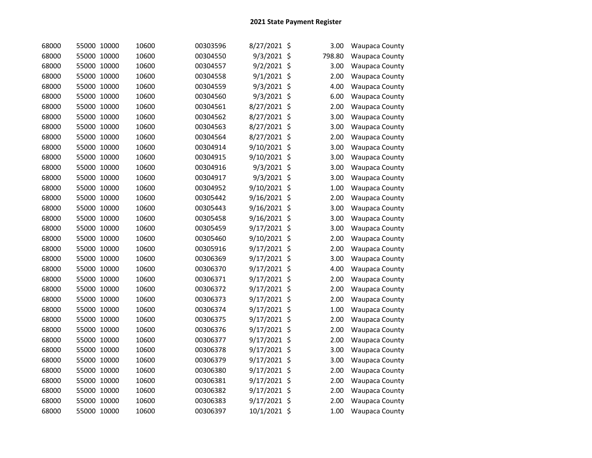| 68000 | 55000 10000 | 10600 | 00303596 | 8/27/2021 \$   | 3.00   | Waupaca County        |
|-------|-------------|-------|----------|----------------|--------|-----------------------|
| 68000 | 55000 10000 | 10600 | 00304550 | 9/3/2021 \$    | 798.80 | <b>Waupaca County</b> |
| 68000 | 55000 10000 | 10600 | 00304557 | $9/2/2021$ \$  | 3.00   | <b>Waupaca County</b> |
| 68000 | 55000 10000 | 10600 | 00304558 | $9/1/2021$ \$  | 2.00   | Waupaca County        |
| 68000 | 55000 10000 | 10600 | 00304559 | 9/3/2021 \$    | 4.00   | Waupaca County        |
| 68000 | 55000 10000 | 10600 | 00304560 | 9/3/2021 \$    | 6.00   | <b>Waupaca County</b> |
| 68000 | 55000 10000 | 10600 | 00304561 | 8/27/2021 \$   | 2.00   | Waupaca County        |
| 68000 | 55000 10000 | 10600 | 00304562 | 8/27/2021 \$   | 3.00   | Waupaca County        |
| 68000 | 55000 10000 | 10600 | 00304563 | 8/27/2021 \$   | 3.00   | Waupaca County        |
| 68000 | 55000 10000 | 10600 | 00304564 | 8/27/2021 \$   | 2.00   | <b>Waupaca County</b> |
| 68000 | 55000 10000 | 10600 | 00304914 | 9/10/2021 \$   | 3.00   | Waupaca County        |
| 68000 | 55000 10000 | 10600 | 00304915 | 9/10/2021 \$   | 3.00   | <b>Waupaca County</b> |
| 68000 | 55000 10000 | 10600 | 00304916 | $9/3/2021$ \$  | 3.00   | <b>Waupaca County</b> |
| 68000 | 55000 10000 | 10600 | 00304917 | $9/3/2021$ \$  | 3.00   | <b>Waupaca County</b> |
| 68000 | 55000 10000 | 10600 | 00304952 | 9/10/2021 \$   | 1.00   | Waupaca County        |
| 68000 | 55000 10000 | 10600 | 00305442 | 9/16/2021 \$   | 2.00   | <b>Waupaca County</b> |
| 68000 | 55000 10000 | 10600 | 00305443 | $9/16/2021$ \$ | 3.00   | <b>Waupaca County</b> |
| 68000 | 55000 10000 | 10600 | 00305458 | $9/16/2021$ \$ | 3.00   | Waupaca County        |
| 68000 | 55000 10000 | 10600 | 00305459 | 9/17/2021 \$   | 3.00   | <b>Waupaca County</b> |
| 68000 | 55000 10000 | 10600 | 00305460 | 9/10/2021 \$   | 2.00   | Waupaca County        |
| 68000 | 55000 10000 | 10600 | 00305916 | 9/17/2021 \$   | 2.00   | <b>Waupaca County</b> |
| 68000 | 55000 10000 | 10600 | 00306369 | $9/17/2021$ \$ | 3.00   | <b>Waupaca County</b> |
| 68000 | 55000 10000 | 10600 | 00306370 | 9/17/2021 \$   | 4.00   | Waupaca County        |
| 68000 | 55000 10000 | 10600 | 00306371 | 9/17/2021 \$   | 2.00   | Waupaca County        |
| 68000 | 55000 10000 | 10600 | 00306372 | $9/17/2021$ \$ | 2.00   | <b>Waupaca County</b> |
| 68000 | 55000 10000 | 10600 | 00306373 | 9/17/2021 \$   | 2.00   | Waupaca County        |
| 68000 | 55000 10000 | 10600 | 00306374 | 9/17/2021 \$   | 1.00   | <b>Waupaca County</b> |
| 68000 | 55000 10000 | 10600 | 00306375 | $9/17/2021$ \$ | 2.00   | <b>Waupaca County</b> |
| 68000 | 55000 10000 | 10600 | 00306376 | $9/17/2021$ \$ | 2.00   | <b>Waupaca County</b> |
| 68000 | 55000 10000 | 10600 | 00306377 | 9/17/2021 \$   | 2.00   | <b>Waupaca County</b> |
| 68000 | 55000 10000 | 10600 | 00306378 | 9/17/2021 \$   | 3.00   | Waupaca County        |
| 68000 | 55000 10000 | 10600 | 00306379 | $9/17/2021$ \$ | 3.00   | Waupaca County        |
| 68000 | 55000 10000 | 10600 | 00306380 | $9/17/2021$ \$ | 2.00   | Waupaca County        |
| 68000 | 55000 10000 | 10600 | 00306381 | 9/17/2021 \$   | 2.00   | <b>Waupaca County</b> |
| 68000 | 55000 10000 | 10600 | 00306382 | 9/17/2021 \$   | 2.00   | Waupaca County        |
| 68000 | 55000 10000 | 10600 | 00306383 | 9/17/2021 \$   | 2.00   | <b>Waupaca County</b> |
| 68000 | 55000 10000 | 10600 | 00306397 | 10/1/2021 \$   | 1.00   | <b>Waupaca County</b> |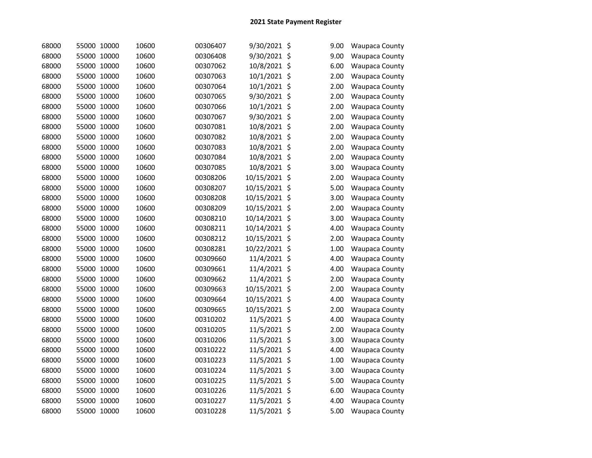| 68000 | 55000 10000 | 10600 | 00306407 | 9/30/2021 \$  | 9.00 | Waupaca County        |
|-------|-------------|-------|----------|---------------|------|-----------------------|
| 68000 | 55000 10000 | 10600 | 00306408 | 9/30/2021 \$  | 9.00 | Waupaca County        |
| 68000 | 55000 10000 | 10600 | 00307062 | 10/8/2021 \$  | 6.00 | <b>Waupaca County</b> |
| 68000 | 55000 10000 | 10600 | 00307063 | 10/1/2021 \$  | 2.00 | <b>Waupaca County</b> |
| 68000 | 55000 10000 | 10600 | 00307064 | 10/1/2021 \$  | 2.00 | <b>Waupaca County</b> |
| 68000 | 55000 10000 | 10600 | 00307065 | 9/30/2021 \$  | 2.00 | <b>Waupaca County</b> |
| 68000 | 55000 10000 | 10600 | 00307066 | 10/1/2021 \$  | 2.00 | <b>Waupaca County</b> |
| 68000 | 55000 10000 | 10600 | 00307067 | 9/30/2021 \$  | 2.00 | <b>Waupaca County</b> |
| 68000 | 55000 10000 | 10600 | 00307081 | 10/8/2021 \$  | 2.00 | <b>Waupaca County</b> |
| 68000 | 55000 10000 | 10600 | 00307082 | 10/8/2021 \$  | 2.00 | <b>Waupaca County</b> |
| 68000 | 55000 10000 | 10600 | 00307083 | 10/8/2021 \$  | 2.00 | Waupaca County        |
| 68000 | 55000 10000 | 10600 | 00307084 | 10/8/2021 \$  | 2.00 | <b>Waupaca County</b> |
| 68000 | 55000 10000 | 10600 | 00307085 | 10/8/2021 \$  | 3.00 | <b>Waupaca County</b> |
| 68000 | 55000 10000 | 10600 | 00308206 | 10/15/2021 \$ | 2.00 | <b>Waupaca County</b> |
| 68000 | 55000 10000 | 10600 | 00308207 | 10/15/2021 \$ | 5.00 | <b>Waupaca County</b> |
| 68000 | 55000 10000 | 10600 | 00308208 | 10/15/2021 \$ | 3.00 | <b>Waupaca County</b> |
| 68000 | 55000 10000 | 10600 | 00308209 | 10/15/2021 \$ | 2.00 | <b>Waupaca County</b> |
| 68000 | 55000 10000 | 10600 | 00308210 | 10/14/2021 \$ | 3.00 | <b>Waupaca County</b> |
| 68000 | 55000 10000 | 10600 | 00308211 | 10/14/2021 \$ | 4.00 | <b>Waupaca County</b> |
| 68000 | 55000 10000 | 10600 | 00308212 | 10/15/2021 \$ | 2.00 | <b>Waupaca County</b> |
| 68000 | 55000 10000 | 10600 | 00308281 | 10/22/2021 \$ | 1.00 | <b>Waupaca County</b> |
| 68000 | 55000 10000 | 10600 | 00309660 | 11/4/2021 \$  | 4.00 | <b>Waupaca County</b> |
| 68000 | 55000 10000 | 10600 | 00309661 | 11/4/2021 \$  | 4.00 | Waupaca County        |
| 68000 | 55000 10000 | 10600 | 00309662 | 11/4/2021 \$  | 2.00 | Waupaca County        |
| 68000 | 55000 10000 | 10600 | 00309663 | 10/15/2021 \$ | 2.00 | Waupaca County        |
| 68000 | 55000 10000 | 10600 | 00309664 | 10/15/2021 \$ | 4.00 | <b>Waupaca County</b> |
| 68000 | 55000 10000 | 10600 | 00309665 | 10/15/2021 \$ | 2.00 | <b>Waupaca County</b> |
| 68000 | 55000 10000 | 10600 | 00310202 | 11/5/2021 \$  | 4.00 | <b>Waupaca County</b> |
| 68000 | 55000 10000 | 10600 | 00310205 | 11/5/2021 \$  | 2.00 | <b>Waupaca County</b> |
| 68000 | 55000 10000 | 10600 | 00310206 | 11/5/2021 \$  | 3.00 | <b>Waupaca County</b> |
| 68000 | 55000 10000 | 10600 | 00310222 | 11/5/2021 \$  | 4.00 | Waupaca County        |
| 68000 | 55000 10000 | 10600 | 00310223 | 11/5/2021 \$  | 1.00 | <b>Waupaca County</b> |
| 68000 | 55000 10000 | 10600 | 00310224 | 11/5/2021 \$  | 3.00 | Waupaca County        |
| 68000 | 55000 10000 | 10600 | 00310225 | 11/5/2021 \$  | 5.00 | <b>Waupaca County</b> |
| 68000 | 55000 10000 | 10600 | 00310226 | 11/5/2021 \$  | 6.00 | Waupaca County        |
| 68000 | 55000 10000 | 10600 | 00310227 | 11/5/2021 \$  | 4.00 | <b>Waupaca County</b> |
| 68000 | 55000 10000 | 10600 | 00310228 | 11/5/2021 \$  | 5.00 | <b>Waupaca County</b> |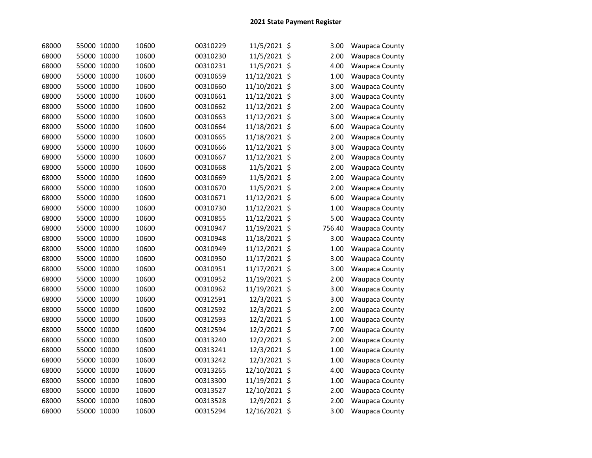| 68000 | 55000 10000 | 10600 | 00310229 | 11/5/2021 \$  | 3.00   | Waupaca County        |
|-------|-------------|-------|----------|---------------|--------|-----------------------|
| 68000 | 55000 10000 | 10600 | 00310230 | 11/5/2021 \$  | 2.00   | Waupaca County        |
| 68000 | 55000 10000 | 10600 | 00310231 | 11/5/2021 \$  | 4.00   | <b>Waupaca County</b> |
| 68000 | 55000 10000 | 10600 | 00310659 | 11/12/2021 \$ | 1.00   | Waupaca County        |
| 68000 | 55000 10000 | 10600 | 00310660 | 11/10/2021 \$ | 3.00   | Waupaca County        |
| 68000 | 55000 10000 | 10600 | 00310661 | 11/12/2021 \$ | 3.00   | Waupaca County        |
| 68000 | 55000 10000 | 10600 | 00310662 | 11/12/2021 \$ | 2.00   | Waupaca County        |
| 68000 | 55000 10000 | 10600 | 00310663 | 11/12/2021 \$ | 3.00   | Waupaca County        |
| 68000 | 55000 10000 | 10600 | 00310664 | 11/18/2021 \$ | 6.00   | <b>Waupaca County</b> |
| 68000 | 55000 10000 | 10600 | 00310665 | 11/18/2021 \$ | 2.00   | <b>Waupaca County</b> |
| 68000 | 55000 10000 | 10600 | 00310666 | 11/12/2021 \$ | 3.00   | Waupaca County        |
| 68000 | 55000 10000 | 10600 | 00310667 | 11/12/2021 \$ | 2.00   | <b>Waupaca County</b> |
| 68000 | 55000 10000 | 10600 | 00310668 | 11/5/2021 \$  | 2.00   | <b>Waupaca County</b> |
| 68000 | 55000 10000 | 10600 | 00310669 | 11/5/2021 \$  | 2.00   | <b>Waupaca County</b> |
| 68000 | 55000 10000 | 10600 | 00310670 | 11/5/2021 \$  | 2.00   | Waupaca County        |
| 68000 | 55000 10000 | 10600 | 00310671 | 11/12/2021 \$ | 6.00   | <b>Waupaca County</b> |
| 68000 | 55000 10000 | 10600 | 00310730 | 11/12/2021 \$ | 1.00   | <b>Waupaca County</b> |
| 68000 | 55000 10000 | 10600 | 00310855 | 11/12/2021 \$ | 5.00   | Waupaca County        |
| 68000 | 55000 10000 | 10600 | 00310947 | 11/19/2021 \$ | 756.40 | <b>Waupaca County</b> |
| 68000 | 55000 10000 | 10600 | 00310948 | 11/18/2021 \$ | 3.00   | <b>Waupaca County</b> |
| 68000 | 55000 10000 | 10600 | 00310949 | 11/12/2021 \$ | 1.00   | <b>Waupaca County</b> |
| 68000 | 55000 10000 | 10600 | 00310950 | 11/17/2021 \$ | 3.00   | <b>Waupaca County</b> |
| 68000 | 55000 10000 | 10600 | 00310951 | 11/17/2021 \$ | 3.00   | <b>Waupaca County</b> |
| 68000 | 55000 10000 | 10600 | 00310952 | 11/19/2021 \$ | 2.00   | <b>Waupaca County</b> |
| 68000 | 55000 10000 | 10600 | 00310962 | 11/19/2021 \$ | 3.00   | <b>Waupaca County</b> |
| 68000 | 55000 10000 | 10600 | 00312591 | 12/3/2021 \$  | 3.00   | <b>Waupaca County</b> |
| 68000 | 55000 10000 | 10600 | 00312592 | 12/3/2021 \$  | 2.00   | Waupaca County        |
| 68000 | 55000 10000 | 10600 | 00312593 | 12/2/2021 \$  | 1.00   | <b>Waupaca County</b> |
| 68000 | 55000 10000 | 10600 | 00312594 | 12/2/2021 \$  | 7.00   | <b>Waupaca County</b> |
| 68000 | 55000 10000 | 10600 | 00313240 | 12/2/2021 \$  | 2.00   | <b>Waupaca County</b> |
| 68000 | 55000 10000 | 10600 | 00313241 | 12/3/2021 \$  | 1.00   | <b>Waupaca County</b> |
| 68000 | 55000 10000 | 10600 | 00313242 | 12/3/2021 \$  | 1.00   | <b>Waupaca County</b> |
| 68000 | 55000 10000 | 10600 | 00313265 | 12/10/2021 \$ | 4.00   | <b>Waupaca County</b> |
| 68000 | 55000 10000 | 10600 | 00313300 | 11/19/2021 \$ | 1.00   | <b>Waupaca County</b> |
| 68000 | 55000 10000 | 10600 | 00313527 | 12/10/2021 \$ | 2.00   | <b>Waupaca County</b> |
| 68000 | 55000 10000 | 10600 | 00313528 | 12/9/2021 \$  | 2.00   | <b>Waupaca County</b> |
| 68000 | 55000 10000 | 10600 | 00315294 | 12/16/2021 \$ | 3.00   | <b>Waupaca County</b> |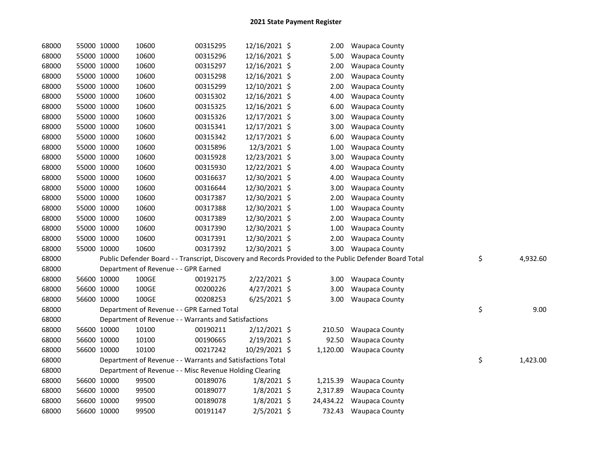| 68000 |             | 55000 10000 | 10600                                                      | 00315295 | 12/16/2021 \$  | 2.00      | <b>Waupaca County</b>                                                                                   |                |
|-------|-------------|-------------|------------------------------------------------------------|----------|----------------|-----------|---------------------------------------------------------------------------------------------------------|----------------|
| 68000 |             | 55000 10000 | 10600                                                      | 00315296 | 12/16/2021 \$  | 5.00      | <b>Waupaca County</b>                                                                                   |                |
| 68000 |             | 55000 10000 | 10600                                                      | 00315297 | 12/16/2021 \$  | 2.00      | <b>Waupaca County</b>                                                                                   |                |
| 68000 |             | 55000 10000 | 10600                                                      | 00315298 | 12/16/2021 \$  | 2.00      | <b>Waupaca County</b>                                                                                   |                |
| 68000 |             | 55000 10000 | 10600                                                      | 00315299 | 12/10/2021 \$  | 2.00      | <b>Waupaca County</b>                                                                                   |                |
| 68000 |             | 55000 10000 | 10600                                                      | 00315302 | 12/16/2021 \$  | 4.00      | <b>Waupaca County</b>                                                                                   |                |
| 68000 |             | 55000 10000 | 10600                                                      | 00315325 | 12/16/2021 \$  | 6.00      | <b>Waupaca County</b>                                                                                   |                |
| 68000 |             | 55000 10000 | 10600                                                      | 00315326 | 12/17/2021 \$  | 3.00      | <b>Waupaca County</b>                                                                                   |                |
| 68000 |             | 55000 10000 | 10600                                                      | 00315341 | 12/17/2021 \$  | 3.00      | <b>Waupaca County</b>                                                                                   |                |
| 68000 |             | 55000 10000 | 10600                                                      | 00315342 | 12/17/2021 \$  | 6.00      | Waupaca County                                                                                          |                |
| 68000 |             | 55000 10000 | 10600                                                      | 00315896 | 12/3/2021 \$   | 1.00      | <b>Waupaca County</b>                                                                                   |                |
| 68000 |             | 55000 10000 | 10600                                                      | 00315928 | 12/23/2021 \$  | 3.00      | <b>Waupaca County</b>                                                                                   |                |
| 68000 |             | 55000 10000 | 10600                                                      | 00315930 | 12/22/2021 \$  | 4.00      | Waupaca County                                                                                          |                |
| 68000 |             | 55000 10000 | 10600                                                      | 00316637 | 12/30/2021 \$  | 4.00      | Waupaca County                                                                                          |                |
| 68000 |             | 55000 10000 | 10600                                                      | 00316644 | 12/30/2021 \$  | 3.00      | <b>Waupaca County</b>                                                                                   |                |
| 68000 |             | 55000 10000 | 10600                                                      | 00317387 | 12/30/2021 \$  | 2.00      | <b>Waupaca County</b>                                                                                   |                |
| 68000 |             | 55000 10000 | 10600                                                      | 00317388 | 12/30/2021 \$  | 1.00      | <b>Waupaca County</b>                                                                                   |                |
| 68000 |             | 55000 10000 | 10600                                                      | 00317389 | 12/30/2021 \$  | 2.00      | <b>Waupaca County</b>                                                                                   |                |
| 68000 |             | 55000 10000 | 10600                                                      | 00317390 | 12/30/2021 \$  | 1.00      | <b>Waupaca County</b>                                                                                   |                |
| 68000 |             | 55000 10000 | 10600                                                      | 00317391 | 12/30/2021 \$  | 2.00      | <b>Waupaca County</b>                                                                                   |                |
| 68000 |             | 55000 10000 | 10600                                                      | 00317392 | 12/30/2021 \$  | 3.00      | <b>Waupaca County</b>                                                                                   |                |
| 68000 |             |             |                                                            |          |                |           | Public Defender Board - - Transcript, Discovery and Records Provided to the Public Defender Board Total | \$<br>4,932.60 |
| 68000 |             |             | Department of Revenue - - GPR Earned                       |          |                |           |                                                                                                         |                |
| 68000 |             | 56600 10000 | 100GE                                                      | 00192175 | 2/22/2021 \$   | 3.00      | <b>Waupaca County</b>                                                                                   |                |
| 68000 |             | 56600 10000 | 100GE                                                      | 00200226 | 4/27/2021 \$   | 3.00      | Waupaca County                                                                                          |                |
| 68000 |             | 56600 10000 | 100GE                                                      | 00208253 | $6/25/2021$ \$ | 3.00      | <b>Waupaca County</b>                                                                                   |                |
| 68000 |             |             | Department of Revenue - - GPR Earned Total                 |          |                |           |                                                                                                         | \$<br>9.00     |
| 68000 |             |             | Department of Revenue - - Warrants and Satisfactions       |          |                |           |                                                                                                         |                |
| 68000 |             | 56600 10000 | 10100                                                      | 00190211 | $2/12/2021$ \$ | 210.50    | <b>Waupaca County</b>                                                                                   |                |
| 68000 |             | 56600 10000 | 10100                                                      | 00190665 | $2/19/2021$ \$ | 92.50     | <b>Waupaca County</b>                                                                                   |                |
| 68000 |             | 56600 10000 | 10100                                                      | 00217242 | 10/29/2021 \$  | 1,120.00  | <b>Waupaca County</b>                                                                                   |                |
| 68000 |             |             | Department of Revenue - - Warrants and Satisfactions Total |          |                |           |                                                                                                         | \$<br>1,423.00 |
| 68000 |             |             | Department of Revenue - - Misc Revenue Holding Clearing    |          |                |           |                                                                                                         |                |
| 68000 |             | 56600 10000 | 99500                                                      | 00189076 | $1/8/2021$ \$  | 1,215.39  | Waupaca County                                                                                          |                |
| 68000 |             | 56600 10000 | 99500                                                      | 00189077 | 1/8/2021 \$    | 2,317.89  | <b>Waupaca County</b>                                                                                   |                |
| 68000 |             | 56600 10000 | 99500                                                      | 00189078 | $1/8/2021$ \$  | 24,434.22 | <b>Waupaca County</b>                                                                                   |                |
| 68000 | 56600 10000 |             | 99500                                                      | 00191147 | $2/5/2021$ \$  | 732.43    | Waupaca County                                                                                          |                |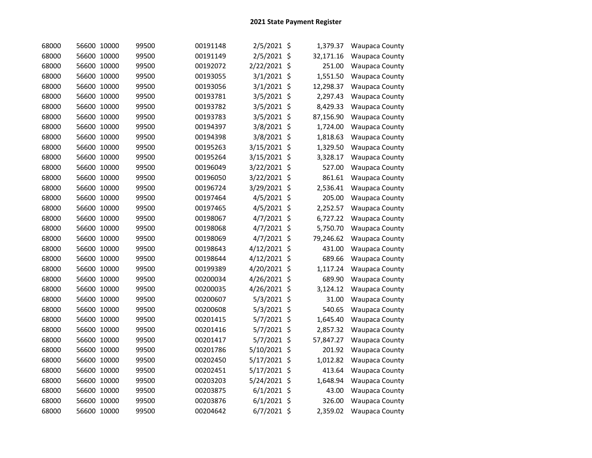| 68000 | 56600 10000 | 99500 | 00191148 | 2/5/2021 \$    | 1,379.37  | <b>Waupaca County</b> |
|-------|-------------|-------|----------|----------------|-----------|-----------------------|
| 68000 | 56600 10000 | 99500 | 00191149 | 2/5/2021 \$    | 32,171.16 | <b>Waupaca County</b> |
| 68000 | 56600 10000 | 99500 | 00192072 | 2/22/2021 \$   | 251.00    | <b>Waupaca County</b> |
| 68000 | 56600 10000 | 99500 | 00193055 | $3/1/2021$ \$  | 1,551.50  | Waupaca County        |
| 68000 | 56600 10000 | 99500 | 00193056 | 3/1/2021 \$    | 12,298.37 | Waupaca County        |
| 68000 | 56600 10000 | 99500 | 00193781 | 3/5/2021 \$    | 2,297.43  | <b>Waupaca County</b> |
| 68000 | 56600 10000 | 99500 | 00193782 | $3/5/2021$ \$  | 8,429.33  | Waupaca County        |
| 68000 | 56600 10000 | 99500 | 00193783 | $3/5/2021$ \$  | 87,156.90 | Waupaca County        |
| 68000 | 56600 10000 | 99500 | 00194397 | 3/8/2021 \$    | 1,724.00  | <b>Waupaca County</b> |
| 68000 | 56600 10000 | 99500 | 00194398 | 3/8/2021 \$    | 1,818.63  | <b>Waupaca County</b> |
| 68000 | 56600 10000 | 99500 | 00195263 | 3/15/2021 \$   | 1,329.50  | <b>Waupaca County</b> |
| 68000 | 56600 10000 | 99500 | 00195264 | 3/15/2021 \$   | 3,328.17  | <b>Waupaca County</b> |
| 68000 | 56600 10000 | 99500 | 00196049 | 3/22/2021 \$   | 527.00    | <b>Waupaca County</b> |
| 68000 | 56600 10000 | 99500 | 00196050 | 3/22/2021 \$   | 861.61    | <b>Waupaca County</b> |
| 68000 | 56600 10000 | 99500 | 00196724 | 3/29/2021 \$   | 2,536.41  | <b>Waupaca County</b> |
| 68000 | 56600 10000 | 99500 | 00197464 | $4/5/2021$ \$  | 205.00    | Waupaca County        |
| 68000 | 56600 10000 | 99500 | 00197465 | $4/5/2021$ \$  | 2,252.57  | <b>Waupaca County</b> |
| 68000 | 56600 10000 | 99500 | 00198067 | $4/7/2021$ \$  | 6,727.22  | <b>Waupaca County</b> |
| 68000 | 56600 10000 | 99500 | 00198068 | 4/7/2021 \$    | 5,750.70  | <b>Waupaca County</b> |
| 68000 | 56600 10000 | 99500 | 00198069 | $4/7/2021$ \$  | 79,246.62 | <b>Waupaca County</b> |
| 68000 | 56600 10000 | 99500 | 00198643 | 4/12/2021 \$   | 431.00    | <b>Waupaca County</b> |
| 68000 | 56600 10000 | 99500 | 00198644 | $4/12/2021$ \$ | 689.66    | <b>Waupaca County</b> |
| 68000 | 56600 10000 | 99500 | 00199389 | 4/20/2021 \$   | 1,117.24  | Waupaca County        |
| 68000 | 56600 10000 | 99500 | 00200034 | 4/26/2021 \$   | 689.90    | <b>Waupaca County</b> |
| 68000 | 56600 10000 | 99500 | 00200035 | 4/26/2021 \$   | 3,124.12  | Waupaca County        |
| 68000 | 56600 10000 | 99500 | 00200607 | 5/3/2021 \$    | 31.00     | Waupaca County        |
| 68000 | 56600 10000 | 99500 | 00200608 | 5/3/2021 \$    | 540.65    | <b>Waupaca County</b> |
| 68000 | 56600 10000 | 99500 | 00201415 | 5/7/2021 \$    | 1,645.40  | <b>Waupaca County</b> |
| 68000 | 56600 10000 | 99500 | 00201416 | 5/7/2021 \$    | 2,857.32  | <b>Waupaca County</b> |
| 68000 | 56600 10000 | 99500 | 00201417 | 5/7/2021 \$    | 57,847.27 | Waupaca County        |
| 68000 | 56600 10000 | 99500 | 00201786 | 5/10/2021 \$   | 201.92    | Waupaca County        |
| 68000 | 56600 10000 | 99500 | 00202450 | 5/17/2021 \$   | 1,012.82  | <b>Waupaca County</b> |
| 68000 | 56600 10000 | 99500 | 00202451 | 5/17/2021 \$   | 413.64    | Waupaca County        |
| 68000 | 56600 10000 | 99500 | 00203203 | 5/24/2021 \$   | 1,648.94  | Waupaca County        |
| 68000 | 56600 10000 | 99500 | 00203875 | $6/1/2021$ \$  | 43.00     | Waupaca County        |
| 68000 | 56600 10000 | 99500 | 00203876 | $6/1/2021$ \$  | 326.00    | <b>Waupaca County</b> |
| 68000 | 56600 10000 | 99500 | 00204642 | $6/7/2021$ \$  | 2,359.02  | <b>Waupaca County</b> |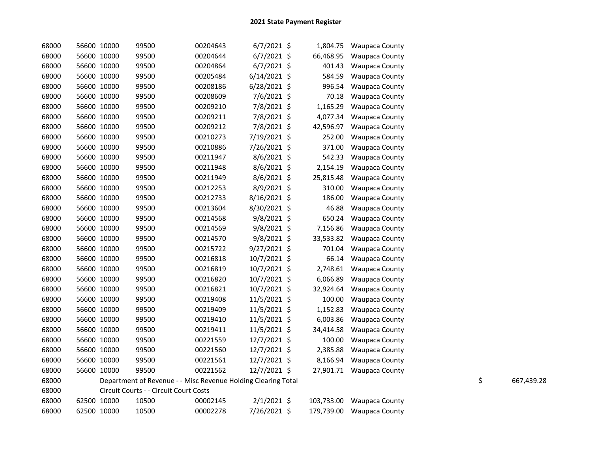| 68000 | 56600 10000 | 99500                                                         | 00204643 | $6/7/2021$ \$  | 1,804.75   | <b>Waupaca County</b>     |    |            |
|-------|-------------|---------------------------------------------------------------|----------|----------------|------------|---------------------------|----|------------|
| 68000 | 56600 10000 | 99500                                                         | 00204644 | $6/7/2021$ \$  | 66,468.95  | <b>Waupaca County</b>     |    |            |
| 68000 | 56600 10000 | 99500                                                         | 00204864 | $6/7/2021$ \$  | 401.43     | Waupaca County            |    |            |
| 68000 | 56600 10000 | 99500                                                         | 00205484 | $6/14/2021$ \$ | 584.59     | Waupaca County            |    |            |
| 68000 | 56600 10000 | 99500                                                         | 00208186 | $6/28/2021$ \$ | 996.54     | Waupaca County            |    |            |
| 68000 | 56600 10000 | 99500                                                         | 00208609 | 7/6/2021 \$    | 70.18      | Waupaca County            |    |            |
| 68000 | 56600 10000 | 99500                                                         | 00209210 | 7/8/2021 \$    | 1,165.29   | Waupaca County            |    |            |
| 68000 | 56600 10000 | 99500                                                         | 00209211 | 7/8/2021 \$    | 4,077.34   | Waupaca County            |    |            |
| 68000 | 56600 10000 | 99500                                                         | 00209212 | 7/8/2021 \$    | 42,596.97  | Waupaca County            |    |            |
| 68000 | 56600 10000 | 99500                                                         | 00210273 | 7/19/2021 \$   | 252.00     | <b>Waupaca County</b>     |    |            |
| 68000 | 56600 10000 | 99500                                                         | 00210886 | 7/26/2021 \$   | 371.00     | Waupaca County            |    |            |
| 68000 | 56600 10000 | 99500                                                         | 00211947 | 8/6/2021 \$    | 542.33     | Waupaca County            |    |            |
| 68000 | 56600 10000 | 99500                                                         | 00211948 | $8/6/2021$ \$  | 2,154.19   | Waupaca County            |    |            |
| 68000 | 56600 10000 | 99500                                                         | 00211949 | 8/6/2021 \$    | 25,815.48  | <b>Waupaca County</b>     |    |            |
| 68000 | 56600 10000 | 99500                                                         | 00212253 | 8/9/2021 \$    | 310.00     | <b>Waupaca County</b>     |    |            |
| 68000 | 56600 10000 | 99500                                                         | 00212733 | 8/16/2021 \$   | 186.00     | Waupaca County            |    |            |
| 68000 | 56600 10000 | 99500                                                         | 00213604 | 8/30/2021 \$   | 46.88      | Waupaca County            |    |            |
| 68000 | 56600 10000 | 99500                                                         | 00214568 | 9/8/2021 \$    | 650.24     | Waupaca County            |    |            |
| 68000 | 56600 10000 | 99500                                                         | 00214569 | $9/8/2021$ \$  | 7,156.86   | Waupaca County            |    |            |
| 68000 | 56600 10000 | 99500                                                         | 00214570 | $9/8/2021$ \$  | 33,533.82  | Waupaca County            |    |            |
| 68000 | 56600 10000 | 99500                                                         | 00215722 | $9/27/2021$ \$ | 701.04     | Waupaca County            |    |            |
| 68000 | 56600 10000 | 99500                                                         | 00216818 | 10/7/2021 \$   | 66.14      | <b>Waupaca County</b>     |    |            |
| 68000 | 56600 10000 | 99500                                                         | 00216819 | 10/7/2021 \$   | 2,748.61   | Waupaca County            |    |            |
| 68000 | 56600 10000 | 99500                                                         | 00216820 | 10/7/2021 \$   | 6,066.89   | Waupaca County            |    |            |
| 68000 | 56600 10000 | 99500                                                         | 00216821 | 10/7/2021 \$   | 32,924.64  | Waupaca County            |    |            |
| 68000 | 56600 10000 | 99500                                                         | 00219408 | 11/5/2021 \$   | 100.00     | <b>Waupaca County</b>     |    |            |
| 68000 | 56600 10000 | 99500                                                         | 00219409 | 11/5/2021 \$   | 1,152.83   | <b>Waupaca County</b>     |    |            |
| 68000 | 56600 10000 | 99500                                                         | 00219410 | 11/5/2021 \$   | 6,003.86   | Waupaca County            |    |            |
| 68000 | 56600 10000 | 99500                                                         | 00219411 | 11/5/2021 \$   | 34,414.58  | Waupaca County            |    |            |
| 68000 | 56600 10000 | 99500                                                         | 00221559 | 12/7/2021 \$   | 100.00     | <b>Waupaca County</b>     |    |            |
| 68000 | 56600 10000 | 99500                                                         | 00221560 | $12/7/2021$ \$ | 2,385.88   | Waupaca County            |    |            |
| 68000 | 56600 10000 | 99500                                                         | 00221561 | 12/7/2021 \$   | 8,166.94   | <b>Waupaca County</b>     |    |            |
| 68000 | 56600 10000 | 99500                                                         | 00221562 | $12/7/2021$ \$ |            | 27,901.71 Waupaca County  |    |            |
| 68000 |             | Department of Revenue - - Misc Revenue Holding Clearing Total |          |                |            |                           | \$ | 667,439.28 |
| 68000 |             | Circuit Courts - - Circuit Court Costs                        |          |                |            |                           |    |            |
| 68000 | 62500 10000 | 10500                                                         | 00002145 | $2/1/2021$ \$  | 103,733.00 | <b>Waupaca County</b>     |    |            |
| 68000 | 62500 10000 | 10500                                                         | 00002278 | 7/26/2021 \$   |            | 179,739.00 Waupaca County |    |            |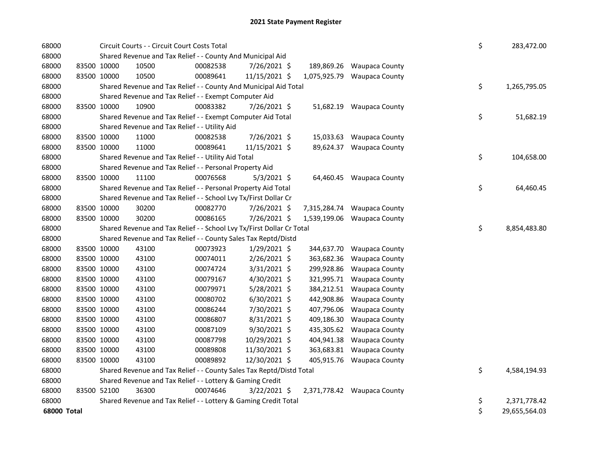| 68000       |             | Circuit Courts - - Circuit Court Costs Total                          |          |                |              |                             | \$ | 283,472.00    |
|-------------|-------------|-----------------------------------------------------------------------|----------|----------------|--------------|-----------------------------|----|---------------|
| 68000       |             | Shared Revenue and Tax Relief - - County And Municipal Aid            |          |                |              |                             |    |               |
| 68000       | 83500 10000 | 10500                                                                 | 00082538 | 7/26/2021 \$   | 189,869.26   | <b>Waupaca County</b>       |    |               |
| 68000       | 83500 10000 | 10500                                                                 | 00089641 | 11/15/2021 \$  | 1,075,925.79 | <b>Waupaca County</b>       |    |               |
| 68000       |             | Shared Revenue and Tax Relief - - County And Municipal Aid Total      |          |                |              |                             | \$ | 1,265,795.05  |
| 68000       |             | Shared Revenue and Tax Relief - - Exempt Computer Aid                 |          |                |              |                             |    |               |
| 68000       | 83500 10000 | 10900                                                                 | 00083382 | 7/26/2021 \$   |              | 51,682.19 Waupaca County    |    |               |
| 68000       |             | Shared Revenue and Tax Relief - - Exempt Computer Aid Total           |          |                |              |                             | \$ | 51,682.19     |
| 68000       |             | Shared Revenue and Tax Relief - - Utility Aid                         |          |                |              |                             |    |               |
| 68000       | 83500 10000 | 11000                                                                 | 00082538 | 7/26/2021 \$   | 15,033.63    | <b>Waupaca County</b>       |    |               |
| 68000       | 83500 10000 | 11000                                                                 | 00089641 | 11/15/2021 \$  | 89,624.37    | <b>Waupaca County</b>       |    |               |
| 68000       |             | Shared Revenue and Tax Relief - - Utility Aid Total                   |          |                |              |                             | \$ | 104,658.00    |
| 68000       |             | Shared Revenue and Tax Relief - - Personal Property Aid               |          |                |              |                             |    |               |
| 68000       | 83500 10000 | 11100                                                                 | 00076568 | $5/3/2021$ \$  |              | 64,460.45 Waupaca County    |    |               |
| 68000       |             | Shared Revenue and Tax Relief - - Personal Property Aid Total         |          |                |              |                             | \$ | 64,460.45     |
| 68000       |             | Shared Revenue and Tax Relief - - School Lvy Tx/First Dollar Cr       |          |                |              |                             |    |               |
| 68000       | 83500 10000 | 30200                                                                 | 00082770 | 7/26/2021 \$   |              | 7,315,284.74 Waupaca County |    |               |
| 68000       | 83500 10000 | 30200                                                                 | 00086165 | 7/26/2021 \$   | 1,539,199.06 | <b>Waupaca County</b>       |    |               |
| 68000       |             | Shared Revenue and Tax Relief - - School Lvy Tx/First Dollar Cr Total |          |                |              |                             | \$ | 8,854,483.80  |
| 68000       |             | Shared Revenue and Tax Relief - - County Sales Tax Reptd/Distd        |          |                |              |                             |    |               |
| 68000       | 83500 10000 | 43100                                                                 | 00073923 | 1/29/2021 \$   |              | 344,637.70 Waupaca County   |    |               |
| 68000       | 83500 10000 | 43100                                                                 | 00074011 | 2/26/2021 \$   | 363,682.36   | <b>Waupaca County</b>       |    |               |
| 68000       | 83500 10000 | 43100                                                                 | 00074724 | 3/31/2021 \$   |              | 299,928.86 Waupaca County   |    |               |
| 68000       | 83500 10000 | 43100                                                                 | 00079167 | 4/30/2021 \$   |              | 321,995.71 Waupaca County   |    |               |
| 68000       | 83500 10000 | 43100                                                                 | 00079971 | 5/28/2021 \$   |              | 384,212.51 Waupaca County   |    |               |
| 68000       | 83500 10000 | 43100                                                                 | 00080702 | $6/30/2021$ \$ |              | 442,908.86 Waupaca County   |    |               |
| 68000       | 83500 10000 | 43100                                                                 | 00086244 | 7/30/2021 \$   |              | 407,796.06 Waupaca County   |    |               |
| 68000       | 83500 10000 | 43100                                                                 | 00086807 | 8/31/2021 \$   | 409,186.30   | <b>Waupaca County</b>       |    |               |
| 68000       | 83500 10000 | 43100                                                                 | 00087109 | 9/30/2021 \$   |              | 435,305.62 Waupaca County   |    |               |
| 68000       | 83500 10000 | 43100                                                                 | 00087798 | 10/29/2021 \$  |              | 404,941.38 Waupaca County   |    |               |
| 68000       | 83500 10000 | 43100                                                                 | 00089808 | 11/30/2021 \$  |              | 363,683.81 Waupaca County   |    |               |
| 68000       | 83500 10000 | 43100                                                                 | 00089892 | 12/30/2021 \$  |              | 405,915.76 Waupaca County   |    |               |
| 68000       |             | Shared Revenue and Tax Relief - - County Sales Tax Reptd/Distd Total  |          |                |              |                             | \$ | 4,584,194.93  |
| 68000       |             | Shared Revenue and Tax Relief - - Lottery & Gaming Credit             |          |                |              |                             |    |               |
| 68000       | 83500 52100 | 36300                                                                 | 00074646 | 3/22/2021 \$   |              | 2,371,778.42 Waupaca County |    |               |
| 68000       |             | Shared Revenue and Tax Relief - - Lottery & Gaming Credit Total       |          |                |              |                             | \$ | 2,371,778.42  |
| 68000 Total |             |                                                                       |          |                |              |                             | \$ | 29,655,564.03 |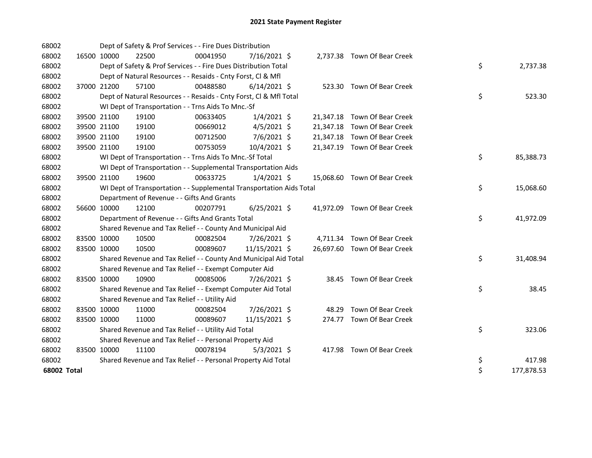| 68002       |             |             | Dept of Safety & Prof Services - - Fire Dues Distribution            |          |                |  |                              |    |            |
|-------------|-------------|-------------|----------------------------------------------------------------------|----------|----------------|--|------------------------------|----|------------|
| 68002       | 16500 10000 |             | 22500                                                                | 00041950 | 7/16/2021 \$   |  | 2,737.38 Town Of Bear Creek  |    |            |
| 68002       |             |             | Dept of Safety & Prof Services - - Fire Dues Distribution Total      |          |                |  |                              | \$ | 2,737.38   |
| 68002       |             |             | Dept of Natural Resources - - Resaids - Cnty Forst, Cl & Mfl         |          |                |  |                              |    |            |
| 68002       |             | 37000 21200 | 57100                                                                | 00488580 | $6/14/2021$ \$ |  | 523.30 Town Of Bear Creek    |    |            |
| 68002       |             |             | Dept of Natural Resources - - Resaids - Cnty Forst, CI & Mfl Total   |          |                |  |                              | \$ | 523.30     |
| 68002       |             |             | WI Dept of Transportation - - Trns Aids To Mnc.-Sf                   |          |                |  |                              |    |            |
| 68002       |             | 39500 21100 | 19100                                                                | 00633405 | $1/4/2021$ \$  |  | 21,347.18 Town Of Bear Creek |    |            |
| 68002       |             | 39500 21100 | 19100                                                                | 00669012 | $4/5/2021$ \$  |  | 21,347.18 Town Of Bear Creek |    |            |
| 68002       |             | 39500 21100 | 19100                                                                | 00712500 | 7/6/2021 \$    |  | 21,347.18 Town Of Bear Creek |    |            |
| 68002       |             | 39500 21100 | 19100                                                                | 00753059 | 10/4/2021 \$   |  | 21,347.19 Town Of Bear Creek |    |            |
| 68002       |             |             | WI Dept of Transportation - - Trns Aids To Mnc.-Sf Total             |          |                |  |                              | \$ | 85,388.73  |
| 68002       |             |             | WI Dept of Transportation - - Supplemental Transportation Aids       |          |                |  |                              |    |            |
| 68002       |             | 39500 21100 | 19600                                                                | 00633725 | $1/4/2021$ \$  |  | 15,068.60 Town Of Bear Creek |    |            |
| 68002       |             |             | WI Dept of Transportation - - Supplemental Transportation Aids Total |          |                |  |                              | \$ | 15,068.60  |
| 68002       |             |             | Department of Revenue - - Gifts And Grants                           |          |                |  |                              |    |            |
| 68002       |             | 56600 10000 | 12100                                                                | 00207791 | $6/25/2021$ \$ |  | 41,972.09 Town Of Bear Creek |    |            |
| 68002       |             |             | Department of Revenue - - Gifts And Grants Total                     |          |                |  |                              | \$ | 41,972.09  |
| 68002       |             |             | Shared Revenue and Tax Relief - - County And Municipal Aid           |          |                |  |                              |    |            |
| 68002       |             | 83500 10000 | 10500                                                                | 00082504 | 7/26/2021 \$   |  | 4,711.34 Town Of Bear Creek  |    |            |
| 68002       |             | 83500 10000 | 10500                                                                | 00089607 | 11/15/2021 \$  |  | 26,697.60 Town Of Bear Creek |    |            |
| 68002       |             |             | Shared Revenue and Tax Relief - - County And Municipal Aid Total     |          |                |  |                              | \$ | 31,408.94  |
| 68002       |             |             | Shared Revenue and Tax Relief - - Exempt Computer Aid                |          |                |  |                              |    |            |
| 68002       |             | 83500 10000 | 10900                                                                | 00085006 | 7/26/2021 \$   |  | 38.45 Town Of Bear Creek     |    |            |
| 68002       |             |             | Shared Revenue and Tax Relief - - Exempt Computer Aid Total          |          |                |  |                              | \$ | 38.45      |
| 68002       |             |             | Shared Revenue and Tax Relief - - Utility Aid                        |          |                |  |                              |    |            |
| 68002       |             | 83500 10000 | 11000                                                                | 00082504 | 7/26/2021 \$   |  | 48.29 Town Of Bear Creek     |    |            |
| 68002       |             | 83500 10000 | 11000                                                                | 00089607 | 11/15/2021 \$  |  | 274.77 Town Of Bear Creek    |    |            |
| 68002       |             |             | Shared Revenue and Tax Relief - - Utility Aid Total                  |          |                |  |                              | \$ | 323.06     |
| 68002       |             |             | Shared Revenue and Tax Relief - - Personal Property Aid              |          |                |  |                              |    |            |
| 68002       | 83500 10000 |             | 11100                                                                | 00078194 | $5/3/2021$ \$  |  | 417.98 Town Of Bear Creek    |    |            |
| 68002       |             |             | Shared Revenue and Tax Relief - - Personal Property Aid Total        |          |                |  |                              | \$ | 417.98     |
| 68002 Total |             |             |                                                                      |          |                |  |                              | \$ | 177,878.53 |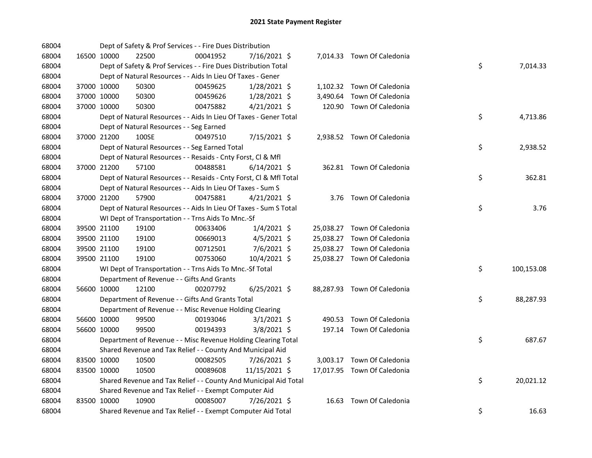| 68004 |             |             | Dept of Safety & Prof Services - - Fire Dues Distribution          |          |                |  |                             |    |            |
|-------|-------------|-------------|--------------------------------------------------------------------|----------|----------------|--|-----------------------------|----|------------|
| 68004 |             | 16500 10000 | 22500                                                              | 00041952 | 7/16/2021 \$   |  | 7,014.33 Town Of Caledonia  |    |            |
| 68004 |             |             | Dept of Safety & Prof Services - - Fire Dues Distribution Total    |          |                |  |                             | \$ | 7,014.33   |
| 68004 |             |             | Dept of Natural Resources - - Aids In Lieu Of Taxes - Gener        |          |                |  |                             |    |            |
| 68004 |             | 37000 10000 | 50300                                                              | 00459625 | $1/28/2021$ \$ |  | 1,102.32 Town Of Caledonia  |    |            |
| 68004 |             | 37000 10000 | 50300                                                              | 00459626 | 1/28/2021 \$   |  | 3,490.64 Town Of Caledonia  |    |            |
| 68004 | 37000 10000 |             | 50300                                                              | 00475882 | $4/21/2021$ \$ |  | 120.90 Town Of Caledonia    |    |            |
| 68004 |             |             | Dept of Natural Resources - - Aids In Lieu Of Taxes - Gener Total  |          |                |  |                             | \$ | 4,713.86   |
| 68004 |             |             | Dept of Natural Resources - - Seg Earned                           |          |                |  |                             |    |            |
| 68004 |             | 37000 21200 | 100SE                                                              | 00497510 | 7/15/2021 \$   |  | 2,938.52 Town Of Caledonia  |    |            |
| 68004 |             |             | Dept of Natural Resources - - Seg Earned Total                     |          |                |  |                             | \$ | 2,938.52   |
| 68004 |             |             | Dept of Natural Resources - - Resaids - Cnty Forst, Cl & Mfl       |          |                |  |                             |    |            |
| 68004 |             | 37000 21200 | 57100                                                              | 00488581 | $6/14/2021$ \$ |  | 362.81 Town Of Caledonia    |    |            |
| 68004 |             |             | Dept of Natural Resources - - Resaids - Cnty Forst, Cl & Mfl Total |          |                |  |                             | \$ | 362.81     |
| 68004 |             |             | Dept of Natural Resources - - Aids In Lieu Of Taxes - Sum S        |          |                |  |                             |    |            |
| 68004 | 37000 21200 |             | 57900                                                              | 00475881 | $4/21/2021$ \$ |  | 3.76 Town Of Caledonia      |    |            |
| 68004 |             |             | Dept of Natural Resources - - Aids In Lieu Of Taxes - Sum S Total  |          |                |  |                             | \$ | 3.76       |
| 68004 |             |             | WI Dept of Transportation - - Trns Aids To Mnc.-Sf                 |          |                |  |                             |    |            |
| 68004 |             | 39500 21100 | 19100                                                              | 00633406 | $1/4/2021$ \$  |  | 25,038.27 Town Of Caledonia |    |            |
| 68004 |             | 39500 21100 | 19100                                                              | 00669013 | $4/5/2021$ \$  |  | 25,038.27 Town Of Caledonia |    |            |
| 68004 |             | 39500 21100 | 19100                                                              | 00712501 | 7/6/2021 \$    |  | 25,038.27 Town Of Caledonia |    |            |
| 68004 |             | 39500 21100 | 19100                                                              | 00753060 | 10/4/2021 \$   |  | 25,038.27 Town Of Caledonia |    |            |
| 68004 |             |             | WI Dept of Transportation - - Trns Aids To Mnc.-Sf Total           |          |                |  |                             | \$ | 100,153.08 |
| 68004 |             |             | Department of Revenue - - Gifts And Grants                         |          |                |  |                             |    |            |
| 68004 |             | 56600 10000 | 12100                                                              | 00207792 | $6/25/2021$ \$ |  | 88,287.93 Town Of Caledonia |    |            |
| 68004 |             |             | Department of Revenue - - Gifts And Grants Total                   |          |                |  |                             | \$ | 88,287.93  |
| 68004 |             |             | Department of Revenue - - Misc Revenue Holding Clearing            |          |                |  |                             |    |            |
| 68004 |             | 56600 10000 | 99500                                                              | 00193046 | $3/1/2021$ \$  |  | 490.53 Town Of Caledonia    |    |            |
| 68004 |             | 56600 10000 | 99500                                                              | 00194393 | $3/8/2021$ \$  |  | 197.14 Town Of Caledonia    |    |            |
| 68004 |             |             | Department of Revenue - - Misc Revenue Holding Clearing Total      |          |                |  |                             | \$ | 687.67     |
| 68004 |             |             | Shared Revenue and Tax Relief - - County And Municipal Aid         |          |                |  |                             |    |            |
| 68004 |             | 83500 10000 | 10500                                                              | 00082505 | 7/26/2021 \$   |  | 3,003.17 Town Of Caledonia  |    |            |
| 68004 |             | 83500 10000 | 10500                                                              | 00089608 | 11/15/2021 \$  |  | 17,017.95 Town Of Caledonia |    |            |
| 68004 |             |             | Shared Revenue and Tax Relief - - County And Municipal Aid Total   |          |                |  |                             | \$ | 20,021.12  |
| 68004 |             |             | Shared Revenue and Tax Relief - - Exempt Computer Aid              |          |                |  |                             |    |            |
| 68004 |             | 83500 10000 | 10900                                                              | 00085007 | 7/26/2021 \$   |  | 16.63 Town Of Caledonia     |    |            |
| 68004 |             |             | Shared Revenue and Tax Relief - - Exempt Computer Aid Total        |          |                |  |                             | \$ | 16.63      |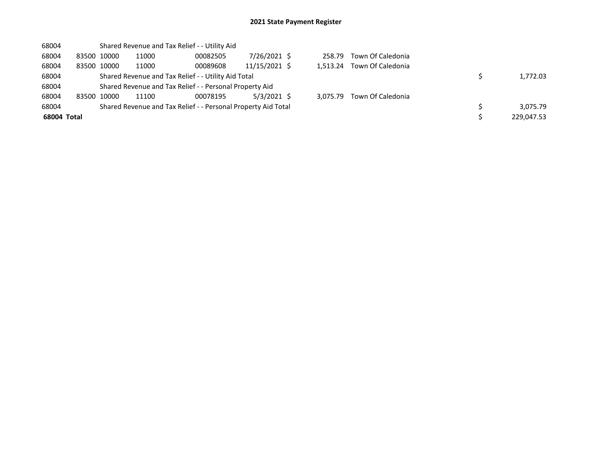| 68004       |             | Shared Revenue and Tax Relief - - Utility Aid |                                                               |               |  |          |                   |  |            |  |  |  |
|-------------|-------------|-----------------------------------------------|---------------------------------------------------------------|---------------|--|----------|-------------------|--|------------|--|--|--|
| 68004       | 83500 10000 | 11000                                         | 00082505                                                      | 7/26/2021 \$  |  | 258.79   | Town Of Caledonia |  |            |  |  |  |
| 68004       | 83500 10000 | 11000                                         | 00089608                                                      | 11/15/2021 \$ |  | 1.513.24 | Town Of Caledonia |  |            |  |  |  |
| 68004       |             |                                               | Shared Revenue and Tax Relief - - Utility Aid Total           |               |  | 1,772.03 |                   |  |            |  |  |  |
| 68004       |             |                                               | Shared Revenue and Tax Relief - - Personal Property Aid       |               |  |          |                   |  |            |  |  |  |
| 68004       | 83500 10000 | 11100                                         | 00078195                                                      | $5/3/2021$ \$ |  | 3.075.79 | Town Of Caledonia |  |            |  |  |  |
| 68004       |             |                                               | Shared Revenue and Tax Relief - - Personal Property Aid Total |               |  |          |                   |  | 3.075.79   |  |  |  |
| 68004 Total |             |                                               |                                                               |               |  |          |                   |  | 229.047.53 |  |  |  |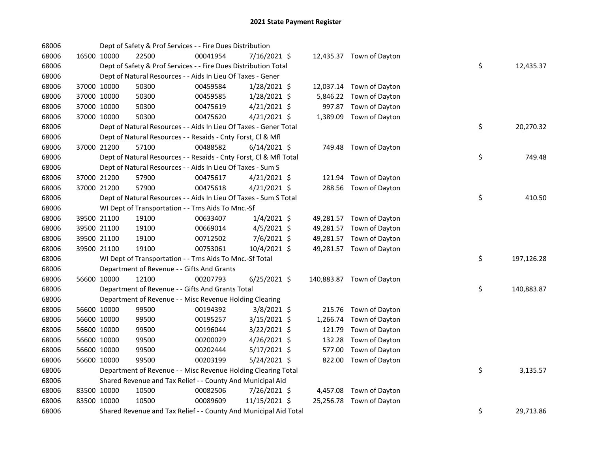| 68006 |             | Dept of Safety & Prof Services - - Fire Dues Distribution          |          |                |          |                           |    |            |
|-------|-------------|--------------------------------------------------------------------|----------|----------------|----------|---------------------------|----|------------|
| 68006 | 16500 10000 | 22500                                                              | 00041954 | 7/16/2021 \$   |          | 12,435.37 Town of Dayton  |    |            |
| 68006 |             | Dept of Safety & Prof Services - - Fire Dues Distribution Total    |          |                |          |                           | \$ | 12,435.37  |
| 68006 |             | Dept of Natural Resources - - Aids In Lieu Of Taxes - Gener        |          |                |          |                           |    |            |
| 68006 | 37000 10000 | 50300                                                              | 00459584 | 1/28/2021 \$   |          | 12,037.14 Town of Dayton  |    |            |
| 68006 | 37000 10000 | 50300                                                              | 00459585 | 1/28/2021 \$   |          | 5,846.22 Town of Dayton   |    |            |
| 68006 | 37000 10000 | 50300                                                              | 00475619 | $4/21/2021$ \$ |          | 997.87 Town of Dayton     |    |            |
| 68006 | 37000 10000 | 50300                                                              | 00475620 | $4/21/2021$ \$ |          | 1,389.09 Town of Dayton   |    |            |
| 68006 |             | Dept of Natural Resources - - Aids In Lieu Of Taxes - Gener Total  |          |                |          |                           | \$ | 20,270.32  |
| 68006 |             | Dept of Natural Resources - - Resaids - Cnty Forst, Cl & Mfl       |          |                |          |                           |    |            |
| 68006 | 37000 21200 | 57100                                                              | 00488582 | $6/14/2021$ \$ |          | 749.48 Town of Dayton     |    |            |
| 68006 |             | Dept of Natural Resources - - Resaids - Cnty Forst, Cl & Mfl Total |          |                |          |                           | \$ | 749.48     |
| 68006 |             | Dept of Natural Resources - - Aids In Lieu Of Taxes - Sum S        |          |                |          |                           |    |            |
| 68006 | 37000 21200 | 57900                                                              | 00475617 | $4/21/2021$ \$ |          | 121.94 Town of Dayton     |    |            |
| 68006 | 37000 21200 | 57900                                                              | 00475618 | $4/21/2021$ \$ |          | 288.56 Town of Dayton     |    |            |
| 68006 |             | Dept of Natural Resources - - Aids In Lieu Of Taxes - Sum S Total  |          |                |          |                           | \$ | 410.50     |
| 68006 |             | WI Dept of Transportation - - Trns Aids To Mnc.-Sf                 |          |                |          |                           |    |            |
| 68006 | 39500 21100 | 19100                                                              | 00633407 | $1/4/2021$ \$  |          | 49,281.57 Town of Dayton  |    |            |
| 68006 | 39500 21100 | 19100                                                              | 00669014 | $4/5/2021$ \$  |          | 49,281.57 Town of Dayton  |    |            |
| 68006 | 39500 21100 | 19100                                                              | 00712502 | 7/6/2021 \$    |          | 49,281.57 Town of Dayton  |    |            |
| 68006 | 39500 21100 | 19100                                                              | 00753061 | 10/4/2021 \$   |          | 49,281.57 Town of Dayton  |    |            |
| 68006 |             | WI Dept of Transportation - - Trns Aids To Mnc.-Sf Total           |          |                |          |                           | \$ | 197,126.28 |
| 68006 |             | Department of Revenue - - Gifts And Grants                         |          |                |          |                           |    |            |
| 68006 | 56600 10000 | 12100                                                              | 00207793 | $6/25/2021$ \$ |          | 140,883.87 Town of Dayton |    |            |
| 68006 |             | Department of Revenue - - Gifts And Grants Total                   |          |                |          |                           | \$ | 140,883.87 |
| 68006 |             | Department of Revenue - - Misc Revenue Holding Clearing            |          |                |          |                           |    |            |
| 68006 | 56600 10000 | 99500                                                              | 00194392 | 3/8/2021 \$    |          | 215.76 Town of Dayton     |    |            |
| 68006 | 56600 10000 | 99500                                                              | 00195257 | $3/15/2021$ \$ | 1,266.74 | Town of Dayton            |    |            |
| 68006 | 56600 10000 | 99500                                                              | 00196044 | $3/22/2021$ \$ | 121.79   | Town of Dayton            |    |            |
| 68006 | 56600 10000 | 99500                                                              | 00200029 | $4/26/2021$ \$ | 132.28   | Town of Dayton            |    |            |
| 68006 | 56600 10000 | 99500                                                              | 00202444 | 5/17/2021 \$   | 577.00   | Town of Dayton            |    |            |
| 68006 | 56600 10000 | 99500                                                              | 00203199 | $5/24/2021$ \$ |          | 822.00 Town of Dayton     |    |            |
| 68006 |             | Department of Revenue - - Misc Revenue Holding Clearing Total      |          |                |          |                           | \$ | 3,135.57   |
| 68006 |             | Shared Revenue and Tax Relief - - County And Municipal Aid         |          |                |          |                           |    |            |
| 68006 | 83500 10000 | 10500                                                              | 00082506 | 7/26/2021 \$   |          | 4,457.08 Town of Dayton   |    |            |
| 68006 | 83500 10000 | 10500                                                              | 00089609 | 11/15/2021 \$  |          | 25,256.78 Town of Dayton  |    |            |
| 68006 |             | Shared Revenue and Tax Relief - - County And Municipal Aid Total   |          |                |          |                           | \$ | 29,713.86  |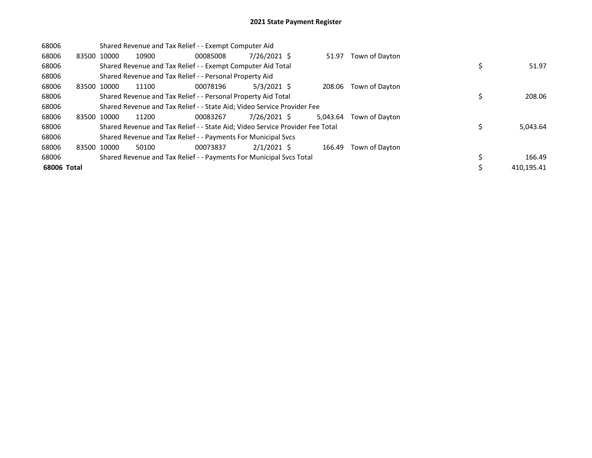| 68006       |             | Shared Revenue and Tax Relief - - Exempt Computer Aid |       |                                                                               |               |          |                |  |            |  |
|-------------|-------------|-------------------------------------------------------|-------|-------------------------------------------------------------------------------|---------------|----------|----------------|--|------------|--|
| 68006       | 83500 10000 |                                                       | 10900 | 00085008                                                                      | 7/26/2021 \$  | 51.97    | Town of Dayton |  |            |  |
| 68006       |             |                                                       |       | Shared Revenue and Tax Relief - - Exempt Computer Aid Total                   |               |          |                |  | 51.97      |  |
| 68006       |             |                                                       |       | Shared Revenue and Tax Relief - - Personal Property Aid                       |               |          |                |  |            |  |
| 68006       | 83500 10000 |                                                       | 11100 | 00078196                                                                      | $5/3/2021$ \$ | 208.06   | Town of Dayton |  |            |  |
| 68006       |             |                                                       |       | Shared Revenue and Tax Relief - - Personal Property Aid Total                 |               |          |                |  | 208.06     |  |
| 68006       |             |                                                       |       | Shared Revenue and Tax Relief - - State Aid; Video Service Provider Fee       |               |          |                |  |            |  |
| 68006       | 83500 10000 |                                                       | 11200 | 00083267                                                                      | 7/26/2021 \$  | 5.043.64 | Town of Davton |  |            |  |
| 68006       |             |                                                       |       | Shared Revenue and Tax Relief - - State Aid; Video Service Provider Fee Total |               |          |                |  | 5,043.64   |  |
| 68006       |             |                                                       |       | Shared Revenue and Tax Relief - - Payments For Municipal Svcs                 |               |          |                |  |            |  |
| 68006       | 83500 10000 |                                                       | 50100 | 00073837                                                                      | $2/1/2021$ \$ | 166.49   | Town of Dayton |  |            |  |
| 68006       |             |                                                       |       | Shared Revenue and Tax Relief - - Payments For Municipal Svcs Total           |               |          |                |  | 166.49     |  |
| 68006 Total |             |                                                       |       |                                                                               |               |          |                |  | 410.195.41 |  |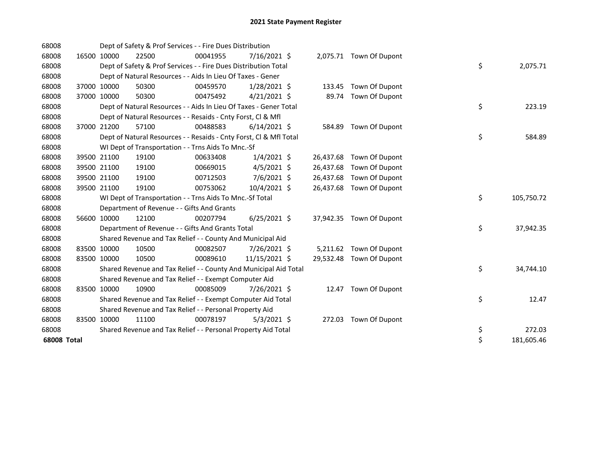| 68008       |             | Dept of Safety & Prof Services - - Fire Dues Distribution          |          |                |           |                          |    |            |
|-------------|-------------|--------------------------------------------------------------------|----------|----------------|-----------|--------------------------|----|------------|
| 68008       | 16500 10000 | 22500                                                              | 00041955 | $7/16/2021$ \$ |           | 2,075.71 Town Of Dupont  |    |            |
| 68008       |             | Dept of Safety & Prof Services - - Fire Dues Distribution Total    |          |                |           |                          | \$ | 2,075.71   |
| 68008       |             | Dept of Natural Resources - - Aids In Lieu Of Taxes - Gener        |          |                |           |                          |    |            |
| 68008       | 37000 10000 | 50300                                                              | 00459570 | $1/28/2021$ \$ | 133.45    | Town Of Dupont           |    |            |
| 68008       | 37000 10000 | 50300                                                              | 00475492 | $4/21/2021$ \$ | 89.74     | Town Of Dupont           |    |            |
| 68008       |             | Dept of Natural Resources - - Aids In Lieu Of Taxes - Gener Total  |          |                |           |                          | \$ | 223.19     |
| 68008       |             | Dept of Natural Resources - - Resaids - Cnty Forst, Cl & Mfl       |          |                |           |                          |    |            |
| 68008       | 37000 21200 | 57100                                                              | 00488583 | $6/14/2021$ \$ | 584.89    | Town Of Dupont           |    |            |
| 68008       |             | Dept of Natural Resources - - Resaids - Cnty Forst, Cl & Mfl Total |          |                |           |                          | \$ | 584.89     |
| 68008       |             | WI Dept of Transportation - - Trns Aids To Mnc.-Sf                 |          |                |           |                          |    |            |
| 68008       | 39500 21100 | 19100                                                              | 00633408 | $1/4/2021$ \$  |           | 26,437.68 Town Of Dupont |    |            |
| 68008       | 39500 21100 | 19100                                                              | 00669015 | $4/5/2021$ \$  | 26,437.68 | Town Of Dupont           |    |            |
| 68008       | 39500 21100 | 19100                                                              | 00712503 | 7/6/2021 \$    | 26,437.68 | Town Of Dupont           |    |            |
| 68008       | 39500 21100 | 19100                                                              | 00753062 | 10/4/2021 \$   | 26,437.68 | Town Of Dupont           |    |            |
| 68008       |             | WI Dept of Transportation - - Trns Aids To Mnc.-Sf Total           |          |                |           |                          | \$ | 105,750.72 |
| 68008       |             | Department of Revenue - - Gifts And Grants                         |          |                |           |                          |    |            |
| 68008       | 56600 10000 | 12100                                                              | 00207794 | $6/25/2021$ \$ |           | 37,942.35 Town Of Dupont |    |            |
| 68008       |             | Department of Revenue - - Gifts And Grants Total                   |          |                |           |                          | \$ | 37,942.35  |
| 68008       |             | Shared Revenue and Tax Relief - - County And Municipal Aid         |          |                |           |                          |    |            |
| 68008       | 83500 10000 | 10500                                                              | 00082507 | 7/26/2021 \$   | 5,211.62  | Town Of Dupont           |    |            |
| 68008       | 83500 10000 | 10500                                                              | 00089610 | 11/15/2021 \$  | 29,532.48 | Town Of Dupont           |    |            |
| 68008       |             | Shared Revenue and Tax Relief - - County And Municipal Aid Total   |          |                |           |                          | \$ | 34,744.10  |
| 68008       |             | Shared Revenue and Tax Relief - - Exempt Computer Aid              |          |                |           |                          |    |            |
| 68008       | 83500 10000 | 10900                                                              | 00085009 | 7/26/2021 \$   |           | 12.47 Town Of Dupont     |    |            |
| 68008       |             | Shared Revenue and Tax Relief - - Exempt Computer Aid Total        |          |                |           |                          | \$ | 12.47      |
| 68008       |             | Shared Revenue and Tax Relief - - Personal Property Aid            |          |                |           |                          |    |            |
| 68008       | 83500 10000 | 11100                                                              | 00078197 | $5/3/2021$ \$  |           | 272.03 Town Of Dupont    |    |            |
| 68008       |             | Shared Revenue and Tax Relief - - Personal Property Aid Total      |          |                |           |                          | \$ | 272.03     |
| 68008 Total |             |                                                                    |          |                |           |                          | \$ | 181,605.46 |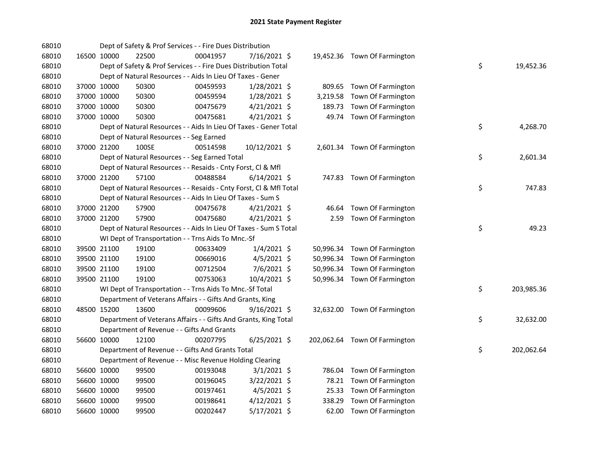| 68010 |             | Dept of Safety & Prof Services - - Fire Dues Distribution          |          |                |           |                               |    |            |
|-------|-------------|--------------------------------------------------------------------|----------|----------------|-----------|-------------------------------|----|------------|
| 68010 | 16500 10000 | 22500                                                              | 00041957 | 7/16/2021 \$   |           | 19,452.36 Town Of Farmington  |    |            |
| 68010 |             | Dept of Safety & Prof Services - - Fire Dues Distribution Total    |          |                |           |                               | \$ | 19,452.36  |
| 68010 |             | Dept of Natural Resources - - Aids In Lieu Of Taxes - Gener        |          |                |           |                               |    |            |
| 68010 | 37000 10000 | 50300                                                              | 00459593 | 1/28/2021 \$   |           | 809.65 Town Of Farmington     |    |            |
| 68010 | 37000 10000 | 50300                                                              | 00459594 | 1/28/2021 \$   |           | 3,219.58 Town Of Farmington   |    |            |
| 68010 | 37000 10000 | 50300                                                              | 00475679 | $4/21/2021$ \$ | 189.73    | Town Of Farmington            |    |            |
| 68010 | 37000 10000 | 50300                                                              | 00475681 | 4/21/2021 \$   |           | 49.74 Town Of Farmington      |    |            |
| 68010 |             | Dept of Natural Resources - - Aids In Lieu Of Taxes - Gener Total  |          |                |           |                               | \$ | 4,268.70   |
| 68010 |             | Dept of Natural Resources - - Seg Earned                           |          |                |           |                               |    |            |
| 68010 | 37000 21200 | 100SE                                                              | 00514598 | 10/12/2021 \$  |           | 2,601.34 Town Of Farmington   |    |            |
| 68010 |             | Dept of Natural Resources - - Seg Earned Total                     |          |                |           |                               | \$ | 2,601.34   |
| 68010 |             | Dept of Natural Resources - - Resaids - Cnty Forst, Cl & Mfl       |          |                |           |                               |    |            |
| 68010 | 37000 21200 | 57100                                                              | 00488584 | $6/14/2021$ \$ |           | 747.83 Town Of Farmington     |    |            |
| 68010 |             | Dept of Natural Resources - - Resaids - Cnty Forst, Cl & Mfl Total |          |                |           |                               | \$ | 747.83     |
| 68010 |             | Dept of Natural Resources - - Aids In Lieu Of Taxes - Sum S        |          |                |           |                               |    |            |
| 68010 | 37000 21200 | 57900                                                              | 00475678 | $4/21/2021$ \$ | 46.64     | Town Of Farmington            |    |            |
| 68010 | 37000 21200 | 57900                                                              | 00475680 | $4/21/2021$ \$ | 2.59      | Town Of Farmington            |    |            |
| 68010 |             | Dept of Natural Resources - - Aids In Lieu Of Taxes - Sum S Total  |          |                |           |                               | \$ | 49.23      |
| 68010 |             | WI Dept of Transportation - - Trns Aids To Mnc.-Sf                 |          |                |           |                               |    |            |
| 68010 | 39500 21100 | 19100                                                              | 00633409 | $1/4/2021$ \$  |           | 50,996.34 Town Of Farmington  |    |            |
| 68010 | 39500 21100 | 19100                                                              | 00669016 | $4/5/2021$ \$  | 50,996.34 | Town Of Farmington            |    |            |
| 68010 | 39500 21100 | 19100                                                              | 00712504 | 7/6/2021 \$    | 50,996.34 | Town Of Farmington            |    |            |
| 68010 | 39500 21100 | 19100                                                              | 00753063 | $10/4/2021$ \$ |           | 50,996.34 Town Of Farmington  |    |            |
| 68010 |             | WI Dept of Transportation - - Trns Aids To Mnc.-Sf Total           |          |                |           |                               | \$ | 203,985.36 |
| 68010 |             | Department of Veterans Affairs - - Gifts And Grants, King          |          |                |           |                               |    |            |
| 68010 | 48500 15200 | 13600                                                              | 00099606 | $9/16/2021$ \$ |           | 32,632.00 Town Of Farmington  |    |            |
| 68010 |             | Department of Veterans Affairs - - Gifts And Grants, King Total    |          |                |           |                               | \$ | 32,632.00  |
| 68010 |             | Department of Revenue - - Gifts And Grants                         |          |                |           |                               |    |            |
| 68010 | 56600 10000 | 12100                                                              | 00207795 | $6/25/2021$ \$ |           | 202,062.64 Town Of Farmington |    |            |
| 68010 |             | Department of Revenue - - Gifts And Grants Total                   |          |                |           |                               | \$ | 202,062.64 |
| 68010 |             | Department of Revenue - - Misc Revenue Holding Clearing            |          |                |           |                               |    |            |
| 68010 | 56600 10000 | 99500                                                              | 00193048 | $3/1/2021$ \$  |           | 786.04 Town Of Farmington     |    |            |
| 68010 | 56600 10000 | 99500                                                              | 00196045 | 3/22/2021 \$   |           | 78.21 Town Of Farmington      |    |            |
| 68010 | 56600 10000 | 99500                                                              | 00197461 | $4/5/2021$ \$  |           | 25.33 Town Of Farmington      |    |            |
| 68010 | 56600 10000 | 99500                                                              | 00198641 | $4/12/2021$ \$ |           | 338.29 Town Of Farmington     |    |            |
| 68010 | 56600 10000 | 99500                                                              | 00202447 | 5/17/2021 \$   |           | 62.00 Town Of Farmington      |    |            |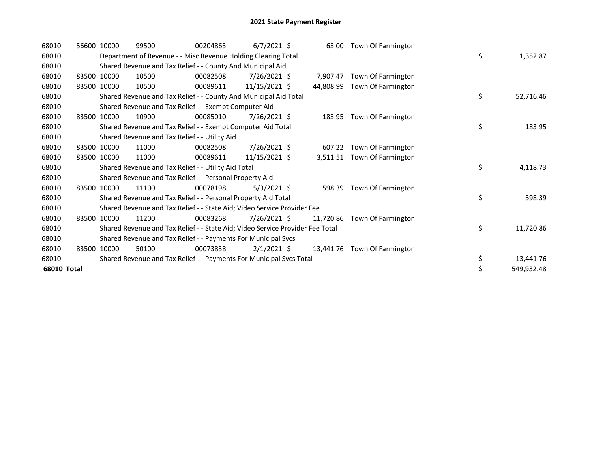| 68010       |       | 56600 10000 | 99500                                                                         | 00204863 | $6/7/2021$ \$ | 63.00     | Town Of Farmington           |    |            |
|-------------|-------|-------------|-------------------------------------------------------------------------------|----------|---------------|-----------|------------------------------|----|------------|
| 68010       |       |             | Department of Revenue - - Misc Revenue Holding Clearing Total                 |          |               |           |                              | \$ | 1,352.87   |
| 68010       |       |             | Shared Revenue and Tax Relief - - County And Municipal Aid                    |          |               |           |                              |    |            |
| 68010       |       | 83500 10000 | 10500                                                                         | 00082508 | 7/26/2021 \$  | 7.907.47  | Town Of Farmington           |    |            |
| 68010       | 83500 | 10000       | 10500                                                                         | 00089611 | 11/15/2021 \$ | 44,808.99 | Town Of Farmington           |    |            |
| 68010       |       |             | Shared Revenue and Tax Relief - - County And Municipal Aid Total              |          |               |           |                              | \$ | 52,716.46  |
| 68010       |       |             | Shared Revenue and Tax Relief - - Exempt Computer Aid                         |          |               |           |                              |    |            |
| 68010       | 83500 | 10000       | 10900                                                                         | 00085010 | 7/26/2021 \$  | 183.95    | Town Of Farmington           |    |            |
| 68010       |       |             | Shared Revenue and Tax Relief - - Exempt Computer Aid Total                   |          |               |           |                              | \$ | 183.95     |
| 68010       |       |             | Shared Revenue and Tax Relief - - Utility Aid                                 |          |               |           |                              |    |            |
| 68010       |       | 83500 10000 | 11000                                                                         | 00082508 | 7/26/2021 \$  | 607.22    | Town Of Farmington           |    |            |
| 68010       |       | 83500 10000 | 11000                                                                         | 00089611 | 11/15/2021 \$ | 3,511.51  | Town Of Farmington           |    |            |
| 68010       |       |             | Shared Revenue and Tax Relief - - Utility Aid Total                           |          |               |           |                              | \$ | 4,118.73   |
| 68010       |       |             | Shared Revenue and Tax Relief - - Personal Property Aid                       |          |               |           |                              |    |            |
| 68010       | 83500 | 10000       | 11100                                                                         | 00078198 | $5/3/2021$ \$ | 598.39    | Town Of Farmington           |    |            |
| 68010       |       |             | Shared Revenue and Tax Relief - - Personal Property Aid Total                 |          |               |           |                              | \$ | 598.39     |
| 68010       |       |             | Shared Revenue and Tax Relief - - State Aid; Video Service Provider Fee       |          |               |           |                              |    |            |
| 68010       | 83500 | 10000       | 11200                                                                         | 00083268 | 7/26/2021 \$  | 11,720.86 | Town Of Farmington           |    |            |
| 68010       |       |             | Shared Revenue and Tax Relief - - State Aid; Video Service Provider Fee Total |          |               |           |                              | \$ | 11,720.86  |
| 68010       |       |             | Shared Revenue and Tax Relief - - Payments For Municipal Svcs                 |          |               |           |                              |    |            |
| 68010       | 83500 | 10000       | 50100                                                                         | 00073838 | $2/1/2021$ \$ |           | 13,441.76 Town Of Farmington |    |            |
| 68010       |       |             | Shared Revenue and Tax Relief - - Payments For Municipal Svcs Total           |          |               |           |                              | \$ | 13,441.76  |
| 68010 Total |       |             |                                                                               |          |               |           |                              | \$ | 549,932.48 |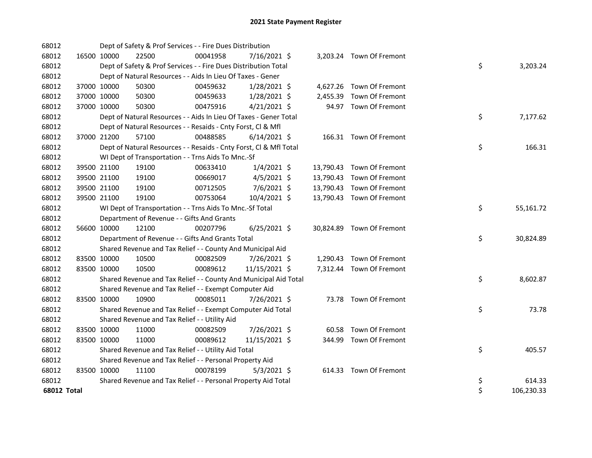| 68012              |             | Dept of Safety & Prof Services - - Fire Dues Distribution          |          |                |          |                           |    |            |
|--------------------|-------------|--------------------------------------------------------------------|----------|----------------|----------|---------------------------|----|------------|
| 68012              | 16500 10000 | 22500                                                              | 00041958 | 7/16/2021 \$   |          | 3,203.24 Town Of Fremont  |    |            |
| 68012              |             | Dept of Safety & Prof Services - - Fire Dues Distribution Total    |          |                |          |                           | \$ | 3,203.24   |
| 68012              |             | Dept of Natural Resources - - Aids In Lieu Of Taxes - Gener        |          |                |          |                           |    |            |
| 68012              | 37000 10000 | 50300                                                              | 00459632 | $1/28/2021$ \$ |          | 4,627.26 Town Of Fremont  |    |            |
| 68012              | 37000 10000 | 50300                                                              | 00459633 | 1/28/2021 \$   | 2,455.39 | Town Of Fremont           |    |            |
| 68012              | 37000 10000 | 50300                                                              | 00475916 | $4/21/2021$ \$ |          | 94.97 Town Of Fremont     |    |            |
| 68012              |             | Dept of Natural Resources - - Aids In Lieu Of Taxes - Gener Total  |          |                |          |                           | \$ | 7,177.62   |
| 68012              |             | Dept of Natural Resources - - Resaids - Cnty Forst, Cl & Mfl       |          |                |          |                           |    |            |
| 68012              | 37000 21200 | 57100                                                              | 00488585 | $6/14/2021$ \$ |          | 166.31 Town Of Fremont    |    |            |
| 68012              |             | Dept of Natural Resources - - Resaids - Cnty Forst, Cl & Mfl Total |          |                |          |                           | \$ | 166.31     |
| 68012              |             | WI Dept of Transportation - - Trns Aids To Mnc.-Sf                 |          |                |          |                           |    |            |
| 68012              | 39500 21100 | 19100                                                              | 00633410 | $1/4/2021$ \$  |          | 13,790.43 Town Of Fremont |    |            |
| 68012              | 39500 21100 | 19100                                                              | 00669017 | $4/5/2021$ \$  |          | 13,790.43 Town Of Fremont |    |            |
| 68012              | 39500 21100 | 19100                                                              | 00712505 | 7/6/2021 \$    |          | 13,790.43 Town Of Fremont |    |            |
| 68012              | 39500 21100 | 19100                                                              | 00753064 | 10/4/2021 \$   |          | 13,790.43 Town Of Fremont |    |            |
| 68012              |             | WI Dept of Transportation - - Trns Aids To Mnc.-Sf Total           |          |                |          |                           | \$ | 55,161.72  |
| 68012              |             | Department of Revenue - - Gifts And Grants                         |          |                |          |                           |    |            |
| 68012              | 56600 10000 | 12100                                                              | 00207796 | $6/25/2021$ \$ |          | 30,824.89 Town Of Fremont |    |            |
| 68012              |             | Department of Revenue - - Gifts And Grants Total                   |          |                |          |                           | \$ | 30,824.89  |
| 68012              |             | Shared Revenue and Tax Relief - - County And Municipal Aid         |          |                |          |                           |    |            |
| 68012              | 83500 10000 | 10500                                                              | 00082509 | 7/26/2021 \$   |          | 1,290.43 Town Of Fremont  |    |            |
| 68012              | 83500 10000 | 10500                                                              | 00089612 | 11/15/2021 \$  |          | 7,312.44 Town Of Fremont  |    |            |
| 68012              |             | Shared Revenue and Tax Relief - - County And Municipal Aid Total   |          |                |          |                           | \$ | 8,602.87   |
| 68012              |             | Shared Revenue and Tax Relief - - Exempt Computer Aid              |          |                |          |                           |    |            |
| 68012              | 83500 10000 | 10900                                                              | 00085011 | 7/26/2021 \$   |          | 73.78 Town Of Fremont     |    |            |
| 68012              |             | Shared Revenue and Tax Relief - - Exempt Computer Aid Total        |          |                |          |                           | \$ | 73.78      |
| 68012              |             | Shared Revenue and Tax Relief - - Utility Aid                      |          |                |          |                           |    |            |
| 68012              | 83500 10000 | 11000                                                              | 00082509 | 7/26/2021 \$   | 60.58    | <b>Town Of Fremont</b>    |    |            |
| 68012              | 83500 10000 | 11000                                                              | 00089612 | 11/15/2021 \$  |          | 344.99 Town Of Fremont    |    |            |
| 68012              |             | Shared Revenue and Tax Relief - - Utility Aid Total                |          |                |          |                           | \$ | 405.57     |
| 68012              |             | Shared Revenue and Tax Relief - - Personal Property Aid            |          |                |          |                           |    |            |
| 68012              | 83500 10000 | 11100                                                              | 00078199 | $5/3/2021$ \$  |          | 614.33 Town Of Fremont    |    |            |
| 68012              |             | Shared Revenue and Tax Relief - - Personal Property Aid Total      |          |                |          |                           | \$ | 614.33     |
| <b>68012 Total</b> |             |                                                                    |          |                |          |                           | \$ | 106,230.33 |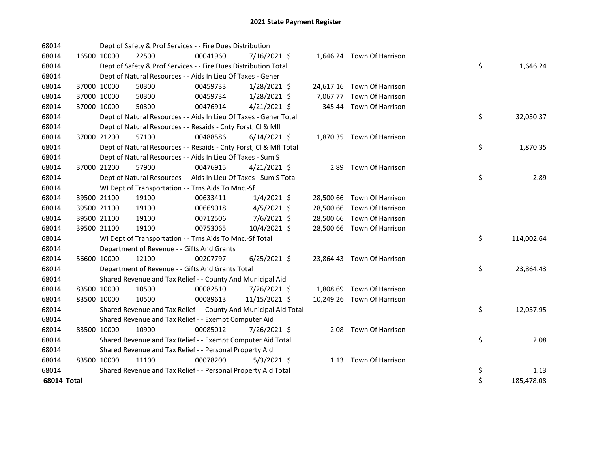| 68014              |             |             | Dept of Safety & Prof Services - - Fire Dues Distribution          |          |                |  |                            |    |            |
|--------------------|-------------|-------------|--------------------------------------------------------------------|----------|----------------|--|----------------------------|----|------------|
| 68014              | 16500 10000 |             | 22500                                                              | 00041960 | $7/16/2021$ \$ |  | 1,646.24 Town Of Harrison  |    |            |
| 68014              |             |             | Dept of Safety & Prof Services - - Fire Dues Distribution Total    |          |                |  |                            | \$ | 1,646.24   |
| 68014              |             |             | Dept of Natural Resources - - Aids In Lieu Of Taxes - Gener        |          |                |  |                            |    |            |
| 68014              |             | 37000 10000 | 50300                                                              | 00459733 | $1/28/2021$ \$ |  | 24,617.16 Town Of Harrison |    |            |
| 68014              | 37000 10000 |             | 50300                                                              | 00459734 | 1/28/2021 \$   |  | 7,067.77 Town Of Harrison  |    |            |
| 68014              | 37000 10000 |             | 50300                                                              | 00476914 | $4/21/2021$ \$ |  | 345.44 Town Of Harrison    |    |            |
| 68014              |             |             | Dept of Natural Resources - - Aids In Lieu Of Taxes - Gener Total  |          |                |  |                            | \$ | 32,030.37  |
| 68014              |             |             | Dept of Natural Resources - - Resaids - Cnty Forst, Cl & Mfl       |          |                |  |                            |    |            |
| 68014              | 37000 21200 |             | 57100                                                              | 00488586 | $6/14/2021$ \$ |  | 1,870.35 Town Of Harrison  |    |            |
| 68014              |             |             | Dept of Natural Resources - - Resaids - Cnty Forst, Cl & Mfl Total |          |                |  |                            | \$ | 1,870.35   |
| 68014              |             |             | Dept of Natural Resources - - Aids In Lieu Of Taxes - Sum S        |          |                |  |                            |    |            |
| 68014              |             | 37000 21200 | 57900                                                              | 00476915 | $4/21/2021$ \$ |  | 2.89 Town Of Harrison      |    |            |
| 68014              |             |             | Dept of Natural Resources - - Aids In Lieu Of Taxes - Sum S Total  |          |                |  |                            | \$ | 2.89       |
| 68014              |             |             | WI Dept of Transportation - - Trns Aids To Mnc.-Sf                 |          |                |  |                            |    |            |
| 68014              |             | 39500 21100 | 19100                                                              | 00633411 | $1/4/2021$ \$  |  | 28,500.66 Town Of Harrison |    |            |
| 68014              |             | 39500 21100 | 19100                                                              | 00669018 | $4/5/2021$ \$  |  | 28,500.66 Town Of Harrison |    |            |
| 68014              |             | 39500 21100 | 19100                                                              | 00712506 | 7/6/2021 \$    |  | 28,500.66 Town Of Harrison |    |            |
| 68014              | 39500 21100 |             | 19100                                                              | 00753065 | 10/4/2021 \$   |  | 28,500.66 Town Of Harrison |    |            |
| 68014              |             |             | WI Dept of Transportation - - Trns Aids To Mnc.-Sf Total           |          |                |  |                            | \$ | 114,002.64 |
| 68014              |             |             | Department of Revenue - - Gifts And Grants                         |          |                |  |                            |    |            |
| 68014              |             | 56600 10000 | 12100                                                              | 00207797 | $6/25/2021$ \$ |  | 23,864.43 Town Of Harrison |    |            |
| 68014              |             |             | Department of Revenue - - Gifts And Grants Total                   |          |                |  |                            | \$ | 23,864.43  |
| 68014              |             |             | Shared Revenue and Tax Relief - - County And Municipal Aid         |          |                |  |                            |    |            |
| 68014              | 83500 10000 |             | 10500                                                              | 00082510 | 7/26/2021 \$   |  | 1,808.69 Town Of Harrison  |    |            |
| 68014              | 83500 10000 |             | 10500                                                              | 00089613 | 11/15/2021 \$  |  | 10,249.26 Town Of Harrison |    |            |
| 68014              |             |             | Shared Revenue and Tax Relief - - County And Municipal Aid Total   |          |                |  |                            | \$ | 12,057.95  |
| 68014              |             |             | Shared Revenue and Tax Relief - - Exempt Computer Aid              |          |                |  |                            |    |            |
| 68014              |             | 83500 10000 | 10900                                                              | 00085012 | 7/26/2021 \$   |  | 2.08 Town Of Harrison      |    |            |
| 68014              |             |             | Shared Revenue and Tax Relief - - Exempt Computer Aid Total        |          |                |  |                            | \$ | 2.08       |
| 68014              |             |             | Shared Revenue and Tax Relief - - Personal Property Aid            |          |                |  |                            |    |            |
| 68014              | 83500 10000 |             | 11100                                                              | 00078200 | $5/3/2021$ \$  |  | 1.13 Town Of Harrison      |    |            |
| 68014              |             |             | Shared Revenue and Tax Relief - - Personal Property Aid Total      |          |                |  |                            | \$ | 1.13       |
| <b>68014 Total</b> |             |             |                                                                    |          |                |  |                            | \$ | 185,478.08 |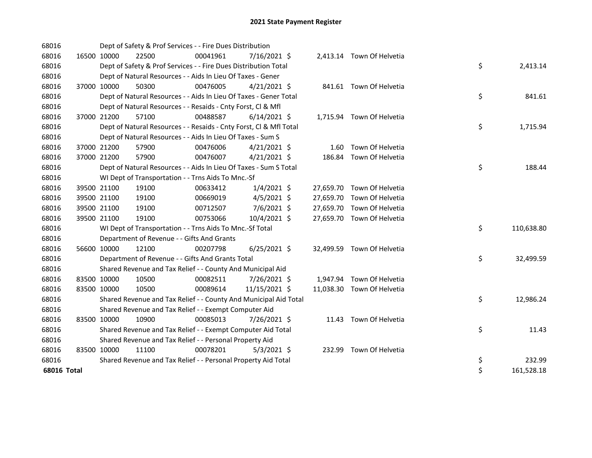| 68016       |             |             | Dept of Safety & Prof Services - - Fire Dues Distribution          |          |                |  |                            |    |            |
|-------------|-------------|-------------|--------------------------------------------------------------------|----------|----------------|--|----------------------------|----|------------|
| 68016       | 16500 10000 |             | 22500                                                              | 00041961 | 7/16/2021 \$   |  | 2,413.14 Town Of Helvetia  |    |            |
| 68016       |             |             | Dept of Safety & Prof Services - - Fire Dues Distribution Total    |          |                |  |                            | \$ | 2,413.14   |
| 68016       |             |             | Dept of Natural Resources - - Aids In Lieu Of Taxes - Gener        |          |                |  |                            |    |            |
| 68016       |             | 37000 10000 | 50300                                                              | 00476005 | $4/21/2021$ \$ |  | 841.61 Town Of Helvetia    |    |            |
| 68016       |             |             | Dept of Natural Resources - - Aids In Lieu Of Taxes - Gener Total  |          |                |  |                            | \$ | 841.61     |
| 68016       |             |             | Dept of Natural Resources - - Resaids - Cnty Forst, Cl & Mfl       |          |                |  |                            |    |            |
| 68016       |             | 37000 21200 | 57100                                                              | 00488587 | $6/14/2021$ \$ |  | 1,715.94 Town Of Helvetia  |    |            |
| 68016       |             |             | Dept of Natural Resources - - Resaids - Cnty Forst, Cl & Mfl Total |          |                |  |                            | \$ | 1,715.94   |
| 68016       |             |             | Dept of Natural Resources - - Aids In Lieu Of Taxes - Sum S        |          |                |  |                            |    |            |
| 68016       |             | 37000 21200 | 57900                                                              | 00476006 | $4/21/2021$ \$ |  | 1.60 Town Of Helvetia      |    |            |
| 68016       |             | 37000 21200 | 57900                                                              | 00476007 | $4/21/2021$ \$ |  | 186.84 Town Of Helvetia    |    |            |
| 68016       |             |             | Dept of Natural Resources - - Aids In Lieu Of Taxes - Sum S Total  |          |                |  |                            | \$ | 188.44     |
| 68016       |             |             | WI Dept of Transportation - - Trns Aids To Mnc.-Sf                 |          |                |  |                            |    |            |
| 68016       |             | 39500 21100 | 19100                                                              | 00633412 | $1/4/2021$ \$  |  | 27,659.70 Town Of Helvetia |    |            |
| 68016       | 39500 21100 |             | 19100                                                              | 00669019 | $4/5/2021$ \$  |  | 27,659.70 Town Of Helvetia |    |            |
| 68016       | 39500 21100 |             | 19100                                                              | 00712507 | 7/6/2021 \$    |  | 27,659.70 Town Of Helvetia |    |            |
| 68016       |             | 39500 21100 | 19100                                                              | 00753066 | 10/4/2021 \$   |  | 27,659.70 Town Of Helvetia |    |            |
| 68016       |             |             | WI Dept of Transportation - - Trns Aids To Mnc.-Sf Total           |          |                |  |                            | \$ | 110,638.80 |
| 68016       |             |             | Department of Revenue - - Gifts And Grants                         |          |                |  |                            |    |            |
| 68016       |             | 56600 10000 | 12100                                                              | 00207798 | $6/25/2021$ \$ |  | 32,499.59 Town Of Helvetia |    |            |
| 68016       |             |             | Department of Revenue - - Gifts And Grants Total                   |          |                |  |                            | \$ | 32,499.59  |
| 68016       |             |             | Shared Revenue and Tax Relief - - County And Municipal Aid         |          |                |  |                            |    |            |
| 68016       | 83500 10000 |             | 10500                                                              | 00082511 | 7/26/2021 \$   |  | 1,947.94 Town Of Helvetia  |    |            |
| 68016       | 83500 10000 |             | 10500                                                              | 00089614 | 11/15/2021 \$  |  | 11,038.30 Town Of Helvetia |    |            |
| 68016       |             |             | Shared Revenue and Tax Relief - - County And Municipal Aid Total   |          |                |  |                            | \$ | 12,986.24  |
| 68016       |             |             | Shared Revenue and Tax Relief - - Exempt Computer Aid              |          |                |  |                            |    |            |
| 68016       | 83500 10000 |             | 10900                                                              | 00085013 | 7/26/2021 \$   |  | 11.43 Town Of Helvetia     |    |            |
| 68016       |             |             | Shared Revenue and Tax Relief - - Exempt Computer Aid Total        |          |                |  |                            | \$ | 11.43      |
| 68016       |             |             | Shared Revenue and Tax Relief - - Personal Property Aid            |          |                |  |                            |    |            |
| 68016       | 83500 10000 |             | 11100                                                              | 00078201 | $5/3/2021$ \$  |  | 232.99 Town Of Helvetia    |    |            |
| 68016       |             |             | Shared Revenue and Tax Relief - - Personal Property Aid Total      |          |                |  |                            | \$ | 232.99     |
| 68016 Total |             |             |                                                                    |          |                |  |                            | \$ | 161,528.18 |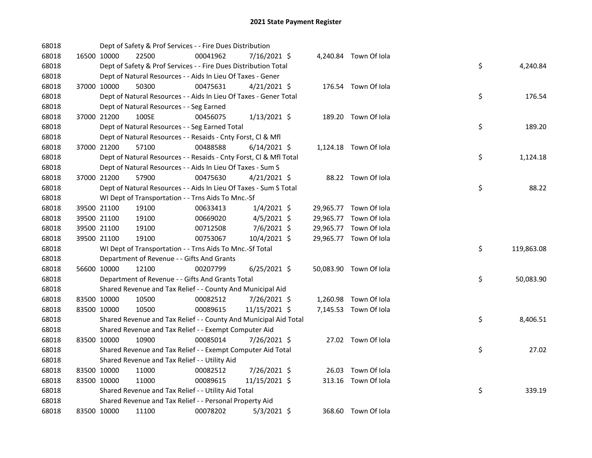| 68018 |             | Dept of Safety & Prof Services - - Fire Dues Distribution          |          |                |  |                        |    |            |
|-------|-------------|--------------------------------------------------------------------|----------|----------------|--|------------------------|----|------------|
| 68018 | 16500 10000 | 22500                                                              | 00041962 | 7/16/2021 \$   |  | 4,240.84 Town Of Iola  |    |            |
| 68018 |             | Dept of Safety & Prof Services - - Fire Dues Distribution Total    |          |                |  |                        | \$ | 4,240.84   |
| 68018 |             | Dept of Natural Resources - - Aids In Lieu Of Taxes - Gener        |          |                |  |                        |    |            |
| 68018 | 37000 10000 | 50300                                                              | 00475631 | $4/21/2021$ \$ |  | 176.54 Town Of Iola    |    |            |
| 68018 |             | Dept of Natural Resources - - Aids In Lieu Of Taxes - Gener Total  |          |                |  |                        | \$ | 176.54     |
| 68018 |             | Dept of Natural Resources - - Seg Earned                           |          |                |  |                        |    |            |
| 68018 | 37000 21200 | 100SE                                                              | 00456075 | $1/13/2021$ \$ |  | 189.20 Town Of Iola    |    |            |
| 68018 |             | Dept of Natural Resources - - Seg Earned Total                     |          |                |  |                        | \$ | 189.20     |
| 68018 |             | Dept of Natural Resources - - Resaids - Cnty Forst, Cl & Mfl       |          |                |  |                        |    |            |
| 68018 | 37000 21200 | 57100                                                              | 00488588 | $6/14/2021$ \$ |  | 1,124.18 Town Of Iola  |    |            |
| 68018 |             | Dept of Natural Resources - - Resaids - Cnty Forst, Cl & Mfl Total |          |                |  |                        | \$ | 1,124.18   |
| 68018 |             | Dept of Natural Resources - - Aids In Lieu Of Taxes - Sum S        |          |                |  |                        |    |            |
| 68018 | 37000 21200 | 57900                                                              | 00475630 | $4/21/2021$ \$ |  | 88.22 Town Of Iola     |    |            |
| 68018 |             | Dept of Natural Resources - - Aids In Lieu Of Taxes - Sum S Total  |          |                |  |                        | \$ | 88.22      |
| 68018 |             | WI Dept of Transportation - - Trns Aids To Mnc.-Sf                 |          |                |  |                        |    |            |
| 68018 | 39500 21100 | 19100                                                              | 00633413 | $1/4/2021$ \$  |  | 29,965.77 Town Of Iola |    |            |
| 68018 | 39500 21100 | 19100                                                              | 00669020 | $4/5/2021$ \$  |  | 29,965.77 Town Of Iola |    |            |
| 68018 | 39500 21100 | 19100                                                              | 00712508 | 7/6/2021 \$    |  | 29,965.77 Town Of Iola |    |            |
| 68018 | 39500 21100 | 19100                                                              | 00753067 | 10/4/2021 \$   |  | 29,965.77 Town Of Iola |    |            |
| 68018 |             | WI Dept of Transportation - - Trns Aids To Mnc.-Sf Total           |          |                |  |                        | \$ | 119,863.08 |
| 68018 |             | Department of Revenue - - Gifts And Grants                         |          |                |  |                        |    |            |
| 68018 | 56600 10000 | 12100                                                              | 00207799 | $6/25/2021$ \$ |  | 50,083.90 Town Of Iola |    |            |
| 68018 |             | Department of Revenue - - Gifts And Grants Total                   |          |                |  |                        | \$ | 50,083.90  |
| 68018 |             | Shared Revenue and Tax Relief - - County And Municipal Aid         |          |                |  |                        |    |            |
| 68018 | 83500 10000 | 10500                                                              | 00082512 | 7/26/2021 \$   |  | 1,260.98 Town Of Iola  |    |            |
| 68018 | 83500 10000 | 10500                                                              | 00089615 | 11/15/2021 \$  |  | 7,145.53 Town Of Iola  |    |            |
| 68018 |             | Shared Revenue and Tax Relief - - County And Municipal Aid Total   |          |                |  |                        | \$ | 8,406.51   |
| 68018 |             | Shared Revenue and Tax Relief - - Exempt Computer Aid              |          |                |  |                        |    |            |
| 68018 | 83500 10000 | 10900                                                              | 00085014 | 7/26/2021 \$   |  | 27.02 Town Of Iola     |    |            |
| 68018 |             | Shared Revenue and Tax Relief - - Exempt Computer Aid Total        |          |                |  |                        | \$ | 27.02      |
| 68018 |             | Shared Revenue and Tax Relief - - Utility Aid                      |          |                |  |                        |    |            |
| 68018 | 83500 10000 | 11000                                                              | 00082512 | 7/26/2021 \$   |  | 26.03 Town Of Iola     |    |            |
| 68018 | 83500 10000 | 11000                                                              | 00089615 | 11/15/2021 \$  |  | 313.16 Town Of Iola    |    |            |
| 68018 |             | Shared Revenue and Tax Relief - - Utility Aid Total                |          |                |  |                        | \$ | 339.19     |
| 68018 |             | Shared Revenue and Tax Relief - - Personal Property Aid            |          |                |  |                        |    |            |
| 68018 | 83500 10000 | 11100                                                              | 00078202 | $5/3/2021$ \$  |  | 368.60 Town Of Iola    |    |            |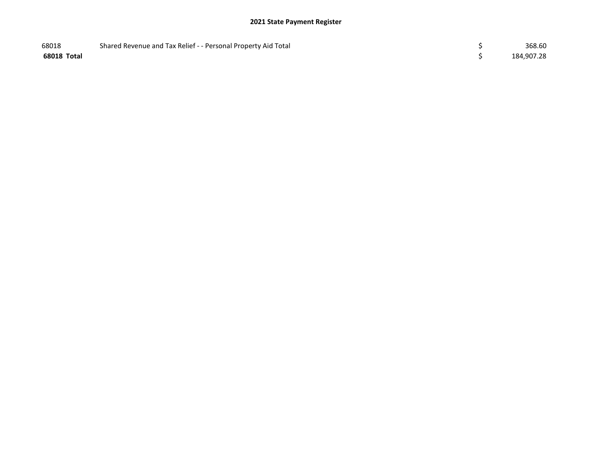| 68018       | Shared Revenue and Tax Relief - - Personal Property Aid Total | 368.60     |
|-------------|---------------------------------------------------------------|------------|
| 68018 Total |                                                               | 184,907.28 |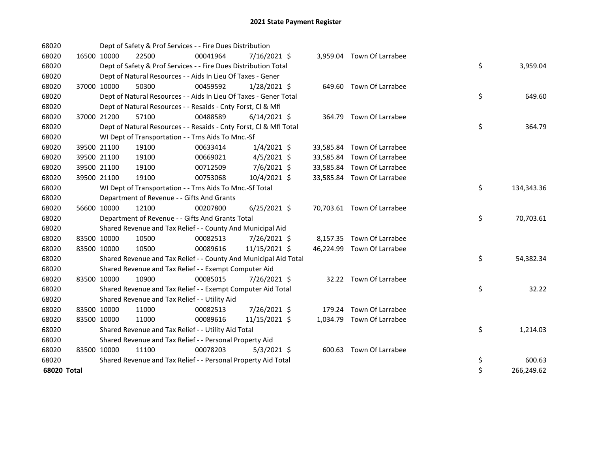| 68020       |             |             | Dept of Safety & Prof Services - - Fire Dues Distribution          |          |                |  |                            |    |            |
|-------------|-------------|-------------|--------------------------------------------------------------------|----------|----------------|--|----------------------------|----|------------|
| 68020       | 16500 10000 |             | 22500                                                              | 00041964 | 7/16/2021 \$   |  | 3,959.04 Town Of Larrabee  |    |            |
| 68020       |             |             | Dept of Safety & Prof Services - - Fire Dues Distribution Total    |          |                |  |                            | \$ | 3,959.04   |
| 68020       |             |             | Dept of Natural Resources - - Aids In Lieu Of Taxes - Gener        |          |                |  |                            |    |            |
| 68020       |             | 37000 10000 | 50300                                                              | 00459592 | $1/28/2021$ \$ |  | 649.60 Town Of Larrabee    |    |            |
| 68020       |             |             | Dept of Natural Resources - - Aids In Lieu Of Taxes - Gener Total  |          |                |  |                            | \$ | 649.60     |
| 68020       |             |             | Dept of Natural Resources - - Resaids - Cnty Forst, Cl & Mfl       |          |                |  |                            |    |            |
| 68020       | 37000 21200 |             | 57100                                                              | 00488589 | $6/14/2021$ \$ |  | 364.79 Town Of Larrabee    |    |            |
| 68020       |             |             | Dept of Natural Resources - - Resaids - Cnty Forst, Cl & Mfl Total |          |                |  |                            | \$ | 364.79     |
| 68020       |             |             | WI Dept of Transportation - - Trns Aids To Mnc.-Sf                 |          |                |  |                            |    |            |
| 68020       |             | 39500 21100 | 19100                                                              | 00633414 | $1/4/2021$ \$  |  | 33,585.84 Town Of Larrabee |    |            |
| 68020       |             | 39500 21100 | 19100                                                              | 00669021 | $4/5/2021$ \$  |  | 33,585.84 Town Of Larrabee |    |            |
| 68020       |             | 39500 21100 | 19100                                                              | 00712509 | 7/6/2021 \$    |  | 33,585.84 Town Of Larrabee |    |            |
| 68020       | 39500 21100 |             | 19100                                                              | 00753068 | 10/4/2021 \$   |  | 33,585.84 Town Of Larrabee |    |            |
| 68020       |             |             | WI Dept of Transportation - - Trns Aids To Mnc.-Sf Total           |          |                |  |                            | \$ | 134,343.36 |
| 68020       |             |             | Department of Revenue - - Gifts And Grants                         |          |                |  |                            |    |            |
| 68020       | 56600 10000 |             | 12100                                                              | 00207800 | $6/25/2021$ \$ |  | 70,703.61 Town Of Larrabee |    |            |
| 68020       |             |             | Department of Revenue - - Gifts And Grants Total                   |          |                |  |                            | \$ | 70,703.61  |
| 68020       |             |             | Shared Revenue and Tax Relief - - County And Municipal Aid         |          |                |  |                            |    |            |
| 68020       | 83500 10000 |             | 10500                                                              | 00082513 | 7/26/2021 \$   |  | 8,157.35 Town Of Larrabee  |    |            |
| 68020       | 83500 10000 |             | 10500                                                              | 00089616 | 11/15/2021 \$  |  | 46,224.99 Town Of Larrabee |    |            |
| 68020       |             |             | Shared Revenue and Tax Relief - - County And Municipal Aid Total   |          |                |  |                            | \$ | 54,382.34  |
| 68020       |             |             | Shared Revenue and Tax Relief - - Exempt Computer Aid              |          |                |  |                            |    |            |
| 68020       | 83500 10000 |             | 10900                                                              | 00085015 | 7/26/2021 \$   |  | 32.22 Town Of Larrabee     |    |            |
| 68020       |             |             | Shared Revenue and Tax Relief - - Exempt Computer Aid Total        |          |                |  |                            | \$ | 32.22      |
| 68020       |             |             | Shared Revenue and Tax Relief - - Utility Aid                      |          |                |  |                            |    |            |
| 68020       | 83500 10000 |             | 11000                                                              | 00082513 | 7/26/2021 \$   |  | 179.24 Town Of Larrabee    |    |            |
| 68020       | 83500 10000 |             | 11000                                                              | 00089616 | 11/15/2021 \$  |  | 1,034.79 Town Of Larrabee  |    |            |
| 68020       |             |             | Shared Revenue and Tax Relief - - Utility Aid Total                |          |                |  |                            | \$ | 1,214.03   |
| 68020       |             |             | Shared Revenue and Tax Relief - - Personal Property Aid            |          |                |  |                            |    |            |
| 68020       | 83500 10000 |             | 11100                                                              | 00078203 | $5/3/2021$ \$  |  | 600.63 Town Of Larrabee    |    |            |
| 68020       |             |             | Shared Revenue and Tax Relief - - Personal Property Aid Total      |          |                |  |                            | \$ | 600.63     |
| 68020 Total |             |             |                                                                    |          |                |  |                            | \$ | 266,249.62 |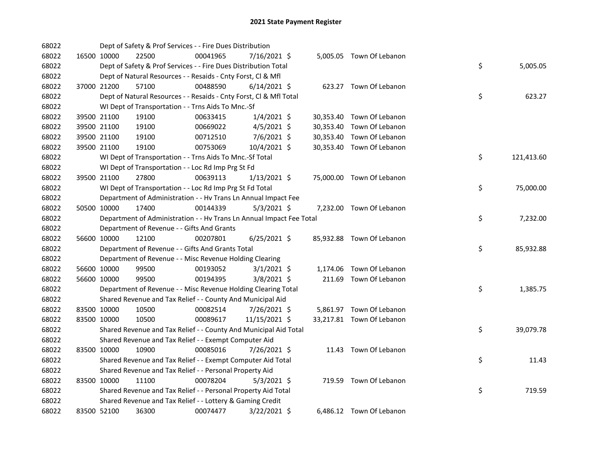| 68022 |             |             | Dept of Safety & Prof Services - - Fire Dues Distribution            |          |                |  |                           |    |            |
|-------|-------------|-------------|----------------------------------------------------------------------|----------|----------------|--|---------------------------|----|------------|
| 68022 |             | 16500 10000 | 22500                                                                | 00041965 | 7/16/2021 \$   |  | 5,005.05 Town Of Lebanon  |    |            |
| 68022 |             |             | Dept of Safety & Prof Services - - Fire Dues Distribution Total      |          |                |  |                           | \$ | 5,005.05   |
| 68022 |             |             | Dept of Natural Resources - - Resaids - Cnty Forst, Cl & Mfl         |          |                |  |                           |    |            |
| 68022 |             | 37000 21200 | 57100                                                                | 00488590 | $6/14/2021$ \$ |  | 623.27 Town Of Lebanon    |    |            |
| 68022 |             |             | Dept of Natural Resources - - Resaids - Cnty Forst, Cl & Mfl Total   |          |                |  |                           | \$ | 623.27     |
| 68022 |             |             | WI Dept of Transportation - - Trns Aids To Mnc.-Sf                   |          |                |  |                           |    |            |
| 68022 |             | 39500 21100 | 19100                                                                | 00633415 | $1/4/2021$ \$  |  | 30,353.40 Town Of Lebanon |    |            |
| 68022 |             | 39500 21100 | 19100                                                                | 00669022 | $4/5/2021$ \$  |  | 30,353.40 Town Of Lebanon |    |            |
| 68022 |             | 39500 21100 | 19100                                                                | 00712510 | $7/6/2021$ \$  |  | 30,353.40 Town Of Lebanon |    |            |
| 68022 |             | 39500 21100 | 19100                                                                | 00753069 | 10/4/2021 \$   |  | 30,353.40 Town Of Lebanon |    |            |
| 68022 |             |             | WI Dept of Transportation - - Trns Aids To Mnc.-Sf Total             |          |                |  |                           | \$ | 121,413.60 |
| 68022 |             |             | WI Dept of Transportation - - Loc Rd Imp Prg St Fd                   |          |                |  |                           |    |            |
| 68022 |             | 39500 21100 | 27800                                                                | 00639113 | $1/13/2021$ \$ |  | 75,000.00 Town Of Lebanon |    |            |
| 68022 |             |             | WI Dept of Transportation - - Loc Rd Imp Prg St Fd Total             |          |                |  |                           | \$ | 75,000.00  |
| 68022 |             |             | Department of Administration - - Hv Trans Ln Annual Impact Fee       |          |                |  |                           |    |            |
| 68022 | 50500 10000 |             | 17400                                                                | 00144339 | $5/3/2021$ \$  |  | 7,232.00 Town Of Lebanon  |    |            |
| 68022 |             |             | Department of Administration - - Hv Trans Ln Annual Impact Fee Total |          |                |  |                           | \$ | 7,232.00   |
| 68022 |             |             | Department of Revenue - - Gifts And Grants                           |          |                |  |                           |    |            |
| 68022 | 56600 10000 |             | 12100                                                                | 00207801 | $6/25/2021$ \$ |  | 85,932.88 Town Of Lebanon |    |            |
| 68022 |             |             | Department of Revenue - - Gifts And Grants Total                     |          |                |  |                           | \$ | 85,932.88  |
| 68022 |             |             | Department of Revenue - - Misc Revenue Holding Clearing              |          |                |  |                           |    |            |
| 68022 |             | 56600 10000 | 99500                                                                | 00193052 | $3/1/2021$ \$  |  | 1,174.06 Town Of Lebanon  |    |            |
| 68022 | 56600 10000 |             | 99500                                                                | 00194395 | 3/8/2021 \$    |  | 211.69 Town Of Lebanon    |    |            |
| 68022 |             |             | Department of Revenue - - Misc Revenue Holding Clearing Total        |          |                |  |                           | \$ | 1,385.75   |
| 68022 |             |             | Shared Revenue and Tax Relief - - County And Municipal Aid           |          |                |  |                           |    |            |
| 68022 | 83500 10000 |             | 10500                                                                | 00082514 | 7/26/2021 \$   |  | 5,861.97 Town Of Lebanon  |    |            |
| 68022 | 83500 10000 |             | 10500                                                                | 00089617 | 11/15/2021 \$  |  | 33,217.81 Town Of Lebanon |    |            |
| 68022 |             |             | Shared Revenue and Tax Relief - - County And Municipal Aid Total     |          |                |  |                           | \$ | 39,079.78  |
| 68022 |             |             | Shared Revenue and Tax Relief - - Exempt Computer Aid                |          |                |  |                           |    |            |
| 68022 | 83500 10000 |             | 10900                                                                | 00085016 | 7/26/2021 \$   |  | 11.43 Town Of Lebanon     |    |            |
| 68022 |             |             | Shared Revenue and Tax Relief - - Exempt Computer Aid Total          |          |                |  |                           | \$ | 11.43      |
| 68022 |             |             | Shared Revenue and Tax Relief - - Personal Property Aid              |          |                |  |                           |    |            |
| 68022 | 83500 10000 |             | 11100                                                                | 00078204 | $5/3/2021$ \$  |  | 719.59 Town Of Lebanon    |    |            |
| 68022 |             |             | Shared Revenue and Tax Relief - - Personal Property Aid Total        |          |                |  |                           | \$ | 719.59     |
| 68022 |             |             | Shared Revenue and Tax Relief - - Lottery & Gaming Credit            |          |                |  |                           |    |            |
| 68022 |             | 83500 52100 | 36300                                                                | 00074477 | 3/22/2021 \$   |  | 6,486.12 Town Of Lebanon  |    |            |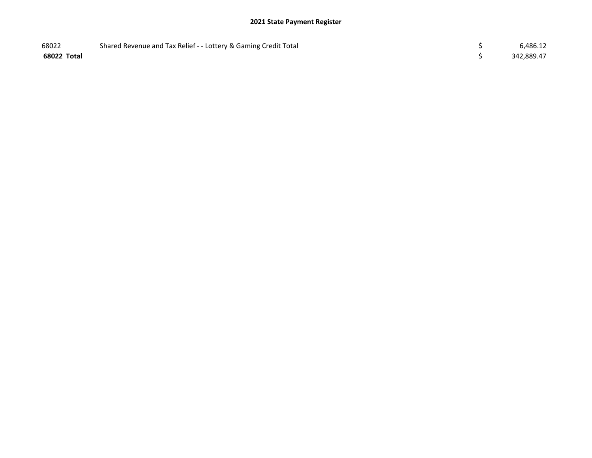| 68022       | Shared Revenue and Tax Relief - - Lottery & Gaming Credit Total | 6,486.12   |
|-------------|-----------------------------------------------------------------|------------|
| 68022 Total |                                                                 | 342,889.47 |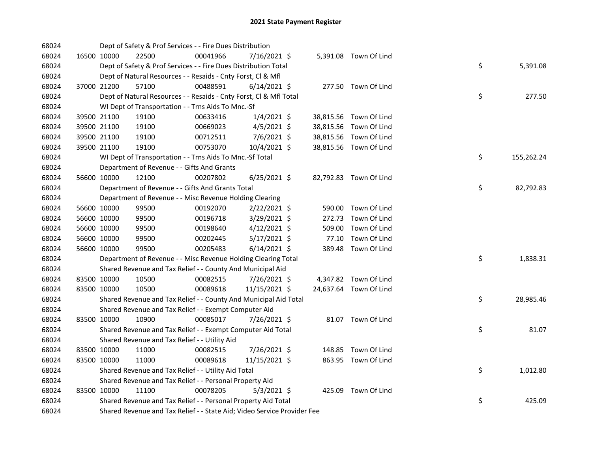| 68024 |             | Dept of Safety & Prof Services - - Fire Dues Distribution               |          |                |       |                        |    |            |
|-------|-------------|-------------------------------------------------------------------------|----------|----------------|-------|------------------------|----|------------|
| 68024 | 16500 10000 | 22500                                                                   | 00041966 | 7/16/2021 \$   |       | 5,391.08 Town Of Lind  |    |            |
| 68024 |             | Dept of Safety & Prof Services - - Fire Dues Distribution Total         |          |                |       |                        | \$ | 5,391.08   |
| 68024 |             | Dept of Natural Resources - - Resaids - Cnty Forst, Cl & Mfl            |          |                |       |                        |    |            |
| 68024 | 37000 21200 | 57100                                                                   | 00488591 | $6/14/2021$ \$ |       | 277.50 Town Of Lind    |    |            |
| 68024 |             | Dept of Natural Resources - - Resaids - Cnty Forst, CI & Mfl Total      |          |                |       |                        | \$ | 277.50     |
| 68024 |             | WI Dept of Transportation - - Trns Aids To Mnc.-Sf                      |          |                |       |                        |    |            |
| 68024 | 39500 21100 | 19100                                                                   | 00633416 | $1/4/2021$ \$  |       | 38,815.56 Town Of Lind |    |            |
| 68024 | 39500 21100 | 19100                                                                   | 00669023 | $4/5/2021$ \$  |       | 38,815.56 Town Of Lind |    |            |
| 68024 | 39500 21100 | 19100                                                                   | 00712511 | $7/6/2021$ \$  |       | 38,815.56 Town Of Lind |    |            |
| 68024 | 39500 21100 | 19100                                                                   | 00753070 | 10/4/2021 \$   |       | 38,815.56 Town Of Lind |    |            |
| 68024 |             | WI Dept of Transportation - - Trns Aids To Mnc.-Sf Total                |          |                |       |                        | \$ | 155,262.24 |
| 68024 |             | Department of Revenue - - Gifts And Grants                              |          |                |       |                        |    |            |
| 68024 | 56600 10000 | 12100                                                                   | 00207802 | $6/25/2021$ \$ |       | 82,792.83 Town Of Lind |    |            |
| 68024 |             | Department of Revenue - - Gifts And Grants Total                        |          |                |       |                        | \$ | 82,792.83  |
| 68024 |             | Department of Revenue - - Misc Revenue Holding Clearing                 |          |                |       |                        |    |            |
| 68024 | 56600 10000 | 99500                                                                   | 00192070 | 2/22/2021 \$   |       | 590.00 Town Of Lind    |    |            |
| 68024 | 56600 10000 | 99500                                                                   | 00196718 | 3/29/2021 \$   |       | 272.73 Town Of Lind    |    |            |
| 68024 | 56600 10000 | 99500                                                                   | 00198640 | 4/12/2021 \$   |       | 509.00 Town Of Lind    |    |            |
| 68024 | 56600 10000 | 99500                                                                   | 00202445 | 5/17/2021 \$   | 77.10 | Town Of Lind           |    |            |
| 68024 | 56600 10000 | 99500                                                                   | 00205483 | $6/14/2021$ \$ |       | 389.48 Town Of Lind    |    |            |
| 68024 |             | Department of Revenue - - Misc Revenue Holding Clearing Total           |          |                |       |                        | \$ | 1,838.31   |
| 68024 |             | Shared Revenue and Tax Relief - - County And Municipal Aid              |          |                |       |                        |    |            |
| 68024 | 83500 10000 | 10500                                                                   | 00082515 | 7/26/2021 \$   |       | 4,347.82 Town Of Lind  |    |            |
| 68024 | 83500 10000 | 10500                                                                   | 00089618 | 11/15/2021 \$  |       | 24,637.64 Town Of Lind |    |            |
| 68024 |             | Shared Revenue and Tax Relief - - County And Municipal Aid Total        |          |                |       |                        | \$ | 28,985.46  |
| 68024 |             | Shared Revenue and Tax Relief - - Exempt Computer Aid                   |          |                |       |                        |    |            |
| 68024 | 83500 10000 | 10900                                                                   | 00085017 | 7/26/2021 \$   |       | 81.07 Town Of Lind     |    |            |
| 68024 |             | Shared Revenue and Tax Relief - - Exempt Computer Aid Total             |          |                |       |                        | \$ | 81.07      |
| 68024 |             | Shared Revenue and Tax Relief - - Utility Aid                           |          |                |       |                        |    |            |
| 68024 | 83500 10000 | 11000                                                                   | 00082515 | 7/26/2021 \$   |       | 148.85 Town Of Lind    |    |            |
| 68024 | 83500 10000 | 11000                                                                   | 00089618 | 11/15/2021 \$  |       | 863.95 Town Of Lind    |    |            |
| 68024 |             | Shared Revenue and Tax Relief - - Utility Aid Total                     |          |                |       |                        | \$ | 1,012.80   |
| 68024 |             | Shared Revenue and Tax Relief - - Personal Property Aid                 |          |                |       |                        |    |            |
| 68024 | 83500 10000 | 11100                                                                   | 00078205 | $5/3/2021$ \$  |       | 425.09 Town Of Lind    |    |            |
| 68024 |             | Shared Revenue and Tax Relief - - Personal Property Aid Total           |          |                |       |                        | \$ | 425.09     |
| 68024 |             | Shared Revenue and Tax Relief - - State Aid; Video Service Provider Fee |          |                |       |                        |    |            |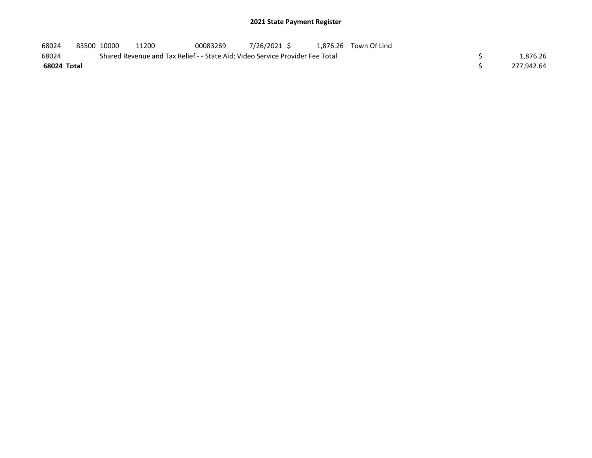| 68024       |                                                                               | 83500 10000 | 11200 | 00083269 | 7/26/2021 \$ |  | 1.876.26 Town Of Lind |  |            |  |
|-------------|-------------------------------------------------------------------------------|-------------|-------|----------|--------------|--|-----------------------|--|------------|--|
| 68024       | Shared Revenue and Tax Relief - - State Aid; Video Service Provider Fee Total |             |       |          |              |  |                       |  |            |  |
| 68024 Total |                                                                               |             |       |          |              |  |                       |  | 277.942.64 |  |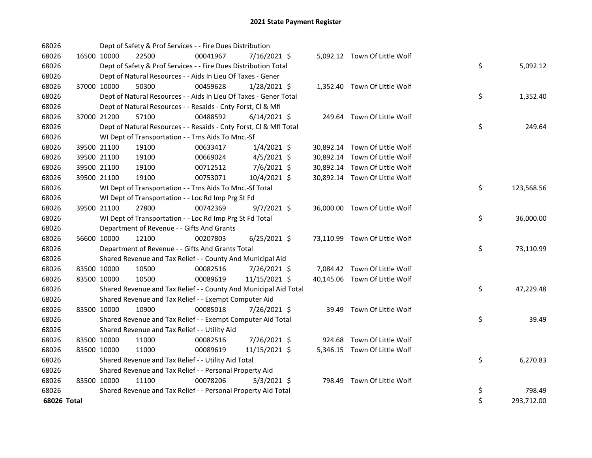| 68026       |             |             | Dept of Safety & Prof Services - - Fire Dues Distribution          |          |                |  |                               |    |            |
|-------------|-------------|-------------|--------------------------------------------------------------------|----------|----------------|--|-------------------------------|----|------------|
| 68026       |             | 16500 10000 | 22500                                                              | 00041967 | 7/16/2021 \$   |  | 5,092.12 Town Of Little Wolf  |    |            |
| 68026       |             |             | Dept of Safety & Prof Services - - Fire Dues Distribution Total    |          |                |  |                               | \$ | 5,092.12   |
| 68026       |             |             | Dept of Natural Resources - - Aids In Lieu Of Taxes - Gener        |          |                |  |                               |    |            |
| 68026       |             | 37000 10000 | 50300                                                              | 00459628 | $1/28/2021$ \$ |  | 1,352.40 Town Of Little Wolf  |    |            |
| 68026       |             |             | Dept of Natural Resources - - Aids In Lieu Of Taxes - Gener Total  |          |                |  |                               | \$ | 1,352.40   |
| 68026       |             |             | Dept of Natural Resources - - Resaids - Cnty Forst, Cl & Mfl       |          |                |  |                               |    |            |
| 68026       |             | 37000 21200 | 57100                                                              | 00488592 | $6/14/2021$ \$ |  | 249.64 Town Of Little Wolf    |    |            |
| 68026       |             |             | Dept of Natural Resources - - Resaids - Cnty Forst, Cl & Mfl Total |          |                |  |                               | \$ | 249.64     |
| 68026       |             |             | WI Dept of Transportation - - Trns Aids To Mnc.-Sf                 |          |                |  |                               |    |            |
| 68026       |             | 39500 21100 | 19100                                                              | 00633417 | $1/4/2021$ \$  |  | 30,892.14 Town Of Little Wolf |    |            |
| 68026       |             | 39500 21100 | 19100                                                              | 00669024 | $4/5/2021$ \$  |  | 30,892.14 Town Of Little Wolf |    |            |
| 68026       |             | 39500 21100 | 19100                                                              | 00712512 | $7/6/2021$ \$  |  | 30,892.14 Town Of Little Wolf |    |            |
| 68026       |             | 39500 21100 | 19100                                                              | 00753071 | 10/4/2021 \$   |  | 30,892.14 Town Of Little Wolf |    |            |
| 68026       |             |             | WI Dept of Transportation - - Trns Aids To Mnc.-Sf Total           |          |                |  |                               | \$ | 123,568.56 |
| 68026       |             |             | WI Dept of Transportation - - Loc Rd Imp Prg St Fd                 |          |                |  |                               |    |            |
| 68026       |             | 39500 21100 | 27800                                                              | 00742369 | $9/7/2021$ \$  |  | 36,000.00 Town Of Little Wolf |    |            |
| 68026       |             |             | WI Dept of Transportation - - Loc Rd Imp Prg St Fd Total           |          |                |  |                               | \$ | 36,000.00  |
| 68026       |             |             | Department of Revenue - - Gifts And Grants                         |          |                |  |                               |    |            |
| 68026       |             | 56600 10000 | 12100                                                              | 00207803 | $6/25/2021$ \$ |  | 73,110.99 Town Of Little Wolf |    |            |
| 68026       |             |             | Department of Revenue - - Gifts And Grants Total                   |          |                |  |                               | \$ | 73,110.99  |
| 68026       |             |             | Shared Revenue and Tax Relief - - County And Municipal Aid         |          |                |  |                               |    |            |
| 68026       | 83500 10000 |             | 10500                                                              | 00082516 | 7/26/2021 \$   |  | 7,084.42 Town Of Little Wolf  |    |            |
| 68026       | 83500 10000 |             | 10500                                                              | 00089619 | 11/15/2021 \$  |  | 40,145.06 Town Of Little Wolf |    |            |
| 68026       |             |             | Shared Revenue and Tax Relief - - County And Municipal Aid Total   |          |                |  |                               | \$ | 47,229.48  |
| 68026       |             |             | Shared Revenue and Tax Relief - - Exempt Computer Aid              |          |                |  |                               |    |            |
| 68026       | 83500 10000 |             | 10900                                                              | 00085018 | 7/26/2021 \$   |  | 39.49 Town Of Little Wolf     |    |            |
| 68026       |             |             | Shared Revenue and Tax Relief - - Exempt Computer Aid Total        |          |                |  |                               | \$ | 39.49      |
| 68026       |             |             | Shared Revenue and Tax Relief - - Utility Aid                      |          |                |  |                               |    |            |
| 68026       | 83500 10000 |             | 11000                                                              | 00082516 | 7/26/2021 \$   |  | 924.68 Town Of Little Wolf    |    |            |
| 68026       | 83500 10000 |             | 11000                                                              | 00089619 | 11/15/2021 \$  |  | 5,346.15 Town Of Little Wolf  |    |            |
| 68026       |             |             | Shared Revenue and Tax Relief - - Utility Aid Total                |          |                |  |                               | \$ | 6,270.83   |
| 68026       |             |             | Shared Revenue and Tax Relief - - Personal Property Aid            |          |                |  |                               |    |            |
| 68026       |             | 83500 10000 | 11100                                                              | 00078206 | $5/3/2021$ \$  |  | 798.49 Town Of Little Wolf    |    |            |
| 68026       |             |             | Shared Revenue and Tax Relief - - Personal Property Aid Total      |          |                |  |                               | \$ | 798.49     |
| 68026 Total |             |             |                                                                    |          |                |  |                               | \$ | 293,712.00 |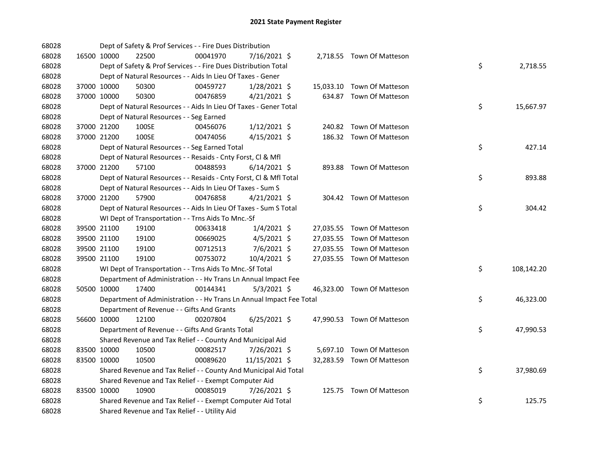| 68028 |             |             | Dept of Safety & Prof Services - - Fire Dues Distribution            |          |                |  |                            |    |            |
|-------|-------------|-------------|----------------------------------------------------------------------|----------|----------------|--|----------------------------|----|------------|
| 68028 |             | 16500 10000 | 22500                                                                | 00041970 | 7/16/2021 \$   |  | 2,718.55 Town Of Matteson  |    |            |
| 68028 |             |             | Dept of Safety & Prof Services - - Fire Dues Distribution Total      |          |                |  |                            | \$ | 2,718.55   |
| 68028 |             |             | Dept of Natural Resources - - Aids In Lieu Of Taxes - Gener          |          |                |  |                            |    |            |
| 68028 |             | 37000 10000 | 50300                                                                | 00459727 | 1/28/2021 \$   |  | 15,033.10 Town Of Matteson |    |            |
| 68028 | 37000 10000 |             | 50300                                                                | 00476859 | $4/21/2021$ \$ |  | 634.87 Town Of Matteson    |    |            |
| 68028 |             |             | Dept of Natural Resources - - Aids In Lieu Of Taxes - Gener Total    |          |                |  |                            | \$ | 15,667.97  |
| 68028 |             |             | Dept of Natural Resources - - Seg Earned                             |          |                |  |                            |    |            |
| 68028 |             | 37000 21200 | 100SE                                                                | 00456076 | $1/12/2021$ \$ |  | 240.82 Town Of Matteson    |    |            |
| 68028 |             | 37000 21200 | 100SE                                                                | 00474056 | $4/15/2021$ \$ |  | 186.32 Town Of Matteson    |    |            |
| 68028 |             |             | Dept of Natural Resources - - Seg Earned Total                       |          |                |  |                            | \$ | 427.14     |
| 68028 |             |             | Dept of Natural Resources - - Resaids - Cnty Forst, Cl & Mfl         |          |                |  |                            |    |            |
| 68028 |             | 37000 21200 | 57100                                                                | 00488593 | $6/14/2021$ \$ |  | 893.88 Town Of Matteson    |    |            |
| 68028 |             |             | Dept of Natural Resources - - Resaids - Cnty Forst, Cl & Mfl Total   |          |                |  |                            | \$ | 893.88     |
| 68028 |             |             | Dept of Natural Resources - - Aids In Lieu Of Taxes - Sum S          |          |                |  |                            |    |            |
| 68028 |             | 37000 21200 | 57900                                                                | 00476858 | $4/21/2021$ \$ |  | 304.42 Town Of Matteson    |    |            |
| 68028 |             |             | Dept of Natural Resources - - Aids In Lieu Of Taxes - Sum S Total    |          |                |  |                            | \$ | 304.42     |
| 68028 |             |             | WI Dept of Transportation - - Trns Aids To Mnc.-Sf                   |          |                |  |                            |    |            |
| 68028 |             | 39500 21100 | 19100                                                                | 00633418 | $1/4/2021$ \$  |  | 27,035.55 Town Of Matteson |    |            |
| 68028 | 39500 21100 |             | 19100                                                                | 00669025 | $4/5/2021$ \$  |  | 27,035.55 Town Of Matteson |    |            |
| 68028 | 39500 21100 |             | 19100                                                                | 00712513 | 7/6/2021 \$    |  | 27,035.55 Town Of Matteson |    |            |
| 68028 |             | 39500 21100 | 19100                                                                | 00753072 | 10/4/2021 \$   |  | 27,035.55 Town Of Matteson |    |            |
| 68028 |             |             | WI Dept of Transportation - - Trns Aids To Mnc.-Sf Total             |          |                |  |                            | \$ | 108,142.20 |
| 68028 |             |             | Department of Administration - - Hv Trans Ln Annual Impact Fee       |          |                |  |                            |    |            |
| 68028 | 50500 10000 |             | 17400                                                                | 00144341 | $5/3/2021$ \$  |  | 46,323.00 Town Of Matteson |    |            |
| 68028 |             |             | Department of Administration - - Hv Trans Ln Annual Impact Fee Total |          |                |  |                            | \$ | 46,323.00  |
| 68028 |             |             | Department of Revenue - - Gifts And Grants                           |          |                |  |                            |    |            |
| 68028 | 56600 10000 |             | 12100                                                                | 00207804 | $6/25/2021$ \$ |  | 47,990.53 Town Of Matteson |    |            |
| 68028 |             |             | Department of Revenue - - Gifts And Grants Total                     |          |                |  |                            | \$ | 47,990.53  |
| 68028 |             |             | Shared Revenue and Tax Relief - - County And Municipal Aid           |          |                |  |                            |    |            |
| 68028 | 83500 10000 |             | 10500                                                                | 00082517 | 7/26/2021 \$   |  | 5,697.10 Town Of Matteson  |    |            |
| 68028 | 83500 10000 |             | 10500                                                                | 00089620 | 11/15/2021 \$  |  | 32,283.59 Town Of Matteson |    |            |
| 68028 |             |             | Shared Revenue and Tax Relief - - County And Municipal Aid Total     |          |                |  |                            | \$ | 37,980.69  |
| 68028 |             |             | Shared Revenue and Tax Relief - - Exempt Computer Aid                |          |                |  |                            |    |            |
| 68028 | 83500 10000 |             | 10900                                                                | 00085019 | 7/26/2021 \$   |  | 125.75 Town Of Matteson    |    |            |
| 68028 |             |             | Shared Revenue and Tax Relief - - Exempt Computer Aid Total          |          |                |  |                            | \$ | 125.75     |
| 68028 |             |             | Shared Revenue and Tax Relief - - Utility Aid                        |          |                |  |                            |    |            |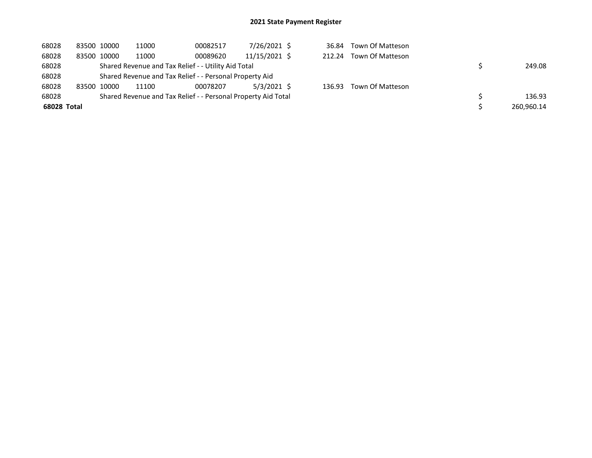| 68028       | 83500 10000 | 11000 | 00082517                                                      | 7/26/2021 \$  | 36.84  | Town Of Matteson |            |
|-------------|-------------|-------|---------------------------------------------------------------|---------------|--------|------------------|------------|
| 68028       | 83500 10000 | 11000 | 00089620                                                      | 11/15/2021 \$ | 212.24 | Town Of Matteson |            |
| 68028       |             |       | Shared Revenue and Tax Relief - - Utility Aid Total           |               |        |                  | 249.08     |
| 68028       |             |       | Shared Revenue and Tax Relief - - Personal Property Aid       |               |        |                  |            |
| 68028       | 83500 10000 | 11100 | 00078207                                                      | $5/3/2021$ \$ | 136.93 | Town Of Matteson |            |
| 68028       |             |       | Shared Revenue and Tax Relief - - Personal Property Aid Total |               |        |                  | 136.93     |
| 68028 Total |             |       |                                                               |               |        |                  | 260,960.14 |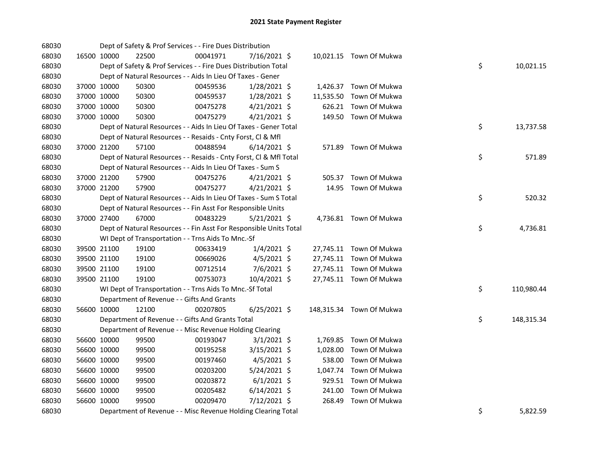| 68030 |             |             | Dept of Safety & Prof Services - - Fire Dues Distribution          |          |                |           |                          |    |            |
|-------|-------------|-------------|--------------------------------------------------------------------|----------|----------------|-----------|--------------------------|----|------------|
| 68030 |             | 16500 10000 | 22500                                                              | 00041971 | 7/16/2021 \$   |           | 10,021.15 Town Of Mukwa  |    |            |
| 68030 |             |             | Dept of Safety & Prof Services - - Fire Dues Distribution Total    |          |                |           |                          | \$ | 10,021.15  |
| 68030 |             |             | Dept of Natural Resources - - Aids In Lieu Of Taxes - Gener        |          |                |           |                          |    |            |
| 68030 |             | 37000 10000 | 50300                                                              | 00459536 | $1/28/2021$ \$ |           | 1,426.37 Town Of Mukwa   |    |            |
| 68030 |             | 37000 10000 | 50300                                                              | 00459537 | $1/28/2021$ \$ | 11,535.50 | Town Of Mukwa            |    |            |
| 68030 |             | 37000 10000 | 50300                                                              | 00475278 | $4/21/2021$ \$ |           | 626.21 Town Of Mukwa     |    |            |
| 68030 | 37000 10000 |             | 50300                                                              | 00475279 | $4/21/2021$ \$ |           | 149.50 Town Of Mukwa     |    |            |
| 68030 |             |             | Dept of Natural Resources - - Aids In Lieu Of Taxes - Gener Total  |          |                |           |                          | \$ | 13,737.58  |
| 68030 |             |             | Dept of Natural Resources - - Resaids - Cnty Forst, Cl & Mfl       |          |                |           |                          |    |            |
| 68030 |             | 37000 21200 | 57100                                                              | 00488594 | $6/14/2021$ \$ |           | 571.89 Town Of Mukwa     |    |            |
| 68030 |             |             | Dept of Natural Resources - - Resaids - Cnty Forst, Cl & Mfl Total |          |                |           |                          | \$ | 571.89     |
| 68030 |             |             | Dept of Natural Resources - - Aids In Lieu Of Taxes - Sum S        |          |                |           |                          |    |            |
| 68030 |             | 37000 21200 | 57900                                                              | 00475276 | $4/21/2021$ \$ | 505.37    | Town Of Mukwa            |    |            |
| 68030 | 37000 21200 |             | 57900                                                              | 00475277 | $4/21/2021$ \$ |           | 14.95 Town Of Mukwa      |    |            |
| 68030 |             |             | Dept of Natural Resources - - Aids In Lieu Of Taxes - Sum S Total  |          |                |           |                          | \$ | 520.32     |
| 68030 |             |             | Dept of Natural Resources - - Fin Asst For Responsible Units       |          |                |           |                          |    |            |
| 68030 |             | 37000 27400 | 67000                                                              | 00483229 | $5/21/2021$ \$ |           | 4,736.81 Town Of Mukwa   |    |            |
| 68030 |             |             | Dept of Natural Resources - - Fin Asst For Responsible Units Total |          |                |           |                          | \$ | 4,736.81   |
| 68030 |             |             | WI Dept of Transportation - - Trns Aids To Mnc.-Sf                 |          |                |           |                          |    |            |
| 68030 |             | 39500 21100 | 19100                                                              | 00633419 | $1/4/2021$ \$  |           | 27,745.11 Town Of Mukwa  |    |            |
| 68030 | 39500 21100 |             | 19100                                                              | 00669026 | $4/5/2021$ \$  |           | 27,745.11 Town Of Mukwa  |    |            |
| 68030 | 39500 21100 |             | 19100                                                              | 00712514 | 7/6/2021 \$    |           | 27,745.11 Town Of Mukwa  |    |            |
| 68030 |             | 39500 21100 | 19100                                                              | 00753073 | 10/4/2021 \$   |           | 27,745.11 Town Of Mukwa  |    |            |
| 68030 |             |             | WI Dept of Transportation - - Trns Aids To Mnc.-Sf Total           |          |                |           |                          | \$ | 110,980.44 |
| 68030 |             |             | Department of Revenue - - Gifts And Grants                         |          |                |           |                          |    |            |
| 68030 |             | 56600 10000 | 12100                                                              | 00207805 | $6/25/2021$ \$ |           | 148,315.34 Town Of Mukwa |    |            |
| 68030 |             |             | Department of Revenue - - Gifts And Grants Total                   |          |                |           |                          | \$ | 148,315.34 |
| 68030 |             |             | Department of Revenue - - Misc Revenue Holding Clearing            |          |                |           |                          |    |            |
| 68030 |             | 56600 10000 | 99500                                                              | 00193047 | $3/1/2021$ \$  |           | 1,769.85 Town Of Mukwa   |    |            |
| 68030 |             | 56600 10000 | 99500                                                              | 00195258 | 3/15/2021 \$   | 1,028.00  | Town Of Mukwa            |    |            |
| 68030 |             | 56600 10000 | 99500                                                              | 00197460 | $4/5/2021$ \$  | 538.00    | Town Of Mukwa            |    |            |
| 68030 | 56600 10000 |             | 99500                                                              | 00203200 | 5/24/2021 \$   | 1,047.74  | Town Of Mukwa            |    |            |
| 68030 | 56600 10000 |             | 99500                                                              | 00203872 | $6/1/2021$ \$  |           | 929.51 Town Of Mukwa     |    |            |
| 68030 | 56600 10000 |             | 99500                                                              | 00205482 | $6/14/2021$ \$ | 241.00    | Town Of Mukwa            |    |            |
| 68030 |             | 56600 10000 | 99500                                                              | 00209470 | 7/12/2021 \$   | 268.49    | Town Of Mukwa            |    |            |
| 68030 |             |             | Department of Revenue - - Misc Revenue Holding Clearing Total      |          |                |           |                          | \$ | 5,822.59   |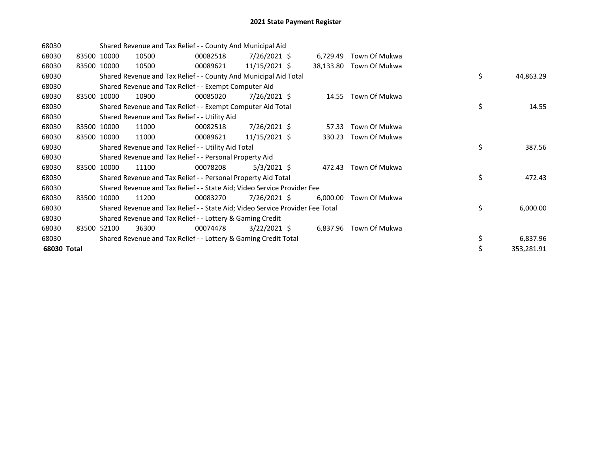| 68030       |       |             |       | Shared Revenue and Tax Relief - - County And Municipal Aid                    |                 |          |                         |    |            |
|-------------|-------|-------------|-------|-------------------------------------------------------------------------------|-----------------|----------|-------------------------|----|------------|
| 68030       |       | 83500 10000 | 10500 | 00082518                                                                      | 7/26/2021 \$    | 6,729.49 | Town Of Mukwa           |    |            |
| 68030       |       | 83500 10000 | 10500 | 00089621                                                                      | 11/15/2021 \$   |          | 38,133.80 Town Of Mukwa |    |            |
| 68030       |       |             |       | Shared Revenue and Tax Relief - - County And Municipal Aid Total              |                 |          |                         | \$ | 44,863.29  |
| 68030       |       |             |       | Shared Revenue and Tax Relief - - Exempt Computer Aid                         |                 |          |                         |    |            |
| 68030       |       | 83500 10000 | 10900 | 00085020                                                                      | 7/26/2021 \$    |          | 14.55 Town Of Mukwa     |    |            |
| 68030       |       |             |       | Shared Revenue and Tax Relief - - Exempt Computer Aid Total                   |                 |          |                         | \$ | 14.55      |
| 68030       |       |             |       | Shared Revenue and Tax Relief - - Utility Aid                                 |                 |          |                         |    |            |
| 68030       |       | 83500 10000 | 11000 | 00082518                                                                      | 7/26/2021 \$    | 57.33    | Town Of Mukwa           |    |            |
| 68030       |       | 83500 10000 | 11000 | 00089621                                                                      | $11/15/2021$ \$ | 330.23   | Town Of Mukwa           |    |            |
| 68030       |       |             |       | Shared Revenue and Tax Relief - - Utility Aid Total                           |                 |          |                         | \$ | 387.56     |
| 68030       |       |             |       | Shared Revenue and Tax Relief - - Personal Property Aid                       |                 |          |                         |    |            |
| 68030       | 83500 | 10000       | 11100 | 00078208                                                                      | 5/3/2021 \$     | 472.43   | Town Of Mukwa           |    |            |
| 68030       |       |             |       | Shared Revenue and Tax Relief - - Personal Property Aid Total                 |                 |          |                         | \$ | 472.43     |
| 68030       |       |             |       | Shared Revenue and Tax Relief - - State Aid; Video Service Provider Fee       |                 |          |                         |    |            |
| 68030       |       | 83500 10000 | 11200 | 00083270                                                                      | $7/26/2021$ \$  | 6,000.00 | Town Of Mukwa           |    |            |
| 68030       |       |             |       | Shared Revenue and Tax Relief - - State Aid; Video Service Provider Fee Total |                 |          |                         | \$ | 6,000.00   |
| 68030       |       |             |       | Shared Revenue and Tax Relief - - Lottery & Gaming Credit                     |                 |          |                         |    |            |
| 68030       |       | 83500 52100 | 36300 | 00074478                                                                      | $3/22/2021$ \$  |          | 6,837.96 Town Of Mukwa  |    |            |
| 68030       |       |             |       | Shared Revenue and Tax Relief - - Lottery & Gaming Credit Total               |                 |          |                         | \$ | 6,837.96   |
| 68030 Total |       |             |       |                                                                               |                 |          |                         | \$ | 353,281.91 |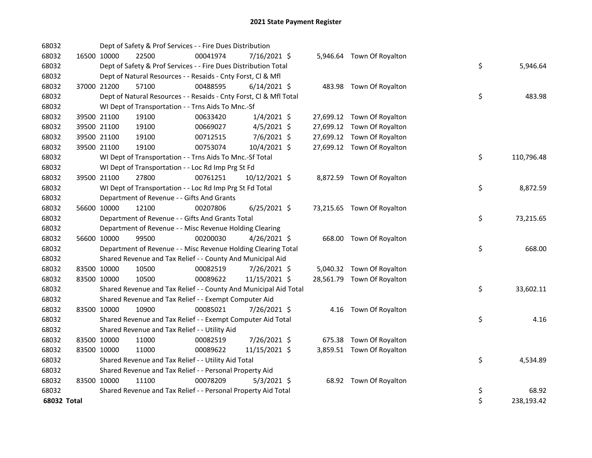| 68032       |             | Dept of Safety & Prof Services - - Fire Dues Distribution          |          |                |  |                            |    |            |
|-------------|-------------|--------------------------------------------------------------------|----------|----------------|--|----------------------------|----|------------|
| 68032       | 16500 10000 | 22500                                                              | 00041974 | 7/16/2021 \$   |  | 5,946.64 Town Of Royalton  |    |            |
| 68032       |             | Dept of Safety & Prof Services - - Fire Dues Distribution Total    |          |                |  |                            | \$ | 5,946.64   |
| 68032       |             | Dept of Natural Resources - - Resaids - Cnty Forst, CI & Mfl       |          |                |  |                            |    |            |
| 68032       | 37000 21200 | 57100                                                              | 00488595 | $6/14/2021$ \$ |  | 483.98 Town Of Royalton    |    |            |
| 68032       |             | Dept of Natural Resources - - Resaids - Cnty Forst, Cl & Mfl Total |          |                |  |                            | \$ | 483.98     |
| 68032       |             | WI Dept of Transportation - - Trns Aids To Mnc.-Sf                 |          |                |  |                            |    |            |
| 68032       | 39500 21100 | 19100                                                              | 00633420 | $1/4/2021$ \$  |  | 27,699.12 Town Of Royalton |    |            |
| 68032       | 39500 21100 | 19100                                                              | 00669027 | $4/5/2021$ \$  |  | 27,699.12 Town Of Royalton |    |            |
| 68032       | 39500 21100 | 19100                                                              | 00712515 | 7/6/2021 \$    |  | 27,699.12 Town Of Royalton |    |            |
| 68032       | 39500 21100 | 19100                                                              | 00753074 | 10/4/2021 \$   |  | 27,699.12 Town Of Royalton |    |            |
| 68032       |             | WI Dept of Transportation - - Trns Aids To Mnc.-Sf Total           |          |                |  |                            | \$ | 110,796.48 |
| 68032       |             | WI Dept of Transportation - - Loc Rd Imp Prg St Fd                 |          |                |  |                            |    |            |
| 68032       | 39500 21100 | 27800                                                              | 00761251 | 10/12/2021 \$  |  | 8,872.59 Town Of Royalton  |    |            |
| 68032       |             | WI Dept of Transportation - - Loc Rd Imp Prg St Fd Total           |          |                |  |                            | \$ | 8,872.59   |
| 68032       |             | Department of Revenue - - Gifts And Grants                         |          |                |  |                            |    |            |
| 68032       | 56600 10000 | 12100                                                              | 00207806 | $6/25/2021$ \$ |  | 73,215.65 Town Of Royalton |    |            |
| 68032       |             | Department of Revenue - - Gifts And Grants Total                   |          |                |  |                            | \$ | 73,215.65  |
| 68032       |             | Department of Revenue - - Misc Revenue Holding Clearing            |          |                |  |                            |    |            |
| 68032       | 56600 10000 | 99500                                                              | 00200030 | 4/26/2021 \$   |  | 668.00 Town Of Royalton    |    |            |
| 68032       |             | Department of Revenue - - Misc Revenue Holding Clearing Total      |          |                |  |                            | \$ | 668.00     |
| 68032       |             | Shared Revenue and Tax Relief - - County And Municipal Aid         |          |                |  |                            |    |            |
| 68032       | 83500 10000 | 10500                                                              | 00082519 | 7/26/2021 \$   |  | 5,040.32 Town Of Royalton  |    |            |
| 68032       | 83500 10000 | 10500                                                              | 00089622 | 11/15/2021 \$  |  | 28,561.79 Town Of Royalton |    |            |
| 68032       |             | Shared Revenue and Tax Relief - - County And Municipal Aid Total   |          |                |  |                            | \$ | 33,602.11  |
| 68032       |             | Shared Revenue and Tax Relief - - Exempt Computer Aid              |          |                |  |                            |    |            |
| 68032       | 83500 10000 | 10900                                                              | 00085021 | 7/26/2021 \$   |  | 4.16 Town Of Royalton      |    |            |
| 68032       |             | Shared Revenue and Tax Relief - - Exempt Computer Aid Total        |          |                |  |                            | \$ | 4.16       |
| 68032       |             | Shared Revenue and Tax Relief - - Utility Aid                      |          |                |  |                            |    |            |
| 68032       | 83500 10000 | 11000                                                              | 00082519 | 7/26/2021 \$   |  | 675.38 Town Of Royalton    |    |            |
| 68032       | 83500 10000 | 11000                                                              | 00089622 | 11/15/2021 \$  |  | 3,859.51 Town Of Royalton  |    |            |
| 68032       |             | Shared Revenue and Tax Relief - - Utility Aid Total                |          |                |  |                            | \$ | 4,534.89   |
| 68032       |             | Shared Revenue and Tax Relief - - Personal Property Aid            |          |                |  |                            |    |            |
| 68032       | 83500 10000 | 11100                                                              | 00078209 | $5/3/2021$ \$  |  | 68.92 Town Of Royalton     |    |            |
| 68032       |             | Shared Revenue and Tax Relief - - Personal Property Aid Total      |          |                |  |                            | \$ | 68.92      |
| 68032 Total |             |                                                                    |          |                |  |                            | \$ | 238,193.42 |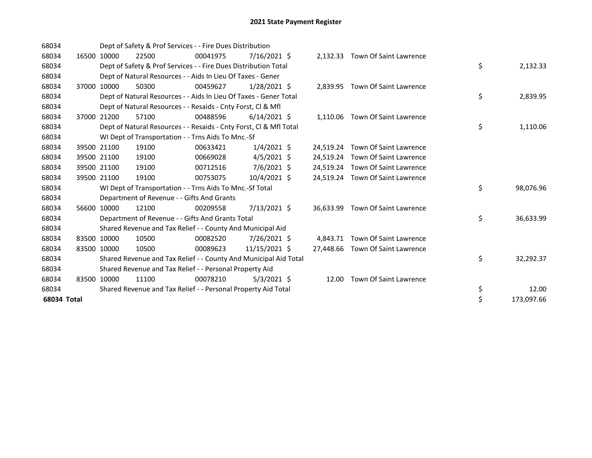| 68034       |       |             | Dept of Safety & Prof Services - - Fire Dues Distribution          |          |                |           |                                  |    |            |
|-------------|-------|-------------|--------------------------------------------------------------------|----------|----------------|-----------|----------------------------------|----|------------|
| 68034       | 16500 | 10000       | 22500                                                              | 00041975 | $7/16/2021$ \$ | 2,132.33  | Town Of Saint Lawrence           |    |            |
| 68034       |       |             | Dept of Safety & Prof Services - - Fire Dues Distribution Total    |          |                |           |                                  | \$ | 2,132.33   |
| 68034       |       |             | Dept of Natural Resources - - Aids In Lieu Of Taxes - Gener        |          |                |           |                                  |    |            |
| 68034       |       | 37000 10000 | 50300                                                              | 00459627 | $1/28/2021$ \$ |           | 2,839.95 Town Of Saint Lawrence  |    |            |
| 68034       |       |             | Dept of Natural Resources - - Aids In Lieu Of Taxes - Gener Total  |          |                |           |                                  | \$ | 2,839.95   |
| 68034       |       |             | Dept of Natural Resources - - Resaids - Cnty Forst, CI & Mfl       |          |                |           |                                  |    |            |
| 68034       | 37000 | 21200       | 57100                                                              | 00488596 | $6/14/2021$ \$ |           | 1.110.06 Town Of Saint Lawrence  |    |            |
| 68034       |       |             | Dept of Natural Resources - - Resaids - Cnty Forst, Cl & Mfl Total |          |                |           |                                  | \$ | 1,110.06   |
| 68034       |       |             | WI Dept of Transportation - - Trns Aids To Mnc.-Sf                 |          |                |           |                                  |    |            |
| 68034       |       | 39500 21100 | 19100                                                              | 00633421 | $1/4/2021$ \$  | 24,519.24 | Town Of Saint Lawrence           |    |            |
| 68034       |       | 39500 21100 | 19100                                                              | 00669028 | $4/5/2021$ \$  | 24,519.24 | Town Of Saint Lawrence           |    |            |
| 68034       |       | 39500 21100 | 19100                                                              | 00712516 | $7/6/2021$ \$  | 24,519.24 | Town Of Saint Lawrence           |    |            |
| 68034       |       | 39500 21100 | 19100                                                              | 00753075 | 10/4/2021 \$   |           | 24,519.24 Town Of Saint Lawrence |    |            |
| 68034       |       |             | WI Dept of Transportation - - Trns Aids To Mnc.-Sf Total           |          |                |           |                                  | \$ | 98,076.96  |
| 68034       |       |             | Department of Revenue - - Gifts And Grants                         |          |                |           |                                  |    |            |
| 68034       |       | 56600 10000 | 12100                                                              | 00209558 | 7/13/2021 \$   | 36,633.99 | Town Of Saint Lawrence           |    |            |
| 68034       |       |             | Department of Revenue - - Gifts And Grants Total                   |          |                |           |                                  | \$ | 36,633.99  |
| 68034       |       |             | Shared Revenue and Tax Relief - - County And Municipal Aid         |          |                |           |                                  |    |            |
| 68034       |       | 83500 10000 | 10500                                                              | 00082520 | 7/26/2021 \$   | 4.843.71  | <b>Town Of Saint Lawrence</b>    |    |            |
| 68034       |       | 83500 10000 | 10500                                                              | 00089623 | 11/15/2021 \$  | 27,448.66 | Town Of Saint Lawrence           |    |            |
| 68034       |       |             | Shared Revenue and Tax Relief - - County And Municipal Aid Total   |          |                |           |                                  | \$ | 32,292.37  |
| 68034       |       |             | Shared Revenue and Tax Relief - - Personal Property Aid            |          |                |           |                                  |    |            |
| 68034       |       | 83500 10000 | 11100                                                              | 00078210 | $5/3/2021$ \$  | 12.00     | <b>Town Of Saint Lawrence</b>    |    |            |
| 68034       |       |             | Shared Revenue and Tax Relief - - Personal Property Aid Total      |          |                |           |                                  | \$ | 12.00      |
| 68034 Total |       |             |                                                                    |          |                |           |                                  | \$ | 173,097.66 |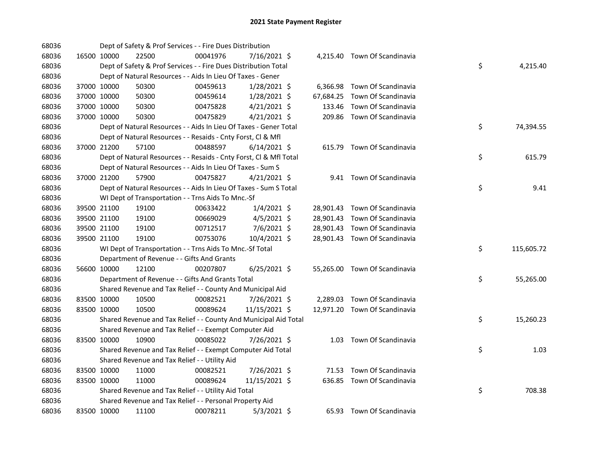| 68036 |             | Dept of Safety & Prof Services - - Fire Dues Distribution          |          |                |           |                               |    |            |
|-------|-------------|--------------------------------------------------------------------|----------|----------------|-----------|-------------------------------|----|------------|
| 68036 | 16500 10000 | 22500                                                              | 00041976 | 7/16/2021 \$   |           | 4,215.40 Town Of Scandinavia  |    |            |
| 68036 |             | Dept of Safety & Prof Services - - Fire Dues Distribution Total    |          |                |           |                               | \$ | 4,215.40   |
| 68036 |             | Dept of Natural Resources - - Aids In Lieu Of Taxes - Gener        |          |                |           |                               |    |            |
| 68036 | 37000 10000 | 50300                                                              | 00459613 | $1/28/2021$ \$ | 6,366.98  | Town Of Scandinavia           |    |            |
| 68036 | 37000 10000 | 50300                                                              | 00459614 | $1/28/2021$ \$ | 67,684.25 | Town Of Scandinavia           |    |            |
| 68036 | 37000 10000 | 50300                                                              | 00475828 | $4/21/2021$ \$ | 133.46    | Town Of Scandinavia           |    |            |
| 68036 | 37000 10000 | 50300                                                              | 00475829 | $4/21/2021$ \$ |           | 209.86 Town Of Scandinavia    |    |            |
| 68036 |             | Dept of Natural Resources - - Aids In Lieu Of Taxes - Gener Total  |          |                |           |                               | \$ | 74,394.55  |
| 68036 |             | Dept of Natural Resources - - Resaids - Cnty Forst, Cl & Mfl       |          |                |           |                               |    |            |
| 68036 | 37000 21200 | 57100                                                              | 00488597 | $6/14/2021$ \$ |           | 615.79 Town Of Scandinavia    |    |            |
| 68036 |             | Dept of Natural Resources - - Resaids - Cnty Forst, Cl & Mfl Total |          |                |           |                               | \$ | 615.79     |
| 68036 |             | Dept of Natural Resources - - Aids In Lieu Of Taxes - Sum S        |          |                |           |                               |    |            |
| 68036 | 37000 21200 | 57900                                                              | 00475827 | $4/21/2021$ \$ |           | 9.41 Town Of Scandinavia      |    |            |
| 68036 |             | Dept of Natural Resources - - Aids In Lieu Of Taxes - Sum S Total  |          |                |           |                               | \$ | 9.41       |
| 68036 |             | WI Dept of Transportation - - Trns Aids To Mnc.-Sf                 |          |                |           |                               |    |            |
| 68036 | 39500 21100 | 19100                                                              | 00633422 | $1/4/2021$ \$  |           | 28,901.43 Town Of Scandinavia |    |            |
| 68036 | 39500 21100 | 19100                                                              | 00669029 | $4/5/2021$ \$  |           | 28,901.43 Town Of Scandinavia |    |            |
| 68036 | 39500 21100 | 19100                                                              | 00712517 | 7/6/2021 \$    |           | 28,901.43 Town Of Scandinavia |    |            |
| 68036 | 39500 21100 | 19100                                                              | 00753076 | 10/4/2021 \$   |           | 28,901.43 Town Of Scandinavia |    |            |
| 68036 |             | WI Dept of Transportation - - Trns Aids To Mnc.-Sf Total           |          |                |           |                               | \$ | 115,605.72 |
| 68036 |             | Department of Revenue - - Gifts And Grants                         |          |                |           |                               |    |            |
| 68036 | 56600 10000 | 12100                                                              | 00207807 | 6/25/2021 \$   |           | 55,265.00 Town Of Scandinavia |    |            |
| 68036 |             | Department of Revenue - - Gifts And Grants Total                   |          |                |           |                               | \$ | 55,265.00  |
| 68036 |             | Shared Revenue and Tax Relief - - County And Municipal Aid         |          |                |           |                               |    |            |
| 68036 | 83500 10000 | 10500                                                              | 00082521 | 7/26/2021 \$   |           | 2,289.03 Town Of Scandinavia  |    |            |
| 68036 | 83500 10000 | 10500                                                              | 00089624 | 11/15/2021 \$  |           | 12,971.20 Town Of Scandinavia |    |            |
| 68036 |             | Shared Revenue and Tax Relief - - County And Municipal Aid Total   |          |                |           |                               | \$ | 15,260.23  |
| 68036 |             | Shared Revenue and Tax Relief - - Exempt Computer Aid              |          |                |           |                               |    |            |
| 68036 | 83500 10000 | 10900                                                              | 00085022 | 7/26/2021 \$   |           | 1.03 Town Of Scandinavia      |    |            |
| 68036 |             | Shared Revenue and Tax Relief - - Exempt Computer Aid Total        |          |                |           |                               | \$ | 1.03       |
| 68036 |             | Shared Revenue and Tax Relief - - Utility Aid                      |          |                |           |                               |    |            |
| 68036 | 83500 10000 | 11000                                                              | 00082521 | 7/26/2021 \$   |           | 71.53 Town Of Scandinavia     |    |            |
| 68036 | 83500 10000 | 11000                                                              | 00089624 | 11/15/2021 \$  |           | 636.85 Town Of Scandinavia    |    |            |
| 68036 |             | Shared Revenue and Tax Relief - - Utility Aid Total                |          |                |           |                               | \$ | 708.38     |
| 68036 |             | Shared Revenue and Tax Relief - - Personal Property Aid            |          |                |           |                               |    |            |
| 68036 | 83500 10000 | 11100                                                              | 00078211 | $5/3/2021$ \$  |           | 65.93 Town Of Scandinavia     |    |            |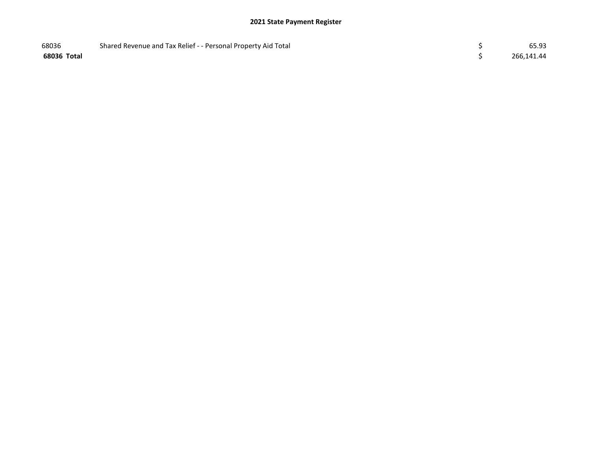| 68036       | Shared Revenue and Tax Relief - - Personal Property Aid Total | 65.93      |
|-------------|---------------------------------------------------------------|------------|
| 68036 Total |                                                               | 266,141.44 |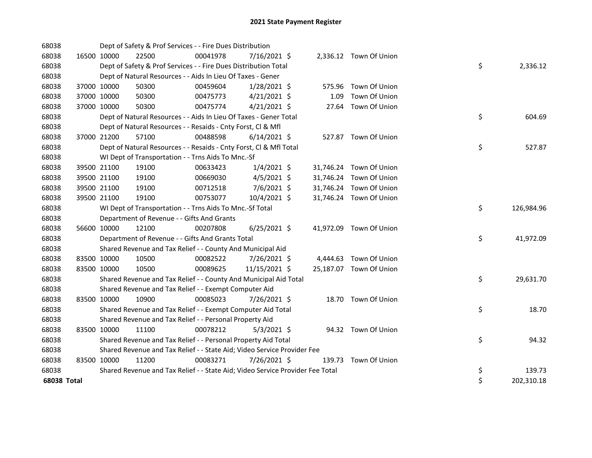| 68038       |             |             | Dept of Safety & Prof Services - - Fire Dues Distribution                     |          |                |      |                         |    |            |
|-------------|-------------|-------------|-------------------------------------------------------------------------------|----------|----------------|------|-------------------------|----|------------|
| 68038       | 16500 10000 |             | 22500                                                                         | 00041978 | $7/16/2021$ \$ |      | 2,336.12 Town Of Union  |    |            |
| 68038       |             |             | Dept of Safety & Prof Services - - Fire Dues Distribution Total               |          |                |      |                         | \$ | 2,336.12   |
| 68038       |             |             | Dept of Natural Resources - - Aids In Lieu Of Taxes - Gener                   |          |                |      |                         |    |            |
| 68038       |             | 37000 10000 | 50300                                                                         | 00459604 | $1/28/2021$ \$ |      | 575.96 Town Of Union    |    |            |
| 68038       |             | 37000 10000 | 50300                                                                         | 00475773 | $4/21/2021$ \$ | 1.09 | Town Of Union           |    |            |
| 68038       |             | 37000 10000 | 50300                                                                         | 00475774 | $4/21/2021$ \$ |      | 27.64 Town Of Union     |    |            |
| 68038       |             |             | Dept of Natural Resources - - Aids In Lieu Of Taxes - Gener Total             |          |                |      |                         | \$ | 604.69     |
| 68038       |             |             | Dept of Natural Resources - - Resaids - Cnty Forst, Cl & Mfl                  |          |                |      |                         |    |            |
| 68038       |             | 37000 21200 | 57100                                                                         | 00488598 | $6/14/2021$ \$ |      | 527.87 Town Of Union    |    |            |
| 68038       |             |             | Dept of Natural Resources - - Resaids - Cnty Forst, Cl & Mfl Total            |          |                |      |                         | \$ | 527.87     |
| 68038       |             |             | WI Dept of Transportation - - Trns Aids To Mnc.-Sf                            |          |                |      |                         |    |            |
| 68038       |             | 39500 21100 | 19100                                                                         | 00633423 | $1/4/2021$ \$  |      | 31,746.24 Town Of Union |    |            |
| 68038       |             | 39500 21100 | 19100                                                                         | 00669030 | $4/5/2021$ \$  |      | 31,746.24 Town Of Union |    |            |
| 68038       | 39500 21100 |             | 19100                                                                         | 00712518 | 7/6/2021 \$    |      | 31,746.24 Town Of Union |    |            |
| 68038       |             | 39500 21100 | 19100                                                                         | 00753077 | 10/4/2021 \$   |      | 31,746.24 Town Of Union |    |            |
| 68038       |             |             | WI Dept of Transportation - - Trns Aids To Mnc.-Sf Total                      |          |                |      |                         | \$ | 126,984.96 |
| 68038       |             |             | Department of Revenue - - Gifts And Grants                                    |          |                |      |                         |    |            |
| 68038       | 56600 10000 |             | 12100                                                                         | 00207808 | $6/25/2021$ \$ |      | 41,972.09 Town Of Union |    |            |
| 68038       |             |             | Department of Revenue - - Gifts And Grants Total                              |          |                |      |                         | \$ | 41,972.09  |
| 68038       |             |             | Shared Revenue and Tax Relief - - County And Municipal Aid                    |          |                |      |                         |    |            |
| 68038       | 83500 10000 |             | 10500                                                                         | 00082522 | 7/26/2021 \$   |      | 4,444.63 Town Of Union  |    |            |
| 68038       | 83500 10000 |             | 10500                                                                         | 00089625 | 11/15/2021 \$  |      | 25,187.07 Town Of Union |    |            |
| 68038       |             |             | Shared Revenue and Tax Relief - - County And Municipal Aid Total              |          |                |      |                         | \$ | 29,631.70  |
| 68038       |             |             | Shared Revenue and Tax Relief - - Exempt Computer Aid                         |          |                |      |                         |    |            |
| 68038       | 83500 10000 |             | 10900                                                                         | 00085023 | 7/26/2021 \$   |      | 18.70 Town Of Union     |    |            |
| 68038       |             |             | Shared Revenue and Tax Relief - - Exempt Computer Aid Total                   |          |                |      |                         | \$ | 18.70      |
| 68038       |             |             | Shared Revenue and Tax Relief - - Personal Property Aid                       |          |                |      |                         |    |            |
| 68038       | 83500 10000 |             | 11100                                                                         | 00078212 | $5/3/2021$ \$  |      | 94.32 Town Of Union     |    |            |
| 68038       |             |             | Shared Revenue and Tax Relief - - Personal Property Aid Total                 |          |                |      |                         | \$ | 94.32      |
| 68038       |             |             | Shared Revenue and Tax Relief - - State Aid; Video Service Provider Fee       |          |                |      |                         |    |            |
| 68038       | 83500 10000 |             | 11200                                                                         | 00083271 | 7/26/2021 \$   |      | 139.73 Town Of Union    |    |            |
| 68038       |             |             | Shared Revenue and Tax Relief - - State Aid; Video Service Provider Fee Total |          |                |      |                         | \$ | 139.73     |
| 68038 Total |             |             |                                                                               |          |                |      |                         | \$ | 202,310.18 |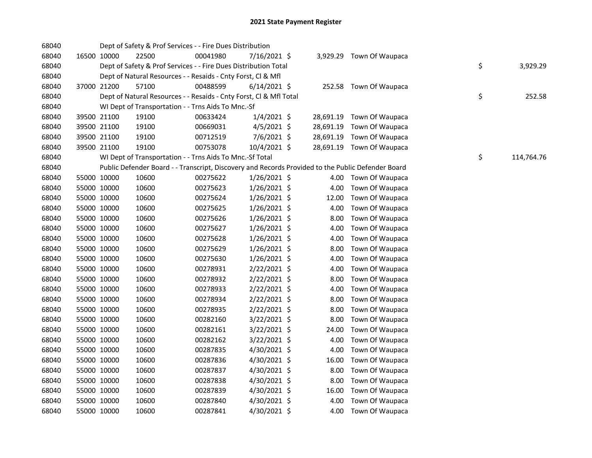| 68040 |             | Dept of Safety & Prof Services - - Fire Dues Distribution          |          |                |           |                                                                                                   |    |            |
|-------|-------------|--------------------------------------------------------------------|----------|----------------|-----------|---------------------------------------------------------------------------------------------------|----|------------|
| 68040 | 16500 10000 | 22500                                                              | 00041980 | 7/16/2021 \$   |           | 3,929.29 Town Of Waupaca                                                                          |    |            |
| 68040 |             | Dept of Safety & Prof Services - - Fire Dues Distribution Total    |          |                |           |                                                                                                   | \$ | 3,929.29   |
| 68040 |             | Dept of Natural Resources - - Resaids - Cnty Forst, Cl & Mfl       |          |                |           |                                                                                                   |    |            |
| 68040 | 37000 21200 | 57100                                                              | 00488599 | $6/14/2021$ \$ |           | 252.58 Town Of Waupaca                                                                            |    |            |
| 68040 |             | Dept of Natural Resources - - Resaids - Cnty Forst, Cl & Mfl Total |          |                |           |                                                                                                   | \$ | 252.58     |
| 68040 |             | WI Dept of Transportation - - Trns Aids To Mnc.-Sf                 |          |                |           |                                                                                                   |    |            |
| 68040 | 39500 21100 | 19100                                                              | 00633424 | $1/4/2021$ \$  |           | 28,691.19 Town Of Waupaca                                                                         |    |            |
| 68040 | 39500 21100 | 19100                                                              | 00669031 | $4/5/2021$ \$  | 28,691.19 | Town Of Waupaca                                                                                   |    |            |
| 68040 | 39500 21100 | 19100                                                              | 00712519 | 7/6/2021 \$    | 28,691.19 | Town Of Waupaca                                                                                   |    |            |
| 68040 | 39500 21100 | 19100                                                              | 00753078 | 10/4/2021 \$   |           | 28,691.19 Town Of Waupaca                                                                         |    |            |
| 68040 |             | WI Dept of Transportation - - Trns Aids To Mnc.-Sf Total           |          |                |           |                                                                                                   | \$ | 114,764.76 |
| 68040 |             |                                                                    |          |                |           | Public Defender Board - - Transcript, Discovery and Records Provided to the Public Defender Board |    |            |
| 68040 | 55000 10000 | 10600                                                              | 00275622 | 1/26/2021 \$   | 4.00      | Town Of Waupaca                                                                                   |    |            |
| 68040 | 55000 10000 | 10600                                                              | 00275623 | 1/26/2021 \$   | 4.00      | Town Of Waupaca                                                                                   |    |            |
| 68040 | 55000 10000 | 10600                                                              | 00275624 | 1/26/2021 \$   | 12.00     | Town Of Waupaca                                                                                   |    |            |
| 68040 | 55000 10000 | 10600                                                              | 00275625 | $1/26/2021$ \$ | 4.00      | Town Of Waupaca                                                                                   |    |            |
| 68040 | 55000 10000 | 10600                                                              | 00275626 | $1/26/2021$ \$ | 8.00      | Town Of Waupaca                                                                                   |    |            |
| 68040 | 55000 10000 | 10600                                                              | 00275627 | $1/26/2021$ \$ | 4.00      | Town Of Waupaca                                                                                   |    |            |
| 68040 | 55000 10000 | 10600                                                              | 00275628 | $1/26/2021$ \$ | 4.00      | Town Of Waupaca                                                                                   |    |            |
| 68040 | 55000 10000 | 10600                                                              | 00275629 | $1/26/2021$ \$ | 8.00      | Town Of Waupaca                                                                                   |    |            |
| 68040 | 55000 10000 | 10600                                                              | 00275630 | $1/26/2021$ \$ | 4.00      | Town Of Waupaca                                                                                   |    |            |
| 68040 | 55000 10000 | 10600                                                              | 00278931 | 2/22/2021 \$   | 4.00      | Town Of Waupaca                                                                                   |    |            |
| 68040 | 55000 10000 | 10600                                                              | 00278932 | $2/22/2021$ \$ | 8.00      | Town Of Waupaca                                                                                   |    |            |
| 68040 | 55000 10000 | 10600                                                              | 00278933 | 2/22/2021 \$   | 4.00      | Town Of Waupaca                                                                                   |    |            |
| 68040 | 55000 10000 | 10600                                                              | 00278934 | 2/22/2021 \$   | 8.00      | Town Of Waupaca                                                                                   |    |            |
| 68040 | 55000 10000 | 10600                                                              | 00278935 | 2/22/2021 \$   | 8.00      | Town Of Waupaca                                                                                   |    |            |
| 68040 | 55000 10000 | 10600                                                              | 00282160 | 3/22/2021 \$   | 8.00      | Town Of Waupaca                                                                                   |    |            |
| 68040 | 55000 10000 | 10600                                                              | 00282161 | 3/22/2021 \$   | 24.00     | Town Of Waupaca                                                                                   |    |            |
| 68040 | 55000 10000 | 10600                                                              | 00282162 | 3/22/2021 \$   | 4.00      | Town Of Waupaca                                                                                   |    |            |
| 68040 | 55000 10000 | 10600                                                              | 00287835 | 4/30/2021 \$   | 4.00      | Town Of Waupaca                                                                                   |    |            |
| 68040 | 55000 10000 | 10600                                                              | 00287836 | 4/30/2021 \$   | 16.00     | Town Of Waupaca                                                                                   |    |            |
| 68040 | 55000 10000 | 10600                                                              | 00287837 | 4/30/2021 \$   | 8.00      | Town Of Waupaca                                                                                   |    |            |
| 68040 | 55000 10000 | 10600                                                              | 00287838 | 4/30/2021 \$   | 8.00      | Town Of Waupaca                                                                                   |    |            |
| 68040 | 55000 10000 | 10600                                                              | 00287839 | 4/30/2021 \$   | 16.00     | Town Of Waupaca                                                                                   |    |            |
| 68040 | 55000 10000 | 10600                                                              | 00287840 | 4/30/2021 \$   | 4.00      | Town Of Waupaca                                                                                   |    |            |
| 68040 | 55000 10000 | 10600                                                              | 00287841 | 4/30/2021 \$   | 4.00      | Town Of Waupaca                                                                                   |    |            |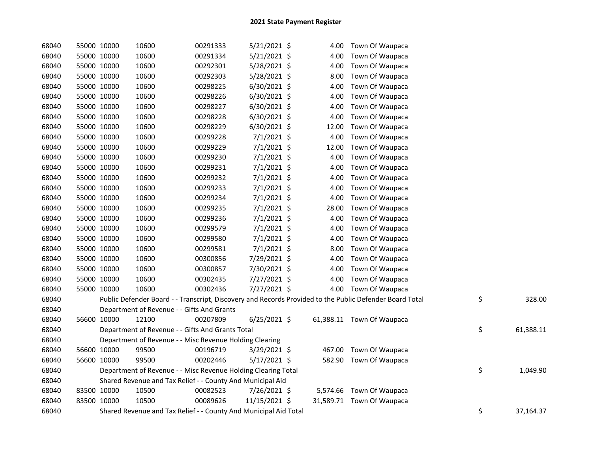| 68040 | 55000 10000 | 10600                                                            | 00291333 | 5/21/2021 \$   | 4.00   | Town Of Waupaca                                                                                         |                 |
|-------|-------------|------------------------------------------------------------------|----------|----------------|--------|---------------------------------------------------------------------------------------------------------|-----------------|
| 68040 | 55000 10000 | 10600                                                            | 00291334 | 5/21/2021 \$   | 4.00   | Town Of Waupaca                                                                                         |                 |
| 68040 | 55000 10000 | 10600                                                            | 00292301 | 5/28/2021 \$   | 4.00   | Town Of Waupaca                                                                                         |                 |
| 68040 | 55000 10000 | 10600                                                            | 00292303 | 5/28/2021 \$   | 8.00   | Town Of Waupaca                                                                                         |                 |
| 68040 | 55000 10000 | 10600                                                            | 00298225 | 6/30/2021 \$   | 4.00   | Town Of Waupaca                                                                                         |                 |
| 68040 | 55000 10000 | 10600                                                            | 00298226 | 6/30/2021 \$   | 4.00   | Town Of Waupaca                                                                                         |                 |
| 68040 | 55000 10000 | 10600                                                            | 00298227 | 6/30/2021 \$   | 4.00   | Town Of Waupaca                                                                                         |                 |
| 68040 | 55000 10000 | 10600                                                            | 00298228 | 6/30/2021 \$   | 4.00   | Town Of Waupaca                                                                                         |                 |
| 68040 | 55000 10000 | 10600                                                            | 00298229 | 6/30/2021 \$   | 12.00  | Town Of Waupaca                                                                                         |                 |
| 68040 | 55000 10000 | 10600                                                            | 00299228 | $7/1/2021$ \$  | 4.00   | Town Of Waupaca                                                                                         |                 |
| 68040 | 55000 10000 | 10600                                                            | 00299229 | $7/1/2021$ \$  | 12.00  | Town Of Waupaca                                                                                         |                 |
| 68040 | 55000 10000 | 10600                                                            | 00299230 | $7/1/2021$ \$  | 4.00   | Town Of Waupaca                                                                                         |                 |
| 68040 | 55000 10000 | 10600                                                            | 00299231 | 7/1/2021 \$    | 4.00   | Town Of Waupaca                                                                                         |                 |
| 68040 | 55000 10000 | 10600                                                            | 00299232 | $7/1/2021$ \$  | 4.00   | Town Of Waupaca                                                                                         |                 |
| 68040 | 55000 10000 | 10600                                                            | 00299233 | $7/1/2021$ \$  | 4.00   | Town Of Waupaca                                                                                         |                 |
| 68040 | 55000 10000 | 10600                                                            | 00299234 | 7/1/2021 \$    | 4.00   | Town Of Waupaca                                                                                         |                 |
| 68040 | 55000 10000 | 10600                                                            | 00299235 | $7/1/2021$ \$  | 28.00  | Town Of Waupaca                                                                                         |                 |
| 68040 | 55000 10000 | 10600                                                            | 00299236 | $7/1/2021$ \$  | 4.00   | Town Of Waupaca                                                                                         |                 |
| 68040 | 55000 10000 | 10600                                                            | 00299579 | 7/1/2021 \$    | 4.00   | Town Of Waupaca                                                                                         |                 |
| 68040 | 55000 10000 | 10600                                                            | 00299580 | 7/1/2021 \$    | 4.00   | Town Of Waupaca                                                                                         |                 |
| 68040 | 55000 10000 | 10600                                                            | 00299581 | $7/1/2021$ \$  | 8.00   | Town Of Waupaca                                                                                         |                 |
| 68040 | 55000 10000 | 10600                                                            | 00300856 | 7/29/2021 \$   | 4.00   | Town Of Waupaca                                                                                         |                 |
| 68040 | 55000 10000 | 10600                                                            | 00300857 | 7/30/2021 \$   | 4.00   | Town Of Waupaca                                                                                         |                 |
| 68040 | 55000 10000 | 10600                                                            | 00302435 | 7/27/2021 \$   | 4.00   | Town Of Waupaca                                                                                         |                 |
| 68040 | 55000 10000 | 10600                                                            | 00302436 | 7/27/2021 \$   | 4.00   | Town Of Waupaca                                                                                         |                 |
| 68040 |             |                                                                  |          |                |        | Public Defender Board - - Transcript, Discovery and Records Provided to the Public Defender Board Total | \$<br>328.00    |
| 68040 |             | Department of Revenue - - Gifts And Grants                       |          |                |        |                                                                                                         |                 |
| 68040 | 56600 10000 | 12100                                                            | 00207809 | $6/25/2021$ \$ |        | 61,388.11 Town Of Waupaca                                                                               |                 |
| 68040 |             | Department of Revenue - - Gifts And Grants Total                 |          |                |        |                                                                                                         | \$<br>61,388.11 |
| 68040 |             | Department of Revenue - - Misc Revenue Holding Clearing          |          |                |        |                                                                                                         |                 |
| 68040 | 56600 10000 | 99500                                                            | 00196719 | 3/29/2021 \$   | 467.00 | Town Of Waupaca                                                                                         |                 |
| 68040 | 56600 10000 | 99500                                                            | 00202446 | 5/17/2021 \$   | 582.90 | Town Of Waupaca                                                                                         |                 |
| 68040 |             | Department of Revenue - - Misc Revenue Holding Clearing Total    |          |                |        |                                                                                                         | \$<br>1,049.90  |
| 68040 |             | Shared Revenue and Tax Relief - - County And Municipal Aid       |          |                |        |                                                                                                         |                 |
| 68040 | 83500 10000 | 10500                                                            | 00082523 | 7/26/2021 \$   |        | 5,574.66 Town Of Waupaca                                                                                |                 |
| 68040 | 83500 10000 | 10500                                                            | 00089626 | 11/15/2021 \$  |        | 31,589.71 Town Of Waupaca                                                                               |                 |
| 68040 |             | Shared Revenue and Tax Relief - - County And Municipal Aid Total |          |                |        |                                                                                                         | \$<br>37,164.37 |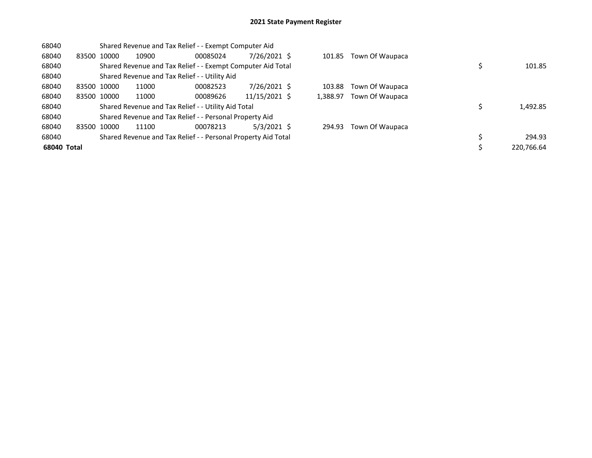| 68040       |             | Shared Revenue and Tax Relief - - Exempt Computer Aid |                                                               |          |               |  |          |                 |  |            |
|-------------|-------------|-------------------------------------------------------|---------------------------------------------------------------|----------|---------------|--|----------|-----------------|--|------------|
| 68040       | 83500       | 10000                                                 | 10900                                                         | 00085024 | 7/26/2021 \$  |  | 101.85   | Town Of Waupaca |  |            |
| 68040       |             |                                                       | Shared Revenue and Tax Relief - - Exempt Computer Aid Total   |          |               |  |          |                 |  | 101.85     |
| 68040       |             |                                                       | Shared Revenue and Tax Relief - - Utility Aid                 |          |               |  |          |                 |  |            |
| 68040       | 83500 10000 |                                                       | 11000                                                         | 00082523 | 7/26/2021 \$  |  | 103.88   | Town Of Waupaca |  |            |
| 68040       | 83500 10000 |                                                       | 11000                                                         | 00089626 | 11/15/2021 \$ |  | 1,388.97 | Town Of Waupaca |  |            |
| 68040       |             |                                                       | Shared Revenue and Tax Relief - - Utility Aid Total           |          |               |  |          |                 |  | 1,492.85   |
| 68040       |             |                                                       | Shared Revenue and Tax Relief - - Personal Property Aid       |          |               |  |          |                 |  |            |
| 68040       | 83500       | 10000                                                 | 11100                                                         | 00078213 | $5/3/2021$ \$ |  | 294.93   | Town Of Waupaca |  |            |
| 68040       |             |                                                       | Shared Revenue and Tax Relief - - Personal Property Aid Total |          |               |  |          |                 |  | 294.93     |
| 68040 Total |             |                                                       |                                                               |          |               |  |          |                 |  | 220,766.64 |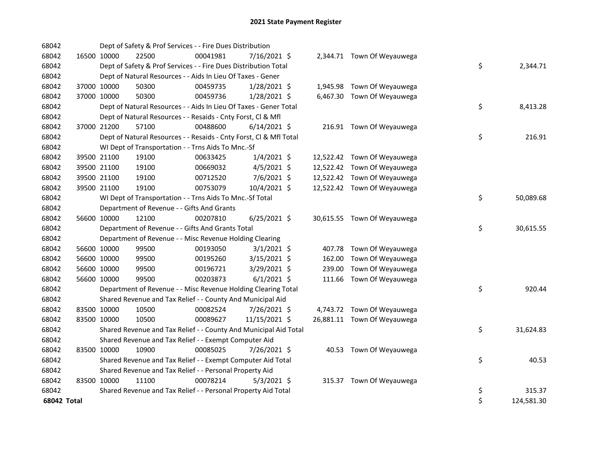| 68042       |             | Dept of Safety & Prof Services - - Fire Dues Distribution          |          |                |  |                             |    |            |
|-------------|-------------|--------------------------------------------------------------------|----------|----------------|--|-----------------------------|----|------------|
| 68042       | 16500 10000 | 22500                                                              | 00041981 | 7/16/2021 \$   |  | 2,344.71 Town Of Weyauwega  |    |            |
| 68042       |             | Dept of Safety & Prof Services - - Fire Dues Distribution Total    |          |                |  |                             | \$ | 2,344.71   |
| 68042       |             | Dept of Natural Resources - - Aids In Lieu Of Taxes - Gener        |          |                |  |                             |    |            |
| 68042       | 37000 10000 | 50300                                                              | 00459735 | $1/28/2021$ \$ |  | 1,945.98 Town Of Weyauwega  |    |            |
| 68042       | 37000 10000 | 50300                                                              | 00459736 | 1/28/2021 \$   |  | 6,467.30 Town Of Weyauwega  |    |            |
| 68042       |             | Dept of Natural Resources - - Aids In Lieu Of Taxes - Gener Total  |          |                |  |                             | \$ | 8,413.28   |
| 68042       |             | Dept of Natural Resources - - Resaids - Cnty Forst, Cl & Mfl       |          |                |  |                             |    |            |
| 68042       | 37000 21200 | 57100                                                              | 00488600 | $6/14/2021$ \$ |  | 216.91 Town Of Weyauwega    |    |            |
| 68042       |             | Dept of Natural Resources - - Resaids - Cnty Forst, Cl & Mfl Total |          |                |  |                             | \$ | 216.91     |
| 68042       |             | WI Dept of Transportation - - Trns Aids To Mnc.-Sf                 |          |                |  |                             |    |            |
| 68042       | 39500 21100 | 19100                                                              | 00633425 | $1/4/2021$ \$  |  | 12,522.42 Town Of Weyauwega |    |            |
| 68042       | 39500 21100 | 19100                                                              | 00669032 | $4/5/2021$ \$  |  | 12,522.42 Town Of Weyauwega |    |            |
| 68042       | 39500 21100 | 19100                                                              | 00712520 | 7/6/2021 \$    |  | 12,522.42 Town Of Weyauwega |    |            |
| 68042       | 39500 21100 | 19100                                                              | 00753079 | 10/4/2021 \$   |  | 12,522.42 Town Of Weyauwega |    |            |
| 68042       |             | WI Dept of Transportation - - Trns Aids To Mnc.-Sf Total           |          |                |  |                             | \$ | 50,089.68  |
| 68042       |             | Department of Revenue - - Gifts And Grants                         |          |                |  |                             |    |            |
| 68042       | 56600 10000 | 12100                                                              | 00207810 | $6/25/2021$ \$ |  | 30,615.55 Town Of Weyauwega |    |            |
| 68042       |             | Department of Revenue - - Gifts And Grants Total                   |          |                |  |                             | \$ | 30,615.55  |
| 68042       |             | Department of Revenue - - Misc Revenue Holding Clearing            |          |                |  |                             |    |            |
| 68042       | 56600 10000 | 99500                                                              | 00193050 | $3/1/2021$ \$  |  | 407.78 Town Of Weyauwega    |    |            |
| 68042       | 56600 10000 | 99500                                                              | 00195260 | $3/15/2021$ \$ |  | 162.00 Town Of Weyauwega    |    |            |
| 68042       | 56600 10000 | 99500                                                              | 00196721 | 3/29/2021 \$   |  | 239.00 Town Of Weyauwega    |    |            |
| 68042       | 56600 10000 | 99500                                                              | 00203873 | $6/1/2021$ \$  |  | 111.66 Town Of Weyauwega    |    |            |
| 68042       |             | Department of Revenue - - Misc Revenue Holding Clearing Total      |          |                |  |                             | \$ | 920.44     |
| 68042       |             | Shared Revenue and Tax Relief - - County And Municipal Aid         |          |                |  |                             |    |            |
| 68042       | 83500 10000 | 10500                                                              | 00082524 | 7/26/2021 \$   |  | 4,743.72 Town Of Weyauwega  |    |            |
| 68042       | 83500 10000 | 10500                                                              | 00089627 | 11/15/2021 \$  |  | 26,881.11 Town Of Weyauwega |    |            |
| 68042       |             | Shared Revenue and Tax Relief - - County And Municipal Aid Total   |          |                |  |                             | \$ | 31,624.83  |
| 68042       |             | Shared Revenue and Tax Relief - - Exempt Computer Aid              |          |                |  |                             |    |            |
| 68042       | 83500 10000 | 10900                                                              | 00085025 | 7/26/2021 \$   |  | 40.53 Town Of Weyauwega     |    |            |
| 68042       |             | Shared Revenue and Tax Relief - - Exempt Computer Aid Total        |          |                |  |                             | \$ | 40.53      |
| 68042       |             | Shared Revenue and Tax Relief - - Personal Property Aid            |          |                |  |                             |    |            |
| 68042       | 83500 10000 | 11100                                                              | 00078214 | $5/3/2021$ \$  |  | 315.37 Town Of Weyauwega    |    |            |
| 68042       |             | Shared Revenue and Tax Relief - - Personal Property Aid Total      |          |                |  |                             | \$ | 315.37     |
| 68042 Total |             |                                                                    |          |                |  |                             | \$ | 124,581.30 |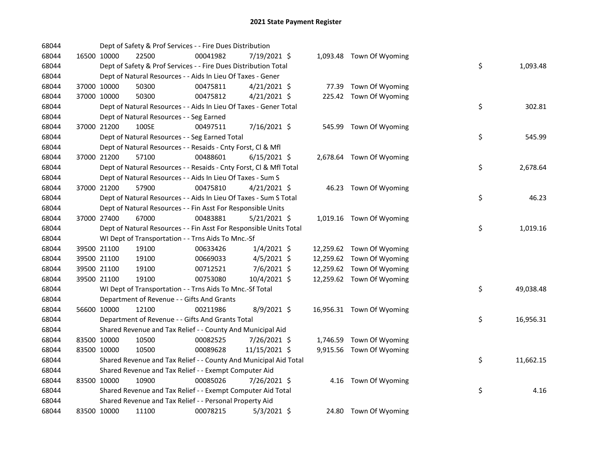| 68044 |             | Dept of Safety & Prof Services - - Fire Dues Distribution          |          |                |  |                           |    |           |
|-------|-------------|--------------------------------------------------------------------|----------|----------------|--|---------------------------|----|-----------|
| 68044 | 16500 10000 | 22500                                                              | 00041982 | 7/19/2021 \$   |  | 1,093.48 Town Of Wyoming  |    |           |
| 68044 |             | Dept of Safety & Prof Services - - Fire Dues Distribution Total    |          |                |  |                           | \$ | 1,093.48  |
| 68044 |             | Dept of Natural Resources - - Aids In Lieu Of Taxes - Gener        |          |                |  |                           |    |           |
| 68044 | 37000 10000 | 50300                                                              | 00475811 | $4/21/2021$ \$ |  | 77.39 Town Of Wyoming     |    |           |
| 68044 | 37000 10000 | 50300                                                              | 00475812 | $4/21/2021$ \$ |  | 225.42 Town Of Wyoming    |    |           |
| 68044 |             | Dept of Natural Resources - - Aids In Lieu Of Taxes - Gener Total  |          |                |  |                           | \$ | 302.81    |
| 68044 |             | Dept of Natural Resources - - Seg Earned                           |          |                |  |                           |    |           |
| 68044 | 37000 21200 | 100SE                                                              | 00497511 | 7/16/2021 \$   |  | 545.99 Town Of Wyoming    |    |           |
| 68044 |             | Dept of Natural Resources - - Seg Earned Total                     |          |                |  |                           | \$ | 545.99    |
| 68044 |             | Dept of Natural Resources - - Resaids - Cnty Forst, Cl & Mfl       |          |                |  |                           |    |           |
| 68044 | 37000 21200 | 57100                                                              | 00488601 | $6/15/2021$ \$ |  | 2,678.64 Town Of Wyoming  |    |           |
| 68044 |             | Dept of Natural Resources - - Resaids - Cnty Forst, Cl & Mfl Total |          |                |  |                           | \$ | 2,678.64  |
| 68044 |             | Dept of Natural Resources - - Aids In Lieu Of Taxes - Sum S        |          |                |  |                           |    |           |
| 68044 | 37000 21200 | 57900                                                              | 00475810 | $4/21/2021$ \$ |  | 46.23 Town Of Wyoming     |    |           |
| 68044 |             | Dept of Natural Resources - - Aids In Lieu Of Taxes - Sum S Total  |          |                |  |                           | \$ | 46.23     |
| 68044 |             | Dept of Natural Resources - - Fin Asst For Responsible Units       |          |                |  |                           |    |           |
| 68044 | 37000 27400 | 67000                                                              | 00483881 | $5/21/2021$ \$ |  | 1,019.16 Town Of Wyoming  |    |           |
| 68044 |             | Dept of Natural Resources - - Fin Asst For Responsible Units Total |          |                |  |                           | \$ | 1,019.16  |
| 68044 |             | WI Dept of Transportation - - Trns Aids To Mnc.-Sf                 |          |                |  |                           |    |           |
| 68044 | 39500 21100 | 19100                                                              | 00633426 | $1/4/2021$ \$  |  | 12,259.62 Town Of Wyoming |    |           |
| 68044 | 39500 21100 | 19100                                                              | 00669033 | $4/5/2021$ \$  |  | 12,259.62 Town Of Wyoming |    |           |
| 68044 | 39500 21100 | 19100                                                              | 00712521 | 7/6/2021 \$    |  | 12,259.62 Town Of Wyoming |    |           |
| 68044 | 39500 21100 | 19100                                                              | 00753080 | 10/4/2021 \$   |  | 12,259.62 Town Of Wyoming |    |           |
| 68044 |             | WI Dept of Transportation - - Trns Aids To Mnc.-Sf Total           |          |                |  |                           | \$ | 49,038.48 |
| 68044 |             | Department of Revenue - - Gifts And Grants                         |          |                |  |                           |    |           |
| 68044 | 56600 10000 | 12100                                                              | 00211986 | 8/9/2021 \$    |  | 16,956.31 Town Of Wyoming |    |           |
| 68044 |             | Department of Revenue - - Gifts And Grants Total                   |          |                |  |                           | \$ | 16,956.31 |
| 68044 |             | Shared Revenue and Tax Relief - - County And Municipal Aid         |          |                |  |                           |    |           |
| 68044 | 83500 10000 | 10500                                                              | 00082525 | 7/26/2021 \$   |  | 1,746.59 Town Of Wyoming  |    |           |
| 68044 | 83500 10000 | 10500                                                              | 00089628 | 11/15/2021 \$  |  | 9,915.56 Town Of Wyoming  |    |           |
| 68044 |             | Shared Revenue and Tax Relief - - County And Municipal Aid Total   |          |                |  |                           | \$ | 11,662.15 |
| 68044 |             | Shared Revenue and Tax Relief - - Exempt Computer Aid              |          |                |  |                           |    |           |
| 68044 | 83500 10000 | 10900                                                              | 00085026 | 7/26/2021 \$   |  | 4.16 Town Of Wyoming      |    |           |
| 68044 |             | Shared Revenue and Tax Relief - - Exempt Computer Aid Total        |          |                |  |                           | \$ | 4.16      |
| 68044 |             | Shared Revenue and Tax Relief - - Personal Property Aid            |          |                |  |                           |    |           |
| 68044 | 83500 10000 | 11100                                                              | 00078215 | $5/3/2021$ \$  |  | 24.80 Town Of Wyoming     |    |           |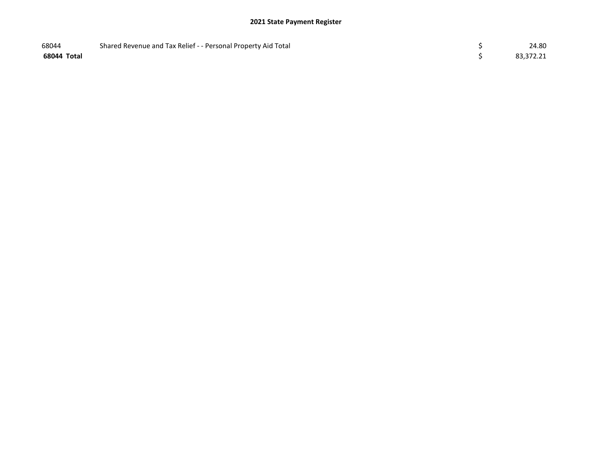| 68044       | Shared Revenue and Tax Relief - - Personal Property Aid Total | 24.80     |
|-------------|---------------------------------------------------------------|-----------|
| 68044 Total |                                                               | 83,372.21 |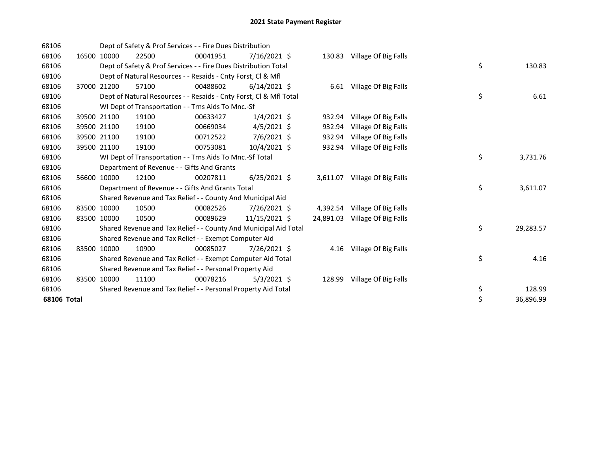| 68106       |       |             | Dept of Safety & Prof Services - - Fire Dues Distribution          |          |                |           |                           |    |           |
|-------------|-------|-------------|--------------------------------------------------------------------|----------|----------------|-----------|---------------------------|----|-----------|
| 68106       | 16500 | 10000       | 22500                                                              | 00041951 | $7/16/2021$ \$ | 130.83    | Village Of Big Falls      |    |           |
| 68106       |       |             | Dept of Safety & Prof Services - - Fire Dues Distribution Total    |          |                |           |                           | \$ | 130.83    |
| 68106       |       |             | Dept of Natural Resources - - Resaids - Cnty Forst, CI & Mfl       |          |                |           |                           |    |           |
| 68106       |       | 37000 21200 | 57100                                                              | 00488602 | $6/14/2021$ \$ |           | 6.61 Village Of Big Falls |    |           |
| 68106       |       |             | Dept of Natural Resources - - Resaids - Cnty Forst, Cl & Mfl Total |          |                |           |                           | \$ | 6.61      |
| 68106       |       |             | WI Dept of Transportation - - Trns Aids To Mnc.-Sf                 |          |                |           |                           |    |           |
| 68106       |       | 39500 21100 | 19100                                                              | 00633427 | $1/4/2021$ \$  | 932.94    | Village Of Big Falls      |    |           |
| 68106       |       | 39500 21100 | 19100                                                              | 00669034 | $4/5/2021$ \$  | 932.94    | Village Of Big Falls      |    |           |
| 68106       |       | 39500 21100 | 19100                                                              | 00712522 | $7/6/2021$ \$  | 932.94    | Village Of Big Falls      |    |           |
| 68106       |       | 39500 21100 | 19100                                                              | 00753081 | $10/4/2021$ \$ | 932.94    | Village Of Big Falls      |    |           |
| 68106       |       |             | WI Dept of Transportation - - Trns Aids To Mnc.-Sf Total           |          |                |           |                           | \$ | 3,731.76  |
| 68106       |       |             | Department of Revenue - - Gifts And Grants                         |          |                |           |                           |    |           |
| 68106       |       | 56600 10000 | 12100                                                              | 00207811 | $6/25/2021$ \$ | 3,611.07  | Village Of Big Falls      |    |           |
| 68106       |       |             | Department of Revenue - - Gifts And Grants Total                   |          |                |           |                           | \$ | 3,611.07  |
| 68106       |       |             | Shared Revenue and Tax Relief - - County And Municipal Aid         |          |                |           |                           |    |           |
| 68106       | 83500 | 10000       | 10500                                                              | 00082526 | 7/26/2021 \$   | 4,392.54  | Village Of Big Falls      |    |           |
| 68106       | 83500 | 10000       | 10500                                                              | 00089629 | 11/15/2021 \$  | 24,891.03 | Village Of Big Falls      |    |           |
| 68106       |       |             | Shared Revenue and Tax Relief - - County And Municipal Aid Total   |          |                |           |                           | \$ | 29,283.57 |
| 68106       |       |             | Shared Revenue and Tax Relief - - Exempt Computer Aid              |          |                |           |                           |    |           |
| 68106       |       | 83500 10000 | 10900                                                              | 00085027 | 7/26/2021 \$   | 4.16      | Village Of Big Falls      |    |           |
| 68106       |       |             | Shared Revenue and Tax Relief - - Exempt Computer Aid Total        |          |                |           |                           | \$ | 4.16      |
| 68106       |       |             | Shared Revenue and Tax Relief - - Personal Property Aid            |          |                |           |                           |    |           |
| 68106       |       | 83500 10000 | 11100                                                              | 00078216 | $5/3/2021$ \$  | 128.99    | Village Of Big Falls      |    |           |
| 68106       |       |             | Shared Revenue and Tax Relief - - Personal Property Aid Total      |          |                |           |                           | \$ | 128.99    |
| 68106 Total |       |             |                                                                    |          |                |           |                           | \$ | 36,896.99 |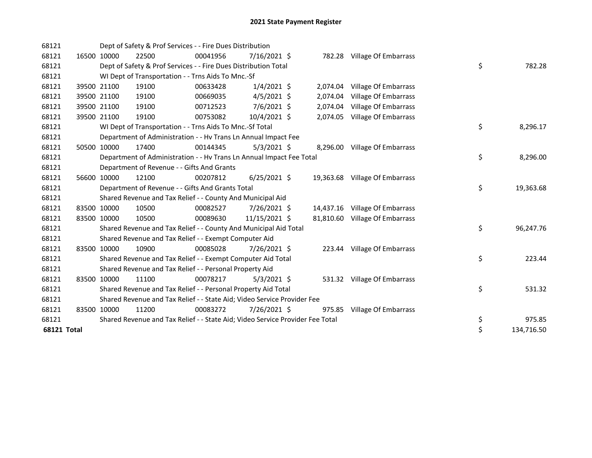| 68121              |             | Dept of Safety & Prof Services - - Fire Dues Distribution                     |          |                |          |                                |    |            |
|--------------------|-------------|-------------------------------------------------------------------------------|----------|----------------|----------|--------------------------------|----|------------|
| 68121              | 16500 10000 | 22500                                                                         | 00041956 | 7/16/2021 \$   |          | 782.28 Village Of Embarrass    |    |            |
| 68121              |             | Dept of Safety & Prof Services - - Fire Dues Distribution Total               |          |                |          |                                | \$ | 782.28     |
| 68121              |             | WI Dept of Transportation - - Trns Aids To Mnc.-Sf                            |          |                |          |                                |    |            |
| 68121              | 39500 21100 | 19100                                                                         | 00633428 | $1/4/2021$ \$  |          | 2,074.04 Village Of Embarrass  |    |            |
| 68121              | 39500 21100 | 19100                                                                         | 00669035 | $4/5/2021$ \$  | 2,074.04 | Village Of Embarrass           |    |            |
| 68121              | 39500 21100 | 19100                                                                         | 00712523 | 7/6/2021 \$    | 2,074.04 | Village Of Embarrass           |    |            |
| 68121              | 39500 21100 | 19100                                                                         | 00753082 | 10/4/2021 \$   |          | 2,074.05 Village Of Embarrass  |    |            |
| 68121              |             | WI Dept of Transportation - - Trns Aids To Mnc.-Sf Total                      |          |                |          |                                | \$ | 8,296.17   |
| 68121              |             | Department of Administration - - Hv Trans Ln Annual Impact Fee                |          |                |          |                                |    |            |
| 68121              | 50500 10000 | 17400                                                                         | 00144345 | $5/3/2021$ \$  |          | 8,296.00 Village Of Embarrass  |    |            |
| 68121              |             | Department of Administration - - Hv Trans Ln Annual Impact Fee Total          |          |                |          |                                | \$ | 8,296.00   |
| 68121              |             | Department of Revenue - - Gifts And Grants                                    |          |                |          |                                |    |            |
| 68121              | 56600 10000 | 12100                                                                         | 00207812 | $6/25/2021$ \$ |          | 19,363.68 Village Of Embarrass |    |            |
| 68121              |             | Department of Revenue - - Gifts And Grants Total                              |          |                |          |                                | \$ | 19,363.68  |
| 68121              |             | Shared Revenue and Tax Relief - - County And Municipal Aid                    |          |                |          |                                |    |            |
| 68121              | 83500 10000 | 10500                                                                         | 00082527 | 7/26/2021 \$   |          | 14,437.16 Village Of Embarrass |    |            |
| 68121              | 83500 10000 | 10500                                                                         | 00089630 | 11/15/2021 \$  |          | 81,810.60 Village Of Embarrass |    |            |
| 68121              |             | Shared Revenue and Tax Relief - - County And Municipal Aid Total              |          |                |          |                                | \$ | 96,247.76  |
| 68121              |             | Shared Revenue and Tax Relief - - Exempt Computer Aid                         |          |                |          |                                |    |            |
| 68121              | 83500 10000 | 10900                                                                         | 00085028 | 7/26/2021 \$   |          | 223.44 Village Of Embarrass    |    |            |
| 68121              |             | Shared Revenue and Tax Relief - - Exempt Computer Aid Total                   |          |                |          |                                | \$ | 223.44     |
| 68121              |             | Shared Revenue and Tax Relief - - Personal Property Aid                       |          |                |          |                                |    |            |
| 68121              | 83500 10000 | 11100                                                                         | 00078217 | $5/3/2021$ \$  |          | 531.32 Village Of Embarrass    |    |            |
| 68121              |             | Shared Revenue and Tax Relief - - Personal Property Aid Total                 |          |                |          |                                | \$ | 531.32     |
| 68121              |             | Shared Revenue and Tax Relief - - State Aid; Video Service Provider Fee       |          |                |          |                                |    |            |
| 68121              | 83500 10000 | 11200                                                                         | 00083272 | 7/26/2021 \$   | 975.85   | Village Of Embarrass           |    |            |
| 68121              |             | Shared Revenue and Tax Relief - - State Aid; Video Service Provider Fee Total |          |                |          |                                | \$ | 975.85     |
| <b>68121 Total</b> |             |                                                                               |          |                |          |                                | \$ | 134,716.50 |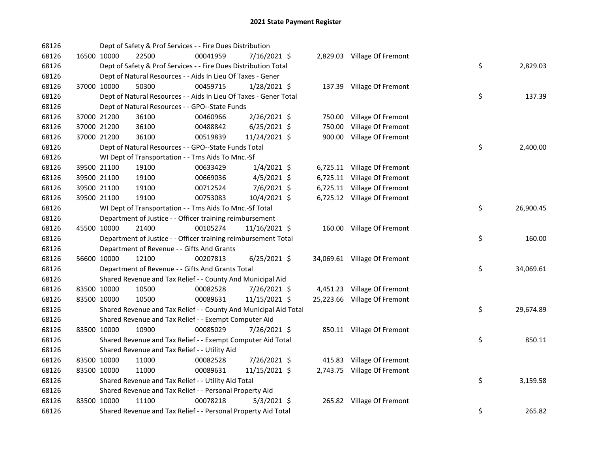| 68126 |             | Dept of Safety & Prof Services - - Fire Dues Distribution         |          |                |        |                              |    |           |
|-------|-------------|-------------------------------------------------------------------|----------|----------------|--------|------------------------------|----|-----------|
| 68126 | 16500 10000 | 22500                                                             | 00041959 | 7/16/2021 \$   |        | 2,829.03 Village Of Fremont  |    |           |
| 68126 |             | Dept of Safety & Prof Services - - Fire Dues Distribution Total   |          |                |        |                              | \$ | 2,829.03  |
| 68126 |             | Dept of Natural Resources - - Aids In Lieu Of Taxes - Gener       |          |                |        |                              |    |           |
| 68126 | 37000 10000 | 50300                                                             | 00459715 | 1/28/2021 \$   |        | 137.39 Village Of Fremont    |    |           |
| 68126 |             | Dept of Natural Resources - - Aids In Lieu Of Taxes - Gener Total |          |                |        |                              | \$ | 137.39    |
| 68126 |             | Dept of Natural Resources - - GPO--State Funds                    |          |                |        |                              |    |           |
| 68126 | 37000 21200 | 36100                                                             | 00460966 | $2/26/2021$ \$ |        | 750.00 Village Of Fremont    |    |           |
| 68126 | 37000 21200 | 36100                                                             | 00488842 | $6/25/2021$ \$ | 750.00 | Village Of Fremont           |    |           |
| 68126 | 37000 21200 | 36100                                                             | 00519839 | 11/24/2021 \$  |        | 900.00 Village Of Fremont    |    |           |
| 68126 |             | Dept of Natural Resources - - GPO--State Funds Total              |          |                |        |                              | \$ | 2,400.00  |
| 68126 |             | WI Dept of Transportation - - Trns Aids To Mnc.-Sf                |          |                |        |                              |    |           |
| 68126 | 39500 21100 | 19100                                                             | 00633429 | $1/4/2021$ \$  |        | 6,725.11 Village Of Fremont  |    |           |
| 68126 | 39500 21100 | 19100                                                             | 00669036 | $4/5/2021$ \$  |        | 6,725.11 Village Of Fremont  |    |           |
| 68126 | 39500 21100 | 19100                                                             | 00712524 | 7/6/2021 \$    |        | 6,725.11 Village Of Fremont  |    |           |
| 68126 | 39500 21100 | 19100                                                             | 00753083 | 10/4/2021 \$   |        | 6,725.12 Village Of Fremont  |    |           |
| 68126 |             | WI Dept of Transportation - - Trns Aids To Mnc.-Sf Total          |          |                |        |                              | \$ | 26,900.45 |
| 68126 |             | Department of Justice - - Officer training reimbursement          |          |                |        |                              |    |           |
| 68126 | 45500 10000 | 21400                                                             | 00105274 | 11/16/2021 \$  |        | 160.00 Village Of Fremont    |    |           |
| 68126 |             | Department of Justice - - Officer training reimbursement Total    |          |                |        |                              | \$ | 160.00    |
| 68126 |             | Department of Revenue - - Gifts And Grants                        |          |                |        |                              |    |           |
| 68126 | 56600 10000 | 12100                                                             | 00207813 | $6/25/2021$ \$ |        | 34,069.61 Village Of Fremont |    |           |
| 68126 |             | Department of Revenue - - Gifts And Grants Total                  |          |                |        |                              | \$ | 34,069.61 |
| 68126 |             | Shared Revenue and Tax Relief - - County And Municipal Aid        |          |                |        |                              |    |           |
| 68126 | 83500 10000 | 10500                                                             | 00082528 | 7/26/2021 \$   |        | 4,451.23 Village Of Fremont  |    |           |
| 68126 | 83500 10000 | 10500                                                             | 00089631 | 11/15/2021 \$  |        | 25,223.66 Village Of Fremont |    |           |
| 68126 |             | Shared Revenue and Tax Relief - - County And Municipal Aid Total  |          |                |        |                              | \$ | 29,674.89 |
| 68126 |             | Shared Revenue and Tax Relief - - Exempt Computer Aid             |          |                |        |                              |    |           |
| 68126 | 83500 10000 | 10900                                                             | 00085029 | 7/26/2021 \$   |        | 850.11 Village Of Fremont    |    |           |
| 68126 |             | Shared Revenue and Tax Relief - - Exempt Computer Aid Total       |          |                |        |                              | \$ | 850.11    |
| 68126 |             | Shared Revenue and Tax Relief - - Utility Aid                     |          |                |        |                              |    |           |
| 68126 | 83500 10000 | 11000                                                             | 00082528 | 7/26/2021 \$   |        | 415.83 Village Of Fremont    |    |           |
| 68126 | 83500 10000 | 11000                                                             | 00089631 | 11/15/2021 \$  |        | 2,743.75 Village Of Fremont  |    |           |
| 68126 |             | Shared Revenue and Tax Relief - - Utility Aid Total               |          |                |        |                              | \$ | 3,159.58  |
| 68126 |             | Shared Revenue and Tax Relief - - Personal Property Aid           |          |                |        |                              |    |           |
| 68126 | 83500 10000 | 11100                                                             | 00078218 | $5/3/2021$ \$  |        | 265.82 Village Of Fremont    |    |           |
| 68126 |             | Shared Revenue and Tax Relief - - Personal Property Aid Total     |          |                |        |                              | \$ | 265.82    |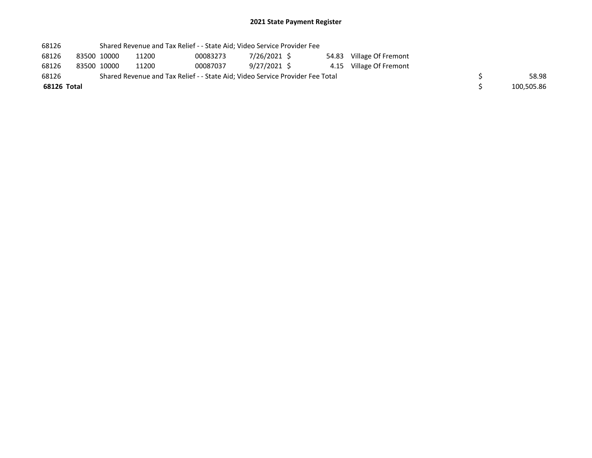| 68126       |             | Shared Revenue and Tax Relief - - State Aid; Video Service Provider Fee       |          |              |  |                          |            |
|-------------|-------------|-------------------------------------------------------------------------------|----------|--------------|--|--------------------------|------------|
| 68126       | 83500 10000 | 11200                                                                         | 00083273 | 7/26/2021 \$ |  | 54.83 Village Of Fremont |            |
| 68126       | 83500 10000 | 11200                                                                         | 00087037 | 9/27/2021 \$ |  | 4.15 Village Of Fremont  |            |
| 68126       |             | Shared Revenue and Tax Relief - - State Aid; Video Service Provider Fee Total |          |              |  |                          | 58.98      |
| 68126 Total |             |                                                                               |          |              |  |                          | 100,505.86 |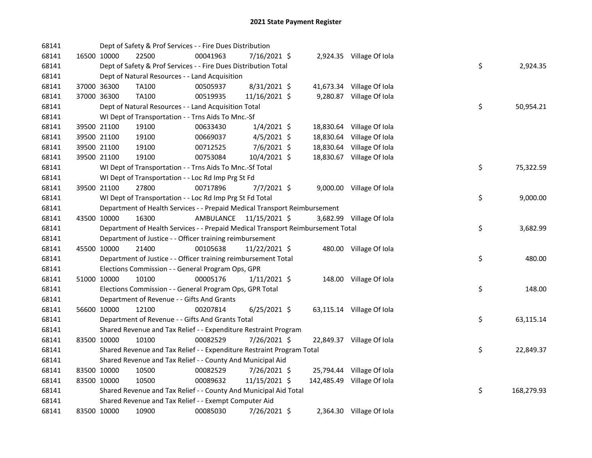| 68141 |             | Dept of Safety & Prof Services - - Fire Dues Distribution                       |                         |                |  |                            |     |            |
|-------|-------------|---------------------------------------------------------------------------------|-------------------------|----------------|--|----------------------------|-----|------------|
| 68141 | 16500 10000 | 22500                                                                           | 00041963                | 7/16/2021 \$   |  | 2,924.35 Village Of Iola   |     |            |
| 68141 |             | Dept of Safety & Prof Services - - Fire Dues Distribution Total                 |                         |                |  |                            | \$  | 2,924.35   |
| 68141 |             | Dept of Natural Resources - - Land Acquisition                                  |                         |                |  |                            |     |            |
| 68141 | 37000 36300 | TA100                                                                           | 00505937                | 8/31/2021 \$   |  | 41,673.34 Village Of Iola  |     |            |
| 68141 | 37000 36300 | TA100                                                                           | 00519935                | 11/16/2021 \$  |  | 9,280.87 Village Of Iola   |     |            |
| 68141 |             | Dept of Natural Resources - - Land Acquisition Total                            |                         |                |  |                            | \$  | 50,954.21  |
| 68141 |             | WI Dept of Transportation - - Trns Aids To Mnc.-Sf                              |                         |                |  |                            |     |            |
| 68141 | 39500 21100 | 19100                                                                           | 00633430                | $1/4/2021$ \$  |  | 18,830.64 Village Of Iola  |     |            |
| 68141 | 39500 21100 | 19100                                                                           | 00669037                | $4/5/2021$ \$  |  | 18,830.64 Village Of Iola  |     |            |
| 68141 | 39500 21100 | 19100                                                                           | 00712525                | $7/6/2021$ \$  |  | 18,830.64 Village Of Iola  |     |            |
| 68141 | 39500 21100 | 19100                                                                           | 00753084                | 10/4/2021 \$   |  | 18,830.67 Village Of Iola  |     |            |
| 68141 |             | WI Dept of Transportation - - Trns Aids To Mnc.-Sf Total                        |                         |                |  |                            | \$  | 75,322.59  |
| 68141 |             | WI Dept of Transportation - - Loc Rd Imp Prg St Fd                              |                         |                |  |                            |     |            |
| 68141 | 39500 21100 | 27800                                                                           | 00717896                | $7/7/2021$ \$  |  | 9,000.00 Village Of Iola   |     |            |
| 68141 |             | WI Dept of Transportation - - Loc Rd Imp Prg St Fd Total                        |                         |                |  |                            | \$  | 9,000.00   |
| 68141 |             | Department of Health Services - - Prepaid Medical Transport Reimbursement       |                         |                |  |                            |     |            |
| 68141 | 43500 10000 | 16300                                                                           | AMBULANCE 11/15/2021 \$ |                |  | 3,682.99 Village Of Iola   |     |            |
| 68141 |             | Department of Health Services - - Prepaid Medical Transport Reimbursement Total |                         |                |  |                            | \$  | 3,682.99   |
| 68141 |             | Department of Justice - - Officer training reimbursement                        |                         |                |  |                            |     |            |
| 68141 | 45500 10000 | 21400                                                                           | 00105638                | 11/22/2021 \$  |  | 480.00 Village Of Iola     |     |            |
| 68141 |             | Department of Justice - - Officer training reimbursement Total                  |                         |                |  |                            | \$  | 480.00     |
| 68141 |             | Elections Commission - - General Program Ops, GPR                               |                         |                |  |                            |     |            |
| 68141 | 51000 10000 | 10100                                                                           | 00005176                | $1/11/2021$ \$ |  | 148.00 Village Of Iola     |     |            |
| 68141 |             | Elections Commission - - General Program Ops, GPR Total                         |                         |                |  |                            | \$  | 148.00     |
| 68141 |             | Department of Revenue - - Gifts And Grants                                      |                         |                |  |                            |     |            |
| 68141 | 56600 10000 | 12100                                                                           | 00207814                | $6/25/2021$ \$ |  | 63,115.14 Village Of Iola  |     |            |
| 68141 |             | Department of Revenue - - Gifts And Grants Total                                |                         |                |  |                            | \$. | 63,115.14  |
| 68141 |             | Shared Revenue and Tax Relief - - Expenditure Restraint Program                 |                         |                |  |                            |     |            |
| 68141 | 83500 10000 | 10100                                                                           | 00082529                | 7/26/2021 \$   |  | 22,849.37 Village Of Iola  |     |            |
| 68141 |             | Shared Revenue and Tax Relief - - Expenditure Restraint Program Total           |                         |                |  |                            | \$  | 22,849.37  |
| 68141 |             | Shared Revenue and Tax Relief - - County And Municipal Aid                      |                         |                |  |                            |     |            |
| 68141 | 83500 10000 | 10500                                                                           | 00082529                | 7/26/2021 \$   |  | 25,794.44 Village Of Iola  |     |            |
| 68141 | 83500 10000 | 10500                                                                           | 00089632                | 11/15/2021 \$  |  | 142,485.49 Village Of Iola |     |            |
| 68141 |             | Shared Revenue and Tax Relief - - County And Municipal Aid Total                |                         |                |  |                            | \$  | 168,279.93 |
| 68141 |             | Shared Revenue and Tax Relief - - Exempt Computer Aid                           |                         |                |  |                            |     |            |
| 68141 | 83500 10000 | 10900                                                                           | 00085030                | 7/26/2021 \$   |  | 2,364.30 Village Of Iola   |     |            |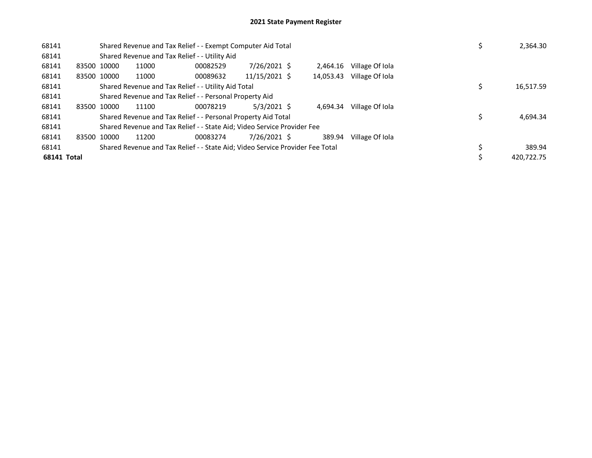| 68141       |             | Shared Revenue and Tax Relief - - Exempt Computer Aid Total | 2,364.30                                                                      |                 |           |                 |            |
|-------------|-------------|-------------------------------------------------------------|-------------------------------------------------------------------------------|-----------------|-----------|-----------------|------------|
| 68141       |             |                                                             | Shared Revenue and Tax Relief - - Utility Aid                                 |                 |           |                 |            |
| 68141       | 83500 10000 | 11000                                                       | 00082529                                                                      | 7/26/2021 \$    | 2.464.16  | Village Of Iola |            |
| 68141       | 83500 10000 | 11000                                                       | 00089632                                                                      | $11/15/2021$ \$ | 14,053.43 | Village Of Iola |            |
| 68141       |             |                                                             | Shared Revenue and Tax Relief - - Utility Aid Total                           |                 |           |                 | 16,517.59  |
| 68141       |             |                                                             | Shared Revenue and Tax Relief - - Personal Property Aid                       |                 |           |                 |            |
| 68141       | 83500 10000 | 11100                                                       | 00078219                                                                      | $5/3/2021$ \$   | 4.694.34  | Village Of Iola |            |
| 68141       |             |                                                             | Shared Revenue and Tax Relief - - Personal Property Aid Total                 |                 |           |                 | 4,694.34   |
| 68141       |             |                                                             | Shared Revenue and Tax Relief - - State Aid; Video Service Provider Fee       |                 |           |                 |            |
| 68141       | 83500 10000 | 11200                                                       | 00083274                                                                      | 7/26/2021 \$    | 389.94    | Village Of Iola |            |
| 68141       |             |                                                             | Shared Revenue and Tax Relief - - State Aid; Video Service Provider Fee Total |                 |           |                 | 389.94     |
| 68141 Total |             |                                                             |                                                                               |                 |           |                 | 420.722.75 |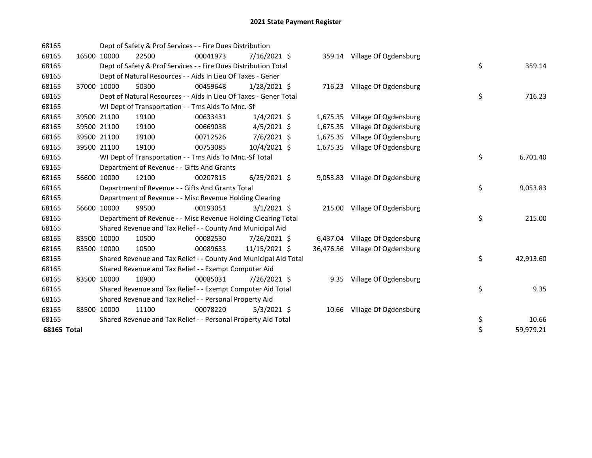| 68165       |             | Dept of Safety & Prof Services - - Fire Dues Distribution         |          |                |          |                                 |    |           |
|-------------|-------------|-------------------------------------------------------------------|----------|----------------|----------|---------------------------------|----|-----------|
| 68165       | 16500 10000 | 22500                                                             | 00041973 | 7/16/2021 \$   |          | 359.14 Village Of Ogdensburg    |    |           |
| 68165       |             | Dept of Safety & Prof Services - - Fire Dues Distribution Total   |          |                |          |                                 | \$ | 359.14    |
| 68165       |             | Dept of Natural Resources - - Aids In Lieu Of Taxes - Gener       |          |                |          |                                 |    |           |
| 68165       | 37000 10000 | 50300                                                             | 00459648 | $1/28/2021$ \$ |          | 716.23 Village Of Ogdensburg    |    |           |
| 68165       |             | Dept of Natural Resources - - Aids In Lieu Of Taxes - Gener Total |          |                |          |                                 | \$ | 716.23    |
| 68165       |             | WI Dept of Transportation - - Trns Aids To Mnc.-Sf                |          |                |          |                                 |    |           |
| 68165       | 39500 21100 | 19100                                                             | 00633431 | $1/4/2021$ \$  |          | 1,675.35 Village Of Ogdensburg  |    |           |
| 68165       | 39500 21100 | 19100                                                             | 00669038 | $4/5/2021$ \$  | 1,675.35 | Village Of Ogdensburg           |    |           |
| 68165       | 39500 21100 | 19100                                                             | 00712526 | 7/6/2021 \$    |          | 1,675.35 Village Of Ogdensburg  |    |           |
| 68165       | 39500 21100 | 19100                                                             | 00753085 | $10/4/2021$ \$ |          | 1,675.35 Village Of Ogdensburg  |    |           |
| 68165       |             | WI Dept of Transportation - - Trns Aids To Mnc.-Sf Total          |          |                |          |                                 | \$ | 6,701.40  |
| 68165       |             | Department of Revenue - - Gifts And Grants                        |          |                |          |                                 |    |           |
| 68165       | 56600 10000 | 12100                                                             | 00207815 | $6/25/2021$ \$ |          | 9,053.83 Village Of Ogdensburg  |    |           |
| 68165       |             | Department of Revenue - - Gifts And Grants Total                  |          |                |          |                                 | \$ | 9,053.83  |
| 68165       |             | Department of Revenue - - Misc Revenue Holding Clearing           |          |                |          |                                 |    |           |
| 68165       | 56600 10000 | 99500                                                             | 00193051 | $3/1/2021$ \$  |          | 215.00 Village Of Ogdensburg    |    |           |
| 68165       |             | Department of Revenue - - Misc Revenue Holding Clearing Total     |          |                |          |                                 | \$ | 215.00    |
| 68165       |             | Shared Revenue and Tax Relief - - County And Municipal Aid        |          |                |          |                                 |    |           |
| 68165       | 83500 10000 | 10500                                                             | 00082530 | 7/26/2021 \$   |          | 6,437.04 Village Of Ogdensburg  |    |           |
| 68165       | 83500 10000 | 10500                                                             | 00089633 | 11/15/2021 \$  |          | 36,476.56 Village Of Ogdensburg |    |           |
| 68165       |             | Shared Revenue and Tax Relief - - County And Municipal Aid Total  |          |                |          |                                 | \$ | 42,913.60 |
| 68165       |             | Shared Revenue and Tax Relief - - Exempt Computer Aid             |          |                |          |                                 |    |           |
| 68165       | 83500 10000 | 10900                                                             | 00085031 | 7/26/2021 \$   |          | 9.35 Village Of Ogdensburg      |    |           |
| 68165       |             | Shared Revenue and Tax Relief - - Exempt Computer Aid Total       |          |                |          |                                 | \$ | 9.35      |
| 68165       |             | Shared Revenue and Tax Relief - - Personal Property Aid           |          |                |          |                                 |    |           |
| 68165       | 83500 10000 | 11100                                                             | 00078220 | $5/3/2021$ \$  |          | 10.66 Village Of Ogdensburg     |    |           |
| 68165       |             | Shared Revenue and Tax Relief - - Personal Property Aid Total     |          |                |          |                                 | \$ | 10.66     |
| 68165 Total |             |                                                                   |          |                |          |                                 | \$ | 59,979.21 |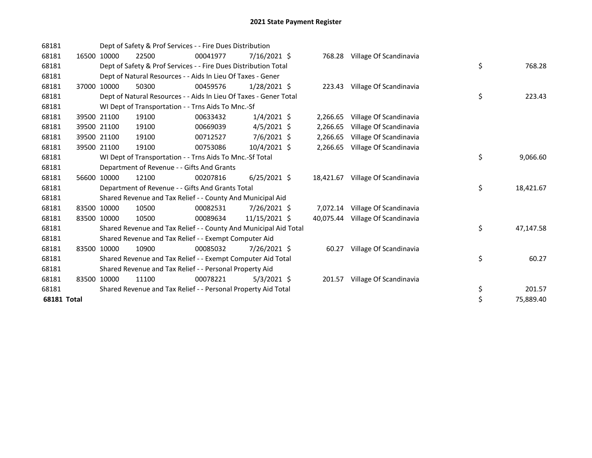| 68181              |             | Dept of Safety & Prof Services - - Fire Dues Distribution         |          |                |           |                        |    |           |
|--------------------|-------------|-------------------------------------------------------------------|----------|----------------|-----------|------------------------|----|-----------|
| 68181              | 16500 10000 | 22500                                                             | 00041977 | $7/16/2021$ \$ | 768.28    | Village Of Scandinavia |    |           |
| 68181              |             | Dept of Safety & Prof Services - - Fire Dues Distribution Total   |          |                |           |                        | \$ | 768.28    |
| 68181              |             | Dept of Natural Resources - - Aids In Lieu Of Taxes - Gener       |          |                |           |                        |    |           |
| 68181              | 37000 10000 | 50300                                                             | 00459576 | $1/28/2021$ \$ | 223.43    | Village Of Scandinavia |    |           |
| 68181              |             | Dept of Natural Resources - - Aids In Lieu Of Taxes - Gener Total |          |                |           |                        | \$ | 223.43    |
| 68181              |             | WI Dept of Transportation - - Trns Aids To Mnc.-Sf                |          |                |           |                        |    |           |
| 68181              | 39500 21100 | 19100                                                             | 00633432 | $1/4/2021$ \$  | 2,266.65  | Village Of Scandinavia |    |           |
| 68181              | 39500 21100 | 19100                                                             | 00669039 | $4/5/2021$ \$  | 2,266.65  | Village Of Scandinavia |    |           |
| 68181              | 39500 21100 | 19100                                                             | 00712527 | 7/6/2021 \$    | 2,266.65  | Village Of Scandinavia |    |           |
| 68181              | 39500 21100 | 19100                                                             | 00753086 | 10/4/2021 \$   | 2,266.65  | Village Of Scandinavia |    |           |
| 68181              |             | WI Dept of Transportation - - Trns Aids To Mnc.-Sf Total          |          |                |           |                        | \$ | 9,066.60  |
| 68181              |             | Department of Revenue - - Gifts And Grants                        |          |                |           |                        |    |           |
| 68181              | 56600 10000 | 12100                                                             | 00207816 | $6/25/2021$ \$ | 18,421.67 | Village Of Scandinavia |    |           |
| 68181              |             | Department of Revenue - - Gifts And Grants Total                  |          |                |           |                        | \$ | 18,421.67 |
| 68181              |             | Shared Revenue and Tax Relief - - County And Municipal Aid        |          |                |           |                        |    |           |
| 68181              | 83500 10000 | 10500                                                             | 00082531 | 7/26/2021 \$   | 7,072.14  | Village Of Scandinavia |    |           |
| 68181              | 83500 10000 | 10500                                                             | 00089634 | 11/15/2021 \$  | 40,075.44 | Village Of Scandinavia |    |           |
| 68181              |             | Shared Revenue and Tax Relief - - County And Municipal Aid Total  |          |                |           |                        | \$ | 47,147.58 |
| 68181              |             | Shared Revenue and Tax Relief - - Exempt Computer Aid             |          |                |           |                        |    |           |
| 68181              | 83500 10000 | 10900                                                             | 00085032 | 7/26/2021 \$   | 60.27     | Village Of Scandinavia |    |           |
| 68181              |             | Shared Revenue and Tax Relief - - Exempt Computer Aid Total       |          |                |           |                        | \$ | 60.27     |
| 68181              |             | Shared Revenue and Tax Relief - - Personal Property Aid           |          |                |           |                        |    |           |
| 68181              | 83500 10000 | 11100                                                             | 00078221 | $5/3/2021$ \$  | 201.57    | Village Of Scandinavia |    |           |
| 68181              |             | Shared Revenue and Tax Relief - - Personal Property Aid Total     |          |                |           |                        | \$ | 201.57    |
| <b>68181 Total</b> |             |                                                                   |          |                |           |                        | \$ | 75,889.40 |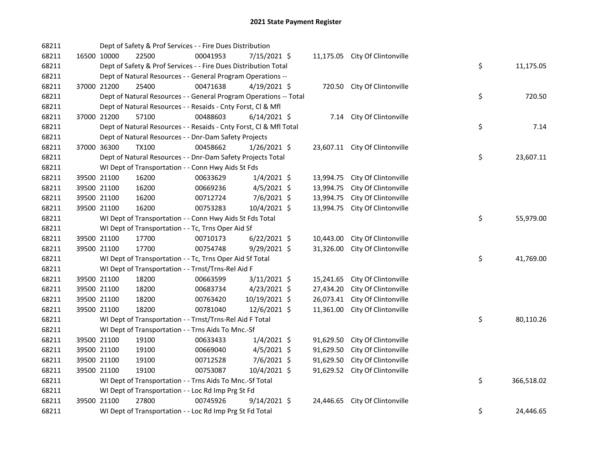| 68211 |             | Dept of Safety & Prof Services - - Fire Dues Distribution          |          |                |           |                                |    |            |
|-------|-------------|--------------------------------------------------------------------|----------|----------------|-----------|--------------------------------|----|------------|
| 68211 | 16500 10000 | 22500                                                              | 00041953 | 7/15/2021 \$   |           | 11,175.05 City Of Clintonville |    |            |
| 68211 |             | Dept of Safety & Prof Services - - Fire Dues Distribution Total    |          |                |           |                                | \$ | 11,175.05  |
| 68211 |             | Dept of Natural Resources - - General Program Operations --        |          |                |           |                                |    |            |
| 68211 | 37000 21200 | 25400                                                              | 00471638 | $4/19/2021$ \$ |           | 720.50 City Of Clintonville    |    |            |
| 68211 |             | Dept of Natural Resources - - General Program Operations -- Total  |          |                |           |                                | \$ | 720.50     |
| 68211 |             | Dept of Natural Resources - - Resaids - Cnty Forst, Cl & Mfl       |          |                |           |                                |    |            |
| 68211 | 37000 21200 | 57100                                                              | 00488603 | $6/14/2021$ \$ |           | 7.14 City Of Clintonville      |    |            |
| 68211 |             | Dept of Natural Resources - - Resaids - Cnty Forst, Cl & Mfl Total |          |                |           |                                | \$ | 7.14       |
| 68211 |             | Dept of Natural Resources - - Dnr-Dam Safety Projects              |          |                |           |                                |    |            |
| 68211 | 37000 36300 | <b>TX100</b>                                                       | 00458662 | $1/26/2021$ \$ |           | 23,607.11 City Of Clintonville |    |            |
| 68211 |             | Dept of Natural Resources - - Dnr-Dam Safety Projects Total        |          |                |           |                                | \$ | 23,607.11  |
| 68211 |             | WI Dept of Transportation - - Conn Hwy Aids St Fds                 |          |                |           |                                |    |            |
| 68211 | 39500 21100 | 16200                                                              | 00633629 | $1/4/2021$ \$  |           | 13,994.75 City Of Clintonville |    |            |
| 68211 | 39500 21100 | 16200                                                              | 00669236 | $4/5/2021$ \$  | 13,994.75 | City Of Clintonville           |    |            |
| 68211 | 39500 21100 | 16200                                                              | 00712724 | 7/6/2021 \$    | 13,994.75 | City Of Clintonville           |    |            |
| 68211 | 39500 21100 | 16200                                                              | 00753283 | 10/4/2021 \$   |           | 13,994.75 City Of Clintonville |    |            |
| 68211 |             | WI Dept of Transportation - - Conn Hwy Aids St Fds Total           |          |                |           |                                | \$ | 55,979.00  |
| 68211 |             | WI Dept of Transportation - - Tc, Trns Oper Aid Sf                 |          |                |           |                                |    |            |
| 68211 | 39500 21100 | 17700                                                              | 00710173 | $6/22/2021$ \$ | 10,443.00 | City Of Clintonville           |    |            |
| 68211 | 39500 21100 | 17700                                                              | 00754748 | 9/29/2021 \$   | 31,326.00 | City Of Clintonville           |    |            |
| 68211 |             | WI Dept of Transportation - - Tc, Trns Oper Aid Sf Total           |          |                |           |                                | \$ | 41,769.00  |
| 68211 |             | WI Dept of Transportation - - Trnst/Trns-Rel Aid F                 |          |                |           |                                |    |            |
| 68211 | 39500 21100 | 18200                                                              | 00663599 | 3/11/2021 \$   | 15,241.65 | City Of Clintonville           |    |            |
| 68211 | 39500 21100 | 18200                                                              | 00683734 | $4/23/2021$ \$ | 27,434.20 | City Of Clintonville           |    |            |
| 68211 | 39500 21100 | 18200                                                              | 00763420 | 10/19/2021 \$  | 26,073.41 | City Of Clintonville           |    |            |
| 68211 | 39500 21100 | 18200                                                              | 00781040 | 12/6/2021 \$   | 11,361.00 | City Of Clintonville           |    |            |
| 68211 |             | WI Dept of Transportation - - Trnst/Trns-Rel Aid F Total           |          |                |           |                                | \$ | 80,110.26  |
| 68211 |             | WI Dept of Transportation - - Trns Aids To Mnc.-Sf                 |          |                |           |                                |    |            |
| 68211 | 39500 21100 | 19100                                                              | 00633433 | $1/4/2021$ \$  | 91,629.50 | City Of Clintonville           |    |            |
| 68211 | 39500 21100 | 19100                                                              | 00669040 | $4/5/2021$ \$  | 91,629.50 | City Of Clintonville           |    |            |
| 68211 | 39500 21100 | 19100                                                              | 00712528 | 7/6/2021 \$    | 91,629.50 | City Of Clintonville           |    |            |
| 68211 | 39500 21100 | 19100                                                              | 00753087 | 10/4/2021 \$   |           | 91,629.52 City Of Clintonville |    |            |
| 68211 |             | WI Dept of Transportation - - Trns Aids To Mnc.-Sf Total           |          |                |           |                                | \$ | 366,518.02 |
| 68211 |             | WI Dept of Transportation - - Loc Rd Imp Prg St Fd                 |          |                |           |                                |    |            |
| 68211 | 39500 21100 | 27800                                                              | 00745926 | $9/14/2021$ \$ |           | 24,446.65 City Of Clintonville |    |            |
| 68211 |             | WI Dept of Transportation - - Loc Rd Imp Prg St Fd Total           |          |                |           |                                | \$ | 24,446.65  |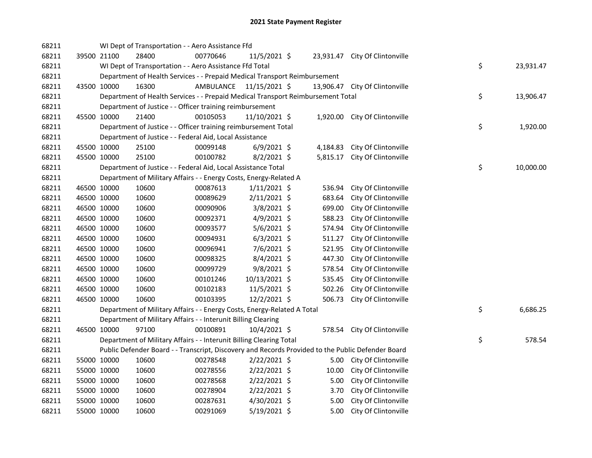| 68211 |             |             | WI Dept of Transportation - - Aero Assistance Ffd                               |                         |                |           |                                                                                                   |    |           |
|-------|-------------|-------------|---------------------------------------------------------------------------------|-------------------------|----------------|-----------|---------------------------------------------------------------------------------------------------|----|-----------|
| 68211 |             | 39500 21100 | 28400                                                                           | 00770646                | 11/5/2021 \$   |           | 23,931.47 City Of Clintonville                                                                    |    |           |
| 68211 |             |             | WI Dept of Transportation - - Aero Assistance Ffd Total                         |                         |                |           |                                                                                                   | \$ | 23,931.47 |
| 68211 |             |             | Department of Health Services - - Prepaid Medical Transport Reimbursement       |                         |                |           |                                                                                                   |    |           |
| 68211 |             | 43500 10000 | 16300                                                                           | AMBULANCE 11/15/2021 \$ |                | 13,906.47 | City Of Clintonville                                                                              |    |           |
| 68211 |             |             | Department of Health Services - - Prepaid Medical Transport Reimbursement Total |                         |                |           |                                                                                                   | \$ | 13,906.47 |
| 68211 |             |             | Department of Justice - - Officer training reimbursement                        |                         |                |           |                                                                                                   |    |           |
| 68211 |             | 45500 10000 | 21400                                                                           | 00105053                | 11/10/2021 \$  |           | 1,920.00 City Of Clintonville                                                                     |    |           |
| 68211 |             |             | Department of Justice - - Officer training reimbursement Total                  |                         |                |           |                                                                                                   | \$ | 1,920.00  |
| 68211 |             |             | Department of Justice - - Federal Aid, Local Assistance                         |                         |                |           |                                                                                                   |    |           |
| 68211 |             | 45500 10000 | 25100                                                                           | 00099148                | $6/9/2021$ \$  | 4,184.83  | City Of Clintonville                                                                              |    |           |
| 68211 |             | 45500 10000 | 25100                                                                           | 00100782                | $8/2/2021$ \$  | 5,815.17  | City Of Clintonville                                                                              |    |           |
| 68211 |             |             | Department of Justice - - Federal Aid, Local Assistance Total                   |                         |                |           |                                                                                                   | \$ | 10,000.00 |
| 68211 |             |             | Department of Military Affairs - - Energy Costs, Energy-Related A               |                         |                |           |                                                                                                   |    |           |
| 68211 | 46500 10000 |             | 10600                                                                           | 00087613                | $1/11/2021$ \$ | 536.94    | City Of Clintonville                                                                              |    |           |
| 68211 |             | 46500 10000 | 10600                                                                           | 00089629                | $2/11/2021$ \$ | 683.64    | City Of Clintonville                                                                              |    |           |
| 68211 |             | 46500 10000 | 10600                                                                           | 00090906                | $3/8/2021$ \$  | 699.00    | City Of Clintonville                                                                              |    |           |
| 68211 |             | 46500 10000 | 10600                                                                           | 00092371                | $4/9/2021$ \$  | 588.23    | City Of Clintonville                                                                              |    |           |
| 68211 |             | 46500 10000 | 10600                                                                           | 00093577                | 5/6/2021 \$    | 574.94    | City Of Clintonville                                                                              |    |           |
| 68211 |             | 46500 10000 | 10600                                                                           | 00094931                | $6/3/2021$ \$  | 511.27    | City Of Clintonville                                                                              |    |           |
| 68211 |             | 46500 10000 | 10600                                                                           | 00096941                | 7/6/2021 \$    | 521.95    | City Of Clintonville                                                                              |    |           |
| 68211 |             | 46500 10000 | 10600                                                                           | 00098325                | $8/4/2021$ \$  | 447.30    | City Of Clintonville                                                                              |    |           |
| 68211 |             | 46500 10000 | 10600                                                                           | 00099729                | 9/8/2021 \$    | 578.54    | City Of Clintonville                                                                              |    |           |
| 68211 |             | 46500 10000 | 10600                                                                           | 00101246                | 10/13/2021 \$  | 535.45    | City Of Clintonville                                                                              |    |           |
| 68211 |             | 46500 10000 | 10600                                                                           | 00102183                | 11/5/2021 \$   | 502.26    | City Of Clintonville                                                                              |    |           |
| 68211 |             | 46500 10000 | 10600                                                                           | 00103395                | 12/2/2021 \$   | 506.73    | City Of Clintonville                                                                              |    |           |
| 68211 |             |             | Department of Military Affairs - - Energy Costs, Energy-Related A Total         |                         |                |           |                                                                                                   | \$ | 6,686.25  |
| 68211 |             |             | Department of Military Affairs - - Interunit Billing Clearing                   |                         |                |           |                                                                                                   |    |           |
| 68211 |             | 46500 10000 | 97100                                                                           | 00100891                | 10/4/2021 \$   |           | 578.54 City Of Clintonville                                                                       |    |           |
| 68211 |             |             | Department of Military Affairs - - Interunit Billing Clearing Total             |                         |                |           |                                                                                                   | \$ | 578.54    |
| 68211 |             |             |                                                                                 |                         |                |           | Public Defender Board - - Transcript, Discovery and Records Provided to the Public Defender Board |    |           |
| 68211 |             | 55000 10000 | 10600                                                                           | 00278548                | $2/22/2021$ \$ |           | 5.00 City Of Clintonville                                                                         |    |           |
| 68211 |             | 55000 10000 | 10600                                                                           | 00278556                | $2/22/2021$ \$ | 10.00     | City Of Clintonville                                                                              |    |           |
| 68211 |             | 55000 10000 | 10600                                                                           | 00278568                | $2/22/2021$ \$ | 5.00      | City Of Clintonville                                                                              |    |           |
| 68211 |             | 55000 10000 | 10600                                                                           | 00278904                | 2/22/2021 \$   | 3.70      | City Of Clintonville                                                                              |    |           |
| 68211 |             | 55000 10000 | 10600                                                                           | 00287631                | 4/30/2021 \$   | 5.00      | City Of Clintonville                                                                              |    |           |
| 68211 |             | 55000 10000 | 10600                                                                           | 00291069                | 5/19/2021 \$   | 5.00      | City Of Clintonville                                                                              |    |           |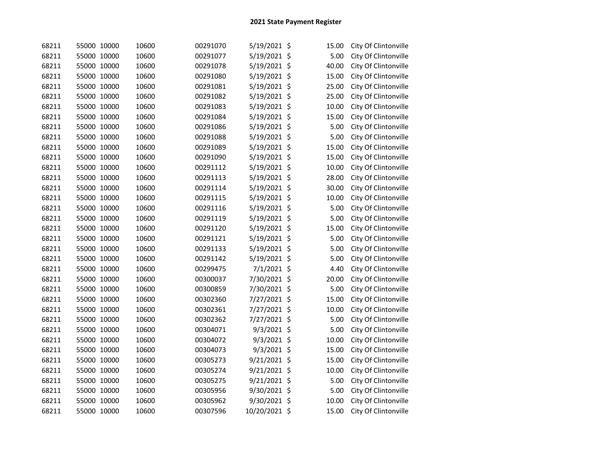| 68211 | 55000 10000 | 10600 | 00291070 | 5/19/2021 \$  | 15.00 | City Of Clintonville |
|-------|-------------|-------|----------|---------------|-------|----------------------|
| 68211 | 55000 10000 | 10600 | 00291077 | 5/19/2021 \$  | 5.00  | City Of Clintonville |
| 68211 | 55000 10000 | 10600 | 00291078 | 5/19/2021 \$  | 40.00 | City Of Clintonville |
| 68211 | 55000 10000 | 10600 | 00291080 | 5/19/2021 \$  | 15.00 | City Of Clintonville |
| 68211 | 55000 10000 | 10600 | 00291081 | 5/19/2021 \$  | 25.00 | City Of Clintonville |
| 68211 | 55000 10000 | 10600 | 00291082 | 5/19/2021 \$  | 25.00 | City Of Clintonville |
| 68211 | 55000 10000 | 10600 | 00291083 | 5/19/2021 \$  | 10.00 | City Of Clintonville |
| 68211 | 55000 10000 | 10600 | 00291084 | 5/19/2021 \$  | 15.00 | City Of Clintonville |
| 68211 | 55000 10000 | 10600 | 00291086 | 5/19/2021 \$  | 5.00  | City Of Clintonville |
| 68211 | 55000 10000 | 10600 | 00291088 | 5/19/2021 \$  | 5.00  | City Of Clintonville |
| 68211 | 55000 10000 | 10600 | 00291089 | 5/19/2021 \$  | 15.00 | City Of Clintonville |
| 68211 | 55000 10000 | 10600 | 00291090 | 5/19/2021 \$  | 15.00 | City Of Clintonville |
| 68211 | 55000 10000 | 10600 | 00291112 | 5/19/2021 \$  | 10.00 | City Of Clintonville |
| 68211 | 55000 10000 | 10600 | 00291113 | 5/19/2021 \$  | 28.00 | City Of Clintonville |
| 68211 | 55000 10000 | 10600 | 00291114 | 5/19/2021 \$  | 30.00 | City Of Clintonville |
| 68211 | 55000 10000 | 10600 | 00291115 | 5/19/2021 \$  | 10.00 | City Of Clintonville |
| 68211 | 55000 10000 | 10600 | 00291116 | 5/19/2021 \$  | 5.00  | City Of Clintonville |
| 68211 | 55000 10000 | 10600 | 00291119 | 5/19/2021 \$  | 5.00  | City Of Clintonville |
| 68211 | 55000 10000 | 10600 | 00291120 | 5/19/2021 \$  | 15.00 | City Of Clintonville |
| 68211 | 55000 10000 | 10600 | 00291121 | 5/19/2021 \$  | 5.00  | City Of Clintonville |
| 68211 | 55000 10000 | 10600 | 00291133 | 5/19/2021 \$  | 5.00  | City Of Clintonville |
| 68211 | 55000 10000 | 10600 | 00291142 | 5/19/2021 \$  | 5.00  | City Of Clintonville |
| 68211 | 55000 10000 | 10600 | 00299475 | 7/1/2021 \$   | 4.40  | City Of Clintonville |
| 68211 | 55000 10000 | 10600 | 00300037 | 7/30/2021 \$  | 20.00 | City Of Clintonville |
| 68211 | 55000 10000 | 10600 | 00300859 | 7/30/2021 \$  | 5.00  | City Of Clintonville |
| 68211 | 55000 10000 | 10600 | 00302360 | 7/27/2021 \$  | 15.00 | City Of Clintonville |
| 68211 | 55000 10000 | 10600 | 00302361 | 7/27/2021 \$  | 10.00 | City Of Clintonville |
| 68211 | 55000 10000 | 10600 | 00302362 | 7/27/2021 \$  | 5.00  | City Of Clintonville |
| 68211 | 55000 10000 | 10600 | 00304071 | 9/3/2021 \$   | 5.00  | City Of Clintonville |
| 68211 | 55000 10000 | 10600 | 00304072 | 9/3/2021 \$   | 10.00 | City Of Clintonville |
| 68211 | 55000 10000 | 10600 | 00304073 | 9/3/2021 \$   | 15.00 | City Of Clintonville |
| 68211 | 55000 10000 | 10600 | 00305273 | 9/21/2021 \$  | 15.00 | City Of Clintonville |
| 68211 | 55000 10000 | 10600 | 00305274 | 9/21/2021 \$  | 10.00 | City Of Clintonville |
| 68211 | 55000 10000 | 10600 | 00305275 | 9/21/2021 \$  | 5.00  | City Of Clintonville |
| 68211 | 55000 10000 | 10600 | 00305956 | 9/30/2021 \$  | 5.00  | City Of Clintonville |
| 68211 | 55000 10000 | 10600 | 00305962 | 9/30/2021 \$  | 10.00 | City Of Clintonville |
| 68211 | 55000 10000 | 10600 | 00307596 | 10/20/2021 \$ | 15.00 | City Of Clintonville |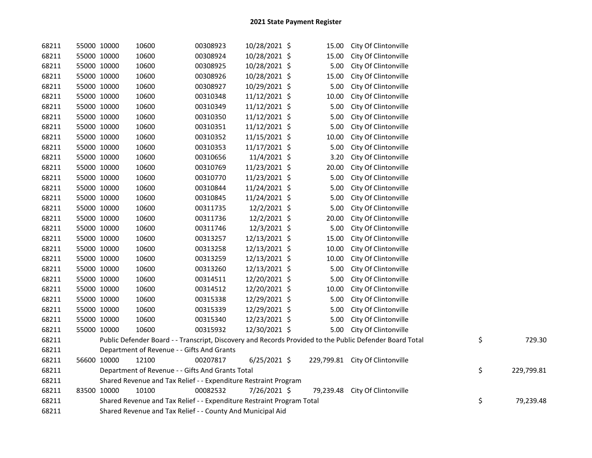| 68211 | 55000 10000 | 10600                                                                 | 00308923 | 10/28/2021 \$  | 15.00 | City Of Clintonville                                                                                    |    |            |
|-------|-------------|-----------------------------------------------------------------------|----------|----------------|-------|---------------------------------------------------------------------------------------------------------|----|------------|
| 68211 | 55000 10000 | 10600                                                                 | 00308924 | 10/28/2021 \$  | 15.00 | City Of Clintonville                                                                                    |    |            |
| 68211 | 55000 10000 | 10600                                                                 | 00308925 | 10/28/2021 \$  | 5.00  | City Of Clintonville                                                                                    |    |            |
| 68211 | 55000 10000 | 10600                                                                 | 00308926 | 10/28/2021 \$  | 15.00 | City Of Clintonville                                                                                    |    |            |
| 68211 | 55000 10000 | 10600                                                                 | 00308927 | 10/29/2021 \$  | 5.00  | City Of Clintonville                                                                                    |    |            |
| 68211 | 55000 10000 | 10600                                                                 | 00310348 | 11/12/2021 \$  | 10.00 | City Of Clintonville                                                                                    |    |            |
| 68211 | 55000 10000 | 10600                                                                 | 00310349 | 11/12/2021 \$  | 5.00  | City Of Clintonville                                                                                    |    |            |
| 68211 | 55000 10000 | 10600                                                                 | 00310350 | 11/12/2021 \$  | 5.00  | City Of Clintonville                                                                                    |    |            |
| 68211 | 55000 10000 | 10600                                                                 | 00310351 | 11/12/2021 \$  | 5.00  | City Of Clintonville                                                                                    |    |            |
| 68211 | 55000 10000 | 10600                                                                 | 00310352 | 11/15/2021 \$  | 10.00 | City Of Clintonville                                                                                    |    |            |
| 68211 | 55000 10000 | 10600                                                                 | 00310353 | 11/17/2021 \$  | 5.00  | City Of Clintonville                                                                                    |    |            |
| 68211 | 55000 10000 | 10600                                                                 | 00310656 | 11/4/2021 \$   | 3.20  | City Of Clintonville                                                                                    |    |            |
| 68211 | 55000 10000 | 10600                                                                 | 00310769 | 11/23/2021 \$  | 20.00 | City Of Clintonville                                                                                    |    |            |
| 68211 | 55000 10000 | 10600                                                                 | 00310770 | 11/23/2021 \$  | 5.00  | City Of Clintonville                                                                                    |    |            |
| 68211 | 55000 10000 | 10600                                                                 | 00310844 | 11/24/2021 \$  | 5.00  | City Of Clintonville                                                                                    |    |            |
| 68211 | 55000 10000 | 10600                                                                 | 00310845 | 11/24/2021 \$  | 5.00  | City Of Clintonville                                                                                    |    |            |
| 68211 | 55000 10000 | 10600                                                                 | 00311735 | 12/2/2021 \$   | 5.00  | City Of Clintonville                                                                                    |    |            |
| 68211 | 55000 10000 | 10600                                                                 | 00311736 | 12/2/2021 \$   | 20.00 | City Of Clintonville                                                                                    |    |            |
| 68211 | 55000 10000 | 10600                                                                 | 00311746 | 12/3/2021 \$   | 5.00  | City Of Clintonville                                                                                    |    |            |
| 68211 | 55000 10000 | 10600                                                                 | 00313257 | 12/13/2021 \$  | 15.00 | City Of Clintonville                                                                                    |    |            |
| 68211 | 55000 10000 | 10600                                                                 | 00313258 | 12/13/2021 \$  | 10.00 | City Of Clintonville                                                                                    |    |            |
| 68211 | 55000 10000 | 10600                                                                 | 00313259 | 12/13/2021 \$  | 10.00 | City Of Clintonville                                                                                    |    |            |
| 68211 | 55000 10000 | 10600                                                                 | 00313260 | 12/13/2021 \$  | 5.00  | City Of Clintonville                                                                                    |    |            |
| 68211 | 55000 10000 | 10600                                                                 | 00314511 | 12/20/2021 \$  | 5.00  | City Of Clintonville                                                                                    |    |            |
| 68211 | 55000 10000 | 10600                                                                 | 00314512 | 12/20/2021 \$  | 10.00 | City Of Clintonville                                                                                    |    |            |
| 68211 | 55000 10000 | 10600                                                                 | 00315338 | 12/29/2021 \$  | 5.00  | City Of Clintonville                                                                                    |    |            |
| 68211 | 55000 10000 | 10600                                                                 | 00315339 | 12/29/2021 \$  | 5.00  | City Of Clintonville                                                                                    |    |            |
| 68211 | 55000 10000 | 10600                                                                 | 00315340 | 12/23/2021 \$  | 5.00  | City Of Clintonville                                                                                    |    |            |
| 68211 | 55000 10000 | 10600                                                                 | 00315932 | 12/30/2021 \$  | 5.00  | City Of Clintonville                                                                                    |    |            |
| 68211 |             |                                                                       |          |                |       | Public Defender Board - - Transcript, Discovery and Records Provided to the Public Defender Board Total | \$ | 729.30     |
| 68211 |             | Department of Revenue - - Gifts And Grants                            |          |                |       |                                                                                                         |    |            |
| 68211 | 56600 10000 | 12100                                                                 | 00207817 | $6/25/2021$ \$ |       | 229,799.81 City Of Clintonville                                                                         |    |            |
| 68211 |             | Department of Revenue - - Gifts And Grants Total                      |          |                |       |                                                                                                         | \$ | 229,799.81 |
| 68211 |             | Shared Revenue and Tax Relief - - Expenditure Restraint Program       |          |                |       |                                                                                                         |    |            |
| 68211 | 83500 10000 | 10100                                                                 | 00082532 | 7/26/2021 \$   |       | 79,239.48 City Of Clintonville                                                                          |    |            |
| 68211 |             | Shared Revenue and Tax Relief - - Expenditure Restraint Program Total |          |                |       |                                                                                                         | \$ | 79,239.48  |
| 68211 |             | Shared Revenue and Tax Relief - - County And Municipal Aid            |          |                |       |                                                                                                         |    |            |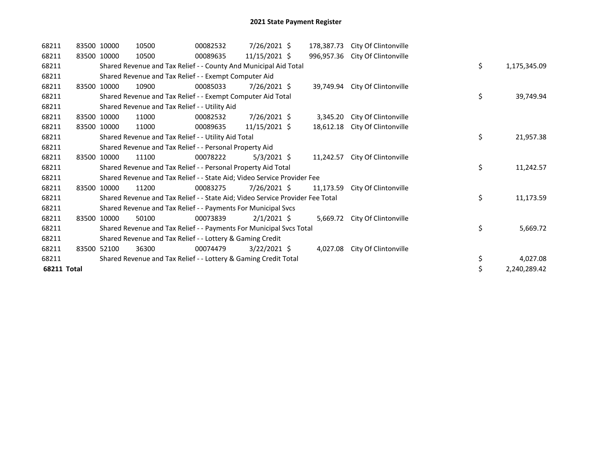| 68211       | 83500 10000 | 10500                                                                         | 00082532 | $7/26/2021$ \$  | 178,387.73 | City Of Clintonville            |    |              |
|-------------|-------------|-------------------------------------------------------------------------------|----------|-----------------|------------|---------------------------------|----|--------------|
| 68211       | 83500 10000 | 10500                                                                         | 00089635 | $11/15/2021$ \$ |            | 996,957.36 City Of Clintonville |    |              |
| 68211       |             | Shared Revenue and Tax Relief - - County And Municipal Aid Total              |          |                 |            |                                 | \$ | 1,175,345.09 |
| 68211       |             | Shared Revenue and Tax Relief - - Exempt Computer Aid                         |          |                 |            |                                 |    |              |
| 68211       | 83500 10000 | 10900                                                                         | 00085033 | 7/26/2021 \$    |            | 39,749.94 City Of Clintonville  |    |              |
| 68211       |             | Shared Revenue and Tax Relief - - Exempt Computer Aid Total                   |          |                 |            |                                 | \$ | 39,749.94    |
| 68211       |             | Shared Revenue and Tax Relief - - Utility Aid                                 |          |                 |            |                                 |    |              |
| 68211       | 83500 10000 | 11000                                                                         | 00082532 | 7/26/2021 \$    | 3,345.20   | City Of Clintonville            |    |              |
| 68211       | 83500 10000 | 11000                                                                         | 00089635 | 11/15/2021 \$   | 18,612.18  | City Of Clintonville            |    |              |
| 68211       |             | Shared Revenue and Tax Relief - - Utility Aid Total                           |          |                 |            |                                 | \$ | 21,957.38    |
| 68211       |             | Shared Revenue and Tax Relief - - Personal Property Aid                       |          |                 |            |                                 |    |              |
| 68211       | 83500 10000 | 11100                                                                         | 00078222 | $5/3/2021$ \$   | 11,242.57  | City Of Clintonville            |    |              |
| 68211       |             | Shared Revenue and Tax Relief - - Personal Property Aid Total                 |          |                 |            |                                 | \$ | 11,242.57    |
| 68211       |             | Shared Revenue and Tax Relief - - State Aid; Video Service Provider Fee       |          |                 |            |                                 |    |              |
| 68211       | 83500 10000 | 11200                                                                         | 00083275 | 7/26/2021 \$    | 11,173.59  | City Of Clintonville            |    |              |
| 68211       |             | Shared Revenue and Tax Relief - - State Aid; Video Service Provider Fee Total |          |                 |            |                                 | \$ | 11,173.59    |
| 68211       |             | Shared Revenue and Tax Relief - - Payments For Municipal Svcs                 |          |                 |            |                                 |    |              |
| 68211       | 83500 10000 | 50100                                                                         | 00073839 | $2/1/2021$ \$   |            | 5,669.72 City Of Clintonville   |    |              |
| 68211       |             | Shared Revenue and Tax Relief - - Payments For Municipal Svcs Total           |          |                 |            |                                 | \$ | 5,669.72     |
| 68211       |             | Shared Revenue and Tax Relief - - Lottery & Gaming Credit                     |          |                 |            |                                 |    |              |
| 68211       | 83500 52100 | 36300                                                                         | 00074479 | $3/22/2021$ \$  | 4,027.08   | City Of Clintonville            |    |              |
| 68211       |             | Shared Revenue and Tax Relief - - Lottery & Gaming Credit Total               |          |                 |            |                                 | \$ | 4,027.08     |
| 68211 Total |             |                                                                               |          |                 |            |                                 | \$ | 2,240,289.42 |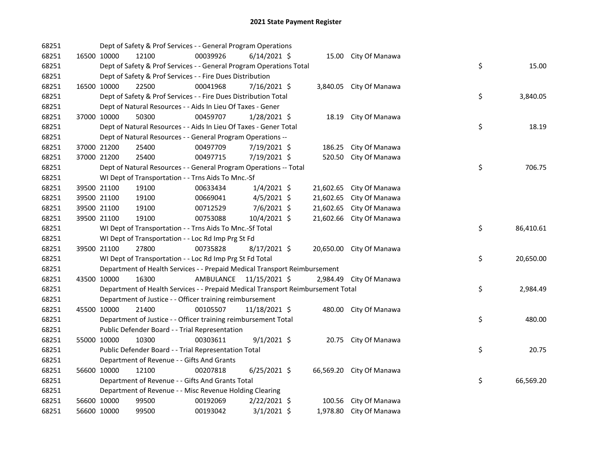| 68251 |             |             | Dept of Safety & Prof Services - - General Program Operations                   |           |                |           |                          |    |           |
|-------|-------------|-------------|---------------------------------------------------------------------------------|-----------|----------------|-----------|--------------------------|----|-----------|
| 68251 |             | 16500 10000 | 12100                                                                           | 00039926  | $6/14/2021$ \$ |           | 15.00 City Of Manawa     |    |           |
| 68251 |             |             | Dept of Safety & Prof Services - - General Program Operations Total             |           |                |           |                          | \$ | 15.00     |
| 68251 |             |             | Dept of Safety & Prof Services - - Fire Dues Distribution                       |           |                |           |                          |    |           |
| 68251 |             | 16500 10000 | 22500                                                                           | 00041968  | 7/16/2021 \$   |           | 3,840.05 City Of Manawa  |    |           |
| 68251 |             |             | Dept of Safety & Prof Services - - Fire Dues Distribution Total                 |           |                |           |                          | \$ | 3,840.05  |
| 68251 |             |             | Dept of Natural Resources - - Aids In Lieu Of Taxes - Gener                     |           |                |           |                          |    |           |
| 68251 |             | 37000 10000 | 50300                                                                           | 00459707  | $1/28/2021$ \$ | 18.19     | City Of Manawa           |    |           |
| 68251 |             |             | Dept of Natural Resources - - Aids In Lieu Of Taxes - Gener Total               |           |                |           |                          | \$ | 18.19     |
| 68251 |             |             | Dept of Natural Resources - - General Program Operations --                     |           |                |           |                          |    |           |
| 68251 |             | 37000 21200 | 25400                                                                           | 00497709  | 7/19/2021 \$   | 186.25    | City Of Manawa           |    |           |
| 68251 |             | 37000 21200 | 25400                                                                           | 00497715  | 7/19/2021 \$   | 520.50    | City Of Manawa           |    |           |
| 68251 |             |             | Dept of Natural Resources - - General Program Operations -- Total               |           |                |           |                          | \$ | 706.75    |
| 68251 |             |             | WI Dept of Transportation - - Trns Aids To Mnc.-Sf                              |           |                |           |                          |    |           |
| 68251 |             | 39500 21100 | 19100                                                                           | 00633434  | $1/4/2021$ \$  | 21,602.65 | City Of Manawa           |    |           |
| 68251 |             | 39500 21100 | 19100                                                                           | 00669041  | $4/5/2021$ \$  | 21,602.65 | City Of Manawa           |    |           |
| 68251 |             | 39500 21100 | 19100                                                                           | 00712529  | $7/6/2021$ \$  | 21,602.65 | City Of Manawa           |    |           |
| 68251 |             | 39500 21100 | 19100                                                                           | 00753088  | 10/4/2021 \$   | 21,602.66 | City Of Manawa           |    |           |
| 68251 |             |             | WI Dept of Transportation - - Trns Aids To Mnc.-Sf Total                        |           |                |           |                          | \$ | 86,410.61 |
| 68251 |             |             | WI Dept of Transportation - - Loc Rd Imp Prg St Fd                              |           |                |           |                          |    |           |
| 68251 |             | 39500 21100 | 27800                                                                           | 00735828  | 8/17/2021 \$   |           | 20,650.00 City Of Manawa |    |           |
| 68251 |             |             | WI Dept of Transportation - - Loc Rd Imp Prg St Fd Total                        |           |                |           |                          | \$ | 20,650.00 |
| 68251 |             |             | Department of Health Services - - Prepaid Medical Transport Reimbursement       |           |                |           |                          |    |           |
| 68251 |             | 43500 10000 | 16300                                                                           | AMBULANCE | 11/15/2021 \$  |           | 2,984.49 City Of Manawa  |    |           |
| 68251 |             |             | Department of Health Services - - Prepaid Medical Transport Reimbursement Total |           |                |           |                          | \$ | 2,984.49  |
| 68251 |             |             | Department of Justice - - Officer training reimbursement                        |           |                |           |                          |    |           |
| 68251 |             | 45500 10000 | 21400                                                                           | 00105507  | 11/18/2021 \$  |           | 480.00 City Of Manawa    |    |           |
| 68251 |             |             | Department of Justice - - Officer training reimbursement Total                  |           |                |           |                          | \$ | 480.00    |
| 68251 |             |             | Public Defender Board - - Trial Representation                                  |           |                |           |                          |    |           |
| 68251 |             | 55000 10000 | 10300                                                                           | 00303611  | $9/1/2021$ \$  |           | 20.75 City Of Manawa     |    |           |
| 68251 |             |             | Public Defender Board - - Trial Representation Total                            |           |                |           |                          | \$ | 20.75     |
| 68251 |             |             | Department of Revenue - - Gifts And Grants                                      |           |                |           |                          |    |           |
| 68251 |             | 56600 10000 | 12100                                                                           | 00207818  | $6/25/2021$ \$ |           | 66,569.20 City Of Manawa |    |           |
| 68251 |             |             | Department of Revenue - - Gifts And Grants Total                                |           |                |           |                          | \$ | 66,569.20 |
| 68251 |             |             | Department of Revenue - - Misc Revenue Holding Clearing                         |           |                |           |                          |    |           |
| 68251 |             | 56600 10000 | 99500                                                                           | 00192069  | $2/22/2021$ \$ | 100.56    | City Of Manawa           |    |           |
| 68251 | 56600 10000 |             | 99500                                                                           | 00193042  | $3/1/2021$ \$  |           | 1,978.80 City Of Manawa  |    |           |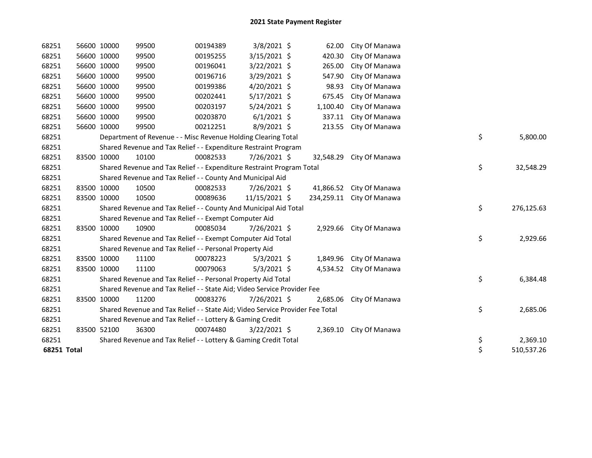| 68251       | 56600 10000 | 99500 | 00194389                                                                      | $3/8/2021$ \$  | 62.00     | City Of Manawa            |                  |
|-------------|-------------|-------|-------------------------------------------------------------------------------|----------------|-----------|---------------------------|------------------|
| 68251       | 56600 10000 | 99500 | 00195255                                                                      | 3/15/2021 \$   | 420.30    | City Of Manawa            |                  |
| 68251       | 56600 10000 | 99500 | 00196041                                                                      | 3/22/2021 \$   | 265.00    | City Of Manawa            |                  |
| 68251       | 56600 10000 | 99500 | 00196716                                                                      | 3/29/2021 \$   | 547.90    | City Of Manawa            |                  |
| 68251       | 56600 10000 | 99500 | 00199386                                                                      | $4/20/2021$ \$ | 98.93     | City Of Manawa            |                  |
| 68251       | 56600 10000 | 99500 | 00202441                                                                      | 5/17/2021 \$   | 675.45    | City Of Manawa            |                  |
| 68251       | 56600 10000 | 99500 | 00203197                                                                      | $5/24/2021$ \$ | 1,100.40  | City Of Manawa            |                  |
| 68251       | 56600 10000 | 99500 | 00203870                                                                      | $6/1/2021$ \$  | 337.11    | City Of Manawa            |                  |
| 68251       | 56600 10000 | 99500 | 00212251                                                                      | 8/9/2021 \$    | 213.55    | City Of Manawa            |                  |
| 68251       |             |       | Department of Revenue - - Misc Revenue Holding Clearing Total                 |                |           |                           | \$<br>5,800.00   |
| 68251       |             |       | Shared Revenue and Tax Relief - - Expenditure Restraint Program               |                |           |                           |                  |
| 68251       | 83500 10000 | 10100 | 00082533                                                                      | 7/26/2021 \$   | 32,548.29 | City Of Manawa            |                  |
| 68251       |             |       | Shared Revenue and Tax Relief - - Expenditure Restraint Program Total         |                |           |                           | \$<br>32,548.29  |
| 68251       |             |       | Shared Revenue and Tax Relief - - County And Municipal Aid                    |                |           |                           |                  |
| 68251       | 83500 10000 | 10500 | 00082533                                                                      | 7/26/2021 \$   |           | 41,866.52 City Of Manawa  |                  |
| 68251       | 83500 10000 | 10500 | 00089636                                                                      | 11/15/2021 \$  |           | 234,259.11 City Of Manawa |                  |
| 68251       |             |       | Shared Revenue and Tax Relief - - County And Municipal Aid Total              |                |           |                           | \$<br>276,125.63 |
| 68251       |             |       | Shared Revenue and Tax Relief - - Exempt Computer Aid                         |                |           |                           |                  |
| 68251       | 83500 10000 | 10900 | 00085034                                                                      | 7/26/2021 \$   |           | 2,929.66 City Of Manawa   |                  |
| 68251       |             |       | Shared Revenue and Tax Relief - - Exempt Computer Aid Total                   |                |           |                           | \$<br>2,929.66   |
| 68251       |             |       | Shared Revenue and Tax Relief - - Personal Property Aid                       |                |           |                           |                  |
| 68251       | 83500 10000 | 11100 | 00078223                                                                      | $5/3/2021$ \$  |           | 1,849.96 City Of Manawa   |                  |
| 68251       | 83500 10000 | 11100 | 00079063                                                                      | $5/3/2021$ \$  |           | 4,534.52 City Of Manawa   |                  |
| 68251       |             |       | Shared Revenue and Tax Relief - - Personal Property Aid Total                 |                |           |                           | \$<br>6,384.48   |
| 68251       |             |       | Shared Revenue and Tax Relief - - State Aid; Video Service Provider Fee       |                |           |                           |                  |
| 68251       | 83500 10000 | 11200 | 00083276                                                                      | 7/26/2021 \$   | 2,685.06  | City Of Manawa            |                  |
| 68251       |             |       | Shared Revenue and Tax Relief - - State Aid; Video Service Provider Fee Total |                |           |                           | \$<br>2,685.06   |
| 68251       |             |       | Shared Revenue and Tax Relief - - Lottery & Gaming Credit                     |                |           |                           |                  |
| 68251       | 83500 52100 | 36300 | 00074480                                                                      | 3/22/2021 \$   |           | 2,369.10 City Of Manawa   |                  |
| 68251       |             |       | Shared Revenue and Tax Relief - - Lottery & Gaming Credit Total               |                |           |                           | \$<br>2,369.10   |
| 68251 Total |             |       |                                                                               |                |           |                           | \$<br>510,537.26 |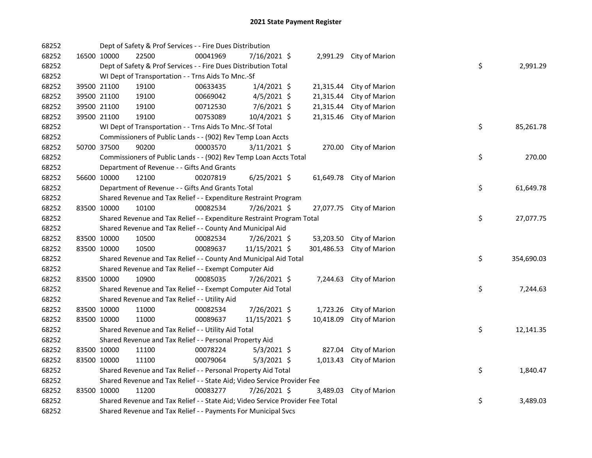| 68252 |             | Dept of Safety & Prof Services - - Fire Dues Distribution                     |          |                |           |                           |    |            |
|-------|-------------|-------------------------------------------------------------------------------|----------|----------------|-----------|---------------------------|----|------------|
| 68252 | 16500 10000 | 22500                                                                         | 00041969 | 7/16/2021 \$   |           | 2,991.29 City of Marion   |    |            |
| 68252 |             | Dept of Safety & Prof Services - - Fire Dues Distribution Total               |          |                |           |                           | \$ | 2,991.29   |
| 68252 |             | WI Dept of Transportation - - Trns Aids To Mnc.-Sf                            |          |                |           |                           |    |            |
| 68252 | 39500 21100 | 19100                                                                         | 00633435 | $1/4/2021$ \$  |           | 21,315.44 City of Marion  |    |            |
| 68252 | 39500 21100 | 19100                                                                         | 00669042 | $4/5/2021$ \$  | 21,315.44 | City of Marion            |    |            |
| 68252 | 39500 21100 | 19100                                                                         | 00712530 | 7/6/2021 \$    | 21,315.44 | City of Marion            |    |            |
| 68252 | 39500 21100 | 19100                                                                         | 00753089 | 10/4/2021 \$   | 21,315.46 | City of Marion            |    |            |
| 68252 |             | WI Dept of Transportation - - Trns Aids To Mnc.-Sf Total                      |          |                |           |                           | \$ | 85,261.78  |
| 68252 |             | Commissioners of Public Lands - - (902) Rev Temp Loan Accts                   |          |                |           |                           |    |            |
| 68252 | 50700 37500 | 90200                                                                         | 00003570 | $3/11/2021$ \$ |           | 270.00 City of Marion     |    |            |
| 68252 |             | Commissioners of Public Lands - - (902) Rev Temp Loan Accts Total             |          |                |           |                           | \$ | 270.00     |
| 68252 |             | Department of Revenue - - Gifts And Grants                                    |          |                |           |                           |    |            |
| 68252 | 56600 10000 | 12100                                                                         | 00207819 | $6/25/2021$ \$ |           | 61,649.78 City of Marion  |    |            |
| 68252 |             | Department of Revenue - - Gifts And Grants Total                              |          |                |           |                           | \$ | 61,649.78  |
| 68252 |             | Shared Revenue and Tax Relief - - Expenditure Restraint Program               |          |                |           |                           |    |            |
| 68252 | 83500 10000 | 10100                                                                         | 00082534 | 7/26/2021 \$   |           | 27,077.75 City of Marion  |    |            |
| 68252 |             | Shared Revenue and Tax Relief - - Expenditure Restraint Program Total         |          |                |           |                           | \$ | 27,077.75  |
| 68252 |             | Shared Revenue and Tax Relief - - County And Municipal Aid                    |          |                |           |                           |    |            |
| 68252 | 83500 10000 | 10500                                                                         | 00082534 | 7/26/2021 \$   | 53,203.50 | City of Marion            |    |            |
| 68252 | 83500 10000 | 10500                                                                         | 00089637 | 11/15/2021 \$  |           | 301,486.53 City of Marion |    |            |
| 68252 |             | Shared Revenue and Tax Relief - - County And Municipal Aid Total              |          |                |           |                           | \$ | 354,690.03 |
| 68252 |             | Shared Revenue and Tax Relief - - Exempt Computer Aid                         |          |                |           |                           |    |            |
| 68252 | 83500 10000 | 10900                                                                         | 00085035 | 7/26/2021 \$   |           | 7,244.63 City of Marion   |    |            |
| 68252 |             | Shared Revenue and Tax Relief - - Exempt Computer Aid Total                   |          |                |           |                           | \$ | 7,244.63   |
| 68252 |             | Shared Revenue and Tax Relief - - Utility Aid                                 |          |                |           |                           |    |            |
| 68252 | 83500 10000 | 11000                                                                         | 00082534 | 7/26/2021 \$   |           | 1,723.26 City of Marion   |    |            |
| 68252 | 83500 10000 | 11000                                                                         | 00089637 | 11/15/2021 \$  | 10,418.09 | City of Marion            |    |            |
| 68252 |             | Shared Revenue and Tax Relief - - Utility Aid Total                           |          |                |           |                           | \$ | 12,141.35  |
| 68252 |             | Shared Revenue and Tax Relief - - Personal Property Aid                       |          |                |           |                           |    |            |
| 68252 | 83500 10000 | 11100                                                                         | 00078224 | $5/3/2021$ \$  |           | 827.04 City of Marion     |    |            |
| 68252 | 83500 10000 | 11100                                                                         | 00079064 | $5/3/2021$ \$  |           | 1,013.43 City of Marion   |    |            |
| 68252 |             | Shared Revenue and Tax Relief - - Personal Property Aid Total                 |          |                |           |                           | \$ | 1,840.47   |
| 68252 |             | Shared Revenue and Tax Relief - - State Aid; Video Service Provider Fee       |          |                |           |                           |    |            |
| 68252 | 83500 10000 | 11200                                                                         | 00083277 | 7/26/2021 \$   | 3,489.03  | City of Marion            |    |            |
| 68252 |             | Shared Revenue and Tax Relief - - State Aid; Video Service Provider Fee Total |          |                |           |                           | \$ | 3,489.03   |
| 68252 |             | Shared Revenue and Tax Relief - - Payments For Municipal Svcs                 |          |                |           |                           |    |            |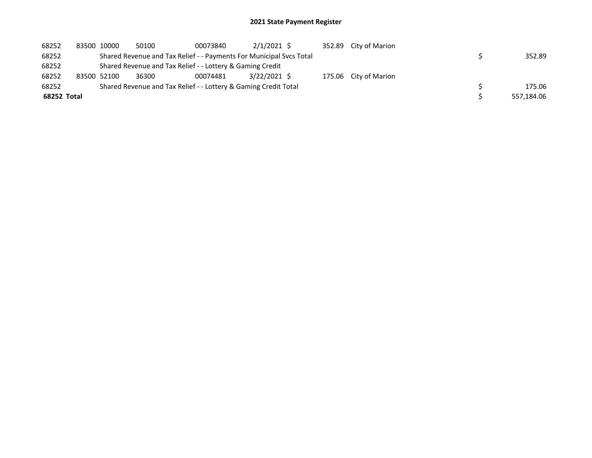## 2021 State Payment Register

| 68252       | 83500 10000 | 50100 | 00073840                                                            | $2/1/2021$ \$ |  | 352.89 City of Marion |  |            |
|-------------|-------------|-------|---------------------------------------------------------------------|---------------|--|-----------------------|--|------------|
| 68252       |             |       | Shared Revenue and Tax Relief - - Payments For Municipal Svcs Total |               |  |                       |  | 352.89     |
| 68252       |             |       | Shared Revenue and Tax Relief - - Lottery & Gaming Credit           |               |  |                       |  |            |
| 68252       | 83500 52100 | 36300 | 00074481                                                            | 3/22/2021 \$  |  | 175.06 City of Marion |  |            |
| 68252       |             |       | Shared Revenue and Tax Relief - - Lottery & Gaming Credit Total     |               |  |                       |  | 175.06     |
| 68252 Total |             |       |                                                                     |               |  |                       |  | 557,184.06 |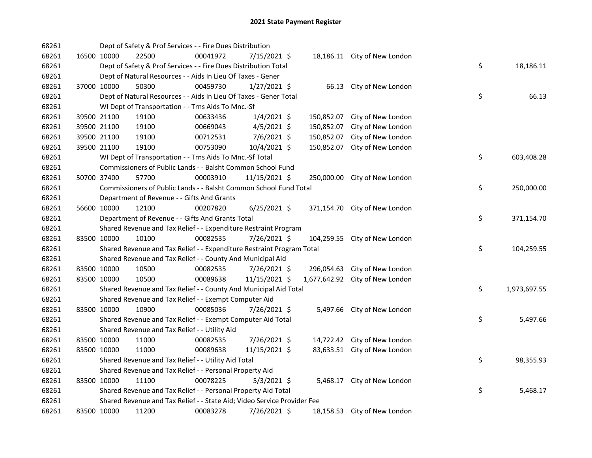| 68261 |             | Dept of Safety & Prof Services - - Fire Dues Distribution               |          |                |            |                                 |    |              |
|-------|-------------|-------------------------------------------------------------------------|----------|----------------|------------|---------------------------------|----|--------------|
| 68261 | 16500 10000 | 22500                                                                   | 00041972 | 7/15/2021 \$   |            | 18,186.11 City of New London    |    |              |
| 68261 |             | Dept of Safety & Prof Services - - Fire Dues Distribution Total         |          |                |            |                                 | \$ | 18,186.11    |
| 68261 |             | Dept of Natural Resources - - Aids In Lieu Of Taxes - Gener             |          |                |            |                                 |    |              |
| 68261 | 37000 10000 | 50300                                                                   | 00459730 | $1/27/2021$ \$ |            | 66.13 City of New London        |    |              |
| 68261 |             | Dept of Natural Resources - - Aids In Lieu Of Taxes - Gener Total       |          |                |            |                                 | \$ | 66.13        |
| 68261 |             | WI Dept of Transportation - - Trns Aids To Mnc.-Sf                      |          |                |            |                                 |    |              |
| 68261 | 39500 21100 | 19100                                                                   | 00633436 | $1/4/2021$ \$  | 150,852.07 | City of New London              |    |              |
| 68261 | 39500 21100 | 19100                                                                   | 00669043 | $4/5/2021$ \$  | 150,852.07 | City of New London              |    |              |
| 68261 | 39500 21100 | 19100                                                                   | 00712531 | $7/6/2021$ \$  | 150,852.07 | City of New London              |    |              |
| 68261 | 39500 21100 | 19100                                                                   | 00753090 | $10/4/2021$ \$ | 150,852.07 | City of New London              |    |              |
| 68261 |             | WI Dept of Transportation - - Trns Aids To Mnc.-Sf Total                |          |                |            |                                 | \$ | 603,408.28   |
| 68261 |             | Commissioners of Public Lands - - Balsht Common School Fund             |          |                |            |                                 |    |              |
| 68261 | 50700 37400 | 57700                                                                   | 00003910 | 11/15/2021 \$  |            | 250,000.00 City of New London   |    |              |
| 68261 |             | Commissioners of Public Lands - - Balsht Common School Fund Total       |          |                |            |                                 | \$ | 250,000.00   |
| 68261 |             | Department of Revenue - - Gifts And Grants                              |          |                |            |                                 |    |              |
| 68261 | 56600 10000 | 12100                                                                   | 00207820 | $6/25/2021$ \$ |            | 371,154.70 City of New London   |    |              |
| 68261 |             | Department of Revenue - - Gifts And Grants Total                        |          |                |            |                                 | \$ | 371,154.70   |
| 68261 |             | Shared Revenue and Tax Relief - - Expenditure Restraint Program         |          |                |            |                                 |    |              |
| 68261 | 83500 10000 | 10100                                                                   | 00082535 | 7/26/2021 \$   | 104,259.55 | City of New London              |    |              |
| 68261 |             | Shared Revenue and Tax Relief - - Expenditure Restraint Program Total   |          |                |            |                                 | \$ | 104,259.55   |
| 68261 |             | Shared Revenue and Tax Relief - - County And Municipal Aid              |          |                |            |                                 |    |              |
| 68261 | 83500 10000 | 10500                                                                   | 00082535 | 7/26/2021 \$   | 296,054.63 | City of New London              |    |              |
| 68261 | 83500 10000 | 10500                                                                   | 00089638 | 11/15/2021 \$  |            | 1,677,642.92 City of New London |    |              |
| 68261 |             | Shared Revenue and Tax Relief - - County And Municipal Aid Total        |          |                |            |                                 | \$ | 1,973,697.55 |
| 68261 |             | Shared Revenue and Tax Relief - - Exempt Computer Aid                   |          |                |            |                                 |    |              |
| 68261 | 83500 10000 | 10900                                                                   | 00085036 | 7/26/2021 \$   |            | 5,497.66 City of New London     |    |              |
| 68261 |             | Shared Revenue and Tax Relief - - Exempt Computer Aid Total             |          |                |            |                                 | \$ | 5,497.66     |
| 68261 |             | Shared Revenue and Tax Relief - - Utility Aid                           |          |                |            |                                 |    |              |
| 68261 | 83500 10000 | 11000                                                                   | 00082535 | 7/26/2021 \$   |            | 14,722.42 City of New London    |    |              |
| 68261 | 83500 10000 | 11000                                                                   | 00089638 | 11/15/2021 \$  |            | 83,633.51 City of New London    |    |              |
| 68261 |             | Shared Revenue and Tax Relief - - Utility Aid Total                     |          |                |            |                                 | \$ | 98,355.93    |
| 68261 |             | Shared Revenue and Tax Relief - - Personal Property Aid                 |          |                |            |                                 |    |              |
| 68261 | 83500 10000 | 11100                                                                   | 00078225 | $5/3/2021$ \$  |            | 5,468.17 City of New London     |    |              |
| 68261 |             | Shared Revenue and Tax Relief - - Personal Property Aid Total           |          |                |            |                                 | \$ | 5,468.17     |
| 68261 |             | Shared Revenue and Tax Relief - - State Aid; Video Service Provider Fee |          |                |            |                                 |    |              |
| 68261 | 83500 10000 | 11200                                                                   | 00083278 | 7/26/2021 \$   |            | 18,158.53 City of New London    |    |              |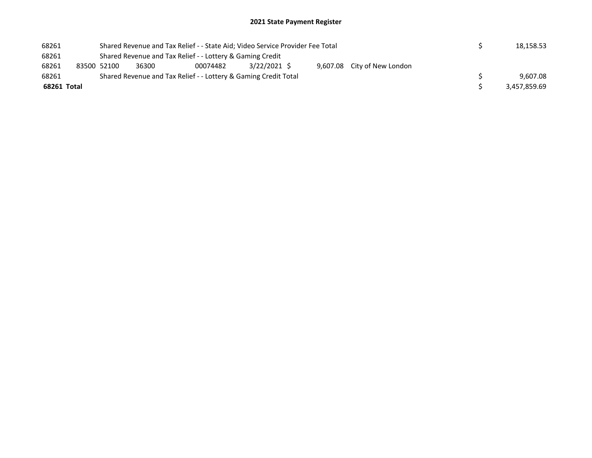## 2021 State Payment Register

| 68261       |                                                           | Shared Revenue and Tax Relief - - State Aid; Video Service Provider Fee Total |                                                                 | 18,158.53    |                             |  |              |
|-------------|-----------------------------------------------------------|-------------------------------------------------------------------------------|-----------------------------------------------------------------|--------------|-----------------------------|--|--------------|
| 68261       | Shared Revenue and Tax Relief - - Lottery & Gaming Credit |                                                                               |                                                                 |              |                             |  |              |
| 68261       | 83500 52100                                               | 36300                                                                         | 00074482                                                        | 3/22/2021 \$ | 9,607.08 City of New London |  |              |
| 68261       |                                                           |                                                                               | Shared Revenue and Tax Relief - - Lottery & Gaming Credit Total |              |                             |  | 9.607.08     |
| 68261 Total |                                                           |                                                                               |                                                                 |              |                             |  | 3,457,859.69 |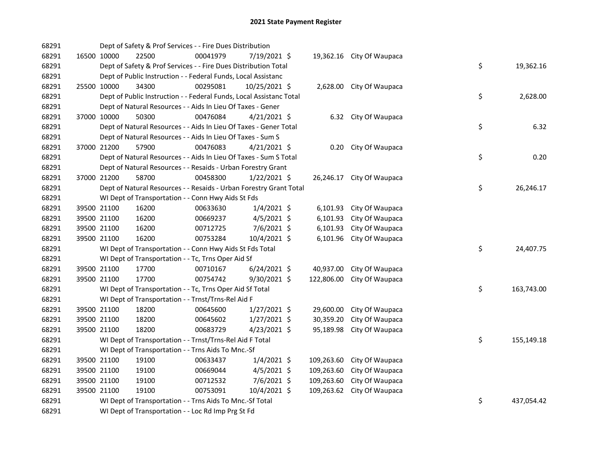| 68291 |             |       | Dept of Safety & Prof Services - - Fire Dues Distribution           |                |            |                           |    |            |
|-------|-------------|-------|---------------------------------------------------------------------|----------------|------------|---------------------------|----|------------|
| 68291 | 16500 10000 | 22500 | 00041979                                                            | 7/19/2021 \$   |            | 19,362.16 City Of Waupaca |    |            |
| 68291 |             |       | Dept of Safety & Prof Services - - Fire Dues Distribution Total     |                |            |                           | \$ | 19,362.16  |
| 68291 |             |       | Dept of Public Instruction - - Federal Funds, Local Assistanc       |                |            |                           |    |            |
| 68291 | 25500 10000 | 34300 | 00295081                                                            | 10/25/2021 \$  |            | 2,628.00 City Of Waupaca  |    |            |
| 68291 |             |       | Dept of Public Instruction - - Federal Funds, Local Assistanc Total |                |            |                           | \$ | 2,628.00   |
| 68291 |             |       | Dept of Natural Resources - - Aids In Lieu Of Taxes - Gener         |                |            |                           |    |            |
| 68291 | 37000 10000 | 50300 | 00476084                                                            | $4/21/2021$ \$ |            | 6.32 City Of Waupaca      |    |            |
| 68291 |             |       | Dept of Natural Resources - - Aids In Lieu Of Taxes - Gener Total   |                |            |                           | \$ | 6.32       |
| 68291 |             |       | Dept of Natural Resources - - Aids In Lieu Of Taxes - Sum S         |                |            |                           |    |            |
| 68291 | 37000 21200 | 57900 | 00476083                                                            | 4/21/2021 \$   |            | 0.20 City Of Waupaca      |    |            |
| 68291 |             |       | Dept of Natural Resources - - Aids In Lieu Of Taxes - Sum S Total   |                |            |                           | \$ | 0.20       |
| 68291 |             |       | Dept of Natural Resources - - Resaids - Urban Forestry Grant        |                |            |                           |    |            |
| 68291 | 37000 21200 | 58700 | 00458300                                                            | $1/22/2021$ \$ |            | 26,246.17 City Of Waupaca |    |            |
| 68291 |             |       | Dept of Natural Resources - - Resaids - Urban Forestry Grant Total  |                |            |                           | \$ | 26,246.17  |
| 68291 |             |       | WI Dept of Transportation - - Conn Hwy Aids St Fds                  |                |            |                           |    |            |
| 68291 | 39500 21100 | 16200 | 00633630                                                            | $1/4/2021$ \$  | 6,101.93   | City Of Waupaca           |    |            |
| 68291 | 39500 21100 | 16200 | 00669237                                                            | $4/5/2021$ \$  | 6,101.93   | City Of Waupaca           |    |            |
| 68291 | 39500 21100 | 16200 | 00712725                                                            | 7/6/2021 \$    | 6,101.93   | City Of Waupaca           |    |            |
| 68291 | 39500 21100 | 16200 | 00753284                                                            | 10/4/2021 \$   | 6,101.96   | City Of Waupaca           |    |            |
| 68291 |             |       | WI Dept of Transportation - - Conn Hwy Aids St Fds Total            |                |            |                           | \$ | 24,407.75  |
| 68291 |             |       | WI Dept of Transportation - - Tc, Trns Oper Aid Sf                  |                |            |                           |    |            |
| 68291 | 39500 21100 | 17700 | 00710167                                                            | $6/24/2021$ \$ | 40,937.00  | City Of Waupaca           |    |            |
| 68291 | 39500 21100 | 17700 | 00754742                                                            | 9/30/2021 \$   | 122,806.00 | City Of Waupaca           |    |            |
| 68291 |             |       | WI Dept of Transportation - - Tc, Trns Oper Aid Sf Total            |                |            |                           | \$ | 163,743.00 |
| 68291 |             |       | WI Dept of Transportation - - Trnst/Trns-Rel Aid F                  |                |            |                           |    |            |
| 68291 | 39500 21100 | 18200 | 00645600                                                            | $1/27/2021$ \$ | 29,600.00  | City Of Waupaca           |    |            |
| 68291 | 39500 21100 | 18200 | 00645602                                                            | $1/27/2021$ \$ | 30,359.20  | City Of Waupaca           |    |            |
| 68291 | 39500 21100 | 18200 | 00683729                                                            | $4/23/2021$ \$ | 95,189.98  | City Of Waupaca           |    |            |
| 68291 |             |       | WI Dept of Transportation - - Trnst/Trns-Rel Aid F Total            |                |            |                           | \$ | 155,149.18 |
| 68291 |             |       | WI Dept of Transportation - - Trns Aids To Mnc.-Sf                  |                |            |                           |    |            |
| 68291 | 39500 21100 | 19100 | 00633437                                                            | $1/4/2021$ \$  | 109,263.60 | City Of Waupaca           |    |            |
| 68291 | 39500 21100 | 19100 | 00669044                                                            | $4/5/2021$ \$  | 109,263.60 | City Of Waupaca           |    |            |
| 68291 | 39500 21100 | 19100 | 00712532                                                            | $7/6/2021$ \$  | 109,263.60 | City Of Waupaca           |    |            |
| 68291 | 39500 21100 | 19100 | 00753091                                                            | 10/4/2021 \$   | 109,263.62 | City Of Waupaca           |    |            |
| 68291 |             |       | WI Dept of Transportation - - Trns Aids To Mnc.-Sf Total            |                |            |                           | \$ | 437,054.42 |
| 68291 |             |       | WI Dept of Transportation - - Loc Rd Imp Prg St Fd                  |                |            |                           |    |            |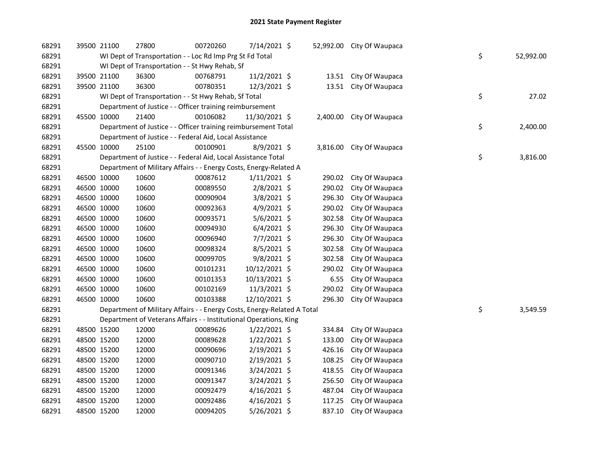| 68291 | 39500 21100 | 27800                                                                   | 00720260 | 7/14/2021 \$   | 52,992.00 | City Of Waupaca |    |           |
|-------|-------------|-------------------------------------------------------------------------|----------|----------------|-----------|-----------------|----|-----------|
| 68291 |             | WI Dept of Transportation - - Loc Rd Imp Prg St Fd Total                |          |                |           |                 | \$ | 52,992.00 |
| 68291 |             | WI Dept of Transportation - - St Hwy Rehab, Sf                          |          |                |           |                 |    |           |
| 68291 | 39500 21100 | 36300                                                                   | 00768791 | 11/2/2021 \$   | 13.51     | City Of Waupaca |    |           |
| 68291 | 39500 21100 | 36300                                                                   | 00780351 | 12/3/2021 \$   | 13.51     | City Of Waupaca |    |           |
| 68291 |             | WI Dept of Transportation - - St Hwy Rehab, Sf Total                    |          |                |           |                 | \$ | 27.02     |
| 68291 |             | Department of Justice - - Officer training reimbursement                |          |                |           |                 |    |           |
| 68291 | 45500 10000 | 21400                                                                   | 00106082 | 11/30/2021 \$  | 2,400.00  | City Of Waupaca |    |           |
| 68291 |             | Department of Justice - - Officer training reimbursement Total          |          |                |           |                 | \$ | 2,400.00  |
| 68291 |             | Department of Justice - - Federal Aid, Local Assistance                 |          |                |           |                 |    |           |
| 68291 | 45500 10000 | 25100                                                                   | 00100901 | $8/9/2021$ \$  | 3,816.00  | City Of Waupaca |    |           |
| 68291 |             | Department of Justice - - Federal Aid, Local Assistance Total           |          |                |           |                 | \$ | 3,816.00  |
| 68291 |             | Department of Military Affairs - - Energy Costs, Energy-Related A       |          |                |           |                 |    |           |
| 68291 | 46500 10000 | 10600                                                                   | 00087612 | $1/11/2021$ \$ | 290.02    | City Of Waupaca |    |           |
| 68291 | 46500 10000 | 10600                                                                   | 00089550 | 2/8/2021 \$    | 290.02    | City Of Waupaca |    |           |
| 68291 | 46500 10000 | 10600                                                                   | 00090904 | 3/8/2021 \$    | 296.30    | City Of Waupaca |    |           |
| 68291 | 46500 10000 | 10600                                                                   | 00092363 | $4/9/2021$ \$  | 290.02    | City Of Waupaca |    |           |
| 68291 | 46500 10000 | 10600                                                                   | 00093571 | $5/6/2021$ \$  | 302.58    | City Of Waupaca |    |           |
| 68291 | 46500 10000 | 10600                                                                   | 00094930 | $6/4/2021$ \$  | 296.30    | City Of Waupaca |    |           |
| 68291 | 46500 10000 | 10600                                                                   | 00096940 | 7/7/2021 \$    | 296.30    | City Of Waupaca |    |           |
| 68291 | 46500 10000 | 10600                                                                   | 00098324 | $8/5/2021$ \$  | 302.58    | City Of Waupaca |    |           |
| 68291 | 46500 10000 | 10600                                                                   | 00099705 | 9/8/2021 \$    | 302.58    | City Of Waupaca |    |           |
| 68291 | 46500 10000 | 10600                                                                   | 00101231 | 10/12/2021 \$  | 290.02    | City Of Waupaca |    |           |
| 68291 | 46500 10000 | 10600                                                                   | 00101353 | 10/13/2021 \$  | 6.55      | City Of Waupaca |    |           |
| 68291 | 46500 10000 | 10600                                                                   | 00102169 | 11/3/2021 \$   | 290.02    | City Of Waupaca |    |           |
| 68291 | 46500 10000 | 10600                                                                   | 00103388 | 12/10/2021 \$  | 296.30    | City Of Waupaca |    |           |
| 68291 |             | Department of Military Affairs - - Energy Costs, Energy-Related A Total |          |                |           |                 | \$ | 3,549.59  |
| 68291 |             | Department of Veterans Affairs - - Institutional Operations, King       |          |                |           |                 |    |           |
| 68291 | 48500 15200 | 12000                                                                   | 00089626 | $1/22/2021$ \$ | 334.84    | City Of Waupaca |    |           |
| 68291 | 48500 15200 | 12000                                                                   | 00089628 | $1/22/2021$ \$ | 133.00    | City Of Waupaca |    |           |
| 68291 | 48500 15200 | 12000                                                                   | 00090696 | 2/19/2021 \$   | 426.16    | City Of Waupaca |    |           |
| 68291 | 48500 15200 | 12000                                                                   | 00090710 | $2/19/2021$ \$ | 108.25    | City Of Waupaca |    |           |
| 68291 | 48500 15200 | 12000                                                                   | 00091346 | 3/24/2021 \$   | 418.55    | City Of Waupaca |    |           |
| 68291 | 48500 15200 | 12000                                                                   | 00091347 | 3/24/2021 \$   | 256.50    | City Of Waupaca |    |           |
| 68291 | 48500 15200 | 12000                                                                   | 00092479 | $4/16/2021$ \$ | 487.04    | City Of Waupaca |    |           |
| 68291 | 48500 15200 | 12000                                                                   | 00092486 | 4/16/2021 \$   | 117.25    | City Of Waupaca |    |           |
| 68291 | 48500 15200 | 12000                                                                   | 00094205 | 5/26/2021 \$   | 837.10    | City Of Waupaca |    |           |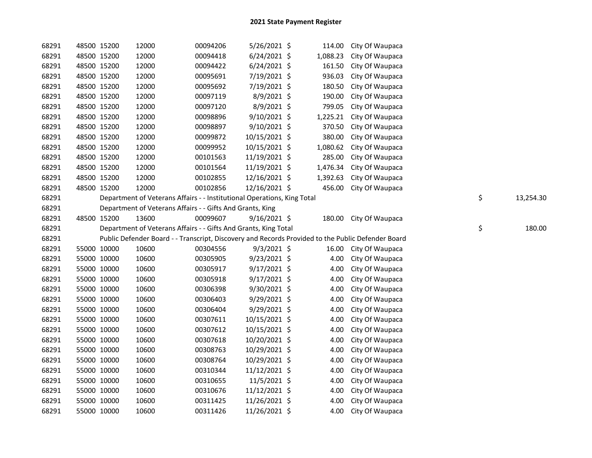| 68291 | 48500 15200 |             | 12000                                                                   | 00094206 | 5/26/2021 \$   | 114.00   | City Of Waupaca                                                                                   |                 |
|-------|-------------|-------------|-------------------------------------------------------------------------|----------|----------------|----------|---------------------------------------------------------------------------------------------------|-----------------|
| 68291 | 48500 15200 |             | 12000                                                                   | 00094418 | $6/24/2021$ \$ | 1,088.23 | City Of Waupaca                                                                                   |                 |
| 68291 | 48500 15200 |             | 12000                                                                   | 00094422 | $6/24/2021$ \$ | 161.50   | City Of Waupaca                                                                                   |                 |
| 68291 | 48500 15200 |             | 12000                                                                   | 00095691 | 7/19/2021 \$   | 936.03   | City Of Waupaca                                                                                   |                 |
| 68291 | 48500 15200 |             | 12000                                                                   | 00095692 | 7/19/2021 \$   | 180.50   | City Of Waupaca                                                                                   |                 |
| 68291 | 48500 15200 |             | 12000                                                                   | 00097119 | 8/9/2021 \$    | 190.00   | City Of Waupaca                                                                                   |                 |
| 68291 | 48500 15200 |             | 12000                                                                   | 00097120 | 8/9/2021 \$    | 799.05   | City Of Waupaca                                                                                   |                 |
| 68291 | 48500 15200 |             | 12000                                                                   | 00098896 | 9/10/2021 \$   | 1,225.21 | City Of Waupaca                                                                                   |                 |
| 68291 | 48500 15200 |             | 12000                                                                   | 00098897 | 9/10/2021 \$   | 370.50   | City Of Waupaca                                                                                   |                 |
| 68291 | 48500 15200 |             | 12000                                                                   | 00099872 | 10/15/2021 \$  | 380.00   | City Of Waupaca                                                                                   |                 |
| 68291 | 48500 15200 |             | 12000                                                                   | 00099952 | 10/15/2021 \$  | 1,080.62 | City Of Waupaca                                                                                   |                 |
| 68291 | 48500 15200 |             | 12000                                                                   | 00101563 | 11/19/2021 \$  | 285.00   | City Of Waupaca                                                                                   |                 |
| 68291 | 48500 15200 |             | 12000                                                                   | 00101564 | 11/19/2021 \$  | 1,476.34 | City Of Waupaca                                                                                   |                 |
| 68291 | 48500 15200 |             | 12000                                                                   | 00102855 | 12/16/2021 \$  | 1,392.63 | City Of Waupaca                                                                                   |                 |
| 68291 | 48500 15200 |             | 12000                                                                   | 00102856 | 12/16/2021 \$  | 456.00   | City Of Waupaca                                                                                   |                 |
| 68291 |             |             | Department of Veterans Affairs - - Institutional Operations, King Total |          |                |          |                                                                                                   | \$<br>13,254.30 |
| 68291 |             |             | Department of Veterans Affairs - - Gifts And Grants, King               |          |                |          |                                                                                                   |                 |
| 68291 | 48500 15200 |             | 13600                                                                   | 00099607 | $9/16/2021$ \$ | 180.00   | City Of Waupaca                                                                                   |                 |
| 68291 |             |             | Department of Veterans Affairs - - Gifts And Grants, King Total         |          |                |          |                                                                                                   | \$<br>180.00    |
| 68291 |             |             |                                                                         |          |                |          | Public Defender Board - - Transcript, Discovery and Records Provided to the Public Defender Board |                 |
| 68291 | 55000 10000 |             | 10600                                                                   | 00304556 | $9/3/2021$ \$  | 16.00    | City Of Waupaca                                                                                   |                 |
| 68291 | 55000 10000 |             | 10600                                                                   | 00305905 | $9/23/2021$ \$ | 4.00     | City Of Waupaca                                                                                   |                 |
| 68291 | 55000 10000 |             | 10600                                                                   | 00305917 | 9/17/2021 \$   | 4.00     | City Of Waupaca                                                                                   |                 |
| 68291 | 55000 10000 |             | 10600                                                                   | 00305918 | $9/17/2021$ \$ | 4.00     | City Of Waupaca                                                                                   |                 |
| 68291 | 55000 10000 |             | 10600                                                                   | 00306398 | 9/30/2021 \$   | 4.00     | City Of Waupaca                                                                                   |                 |
| 68291 | 55000 10000 |             | 10600                                                                   | 00306403 | 9/29/2021 \$   | 4.00     | City Of Waupaca                                                                                   |                 |
| 68291 | 55000 10000 |             | 10600                                                                   | 00306404 | 9/29/2021 \$   | 4.00     | City Of Waupaca                                                                                   |                 |
| 68291 | 55000 10000 |             | 10600                                                                   | 00307611 | 10/15/2021 \$  | 4.00     | City Of Waupaca                                                                                   |                 |
| 68291 | 55000 10000 |             | 10600                                                                   | 00307612 | 10/15/2021 \$  | 4.00     | City Of Waupaca                                                                                   |                 |
| 68291 | 55000 10000 |             | 10600                                                                   | 00307618 | 10/20/2021 \$  | 4.00     | City Of Waupaca                                                                                   |                 |
| 68291 | 55000 10000 |             | 10600                                                                   | 00308763 | 10/29/2021 \$  | 4.00     | City Of Waupaca                                                                                   |                 |
| 68291 | 55000 10000 |             | 10600                                                                   | 00308764 | 10/29/2021 \$  | 4.00     | City Of Waupaca                                                                                   |                 |
| 68291 | 55000 10000 |             | 10600                                                                   | 00310344 | 11/12/2021 \$  | 4.00     | City Of Waupaca                                                                                   |                 |
| 68291 | 55000 10000 |             | 10600                                                                   | 00310655 | 11/5/2021 \$   | 4.00     | City Of Waupaca                                                                                   |                 |
| 68291 | 55000 10000 |             | 10600                                                                   | 00310676 | 11/12/2021 \$  | 4.00     | City Of Waupaca                                                                                   |                 |
| 68291 | 55000 10000 |             | 10600                                                                   | 00311425 | 11/26/2021 \$  | 4.00     | City Of Waupaca                                                                                   |                 |
| 68291 |             | 55000 10000 | 10600                                                                   | 00311426 | 11/26/2021 \$  | 4.00     | City Of Waupaca                                                                                   |                 |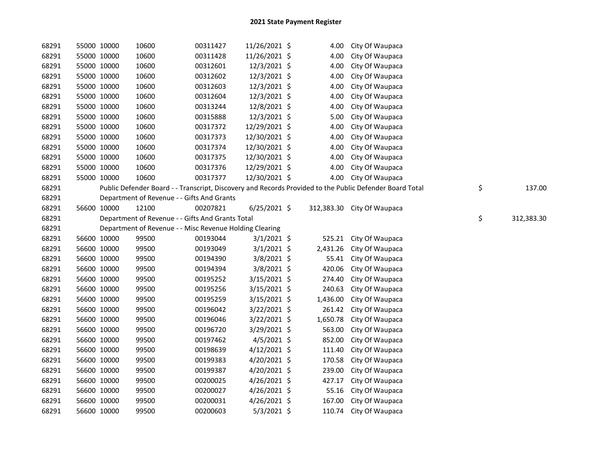| 68291 | 55000 10000 | 10600                                                   | 00311427 | 11/26/2021 \$  | 4.00     | City Of Waupaca                                                                                         |                  |
|-------|-------------|---------------------------------------------------------|----------|----------------|----------|---------------------------------------------------------------------------------------------------------|------------------|
| 68291 | 55000 10000 | 10600                                                   | 00311428 | 11/26/2021 \$  | 4.00     | City Of Waupaca                                                                                         |                  |
| 68291 | 55000 10000 | 10600                                                   | 00312601 | 12/3/2021 \$   | 4.00     | City Of Waupaca                                                                                         |                  |
| 68291 | 55000 10000 | 10600                                                   | 00312602 | 12/3/2021 \$   | 4.00     | City Of Waupaca                                                                                         |                  |
| 68291 | 55000 10000 | 10600                                                   | 00312603 | 12/3/2021 \$   | 4.00     | City Of Waupaca                                                                                         |                  |
| 68291 | 55000 10000 | 10600                                                   | 00312604 | 12/3/2021 \$   | 4.00     | City Of Waupaca                                                                                         |                  |
| 68291 | 55000 10000 | 10600                                                   | 00313244 | 12/8/2021 \$   | 4.00     | City Of Waupaca                                                                                         |                  |
| 68291 | 55000 10000 | 10600                                                   | 00315888 | 12/3/2021 \$   | 5.00     | City Of Waupaca                                                                                         |                  |
| 68291 | 55000 10000 | 10600                                                   | 00317372 | 12/29/2021 \$  | 4.00     | City Of Waupaca                                                                                         |                  |
| 68291 | 55000 10000 | 10600                                                   | 00317373 | 12/30/2021 \$  | 4.00     | City Of Waupaca                                                                                         |                  |
| 68291 | 55000 10000 | 10600                                                   | 00317374 | 12/30/2021 \$  | 4.00     | City Of Waupaca                                                                                         |                  |
| 68291 | 55000 10000 | 10600                                                   | 00317375 | 12/30/2021 \$  | 4.00     | City Of Waupaca                                                                                         |                  |
| 68291 | 55000 10000 | 10600                                                   | 00317376 | 12/29/2021 \$  | 4.00     | City Of Waupaca                                                                                         |                  |
| 68291 | 55000 10000 | 10600                                                   | 00317377 | 12/30/2021 \$  | 4.00     | City Of Waupaca                                                                                         |                  |
| 68291 |             |                                                         |          |                |          | Public Defender Board - - Transcript, Discovery and Records Provided to the Public Defender Board Total | \$<br>137.00     |
| 68291 |             | Department of Revenue - - Gifts And Grants              |          |                |          |                                                                                                         |                  |
| 68291 | 56600 10000 | 12100                                                   | 00207821 | $6/25/2021$ \$ |          | 312,383.30 City Of Waupaca                                                                              |                  |
| 68291 |             | Department of Revenue - - Gifts And Grants Total        |          |                |          |                                                                                                         | \$<br>312,383.30 |
| 68291 |             | Department of Revenue - - Misc Revenue Holding Clearing |          |                |          |                                                                                                         |                  |
| 68291 | 56600 10000 | 99500                                                   | 00193044 | $3/1/2021$ \$  | 525.21   | City Of Waupaca                                                                                         |                  |
| 68291 | 56600 10000 | 99500                                                   | 00193049 | $3/1/2021$ \$  | 2,431.26 | City Of Waupaca                                                                                         |                  |
| 68291 | 56600 10000 | 99500                                                   | 00194390 | 3/8/2021 \$    | 55.41    | City Of Waupaca                                                                                         |                  |
| 68291 | 56600 10000 | 99500                                                   | 00194394 | 3/8/2021 \$    | 420.06   | City Of Waupaca                                                                                         |                  |
| 68291 | 56600 10000 | 99500                                                   | 00195252 | 3/15/2021 \$   | 274.40   | City Of Waupaca                                                                                         |                  |
| 68291 | 56600 10000 | 99500                                                   | 00195256 | 3/15/2021 \$   | 240.63   | City Of Waupaca                                                                                         |                  |
| 68291 | 56600 10000 | 99500                                                   | 00195259 | $3/15/2021$ \$ | 1,436.00 | City Of Waupaca                                                                                         |                  |
| 68291 | 56600 10000 | 99500                                                   | 00196042 | 3/22/2021 \$   | 261.42   | City Of Waupaca                                                                                         |                  |
| 68291 | 56600 10000 | 99500                                                   | 00196046 | 3/22/2021 \$   | 1,650.78 | City Of Waupaca                                                                                         |                  |
| 68291 | 56600 10000 | 99500                                                   | 00196720 | 3/29/2021 \$   | 563.00   | City Of Waupaca                                                                                         |                  |
| 68291 | 56600 10000 | 99500                                                   | 00197462 | $4/5/2021$ \$  | 852.00   | City Of Waupaca                                                                                         |                  |
| 68291 | 56600 10000 | 99500                                                   | 00198639 | $4/12/2021$ \$ | 111.40   | City Of Waupaca                                                                                         |                  |
| 68291 | 56600 10000 | 99500                                                   | 00199383 | 4/20/2021 \$   | 170.58   | City Of Waupaca                                                                                         |                  |
| 68291 | 56600 10000 | 99500                                                   | 00199387 | 4/20/2021 \$   | 239.00   | City Of Waupaca                                                                                         |                  |
| 68291 | 56600 10000 | 99500                                                   | 00200025 | 4/26/2021 \$   | 427.17   | City Of Waupaca                                                                                         |                  |
| 68291 | 56600 10000 | 99500                                                   | 00200027 | 4/26/2021 \$   | 55.16    | City Of Waupaca                                                                                         |                  |
| 68291 | 56600 10000 | 99500                                                   | 00200031 | 4/26/2021 \$   | 167.00   | City Of Waupaca                                                                                         |                  |
| 68291 | 56600 10000 | 99500                                                   | 00200603 | 5/3/2021 \$    | 110.74   | City Of Waupaca                                                                                         |                  |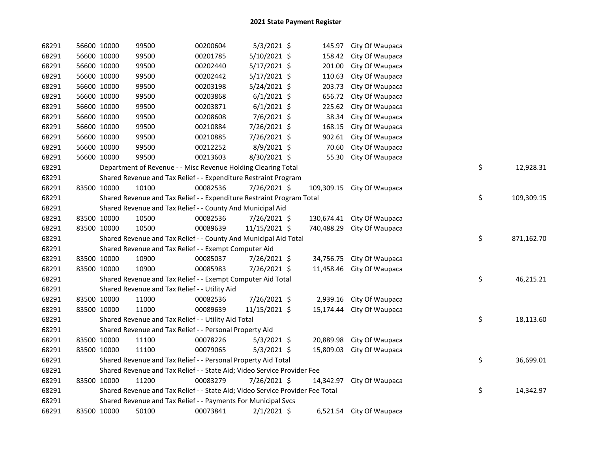| 68291 | 56600 10000 | 99500                                                                         | 00200604 | $5/3/2021$ \$  |            | 145.97 City Of Waupaca    |    |            |
|-------|-------------|-------------------------------------------------------------------------------|----------|----------------|------------|---------------------------|----|------------|
| 68291 | 56600 10000 | 99500                                                                         | 00201785 | 5/10/2021 \$   | 158.42     | City Of Waupaca           |    |            |
| 68291 | 56600 10000 | 99500                                                                         | 00202440 | 5/17/2021 \$   | 201.00     | City Of Waupaca           |    |            |
| 68291 | 56600 10000 | 99500                                                                         | 00202442 | $5/17/2021$ \$ | 110.63     | City Of Waupaca           |    |            |
| 68291 | 56600 10000 | 99500                                                                         | 00203198 | 5/24/2021 \$   | 203.73     | City Of Waupaca           |    |            |
| 68291 | 56600 10000 | 99500                                                                         | 00203868 | $6/1/2021$ \$  | 656.72     | City Of Waupaca           |    |            |
| 68291 | 56600 10000 | 99500                                                                         | 00203871 | $6/1/2021$ \$  | 225.62     | City Of Waupaca           |    |            |
| 68291 | 56600 10000 | 99500                                                                         | 00208608 | 7/6/2021 \$    | 38.34      | City Of Waupaca           |    |            |
| 68291 | 56600 10000 | 99500                                                                         | 00210884 | 7/26/2021 \$   | 168.15     | City Of Waupaca           |    |            |
| 68291 | 56600 10000 | 99500                                                                         | 00210885 | 7/26/2021 \$   | 902.61     | City Of Waupaca           |    |            |
| 68291 | 56600 10000 | 99500                                                                         | 00212252 | 8/9/2021 \$    | 70.60      | City Of Waupaca           |    |            |
| 68291 | 56600 10000 | 99500                                                                         | 00213603 | 8/30/2021 \$   | 55.30      | City Of Waupaca           |    |            |
| 68291 |             | Department of Revenue - - Misc Revenue Holding Clearing Total                 |          |                |            |                           | \$ | 12,928.31  |
| 68291 |             | Shared Revenue and Tax Relief - - Expenditure Restraint Program               |          |                |            |                           |    |            |
| 68291 | 83500 10000 | 10100                                                                         | 00082536 | 7/26/2021 \$   | 109,309.15 | City Of Waupaca           |    |            |
| 68291 |             | Shared Revenue and Tax Relief - - Expenditure Restraint Program Total         |          |                |            |                           | \$ | 109,309.15 |
| 68291 |             | Shared Revenue and Tax Relief - - County And Municipal Aid                    |          |                |            |                           |    |            |
| 68291 | 83500 10000 | 10500                                                                         | 00082536 | 7/26/2021 \$   | 130,674.41 | City Of Waupaca           |    |            |
| 68291 | 83500 10000 | 10500                                                                         | 00089639 | 11/15/2021 \$  | 740,488.29 | City Of Waupaca           |    |            |
| 68291 |             | Shared Revenue and Tax Relief - - County And Municipal Aid Total              |          |                |            |                           | \$ | 871,162.70 |
| 68291 |             | Shared Revenue and Tax Relief - - Exempt Computer Aid                         |          |                |            |                           |    |            |
| 68291 | 83500 10000 | 10900                                                                         | 00085037 | 7/26/2021 \$   | 34,756.75  | City Of Waupaca           |    |            |
| 68291 | 83500 10000 | 10900                                                                         | 00085983 | 7/26/2021 \$   | 11,458.46  | City Of Waupaca           |    |            |
| 68291 |             | Shared Revenue and Tax Relief - - Exempt Computer Aid Total                   |          |                |            |                           | \$ | 46,215.21  |
| 68291 |             | Shared Revenue and Tax Relief - - Utility Aid                                 |          |                |            |                           |    |            |
| 68291 | 83500 10000 | 11000                                                                         | 00082536 | 7/26/2021 \$   |            | 2,939.16 City Of Waupaca  |    |            |
| 68291 | 83500 10000 | 11000                                                                         | 00089639 | 11/15/2021 \$  |            | 15,174.44 City Of Waupaca |    |            |
| 68291 |             | Shared Revenue and Tax Relief - - Utility Aid Total                           |          |                |            |                           | \$ | 18,113.60  |
| 68291 |             | Shared Revenue and Tax Relief - - Personal Property Aid                       |          |                |            |                           |    |            |
| 68291 | 83500 10000 | 11100                                                                         | 00078226 | $5/3/2021$ \$  |            | 20,889.98 City Of Waupaca |    |            |
| 68291 | 83500 10000 | 11100                                                                         | 00079065 | $5/3/2021$ \$  | 15,809.03  | City Of Waupaca           |    |            |
| 68291 |             | Shared Revenue and Tax Relief - - Personal Property Aid Total                 |          |                |            |                           | \$ | 36,699.01  |
| 68291 |             | Shared Revenue and Tax Relief - - State Aid; Video Service Provider Fee       |          |                |            |                           |    |            |
| 68291 | 83500 10000 | 11200                                                                         | 00083279 | 7/26/2021 \$   | 14,342.97  | City Of Waupaca           |    |            |
| 68291 |             | Shared Revenue and Tax Relief - - State Aid; Video Service Provider Fee Total |          |                |            |                           | \$ | 14,342.97  |
| 68291 |             | Shared Revenue and Tax Relief - - Payments For Municipal Svcs                 |          |                |            |                           |    |            |
| 68291 | 83500 10000 | 50100                                                                         | 00073841 | $2/1/2021$ \$  |            | 6,521.54 City Of Waupaca  |    |            |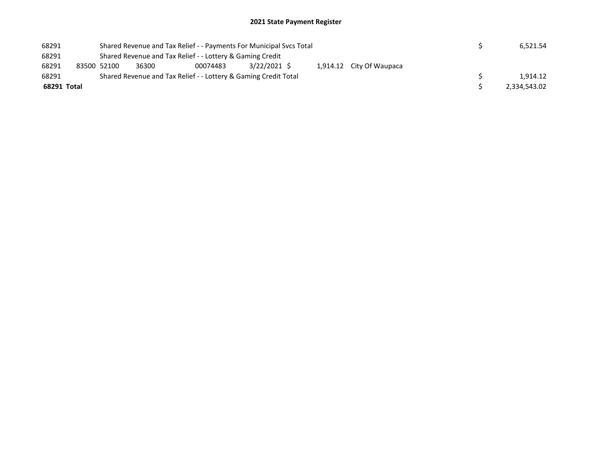## 2021 State Payment Register

| 68291       |                                                           | Shared Revenue and Tax Relief - - Payments For Municipal Svcs Total |                                                                 |          | 6.521.54    |  |  |                          |  |  |              |
|-------------|-----------------------------------------------------------|---------------------------------------------------------------------|-----------------------------------------------------------------|----------|-------------|--|--|--------------------------|--|--|--------------|
| 68291       | Shared Revenue and Tax Relief - - Lottery & Gaming Credit |                                                                     |                                                                 |          |             |  |  |                          |  |  |              |
| 68291       |                                                           | 83500 52100                                                         | 36300                                                           | 00074483 | 3/22/2021 S |  |  | 1,914.12 City Of Waupaca |  |  |              |
| 68291       |                                                           |                                                                     | Shared Revenue and Tax Relief - - Lottery & Gaming Credit Total |          |             |  |  |                          |  |  | 1.914.12     |
| 68291 Total |                                                           |                                                                     |                                                                 |          |             |  |  |                          |  |  | 2.334.543.02 |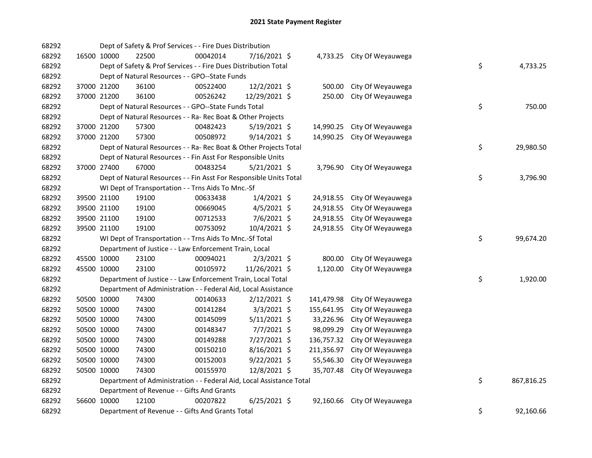| 68292 |             | Dept of Safety & Prof Services - - Fire Dues Distribution             |                                                                    |          |                |  |            |                            |  |          |            |
|-------|-------------|-----------------------------------------------------------------------|--------------------------------------------------------------------|----------|----------------|--|------------|----------------------------|--|----------|------------|
| 68292 |             | 16500 10000                                                           | 22500                                                              | 00042014 | 7/16/2021 \$   |  |            | 4,733.25 City Of Weyauwega |  |          |            |
| 68292 |             | \$<br>Dept of Safety & Prof Services - - Fire Dues Distribution Total |                                                                    |          |                |  |            |                            |  | 4,733.25 |            |
| 68292 |             | Dept of Natural Resources - - GPO--State Funds                        |                                                                    |          |                |  |            |                            |  |          |            |
| 68292 |             | 37000 21200                                                           | 36100                                                              | 00522400 | 12/2/2021 \$   |  | 500.00     | City Of Weyauwega          |  |          |            |
| 68292 |             | 37000 21200                                                           | 36100                                                              | 00526242 | 12/29/2021 \$  |  | 250.00     | City Of Weyauwega          |  |          |            |
| 68292 |             | Dept of Natural Resources - - GPO--State Funds Total                  |                                                                    |          |                |  |            |                            |  | \$       | 750.00     |
| 68292 |             | Dept of Natural Resources - - Ra- Rec Boat & Other Projects           |                                                                    |          |                |  |            |                            |  |          |            |
| 68292 |             | 37000 21200                                                           | 57300                                                              | 00482423 | $5/19/2021$ \$ |  | 14,990.25  | City Of Weyauwega          |  |          |            |
| 68292 |             | 37000 21200                                                           | 57300                                                              | 00508972 | $9/14/2021$ \$ |  | 14,990.25  | City Of Weyauwega          |  |          |            |
| 68292 |             |                                                                       | Dept of Natural Resources - - Ra- Rec Boat & Other Projects Total  |          |                |  |            |                            |  | \$       | 29,980.50  |
| 68292 |             |                                                                       | Dept of Natural Resources - - Fin Asst For Responsible Units       |          |                |  |            |                            |  |          |            |
| 68292 |             | 37000 27400                                                           | 67000                                                              | 00483254 | $5/21/2021$ \$ |  | 3,796.90   | City Of Weyauwega          |  |          |            |
| 68292 |             |                                                                       | Dept of Natural Resources - - Fin Asst For Responsible Units Total |          |                |  |            |                            |  | \$       | 3,796.90   |
| 68292 |             |                                                                       | WI Dept of Transportation - - Trns Aids To Mnc.-Sf                 |          |                |  |            |                            |  |          |            |
| 68292 |             | 39500 21100                                                           | 19100                                                              | 00633438 | $1/4/2021$ \$  |  | 24,918.55  | City Of Weyauwega          |  |          |            |
| 68292 |             | 39500 21100                                                           | 19100                                                              | 00669045 | $4/5/2021$ \$  |  | 24,918.55  | City Of Weyauwega          |  |          |            |
| 68292 |             | 39500 21100                                                           | 19100                                                              | 00712533 | $7/6/2021$ \$  |  | 24,918.55  | City Of Weyauwega          |  |          |            |
| 68292 |             | 39500 21100                                                           | 19100                                                              | 00753092 | 10/4/2021 \$   |  | 24,918.55  | City Of Weyauwega          |  |          |            |
| 68292 |             | WI Dept of Transportation - - Trns Aids To Mnc.-Sf Total              |                                                                    |          |                |  |            |                            |  | \$       | 99,674.20  |
| 68292 |             | Department of Justice - - Law Enforcement Train, Local                |                                                                    |          |                |  |            |                            |  |          |            |
| 68292 |             | 45500 10000                                                           | 23100                                                              | 00094021 | $2/3/2021$ \$  |  | 800.00     | City Of Weyauwega          |  |          |            |
| 68292 |             | 45500 10000                                                           | 23100                                                              | 00105972 | 11/26/2021 \$  |  | 1,120.00   | City Of Weyauwega          |  |          |            |
| 68292 |             | Department of Justice - - Law Enforcement Train, Local Total          |                                                                    |          |                |  |            |                            |  | \$       | 1,920.00   |
| 68292 |             | Department of Administration - - Federal Aid, Local Assistance        |                                                                    |          |                |  |            |                            |  |          |            |
| 68292 |             | 50500 10000                                                           | 74300                                                              | 00140633 | $2/12/2021$ \$ |  | 141,479.98 | City Of Weyauwega          |  |          |            |
| 68292 |             | 50500 10000                                                           | 74300                                                              | 00141284 | $3/3/2021$ \$  |  | 155,641.95 | City Of Weyauwega          |  |          |            |
| 68292 |             | 50500 10000                                                           | 74300                                                              | 00145099 | $5/11/2021$ \$ |  | 33,226.96  | City Of Weyauwega          |  |          |            |
| 68292 |             | 50500 10000                                                           | 74300                                                              | 00148347 | $7/7/2021$ \$  |  | 98,099.29  | City Of Weyauwega          |  |          |            |
| 68292 |             | 50500 10000                                                           | 74300                                                              | 00149288 | 7/27/2021 \$   |  | 136,757.32 | City Of Weyauwega          |  |          |            |
| 68292 |             | 50500 10000                                                           | 74300                                                              | 00150210 | $8/16/2021$ \$ |  | 211,356.97 | City Of Weyauwega          |  |          |            |
| 68292 |             | 50500 10000                                                           | 74300                                                              | 00152003 | $9/22/2021$ \$ |  | 55,546.30  | City Of Weyauwega          |  |          |            |
| 68292 | 50500 10000 |                                                                       | 74300                                                              | 00155970 | 12/8/2021 \$   |  | 35,707.48  | City Of Weyauwega          |  |          |            |
| 68292 |             | Department of Administration - - Federal Aid, Local Assistance Total  |                                                                    |          |                |  |            |                            |  | \$       | 867,816.25 |
| 68292 |             | Department of Revenue - - Gifts And Grants                            |                                                                    |          |                |  |            |                            |  |          |            |
| 68292 |             | 56600 10000                                                           | 12100                                                              | 00207822 | $6/25/2021$ \$ |  | 92,160.66  | City Of Weyauwega          |  |          |            |
| 68292 |             |                                                                       | Department of Revenue - - Gifts And Grants Total                   |          |                |  |            |                            |  | \$       | 92,160.66  |